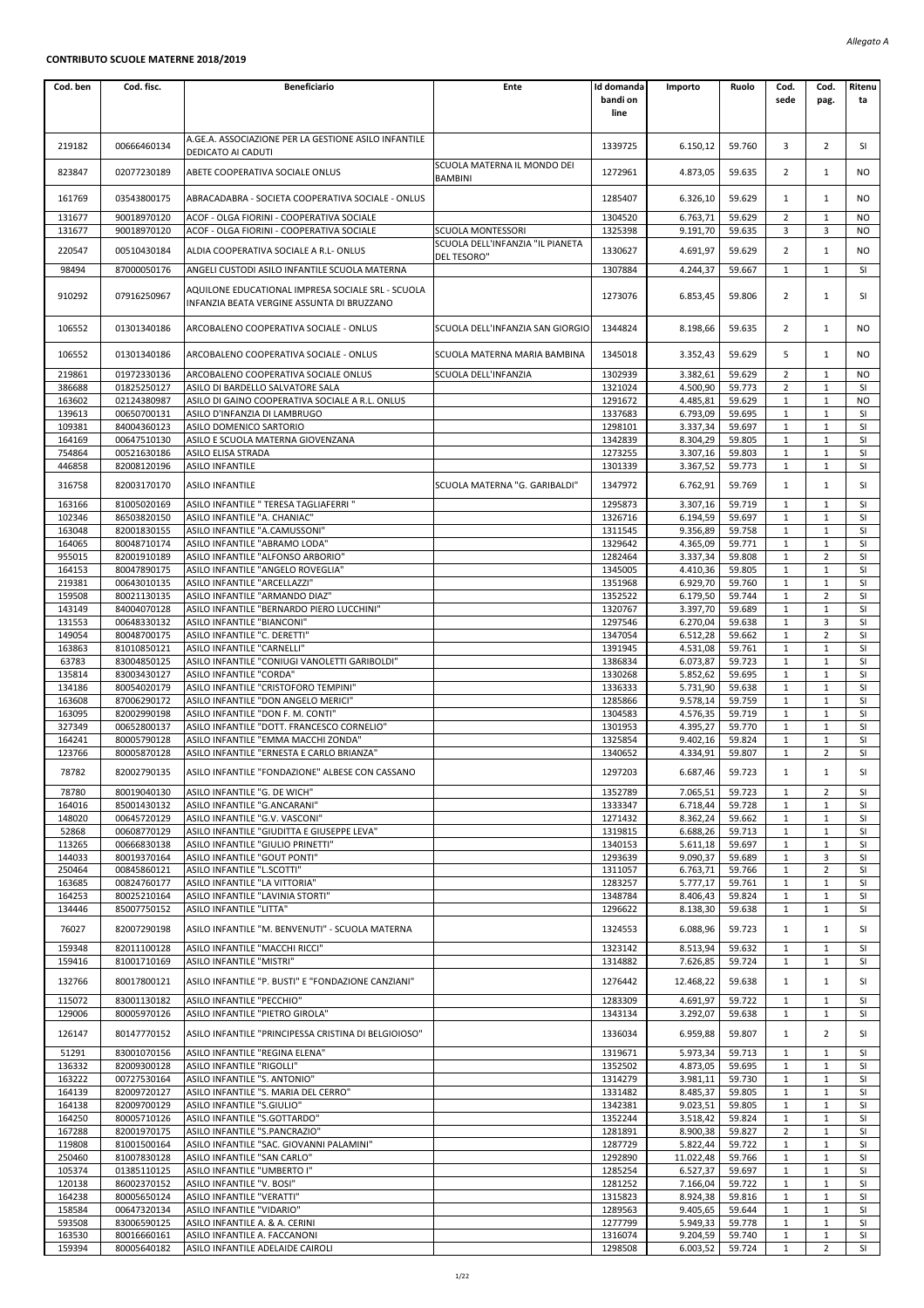## **CONTRIBUTO SCUOLE MATERNE 2018/2019**

| Cod. ben         | Cod. fisc.                 | <b>Beneficiario</b>                                                                             | Ente                                            | Id domanda<br>bandi on<br>line | Importo              | Ruolo            | Cod.<br>sede                 | Cod.<br>pag.                 | Ritenu<br>ta    |
|------------------|----------------------------|-------------------------------------------------------------------------------------------------|-------------------------------------------------|--------------------------------|----------------------|------------------|------------------------------|------------------------------|-----------------|
| 219182           | 00666460134                | A.GE.A. ASSOCIAZIONE PER LA GESTIONE ASILO INFANTILE<br>DEDICATO AI CADUTI                      |                                                 | 1339725                        | 6.150,12             | 59.760           | 3                            | $\overline{2}$               | SI              |
| 823847           | 02077230189                | ABETE COOPERATIVA SOCIALE ONLUS                                                                 | SCUOLA MATERNA IL MONDO DEI<br><b>BAMBINI</b>   | 1272961                        | 4.873,05             | 59.635           | $\overline{2}$               | $\mathbf{1}$                 | <b>NO</b>       |
| 161769           | 03543800175                | ABRACADABRA - SOCIETA COOPERATIVA SOCIALE - ONLUS                                               |                                                 | 1285407                        | 6.326,10             | 59.629           | $\mathbf{1}$                 | $\mathbf{1}$                 | NO.             |
| 131677<br>131677 | 90018970120<br>90018970120 | ACOF - OLGA FIORINI - COOPERATIVA SOCIALE<br>ACOF - OLGA FIORINI - COOPERATIVA SOCIALE          | <b>SCUOLA MONTESSORI</b>                        | 1304520<br>1325398             | 6.763,71<br>9.191,70 | 59.629<br>59.635 | $\overline{2}$<br>3          | $\mathbf{1}$<br>3            | NO.<br>NO.      |
| 220547           | 00510430184                | ALDIA COOPERATIVA SOCIALE A R.L- ONLUS                                                          | SCUOLA DELL'INFANZIA "IL PIANETA<br>DEL TESORO" | 1330627                        | 4.691,97             | 59.629           | $\overline{2}$               | $\mathbf{1}$                 | <b>NO</b>       |
| 98494            | 87000050176                | ANGELI CUSTODI ASILO INFANTILE SCUOLA MATERNA                                                   |                                                 | 1307884                        | 4.244,37             | 59.667           | 1                            | 1                            | SI              |
| 910292           | 07916250967                | AQUILONE EDUCATIONAL IMPRESA SOCIALE SRL - SCUOLA<br>INFANZIA BEATA VERGINE ASSUNTA DI BRUZZANO |                                                 | 1273076                        | 6.853,45             | 59.806           | $\overline{2}$               | 1                            | SI              |
| 106552           | 01301340186                | ARCOBALENO COOPERATIVA SOCIALE - ONLUS                                                          | SCUOLA DELL'INFANZIA SAN GIORGIO                | 1344824                        | 8.198,66             | 59.635           | 2                            | $\mathbf{1}$                 | NO.             |
| 106552           | 01301340186                | ARCOBALENO COOPERATIVA SOCIALE - ONLUS                                                          | SCUOLA MATERNA MARIA BAMBINA                    | 1345018                        | 3.352,43             | 59.629           | 5                            | 1                            | <b>NO</b>       |
| 219861<br>386688 | 01972330136<br>01825250127 | ARCOBALENO COOPERATIVA SOCIALE ONLUS<br>ASILO DI BARDELLO SALVATORE SALA                        | SCUOLA DELL'INFANZIA                            | 1302939<br>1321024             | 3.382,61<br>4.500,90 | 59.629<br>59.773 | $\overline{2}$<br>2          | $\mathbf{1}$<br>1            | <b>NO</b><br>SI |
| 163602           | 02124380987                | ASILO DI GAINO COOPERATIVA SOCIALE A R.L. ONLUS                                                 |                                                 | 1291672                        | 4.485,81             | 59.629           | 1                            | 1                            | <b>NO</b>       |
| 139613           | 00650700131                | ASILO D'INFANZIA DI LAMBRUGO                                                                    |                                                 | 1337683                        | 6.793,09             | 59.695           | $\mathbf{1}$                 | $\mathbf{1}$                 | SI              |
| 109381<br>164169 | 84004360123<br>00647510130 | ASILO DOMENICO SARTORIO<br>ASILO E SCUOLA MATERNA GIOVENZANA                                    |                                                 | 1298101<br>1342839             | 3.337,34<br>8.304,29 | 59.697<br>59.805 | $\mathbf{1}$<br>$\mathbf{1}$ | $\mathbf{1}$<br>$1\,$        | SI<br>SI        |
| 754864           | 00521630186                | ASILO ELISA STRADA                                                                              |                                                 | 1273255                        | 3.307,16             | 59.803           | $\mathbf{1}$                 | $\mathbf{1}$                 | SI              |
| 446858           | 82008120196                | <b>ASILO INFANTILE</b>                                                                          |                                                 | 1301339                        | 3.367,52             | 59.773           | 1                            | 1                            | SI              |
| 316758           | 82003170170                | <b>ASILO INFANTILE</b>                                                                          | SCUOLA MATERNA "G. GARIBALDI"                   | 1347972                        | 6.762,91             | 59.769           | $\mathbf{1}$                 | 1                            | SI              |
| 163166<br>102346 | 81005020169<br>86503820150 | ASILO INFANTILE " TERESA TAGLIAFERRI "<br>ASILO INFANTILE "A. CHANIAC"                          |                                                 | 1295873<br>1326716             | 3.307,16<br>6.194,59 | 59.719<br>59.697 | $\mathbf 1$<br>1             | $1\,$<br>1                   | SI<br>SI        |
| 163048           | 82001830155                | ASILO INFANTILE "A.CAMUSSONI"                                                                   |                                                 | 1311545                        | 9.356,89             | 59.758           | 1                            | 1                            | SI              |
| 164065           | 80048710174                | ASILO INFANTILE "ABRAMO LODA"                                                                   |                                                 | 1329642                        | 4.365,09             | 59.771           | $\mathbf{1}$                 | $\mathbf{1}$                 | SI              |
| 955015<br>164153 | 82001910189<br>80047890175 | ASILO INFANTILE "ALFONSO ARBORIO"<br>ASILO INFANTILE "ANGELO ROVEGLIA"                          |                                                 | 1282464<br>1345005             | 3.337,34<br>4.410,36 | 59.808<br>59.805 | $\mathbf{1}$<br>$\mathbf{1}$ | 2<br>$1\,$                   | SI<br>SI        |
| 219381           | 00643010135                | ASILO INFANTILE "ARCELLAZZI"                                                                    |                                                 | 1351968                        | 6.929,70             | 59.760           | 1                            | $\mathbf{1}$                 | SI              |
| 159508           | 80021130135                | ASILO INFANTILE "ARMANDO DIAZ"                                                                  |                                                 | 1352522                        | 6.179,50             | 59.744           | 1                            | $\overline{2}$               | SI              |
| 143149<br>131553 | 84004070128<br>00648330132 | ASILO INFANTILE "BERNARDO PIERO LUCCHINI"<br>ASILO INFANTILE "BIANCONI"                         |                                                 | 1320767<br>1297546             | 3.397,70<br>6.270,04 | 59.689<br>59.638 | $\mathbf{1}$<br>$\mathbf{1}$ | $\mathbf{1}$<br>3            | SI<br>SI        |
| 149054           | 80048700175                | ASILO INFANTILE "C. DERETTI"                                                                    |                                                 | 1347054                        | 6.512,28             | 59.662           | $\mathbf{1}$                 | $\overline{2}$               | SI              |
| 163863           | 81010850121                | ASILO INFANTILE "CARNELLI"                                                                      |                                                 | 1391945                        | 4.531,08             | 59.761           | 1                            | 1                            | SI              |
| 63783<br>135814  | 83004850125<br>83003430127 | ASILO INFANTILE "CONIUGI VANOLETTI GARIBOLDI"<br>ASILO INFANTILE "CORDA"                        |                                                 | 1386834<br>1330268             | 6.073,87<br>5.852,62 | 59.723<br>59.695 | 1<br>$\mathbf{1}$            | 1<br>$\mathbf{1}$            | SI<br>SI        |
| 134186           | 80054020179                | ASILO INFANTILE "CRISTOFORO TEMPINI"                                                            |                                                 | 1336333                        | 5.731,90             | 59.638           | $\mathbf{1}$                 | 1                            | SI              |
| 163608           | 87006290172                | ASILO INFANTILE "DON ANGELO MERICI"                                                             |                                                 | 1285866                        | 9.578,14             | 59.759           | $\mathbf{1}$                 | $\mathbf 1$                  | SI              |
| 163095<br>327349 | 82002990198<br>00652800137 | ASILO INFANTILE "DON F. M. CONTI"<br>ASILO INFANTILE "DOTT. FRANCESCO CORNELIO"                 |                                                 | 1304583<br>1301953             | 4.576,35<br>4.395,27 | 59.719<br>59.770 | 1<br>1                       | 1<br>1                       | SI<br>SI        |
| 164241           | 80005790128                | ASILO INFANTILE "EMMA MACCHI ZONDA"                                                             |                                                 | 1325854                        | 9.402,16             | 59.824           | $\mathbf{1}$                 | $\mathbf{1}$                 | SI              |
| 123766           | 80005870128                | ASILO INFANTILE "ERNESTA E CARLO BRIANZA"                                                       |                                                 | 1340652                        | 4.334,91             | 59.807           | $\mathbf{1}$                 | 2                            | SI              |
| 78782            | 82002790135                | ASILO INFANTILE "FONDAZIONE" ALBESE CON CASSANO                                                 |                                                 | 1297203                        | 6.687,46             | 59.723           | $\mathbf{1}$                 | 1                            | SI              |
| 78780<br>164016  | 80019040130<br>85001430132 | ASILO INFANTILE "G. DE WICH"<br>ASILO INFANTILE "G.ANCARANI"                                    |                                                 | 1352789<br>1333347             | 7.065,51<br>6.718,44 | 59.723<br>59.728 | 1<br>$\mathbf{1}$            | 2<br>$\mathbf{1}$            | SI<br>SI        |
| 148020           | 00645720129                | ASILO INFANTILE "G.V. VASCONI"                                                                  |                                                 | 1271432                        | 8.362,24             | 59.662           | $\mathbf{1}$                 | 1                            | SI              |
| 52868            | 00608770129                | ASILO INFANTILE "GIUDITTA E GIUSEPPE LEVA"                                                      |                                                 | 1319815                        | 6.688,26             | 59.713           | $\mathbf{1}$                 | $\mathbf{1}$                 | SI              |
| 113265<br>144033 | 00666830138<br>80019370164 | ASILO INFANTILE "GIULIO PRINETTI"<br>ASILO INFANTILE "GOUT PONTI"                               |                                                 | 1340153<br>1293639             | 5.611,18<br>9.090,37 | 59.697<br>59.689 | 1<br>1                       | $\mathbf{1}$<br>3            | SI<br>SI        |
| 250464           | 00845860121                | ASILO INFANTILE "L.SCOTTI"                                                                      |                                                 | 1311057                        | 6.763,71             | 59.766           | $\mathbf{1}$                 | $\overline{2}$               | SI              |
| 163685           | 00824760177                | ASILO INFANTILE "LA VITTORIA"                                                                   |                                                 | 1283257                        | 5.777,17             | 59.761           | $\mathbf{1}$                 | 1                            | SI              |
| 164253<br>134446 | 80025210164<br>85007750152 | ASILO INFANTILE "LAVINIA STORTI"<br><b>ASILO INFANTILE "LITTA"</b>                              |                                                 | 1348784<br>1296622             | 8.406,43<br>8.138,30 | 59.824<br>59.638 | $\mathbf{1}$<br>$\mathbf{1}$ | $\mathbf{1}$<br>$\mathbf{1}$ | SI<br>SI        |
| 76027            | 82007290198                | ASILO INFANTILE "M. BENVENUTI" - SCUOLA MATERNA                                                 |                                                 | 1324553                        | 6.088,96             | 59.723           | $\mathbf{1}$                 | $\mathbf{1}$                 | SI              |
| 159348<br>159416 | 82011100128<br>81001710169 | ASILO INFANTILE "MACCHI RICCI"<br>ASILO INFANTILE "MISTRI"                                      |                                                 | 1323142<br>1314882             | 8.513,94<br>7.626,85 | 59.632<br>59.724 | $\mathbf{1}$<br>$\mathbf{1}$ | 1<br>1                       | SI<br>SI        |
| 132766           | 80017800121                | ASILO INFANTILE "P. BUSTI" E "FONDAZIONE CANZIANI"                                              |                                                 | 1276442                        | 12.468,22            | 59.638           | $\mathbf{1}$                 | $\mathbf{1}$                 | SI              |
| 115072<br>129006 | 83001130182<br>80005970126 | ASILO INFANTILE "PECCHIO"<br>ASILO INFANTILE "PIETRO GIROLA"                                    |                                                 | 1283309<br>1343134             | 4.691,97<br>3.292,07 | 59.722<br>59.638 | $\mathbf{1}$<br>1            | $\mathbf{1}$<br>$\mathbf{1}$ | SI<br>SI        |
| 126147           | 80147770152                | ASILO INFANTILE "PRINCIPESSA CRISTINA DI BELGIOIOSO"                                            |                                                 | 1336034                        | 6.959,88             | 59.807           | 1                            | $\overline{2}$               | SI              |
| 51291            | 83001070156                | ASILO INFANTILE "REGINA ELENA"                                                                  |                                                 | 1319671                        | 5.973,34             | 59.713           | 1                            | 1                            | SI              |
| 136332<br>163222 | 82009300128<br>00727530164 | ASILO INFANTILE "RIGOLLI"<br>ASILO INFANTILE "S. ANTONIO"                                       |                                                 | 1352502<br>1314279             | 4.873,05<br>3.981,11 | 59.695<br>59.730 | $\mathbf{1}$<br>$\mathbf{1}$ | $\mathbf{1}$<br>1            | SI<br>SI        |
| 164139           | 82009720127                | ASILO INFANTILE "S. MARIA DEL CERRO"                                                            |                                                 | 1331482                        | 8.485,37             | 59.805           | $\mathbf{1}$                 | $\mathbf{1}$                 | SI              |
| 164138           | 82009700129                | ASILO INFANTILE "S.GIULIO"                                                                      |                                                 | 1342381                        | 9.023,51             | 59.805           | $\mathbf{1}$                 | $\mathbf{1}$                 | SI              |
| 164250<br>167288 | 80005710126<br>82001970175 | ASILO INFANTILE "S.GOTTARDO"<br>ASILO INFANTILE "S.PANCRAZIO"                                   |                                                 | 1352244<br>1281891             | 3.518,42<br>8.900,38 | 59.824<br>59.827 | 1<br>$\overline{2}$          | 1<br>$\mathbf{1}$            | SI<br>SI        |
| 119808           | 81001500164                | ASILO INFANTILE "SAC. GIOVANNI PALAMINI"                                                        |                                                 | 1287729                        | 5.822,44             | 59.722           | $\mathbf{1}$                 | 1                            | SI              |
| 250460           | 81007830128                | ASILO INFANTILE "SAN CARLO"                                                                     |                                                 | 1292890                        | 11.022,48            | 59.766           | $\mathbf{1}$                 | $\mathbf{1}$                 | SI              |
| 105374<br>120138 | 01385110125<br>86002370152 | ASILO INFANTILE "UMBERTO I"<br>ASILO INFANTILE "V. BOSI"                                        |                                                 | 1285254<br>1281252             | 6.527,37<br>7.166,04 | 59.697<br>59.722 | 1<br>1                       | $\mathbf{1}$<br>1            | SI<br>SI        |
| 164238           | 80005650124                | ASILO INFANTILE "VERATTI"                                                                       |                                                 | 1315823                        | 8.924,38             | 59.816           | $\mathbf{1}$                 | $\mathbf{1}$                 | SI              |
| 158584           | 00647320134<br>83006590125 | ASILO INFANTILE "VIDARIO"                                                                       |                                                 | 1289563<br>1277799             | 9.405,65             | 59.644           | $\mathbf{1}$                 | 1<br>$\mathbf{1}$            | SI              |
| 593508<br>163530 | 80016660161                | ASILO INFANTILE A. & A. CERINI<br>ASILO INFANTILE A. FACCANONI                                  |                                                 | 1316074                        | 5.949,33<br>9.204,59 | 59.778<br>59.740 | $\mathbf{1}$<br>$\mathbf{1}$ | $\mathbf{1}$                 | SI<br>SI        |
| 159394           | 80005640182                | ASILO INFANTILE ADELAIDE CAIROLI                                                                |                                                 | 1298508                        | 6.003,52             | 59.724           | 1                            | $\overline{2}$               | SI              |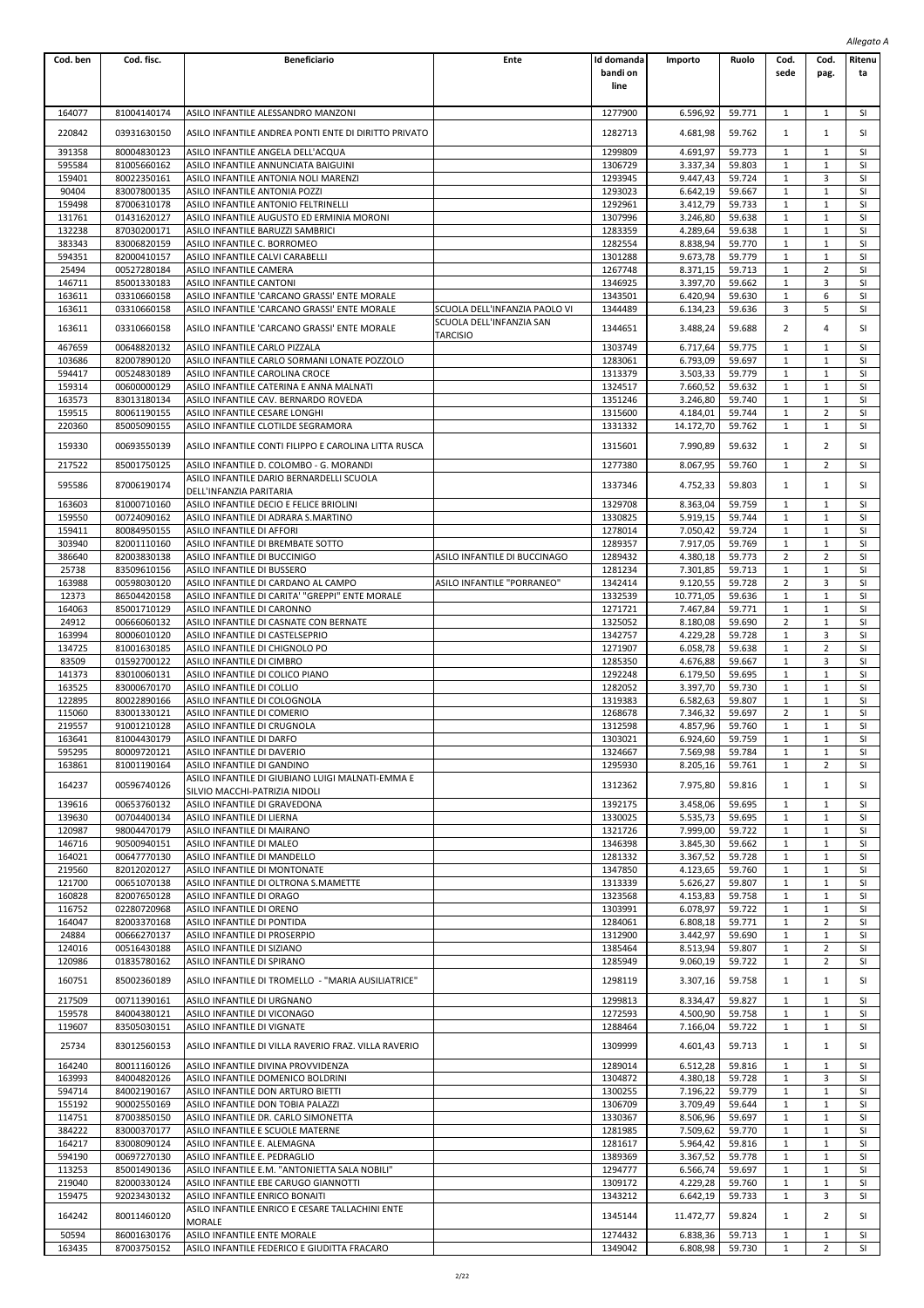| Cod. ben         | Cod. fisc.                 | <b>Beneficiario</b>                                                             | Ente                                                      | Id domanda         | Importo               | Ruolo            | Cod.                         | Cod.                         | Ritenu          |
|------------------|----------------------------|---------------------------------------------------------------------------------|-----------------------------------------------------------|--------------------|-----------------------|------------------|------------------------------|------------------------------|-----------------|
|                  |                            |                                                                                 |                                                           | bandi on           |                       |                  | sede                         | pag.                         | ta              |
|                  |                            |                                                                                 |                                                           | line               |                       |                  |                              |                              |                 |
| 164077           | 81004140174                | ASILO INFANTILE ALESSANDRO MANZONI                                              |                                                           | 1277900            | 6.596,92              | 59.771           | 1                            | 1                            | SI              |
|                  |                            |                                                                                 |                                                           |                    |                       |                  |                              |                              |                 |
| 220842           | 03931630150                | ASILO INFANTILE ANDREA PONTI ENTE DI DIRITTO PRIVATO                            |                                                           | 1282713            | 4.681,98              | 59.762           | $\mathbf{1}$                 | $\mathbf{1}$                 | SI              |
| 391358           | 80004830123                | ASILO INFANTILE ANGELA DELL'ACQUA                                               |                                                           | 1299809            | 4.691,97              | 59.773           | $\mathbf{1}$                 | $\mathbf{1}$                 | SI              |
| 595584<br>159401 | 81005660162<br>80022350161 | ASILO INFANTILE ANNUNCIATA BAIGUINI<br>ASILO INFANTILE ANTONIA NOLI MARENZI     |                                                           | 1306729<br>1293945 | 3.337,34<br>9.447,43  | 59.803<br>59.724 | $\mathbf{1}$<br>$\mathbf{1}$ | $\mathbf{1}$<br>3            | SI<br>SI        |
| 90404            | 83007800135                | ASILO INFANTILE ANTONIA POZZI                                                   |                                                           | 1293023            | 6.642,19              | 59.667           | $\mathbf 1$                  | $\mathbf{1}$                 | SI              |
| 159498           | 87006310178                | ASILO INFANTILE ANTONIO FELTRINELLI                                             |                                                           | 1292961            | 3.412,79              | 59.733           | $\mathbf{1}$                 | 1                            | SI              |
| 131761           | 01431620127                | ASILO INFANTILE AUGUSTO ED ERMINIA MORONI                                       |                                                           | 1307996            | 3.246,80              | 59.638           | $\mathbf{1}$                 | $\mathbf{1}$                 | SI              |
| 132238           | 87030200171                | ASILO INFANTILE BARUZZI SAMBRICI                                                |                                                           | 1283359<br>1282554 | 4.289,64              | 59.638           | $\mathbf{1}$<br>$\mathbf{1}$ | $\mathbf{1}$<br>1            | SI<br>SI        |
| 383343<br>594351 | 83006820159<br>82000410157 | ASILO INFANTILE C. BORROMEO<br>ASILO INFANTILE CALVI CARABELLI                  |                                                           | 1301288            | 8.838,94<br>9.673,78  | 59.770<br>59.779 | $\mathbf{1}$                 | 1                            | SI              |
| 25494            | 00527280184                | ASILO INFANTILE CAMERA                                                          |                                                           | 1267748            | 8.371,15              | 59.713           | $\mathbf{1}$                 | 2                            | SI              |
| 146711           | 85001330183                | ASILO INFANTILE CANTONI                                                         |                                                           | 1346925            | 3.397,70              | 59.662           | $\mathbf{1}$                 | 3                            | SI              |
| 163611           | 03310660158                | ASILO INFANTILE 'CARCANO GRASSI' ENTE MORALE                                    |                                                           | 1343501            | 6.420,94              | 59.630           | $\mathbf{1}$                 | 6                            | SI              |
| 163611           | 03310660158                | ASILO INFANTILE 'CARCANO GRASSI' ENTE MORALE                                    | SCUOLA DELL'INFANZIA PAOLO VI<br>SCUOLA DELL'INFANZIA SAN | 1344489            | 6.134,23              | 59.636           | 3                            | 5                            | SI              |
| 163611           | 03310660158                | ASILO INFANTILE 'CARCANO GRASSI' ENTE MORALE                                    | <b>TARCISIO</b>                                           | 1344651            | 3.488,24              | 59.688           | $\overline{2}$               | 4                            | SI              |
| 467659           | 00648820132                | ASILO INFANTILE CARLO PIZZALA                                                   |                                                           | 1303749            | 6.717,64              | 59.775           | $\mathbf{1}$                 | 1                            | SI              |
| 103686           | 82007890120                | ASILO INFANTILE CARLO SORMANI LONATE POZZOLO                                    |                                                           | 1283061            | 6.793,09              | 59.697           | $\mathbf{1}$                 | $\mathbf{1}$                 | SI              |
| 594417           | 00524830189                | ASILO INFANTILE CAROLINA CROCE                                                  |                                                           | 1313379            | 3.503,33              | 59.779           | $\mathbf{1}$                 | 1                            | SI              |
| 159314<br>163573 | 00600000129<br>83013180134 | ASILO INFANTILE CATERINA E ANNA MALNATI<br>ASILO INFANTILE CAV. BERNARDO ROVEDA |                                                           | 1324517<br>1351246 | 7.660,52<br>3.246,80  | 59.632<br>59.740 | $\mathbf{1}$<br>$\mathbf{1}$ | 1<br>1                       | SI<br>SI        |
| 159515           | 80061190155                | ASILO INFANTILE CESARE LONGHI                                                   |                                                           | 1315600            | 4.184,01              | 59.744           | $\mathbf{1}$                 | $\overline{2}$               | SI              |
| 220360           | 85005090155                | ASILO INFANTILE CLOTILDE SEGRAMORA                                              |                                                           | 1331332            | 14.172,70             | 59.762           | $\mathbf 1$                  | $\mathbf{1}$                 | SI              |
| 159330           | 00693550139                | ASILO INFANTILE CONTI FILIPPO E CAROLINA LITTA RUSCA                            |                                                           | 1315601            | 7.990,89              | 59.632           | $\mathbf{1}$                 | $\overline{2}$               | SI              |
| 217522           | 85001750125                | ASILO INFANTILE D. COLOMBO - G. MORANDI                                         |                                                           | 1277380            | 8.067,95              | 59.760           | $\mathbf{1}$                 | 2                            | SI              |
|                  |                            | ASILO INFANTILE DARIO BERNARDELLI SCUOLA                                        |                                                           |                    |                       |                  |                              |                              |                 |
| 595586           | 87006190174                | DELL'INFANZIA PARITARIA                                                         |                                                           | 1337346            | 4.752,33              | 59.803           | $\mathbf{1}$                 | 1                            | SI              |
| 163603           | 81000710160                | ASILO INFANTILE DECIO E FELICE BRIOLINI                                         |                                                           | 1329708            | 8.363,04              | 59.759           | 1                            | 1                            | SI              |
| 159550           | 00724090162                | ASILO INFANTILE DI ADRARA S.MARTINO                                             |                                                           | 1330825            | 5.919,15              | 59.744           | $\mathbf{1}$                 | 1                            | SI              |
| 159411<br>303940 | 80084950155<br>82001110160 | ASILO INFANTILE DI AFFORI<br>ASILO INFANTILE DI BREMBATE SOTTO                  |                                                           | 1278014<br>1289357 | 7.050,42<br>7.917,05  | 59.724<br>59.769 | $\mathbf{1}$<br>$\mathbf 1$  | 1<br>$1\,$                   | SI<br>SI        |
| 386640           | 82003830138                | ASILO INFANTILE DI BUCCINIGO                                                    | ASILO INFANTILE DI BUCCINAGO                              | 1289432            | 4.380,18              | 59.773           | $\overline{2}$               | $\overline{2}$               | SI              |
| 25738            | 83509610156                | ASILO INFANTILE DI BUSSERO                                                      |                                                           | 1281234            | 7.301,85              | 59.713           | $\mathbf{1}$                 | 1                            | SI              |
| 163988           | 00598030120                | ASILO INFANTILE DI CARDANO AL CAMPO                                             | ASILO INFANTILE "PORRANEO"                                | 1342414            | 9.120,55              | 59.728           | $\overline{2}$               | 3                            | SI              |
| 12373<br>164063  | 86504420158<br>85001710129 | ASILO INFANTILE DI CARITA' "GREPPI" ENTE MORALE<br>ASILO INFANTILE DI CARONNO   |                                                           | 1332539<br>1271721 | 10.771,05<br>7.467,84 | 59.636<br>59.771 | $\mathbf{1}$<br>$\mathbf 1$  | 1<br>$\mathbf{1}$            | SI<br>SI        |
| 24912            | 00666060132                | ASILO INFANTILE DI CASNATE CON BERNATE                                          |                                                           | 1325052            | 8.180,08              | 59.690           | $\overline{2}$               | $\mathbf{1}$                 | SI              |
| 163994           | 80006010120                | ASILO INFANTILE DI CASTELSEPRIO                                                 |                                                           | 1342757            | 4.229,28              | 59.728           | $\mathbf{1}$                 | 3                            | SI              |
| 134725           | 81001630185                | ASILO INFANTILE DI CHIGNOLO PO                                                  |                                                           | 1271907            | 6.058,78              | 59.638           | $\mathbf{1}$                 | $\overline{2}$               | SI              |
| 83509            | 01592700122                | ASILO INFANTILE DI CIMBRO                                                       |                                                           | 1285350            | 4.676,88              | 59.667           | $\mathbf{1}$                 | 3                            | SI              |
| 141373<br>163525 | 83010060131<br>83000670170 | ASILO INFANTILE DI COLICO PIANO<br>ASILO INFANTILE DI COLLIO                    |                                                           | 1292248<br>1282052 | 6.179,50<br>3.397,70  | 59.695<br>59.730 | $\mathbf 1$<br>$\mathbf{1}$  | $\mathbf{1}$<br>$\mathbf{1}$ | SI<br>SI        |
| 122895           | 80022890166                | ASILO INFANTILE DI COLOGNOLA                                                    |                                                           | 1319383            | 6.582,63              | 59.807           | $\mathbf{1}$                 | 1                            | SI              |
| 115060           | 83001330121                | ASILO INFANTILE DI COMERIO                                                      |                                                           | 1268678            | 7.346,32              | 59.697           | $\overline{2}$               | 1                            | SI              |
| 219557           | 91001210128                | ASILO INFANTILE DI CRUGNOLA                                                     |                                                           | 1312598            | 4.857,96              | 59.760           | 1                            | 1                            | SI              |
| 163641<br>595295 | 81004430179<br>80009720121 | ASILO INFANTILE DI DARFO<br>ASILO INFANTILE DI DAVERIO                          |                                                           | 1303021<br>1324667 | 6.924,60<br>7.569,98  | 59.759<br>59.784 | $\mathbf{1}$<br>$\mathbf{1}$ | $\mathbf{1}$<br>1            | <b>SI</b><br>SI |
| 163861           | 81001190164                | ASILO INFANTILE DI GANDINO                                                      |                                                           | 1295930            | 8.205,16              | 59.761           | $\mathbf{1}$                 | 2                            | SI              |
|                  |                            | ASILO INFANTILE DI GIUBIANO LUIGI MALNATI-EMMA E                                |                                                           |                    |                       |                  |                              |                              |                 |
| 164237           | 00596740126                | SILVIO MACCHI-PATRIZIA NIDOLI                                                   |                                                           | 1312362            | 7.975,80              | 59.816           | $\mathbf{1}$                 | 1                            | SI              |
| 139616           | 00653760132                | ASILO INFANTILE DI GRAVEDONA                                                    |                                                           | 1392175            | 3.458,06              | 59.695           | $\mathbf{1}$                 | 1                            | SI              |
| 139630<br>120987 | 00704400134<br>98004470179 | ASILO INFANTILE DI LIERNA<br>ASILO INFANTILE DI MAIRANO                         |                                                           | 1330025<br>1321726 | 5.535,73<br>7.999,00  | 59.695<br>59.722 | $\mathbf{1}$<br>$\mathbf{1}$ | $\mathbf{1}$<br>1            | SI<br>SI        |
| 146716           | 90500940151                | ASILO INFANTILE DI MALEO                                                        |                                                           | 1346398            | 3.845,30              | 59.662           | $\mathbf{1}$                 | 1                            | SI              |
| 164021           | 00647770130                | ASILO INFANTILE DI MANDELLO                                                     |                                                           | 1281332            | 3.367,52              | 59.728           | $\mathbf{1}$                 | 1                            | SI              |
| 219560           | 82012020127                | ASILO INFANTILE DI MONTONATE                                                    |                                                           | 1347850            | 4.123,65              | 59.760           | $\mathbf{1}$                 | $\mathbf{1}$                 | SI              |
| 121700           | 00651070138                | ASILO INFANTILE DI OLTRONA S.MAMETTE                                            |                                                           | 1313339            | 5.626,27              | 59.807           | $\mathbf{1}$                 | $\mathbf{1}$                 | SI              |
| 160828<br>116752 | 82007650128<br>02280720968 | ASILO INFANTILE DI ORAGO<br>ASILO INFANTILE DI ORENO                            |                                                           | 1323568<br>1303991 | 4.153,83<br>6.078,97  | 59.758<br>59.722 | $\mathbf{1}$<br>$\mathbf{1}$ | $\mathbf{1}$<br>$\mathbf{1}$ | SI<br>SI        |
| 164047           | 82003370168                | ASILO INFANTILE DI PONTIDA                                                      |                                                           | 1284061            | 6.808,18              | 59.771           | $\mathbf{1}$                 | 2                            | SI              |
| 24884            | 00666270137                | ASILO INFANTILE DI PROSERPIO                                                    |                                                           | 1312900            | 3.442,97              | 59.690           | $\mathbf 1$                  | $\mathbf{1}$                 | SI              |
| 124016           | 00516430188                | ASILO INFANTILE DI SIZIANO                                                      |                                                           | 1385464            | 8.513,94              | 59.807           | $\mathbf{1}$                 | $\overline{2}$               | SI              |
| 120986           | 01835780162                | ASILO INFANTILE DI SPIRANO                                                      |                                                           | 1285949            | 9.060,19              | 59.722           | $\mathbf{1}$                 | 2                            | SI              |
| 160751           | 85002360189                | ASILO INFANTILE DI TROMELLO - "MARIA AUSILIATRICE"                              |                                                           | 1298119            | 3.307,16              | 59.758           | $\mathbf{1}$                 | 1                            | SI              |
| 217509           | 00711390161                | ASILO INFANTILE DI URGNANO                                                      |                                                           | 1299813            | 8.334,47              | 59.827           | $\mathbf{1}$                 | 1                            | SI              |
| 159578           | 84004380121                | ASILO INFANTILE DI VICONAGO                                                     |                                                           | 1272593            | 4.500,90              | 59.758           | $\mathbf{1}$                 | $\mathbf{1}$                 | SI              |
| 119607           | 83505030151                | ASILO INFANTILE DI VIGNATE                                                      |                                                           | 1288464            | 7.166,04              | 59.722           | $\mathbf{1}$                 | $\mathbf{1}$                 | SI              |
| 25734            | 83012560153                | ASILO INFANTILE DI VILLA RAVERIO FRAZ. VILLA RAVERIO                            |                                                           | 1309999            | 4.601,43              | 59.713           | $\mathbf{1}$                 | 1                            | SI              |
| 164240           | 80011160126                | ASILO INFANTILE DIVINA PROVVIDENZA                                              |                                                           | 1289014            | 6.512,28              | 59.816           | $\mathbf{1}$                 | $\mathbf{1}$                 | SI              |
| 163993           | 84004820126                | ASILO INFANTILE DOMENICO BOLDRINI                                               |                                                           | 1304872            | 4.380,18              | 59.728           | $\mathbf{1}$                 | 3                            | SI              |
| 594714           | 84002190167                | ASILO INFANTILE DON ARTURO BIETTI                                               |                                                           | 1300255            | 7.196,22              | 59.779           | $\mathbf{1}$                 | 1                            | SI              |
| 155192<br>114751 | 90002550169<br>87003850150 | ASILO INFANTILE DON TOBIA PALAZZI<br>ASILO INFANTILE DR. CARLO SIMONETTA        |                                                           | 1306709<br>1330367 | 3.709,49<br>8.506,96  | 59.644<br>59.697 | $\mathbf{1}$<br>$\mathbf{1}$ | 1<br>1                       | SI<br>SI        |
| 384222           | 83000370177                | ASILO INFANTILE E SCUOLE MATERNE                                                |                                                           | 1281985            | 7.509,62              | 59.770           | $\mathbf{1}$                 | $\mathbf{1}$                 | SI              |
| 164217           | 83008090124                | ASILO INFANTILE E. ALEMAGNA                                                     |                                                           | 1281617            | 5.964,42              | 59.816           | $\mathbf 1$                  | $\mathbf{1}$                 | SI              |
| 594190           | 00697270130                | ASILO INFANTILE E. PEDRAGLIO                                                    |                                                           | 1389369            | 3.367,52              | 59.778           | $\mathbf{1}$                 | 1                            | SI              |
| 113253           | 85001490136                | ASILO INFANTILE E.M. "ANTONIETTA SALA NOBILI"                                   |                                                           | 1294777            | 6.566,74              | 59.697           | $\mathbf{1}$                 | $\mathbf{1}$                 | SI<br>SI        |
| 219040<br>159475 | 82000330124<br>92023430132 | ASILO INFANTILE EBE CARUGO GIANNOTTI<br>ASILO INFANTILE ENRICO BONAITI          |                                                           | 1309172<br>1343212 | 4.229,28<br>6.642,19  | 59.760<br>59.733 | $\mathbf{1}$<br>$\mathbf 1$  | $\mathbf{1}$<br>3            | SI              |
|                  |                            | ASILO INFANTILE ENRICO E CESARE TALLACHINI ENTE                                 |                                                           |                    |                       |                  |                              |                              |                 |
| 164242           | 80011460120                | MORALE                                                                          |                                                           | 1345144            | 11.472,77             | 59.824           | $\mathbf{1}$                 | 2                            | SI              |
| 50594<br>163435  | 86001630176<br>87003750152 | ASILO INFANTILE ENTE MORALE<br>ASILO INFANTILE FEDERICO E GIUDITTA FRACARO      |                                                           | 1274432<br>1349042 | 6.838,36<br>6.808,98  | 59.713<br>59.730 | $\mathbf{1}$<br>$\mathbf{1}$ | 1<br>$\overline{2}$          | SI<br>SI.       |
|                  |                            |                                                                                 |                                                           |                    |                       |                  |                              |                              |                 |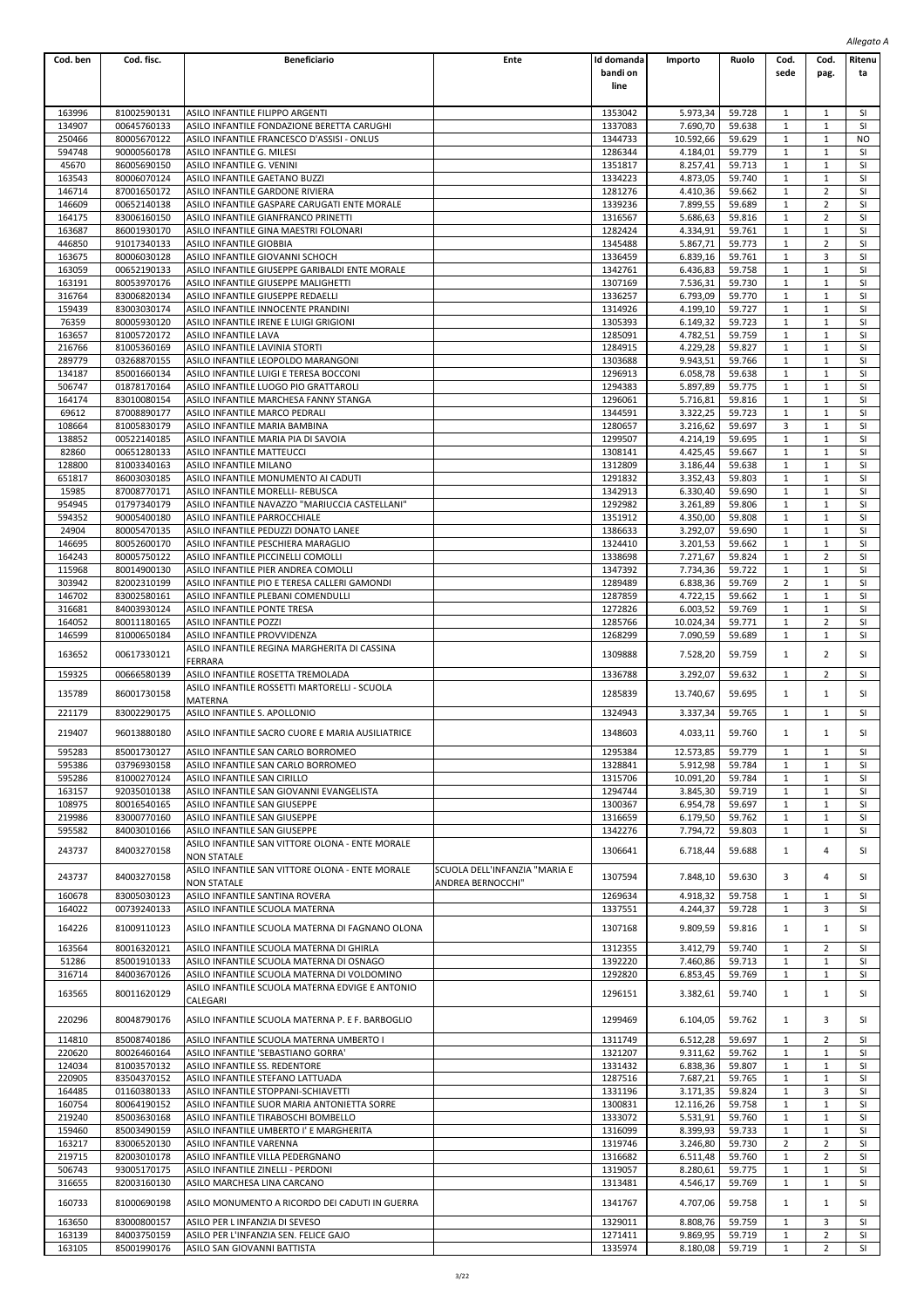| Cod. ben         | Cod. fisc.                 | <b>Beneficiario</b>                                                                            | Ente                          | Id domanda         | Importo               | Ruolo            | Cod.              | Cod.                         | Ritenu          |
|------------------|----------------------------|------------------------------------------------------------------------------------------------|-------------------------------|--------------------|-----------------------|------------------|-------------------|------------------------------|-----------------|
|                  |                            |                                                                                                |                               | bandi on           |                       |                  | sede              | pag.                         | ta              |
|                  |                            |                                                                                                |                               | line               |                       |                  |                   |                              |                 |
|                  |                            |                                                                                                |                               |                    |                       |                  |                   |                              |                 |
| 163996           | 81002590131                | ASILO INFANTILE FILIPPO ARGENTI                                                                |                               | 1353042            | 5.973,34              | 59.728           | 1                 | 1                            | <b>SI</b>       |
| 134907           | 00645760133                | ASILO INFANTILE FONDAZIONE BERETTA CARUGHI                                                     |                               | 1337083            | 7.690,70              | 59.638           | 1                 | $\mathbf{1}$                 | SI.             |
| 250466           | 80005670122                | ASILO INFANTILE FRANCESCO D'ASSISI - ONLUS                                                     |                               | 1344733            | 10.592,66             | 59.629           | 1                 | 1                            | NO.             |
| 594748           | 90000560178                | ASILO INFANTILE G. MILESI                                                                      |                               | 1286344            | 4.184,01              | 59.779           | 1<br>$\mathbf{1}$ | $\mathbf{1}$                 | SI<br>SI        |
| 45670<br>163543  | 86005690150<br>80006070124 | ASILO INFANTILE G. VENINI<br>ASILO INFANTILE GAETANO BUZZI                                     |                               | 1351817<br>1334223 | 8.257,41<br>4.873,05  | 59.713<br>59.740 | 1                 | 1<br>$\mathbf{1}$            | SI              |
| 146714           | 87001650172                | ASILO INFANTILE GARDONE RIVIERA                                                                |                               | 1281276            | 4.410,36              | 59.662           | 1                 | 2                            | SI              |
| 146609           | 00652140138                | ASILO INFANTILE GASPARE CARUGATI ENTE MORALE                                                   |                               | 1339236            | 7.899.55              | 59.689           | $\mathbf{1}$      | $\overline{2}$               | SI              |
| 164175           | 83006160150                | ASILO INFANTILE GIANFRANCO PRINETTI                                                            |                               | 1316567            | 5.686,63              | 59.816           | 1                 | 2                            | SI              |
| 163687           | 86001930170                | ASILO INFANTILE GINA MAESTRI FOLONARI                                                          |                               | 1282424            | 4.334,91              | 59.761           | $\mathbf{1}$      | $\mathbf{1}$                 | SI              |
| 446850           | 91017340133                | ASILO INFANTILE GIOBBIA                                                                        |                               | 1345488            | 5.867,71              | 59.773           | 1                 | $\overline{2}$               | SI              |
| 163675           | 80006030128                | ASILO INFANTILE GIOVANNI SCHOCH                                                                |                               | 1336459            | 6.839,16              | 59.761           | $\mathbf{1}$      | 3                            | SI              |
| 163059           | 00652190133                | ASILO INFANTILE GIUSEPPE GARIBALDI ENTE MORALE                                                 |                               | 1342761            | 6.436.83              | 59.758           | 1                 | $\mathbf{1}$                 | SI              |
| 163191           | 80053970176                | ASILO INFANTILE GIUSEPPE MALIGHETTI                                                            |                               | 1307169            | 7.536,31              | 59.730           | 1                 | $\mathbf{1}$                 | SI              |
| 316764           | 83006820134                | ASILO INFANTILE GIUSEPPE REDAELLI                                                              |                               | 1336257            | 6.793,09              | 59.770           | $\mathbf{1}$      | $\mathbf{1}$                 | SI              |
| 159439           | 83003030174                | ASILO INFANTILE INNOCENTE PRANDINI                                                             |                               | 1314926            | 4.199,10              | 59.727           | 1                 | $\mathbf{1}$                 | SI              |
| 76359<br>163657  | 80005930120<br>81005720172 | ASILO INFANTILE IRENE E LUIGI GRIGIONI<br><b>ASILO INFANTILE LAVA</b>                          |                               | 1305393<br>1285091 | 6.149,32<br>4.782,51  | 59.723<br>59.759 | $\mathbf{1}$<br>1 | $\mathbf{1}$<br>$\mathbf{1}$ | SI<br>SI        |
| 216766           | 81005360169                | ASILO INFANTILE LAVINIA STORTI                                                                 |                               | 1284915            | 4.229,28              | 59.827           | 1                 | $\mathbf{1}$                 | SI              |
| 289779           | 03268870155                | ASILO INFANTILE LEOPOLDO MARANGONI                                                             |                               | 1303688            | 9.943,51              | 59.766           | $\mathbf{1}$      | $\mathbf{1}$                 | SI              |
| 134187           | 85001660134                | ASILO INFANTILE LUIGI E TERESA BOCCONI                                                         |                               | 1296913            | 6.058,78              | 59.638           | 1                 | $\mathbf{1}$                 | SI              |
| 506747           | 01878170164                | ASILO INFANTILE LUOGO PIO GRATTAROLI                                                           |                               | 1294383            | 5.897,89              | 59.775           | $\mathbf{1}$      | $\mathbf{1}$                 | SI              |
| 164174           | 83010080154                | ASILO INFANTILE MARCHESA FANNY STANGA                                                          |                               | 1296061            | 5.716,81              | 59.816           | 1                 | $\mathbf{1}$                 | SI              |
| 69612            | 87008890177                | ASILO INFANTILE MARCO PEDRALI                                                                  |                               | 1344591            | 3.322,25              | 59.723           | 1                 | $\mathbf{1}$                 | SI              |
| 108664           | 81005830179                | ASILO INFANTILE MARIA BAMBINA                                                                  |                               | 1280657            | 3.216,62              | 59.697           | $\overline{3}$    | 1                            | SI              |
| 138852           | 00522140185                | ASILO INFANTILE MARIA PIA DI SAVOIA                                                            |                               | 1299507            | 4.214,19              | 59.695           | 1                 | $\mathbf{1}$                 | SI              |
| 82860            | 00651280133                | ASILO INFANTILE MATTEUCCI                                                                      |                               | 1308141            | 4.425,45              | 59.667           | $\mathbf{1}$      | $\mathbf{1}$                 | SI              |
| 128800           | 81003340163                | ASILO INFANTILE MILANO                                                                         |                               | 1312809            | 3.186,44              | 59.638           | 1                 | 1                            | SI              |
| 651817           | 86003030185                | ASILO INFANTILE MONUMENTO AI CADUTI                                                            |                               | 1291832<br>1342913 | 3.352,43              | 59.803           | 1<br>$\mathbf{1}$ | 1<br>$\mathbf{1}$            | SI<br>SI        |
| 15985<br>954945  | 87008770171<br>01797340179 | ASILO INFANTILE MORELLI- REBUSCA<br>ASILO INFANTILE NAVAZZO "MARIUCCIA CASTELLANI"             |                               | 1292982            | 6.330,40<br>3.261,89  | 59.690           | 1                 | 1                            | SI              |
| 594352           | 90005400180                | ASILO INFANTILE PARROCCHIALE                                                                   |                               | 1351912            | 4.350,00              | 59.806<br>59.808 | $\mathbf{1}$      | $\mathbf{1}$                 | SI              |
| 24904            | 80005470135                | ASILO INFANTILE PEDUZZI DONATO LANEE                                                           |                               | 1386633            | 3.292,07              | 59.690           | 1                 | $\mathbf{1}$                 | SI              |
| 146695           | 80052600170                | ASILO INFANTILE PESCHIERA MARAGLIO                                                             |                               | 1324410            | 3.201,53              | 59.662           | 1                 | $\mathbf{1}$                 | SI              |
| 164243           | 80005750122                | ASILO INFANTILE PICCINELLI COMOLLI                                                             |                               | 1338698            | 7.271,67              | 59.824           | $\mathbf{1}$      | $\overline{2}$               | SI              |
| 115968           | 80014900130                | ASILO INFANTILE PIER ANDREA COMOLLI                                                            |                               | 1347392            | 7.734,36              | 59.722           | 1                 | 1                            | SI              |
| 303942           | 82002310199                | ASILO INFANTILE PIO E TERESA CALLERI GAMONDI                                                   |                               | 1289489            | 6.838,36              | 59.769           | $\overline{2}$    | $\mathbf{1}$                 | SI              |
| 146702           | 83002580161                | ASILO INFANTILE PLEBANI COMENDULLI                                                             |                               | 1287859            | 4.722,15              | 59.662           | 1                 | $\mathbf{1}$                 | SI              |
| 316681           | 84003930124                | ASILO INFANTILE PONTE TRESA                                                                    |                               | 1272826            | 6.003,52              | 59.769           | $\mathbf{1}$      | $\mathbf{1}$                 | SI              |
| 164052           | 80011180165                | <b>ASILO INFANTILE POZZI</b>                                                                   |                               | 1285766            | 10.024,34             | 59.771           | $\mathbf{1}$      | $\overline{2}$               | <b>SI</b>       |
| 146599           | 81000650184                | ASILO INFANTILE PROVVIDENZA                                                                    |                               | 1268299            | 7.090,59              | 59.689           | 1                 | $\mathbf{1}$                 | SI              |
| 163652           | 00617330121                | ASILO INFANTILE REGINA MARGHERITA DI CASSINA                                                   |                               | 1309888            | 7.528,20              | 59.759           | 1                 | 2                            | SI              |
| 159325           | 00666580139                | FERRARA<br>ASILO INFANTILE ROSETTA TREMOLADA                                                   |                               | 1336788            | 3.292,07              | 59.632           | $\mathbf{1}$      | $\overline{2}$               | SI              |
|                  |                            | ASILO INFANTILE ROSSETTI MARTORELLI - SCUOLA                                                   |                               |                    |                       |                  |                   |                              |                 |
| 135789           | 86001730158                | MATERNA                                                                                        |                               | 1285839            | 13.740,67             | 59.695           | $\mathbf{1}$      | 1                            | SI              |
| 221179           | 83002290175                | ASILO INFANTILE S. APOLLONIO                                                                   |                               | 1324943            | 3.337,34              | 59.765           | $\mathbf{1}$      | $\mathbf{1}$                 | SI              |
|                  |                            |                                                                                                |                               |                    |                       |                  |                   |                              |                 |
| 219407           | 96013880180                | ASILO INFANTILE SACRO CUORE E MARIA AUSILIATRICE                                               |                               | 1348603            | 4.033,11              | 59.760           | 1                 | $\mathbf{1}$                 | SI              |
| 595283           | 85001730127                | ASILO INFANTILE SAN CARLO BORROMEO                                                             |                               | 1295384            | 12.573,85             | 59.779           | 1                 | 1                            | -SI             |
| 595386           | 03796930158                | ASILO INFANTILE SAN CARLO BORROMEO                                                             |                               | 1328841            | 5.912,98              | 59.784           | 1                 | $\mathbf{1}$                 | SI              |
| 595286           | 81000270124                | ASILO INFANTILE SAN CIRILLO                                                                    |                               | 1315706            | 10.091,20             | 59.784           | $\mathbf{1}$      | $\mathbf{1}$                 | SI              |
| 163157           | 92035010138                | ASILO INFANTILE SAN GIOVANNI EVANGELISTA                                                       |                               | 1294744            | 3.845,30              | 59.719           | 1                 | $\mathbf{1}$                 | SI              |
| 108975           | 80016540165                | ASILO INFANTILE SAN GIUSEPPE                                                                   |                               | 1300367            | 6.954,78              | 59.697           | $\mathbf{1}$      | $\mathbf{1}$                 | SI              |
| 219986           | 83000770160                | ASILO INFANTILE SAN GIUSEPPE                                                                   |                               | 1316659            | 6.179,50              | 59.762           | 1                 | $\mathbf{1}$                 | SI              |
| 595582           | 84003010166                | ASILO INFANTILE SAN GIUSEPPE<br>ASILO INFANTILE SAN VITTORE OLONA - ENTE MORALE                |                               | 1342276            | 7.794,72              | 59.803           | $\mathbf{1}$      | $\mathbf{1}$                 | <b>SI</b>       |
| 243737           | 84003270158                | <b>NON STATALE</b>                                                                             |                               | 1306641            | 6.718,44              | 59.688           | 1                 | 4                            | SI              |
|                  |                            | ASILO INFANTILE SAN VITTORE OLONA - ENTE MORALE                                                | SCUOLA DELL'INFANZIA "MARIA E |                    |                       |                  |                   |                              |                 |
| 243737           | 84003270158                | <b>NON STATALE</b>                                                                             | ANDREA BERNOCCHI"             | 1307594            | 7.848,10              | 59.630           | 3                 | 4                            | SI              |
| 160678           | 83005030123                | ASILO INFANTILE SANTINA ROVERA                                                                 |                               | 1269634            | 4.918,32              | 59.758           | 1                 | 1                            | SI              |
| 164022           | 00739240133                | ASILO INFANTILE SCUOLA MATERNA                                                                 |                               | 1337551            | 4.244,37              | 59.728           | $\mathbf{1}$      | 3                            | SI              |
| 164226           | 81009110123                | ASILO INFANTILE SCUOLA MATERNA DI FAGNANO OLONA                                                |                               | 1307168            | 9.809,59              | 59.816           | $\mathbf{1}$      | $\mathbf{1}$                 | SI              |
|                  |                            |                                                                                                |                               |                    |                       |                  |                   |                              |                 |
| 163564           | 80016320121                | ASILO INFANTILE SCUOLA MATERNA DI GHIRLA                                                       |                               | 1312355            | 3.412,79              | 59.740           | 1                 | 2                            | SI              |
| 51286            | 85001910133                | ASILO INFANTILE SCUOLA MATERNA DI OSNAGO                                                       |                               | 1392220            | 7.460,86              | 59.713           | 1                 | $\mathbf{1}$                 | SI              |
| 316714           | 84003670126                | ASILO INFANTILE SCUOLA MATERNA DI VOLDOMINO<br>ASILO INFANTILE SCUOLA MATERNA EDVIGE E ANTONIO |                               | 1292820            | 6.853,45              | 59.769           | $\mathbf{1}$      | $\mathbf{1}$                 | SI              |
| 163565           | 80011620129                | CALEGARI                                                                                       |                               | 1296151            | 3.382,61              | 59.740           | $\mathbf{1}$      | $\mathbf{1}$                 | SI              |
| 220296           | 80048790176                | ASILO INFANTILE SCUOLA MATERNA P. E F. BARBOGLIO                                               |                               | 1299469            | 6.104,05              | 59.762           | 1                 | 3                            | SI              |
| 114810           | 85008740186                | ASILO INFANTILE SCUOLA MATERNA UMBERTO I                                                       |                               | 1311749            | 6.512,28              | 59.697           | $\mathbf{1}$      | 2                            | SI              |
| 220620           | 80026460164                | ASILO INFANTILE 'SEBASTIANO GORRA'                                                             |                               | 1321207            | 9.311,62              | 59.762           | 1                 | $\mathbf{1}$                 | SI              |
| 124034           | 81003570132                | ASILO INFANTILE SS. REDENTORE                                                                  |                               | 1331432            | 6.838,36              | 59.807           | 1                 | 1                            | SI              |
| 220905           | 83504370152                | ASILO INFANTILE STEFANO LATTUADA                                                               |                               | 1287516            | 7.687,21              | 59.765           | $\mathbf{1}$      | $\mathbf{1}$                 | SI              |
| 164485<br>160754 | 01160380133<br>80064190152 | ASILO INFANTILE STOPPANI-SCHIAVETTI                                                            |                               | 1331196<br>1300831 | 3.171,35              | 59.824<br>59.758 | 1<br>$\mathbf{1}$ | 3<br>$\mathbf{1}$            | SI<br><b>SI</b> |
| 219240           | 85003630168                | ASILO INFANTILE SUOR MARIA ANTONIETTA SORRE<br>ASILO INFANTILE TIRABOSCHI BOMBELLO             |                               | 1333072            | 12.116,26<br>5.531,91 | 59.760           | 1                 | $\mathbf{1}$                 | SI              |
| 159460           | 85003490159                | ASILO INFANTILE UMBERTO I' E MARGHERITA                                                        |                               | 1316099            | 8.399,93              | 59.733           | $\mathbf{1}$      | $\mathbf{1}$                 | SI              |
| 163217           | 83006520130                | ASILO INFANTILE VARENNA                                                                        |                               | 1319746            | 3.246,80              | 59.730           | $\overline{2}$    | $\overline{2}$               | SI              |
| 219715           | 82003010178                | ASILO INFANTILE VILLA PEDERGNANO                                                               |                               | 1316682            | 6.511,48              | 59.760           | 1                 | 2                            | SI              |
| 506743           | 93005170175                | ASILO INFANTILE ZINELLI - PERDONI                                                              |                               | 1319057            | 8.280,61              | 59.775           | $\mathbf{1}$      | $\mathbf{1}$                 | <b>SI</b>       |
| 316655           | 82003160130                | ASILO MARCHESA LINA CARCANO                                                                    |                               | 1313481            | 4.546,17              | 59.769           | 1                 | $\mathbf{1}$                 | SI              |
| 160733           | 81000690198                | ASILO MONUMENTO A RICORDO DEI CADUTI IN GUERRA                                                 |                               | 1341767            | 4.707,06              | 59.758           | 1                 | 1                            | SI              |
|                  |                            |                                                                                                |                               |                    |                       |                  |                   |                              |                 |
| 163650           | 83000800157                | ASILO PER L INFANZIA DI SEVESO                                                                 |                               | 1329011            | 8.808,76              | 59.759           | 1                 | 3                            | SI              |
| 163139           | 84003750159                | ASILO PER L'INFANZIA SEN. FELICE GAJO<br>ASILO SAN GIOVANNI BATTISTA                           |                               | 1271411            | 9.869,95              | 59.719           | $\mathbf{1}$      | $\overline{2}$               | SI<br>SI.       |
| 163105           | 85001990176                |                                                                                                |                               | 1335974            | 8.180,08              | 59.719           | $\mathbf{1}$      | 2                            |                 |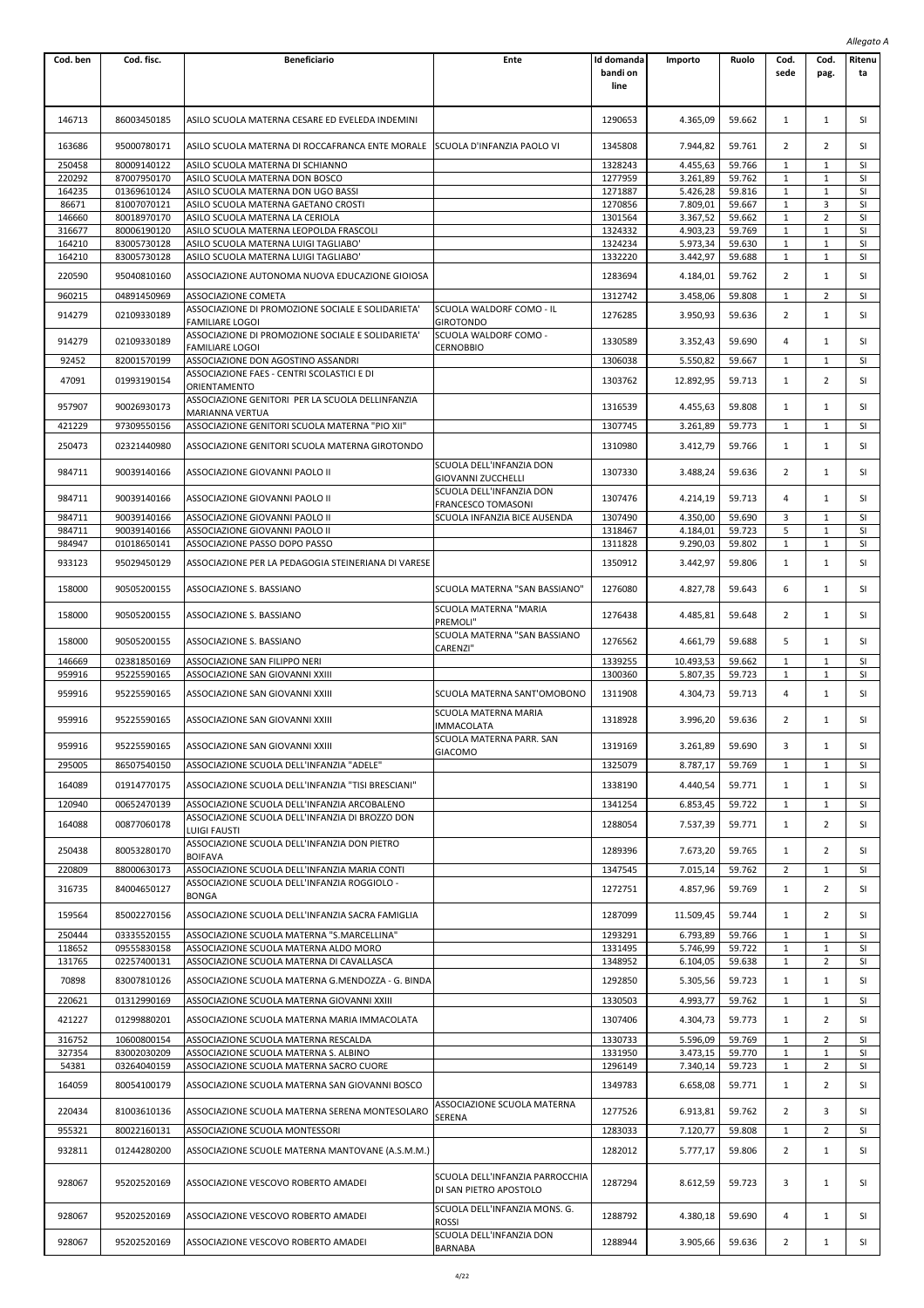|                  |                            |                                                                                            |                                                            |                                |                      |                  |                   |                                | Allegato A      |
|------------------|----------------------------|--------------------------------------------------------------------------------------------|------------------------------------------------------------|--------------------------------|----------------------|------------------|-------------------|--------------------------------|-----------------|
| Cod. ben         | Cod. fisc.                 | <b>Beneficiario</b>                                                                        | Ente                                                       | Id domanda<br>bandi on<br>line | Importo              | Ruolo            | Cod.<br>sede      | Cod.<br>pag.                   | Ritenu<br>ta    |
| 146713           | 86003450185                | ASILO SCUOLA MATERNA CESARE ED EVELEDA INDEMINI                                            |                                                            | 1290653                        | 4.365,09             | 59.662           | 1                 | 1                              | SI              |
| 163686           | 95000780171                | ASILO SCUOLA MATERNA DI ROCCAFRANCA ENTE MORALE SCUOLA D'INFANZIA PAOLO VI                 |                                                            | 1345808                        | 7.944,82             | 59.761           | 2                 | $\overline{2}$                 | SI              |
| 250458           | 80009140122                | ASILO SCUOLA MATERNA DI SCHIANNO                                                           |                                                            | 1328243                        | 4.455,63             | 59.766           | $1\,$             | 1                              | SI              |
| 220292           | 87007950170                | ASILO SCUOLA MATERNA DON BOSCO                                                             |                                                            | 1277959                        | 3.261,89             | 59.762           | $\mathbf{1}$      | $\mathbf{1}$                   | SI              |
| 164235           | 01369610124                | ASILO SCUOLA MATERNA DON UGO BASSI                                                         |                                                            | 1271887                        | 5.426,28             | 59.816           | 1                 | $\mathbf{1}$                   | SI              |
| 86671<br>146660  | 81007070121<br>80018970170 | ASILO SCUOLA MATERNA GAETANO CROSTI<br>ASILO SCUOLA MATERNA LA CERIOLA                     |                                                            | 1270856<br>1301564             | 7.809,01<br>3.367,52 | 59.667<br>59.662 | $1\,$<br>1        | 3<br>2                         | SI<br>SI        |
| 316677           | 80006190120                | ASILO SCUOLA MATERNA LEOPOLDA FRASCOLI                                                     |                                                            | 1324332                        | 4.903,23             | 59.769           | 1                 | $\mathbf{1}$                   | <b>SI</b>       |
| 164210           | 83005730128                | ASILO SCUOLA MATERNA LUIGI TAGLIABO'                                                       |                                                            | 1324234                        | 5.973,34             | 59.630           | $\mathbf{1}$      | $\mathbf{1}$                   | SI              |
| 164210           | 83005730128                | ASILO SCUOLA MATERNA LUIGI TAGLIABO                                                        |                                                            | 1332220                        | 3.442,97             | 59.688           | 1                 | $\mathbf{1}$                   | SI              |
| 220590           | 95040810160                | ASSOCIAZIONE AUTONOMA NUOVA EDUCAZIONE GIOIOSA                                             |                                                            | 1283694                        | 4.184,01             | 59.762           | 2                 | $\mathbf{1}$                   | SI              |
| 960215           | 04891450969                | ASSOCIAZIONE COMETA                                                                        |                                                            | 1312742                        | 3.458,06             | 59.808           | 1                 | 2                              | SI              |
|                  |                            | ASSOCIAZIONE DI PROMOZIONE SOCIALE E SOLIDARIETA'                                          | SCUOLA WALDORF COMO - IL                                   |                                |                      |                  |                   |                                |                 |
| 914279           | 02109330189                | FAMILIARE LOGOI                                                                            | GIROTONDO                                                  | 1276285                        | 3.950,93             | 59.636           | 2                 | $\mathbf{1}$                   | SI              |
| 914279           | 02109330189                | ASSOCIAZIONE DI PROMOZIONE SOCIALE E SOLIDARIETA'                                          | SCUOLA WALDORF COMO -                                      | 1330589                        | 3.352,43             | 59.690           | 4                 | 1                              | SI              |
|                  |                            | <b>FAMILIARE LOGOI</b><br>ASSOCIAZIONE DON AGOSTINO ASSANDRI                               | CERNOBBIO                                                  |                                | 5.550,82             |                  |                   |                                | SI              |
| 92452            | 82001570199                | ASSOCIAZIONE FAES - CENTRI SCOLASTICI E DI                                                 |                                                            | 1306038                        |                      | 59.667           | 1                 | 1                              |                 |
| 47091            | 01993190154                | ORIENTAMENTO                                                                               |                                                            | 1303762                        | 12.892,95            | 59.713           | 1                 | $\overline{2}$                 | SI              |
| 957907           | 90026930173                | ASSOCIAZIONE GENITORI PER LA SCUOLA DELLINFANZIA                                           |                                                            | 1316539                        | 4.455,63             | 59.808           | 1                 | $\mathbf{1}$                   | SI              |
|                  |                            | <b>MARIANNA VERTUA</b>                                                                     |                                                            |                                |                      |                  |                   |                                |                 |
| 421229           | 97309550156                | ASSOCIAZIONE GENITORI SCUOLA MATERNA "PIO XII"                                             |                                                            | 1307745                        | 3.261,89             | 59.773           | 1                 | 1                              | SI              |
| 250473           | 02321440980                | ASSOCIAZIONE GENITORI SCUOLA MATERNA GIROTONDO                                             |                                                            | 1310980                        | 3.412,79             | 59.766           | 1                 | 1                              | SI              |
| 984711           | 90039140166                | ASSOCIAZIONE GIOVANNI PAOLO II                                                             | SCUOLA DELL'INFANZIA DON                                   | 1307330                        | 3.488,24             | 59.636           | 2                 | 1                              | SI              |
|                  |                            |                                                                                            | GIOVANNI ZUCCHELLI<br>SCUOLA DELL'INFANZIA DON             |                                |                      |                  |                   |                                |                 |
| 984711           | 90039140166                | ASSOCIAZIONE GIOVANNI PAOLO II                                                             | FRANCESCO TOMASONI                                         | 1307476                        | 4.214,19             | 59.713           | 4                 | $\mathbf{1}$                   | <b>SI</b>       |
| 984711           | 90039140166                | ASSOCIAZIONE GIOVANNI PAOLO II                                                             | SCUOLA INFANZIA BICE AUSENDA                               | 1307490                        | 4.350,00             | 59.690           | 3                 | 1                              | SI              |
| 984711           | 90039140166                | ASSOCIAZIONE GIOVANNI PAOLO II                                                             |                                                            | 1318467                        | 4.184,01             | 59.723           | 5                 | $\mathbf{1}$                   | SI              |
| 984947           | 01018650141                | ASSOCIAZIONE PASSO DOPO PASSO                                                              |                                                            | 1311828                        | 9.290,03             | 59.802           | $\mathbf{1}$      | $\mathbf{1}$                   | SI              |
| 933123           | 95029450129                | ASSOCIAZIONE PER LA PEDAGOGIA STEINERIANA DI VARESE                                        |                                                            | 1350912                        | 3.442,97             | 59.806           | $\mathbf{1}$      | $\mathbf{1}$                   | SI              |
| 158000           | 90505200155                | ASSOCIAZIONE S. BASSIANO                                                                   | SCUOLA MATERNA "SAN BASSIANO"<br>SCUOLA MATERNA "MARIA     | 1276080                        | 4.827,78             | 59.643           | 6                 | $\mathbf{1}$                   | SI              |
| 158000           | 90505200155                | ASSOCIAZIONE S. BASSIANO                                                                   | PREMOLI"<br>SCUOLA MATERNA "SAN BASSIANO                   | 1276438                        | 4.485,81             | 59.648           | 2                 | 1                              | SI              |
| 158000           | 90505200155                | ASSOCIAZIONE S. BASSIANO                                                                   | CARENZI"                                                   | 1276562                        | 4.661,79             | 59.688           | 5                 | 1                              | SI              |
| 146669           | 02381850169                | ASSOCIAZIONE SAN FILIPPO NERI                                                              |                                                            | 1339255                        | 10.493,53            | 59.662           | $1\,$             | 1                              | SI              |
| 959916           | 95225590165                | ASSOCIAZIONE SAN GIOVANNI XXIII                                                            |                                                            | 1300360                        | 5.807,35             | 59.723           | 1                 | $\mathbf{1}$                   | SI              |
| 959916           | 95225590165                | ASSOCIAZIONE SAN GIOVANNI XXIII                                                            | SCUOLA MATERNA SANT'OMOBONO                                | 1311908                        | 4.304,73             | 59.713           | 4                 | $\mathbf{1}$                   | SI              |
| 959916           | 95225590165                | ASSOCIAZIONE SAN GIOVANNI XXIII                                                            | SCUOLA MATERNA MARIA<br><b>IMMACOLATA</b>                  | 1318928                        | 3.996,20             | 59.636           | $\overline{2}$    | 1                              | SI              |
| 959916           | 95225590165                | ASSOCIAZIONE SAN GIOVANNI XXIII                                                            | SCUOLA MATERNA PARR. SAN                                   | 1319169                        | 3.261,89             | 59.690           | 3                 | 1                              | SI              |
|                  |                            |                                                                                            | GIACOMO                                                    |                                |                      |                  |                   |                                |                 |
| 295005           | 86507540150                | ASSOCIAZIONE SCUOLA DELL'INFANZIA "ADELE"                                                  |                                                            | 1325079                        | 8.787,17             | 59.769           | $1\,$             | $\mathbf{1}$                   | SI              |
| 164089           | 01914770175                | ASSOCIAZIONE SCUOLA DELL'INFANZIA "TISI BRESCIANI"                                         |                                                            | 1338190                        | 4.440,54             | 59.771           | $\mathbf{1}$      | 1                              | SI              |
| 120940           | 00652470139                | ASSOCIAZIONE SCUOLA DELL'INFANZIA ARCOBALENO                                               |                                                            | 1341254                        | 6.853,45             | 59.722           | 1                 | $\mathbf{1}$                   | <b>SI</b>       |
| 164088           | 00877060178                | ASSOCIAZIONE SCUOLA DELL'INFANZIA DI BROZZO DON                                            |                                                            | 1288054                        | 7.537,39             | 59.771           | $\mathbf{1}$      | 2                              | SI              |
|                  |                            | LUIGI FAUSTI<br>ASSOCIAZIONE SCUOLA DELL'INFANZIA DON PIETRO                               |                                                            |                                |                      |                  |                   |                                |                 |
| 250438           | 80053280170                | <b>BOIFAVA</b>                                                                             |                                                            | 1289396                        | 7.673,20             | 59.765           | $\mathbf{1}$      | 2                              | SI              |
| 220809           | 88000630173                | ASSOCIAZIONE SCUOLA DELL'INFANZIA MARIA CONTI                                              |                                                            | 1347545                        | 7.015,14             | 59.762           | $\overline{2}$    | $\mathbf{1}$                   | <b>SI</b>       |
| 316735           | 84004650127                | ASSOCIAZIONE SCUOLA DELL'INFANZIA ROGGIOLO -<br><b>BONGA</b>                               |                                                            | 1272751                        | 4.857,96             | 59.769           | $\mathbf{1}$      | $\overline{2}$                 | SI              |
| 159564           | 85002270156                | ASSOCIAZIONE SCUOLA DELL'INFANZIA SACRA FAMIGLIA                                           |                                                            | 1287099                        | 11.509,45            | 59.744           | $1\,$             | $\overline{2}$                 | SI              |
| 250444           | 03335520155                | ASSOCIAZIONE SCUOLA MATERNA "S.MARCELLINA"                                                 |                                                            | 1293291                        | 6.793,89             | 59.766           | 1                 | $\mathbf{1}$                   | <b>SI</b>       |
| 118652           | 09555830158                | ASSOCIAZIONE SCUOLA MATERNA ALDO MORO                                                      |                                                            | 1331495                        | 5.746,99             | 59.722           | 1                 | $\mathbf{1}$                   | <b>SI</b>       |
| 131765           | 02257400131                | ASSOCIAZIONE SCUOLA MATERNA DI CAVALLASCA                                                  |                                                            | 1348952                        | 6.104,05             | 59.638           | $\mathbf{1}$      | $\overline{2}$                 | SI              |
| 70898            | 83007810126                | ASSOCIAZIONE SCUOLA MATERNA G.MENDOZZA - G. BINDA                                          |                                                            | 1292850                        | 5.305,56             | 59.723           | $1\,$             | 1                              | SI<br><b>SI</b> |
| 220621<br>421227 | 01312990169<br>01299880201 | ASSOCIAZIONE SCUOLA MATERNA GIOVANNI XXIII<br>ASSOCIAZIONE SCUOLA MATERNA MARIA IMMACOLATA |                                                            | 1330503<br>1307406             | 4.993,77<br>4.304,73 | 59.762<br>59.773 | 1<br>$\mathbf{1}$ | $\mathbf{1}$<br>$\overline{2}$ | SI              |
| 316752           | 10600800154                | ASSOCIAZIONE SCUOLA MATERNA RESCALDA                                                       |                                                            | 1330733                        | 5.596,09             | 59.769           | $1\,$             | $\overline{2}$                 | SI              |
| 327354           | 83002030209                | ASSOCIAZIONE SCUOLA MATERNA S. ALBINO                                                      |                                                            | 1331950                        | 3.473,15             | 59.770           | $1\,$             | $\mathbf{1}$                   | <b>SI</b>       |
| 54381            | 03264040159                | ASSOCIAZIONE SCUOLA MATERNA SACRO CUORE                                                    |                                                            | 1296149                        | 7.340,14             | 59.723           | $\mathbf{1}$      | $\overline{2}$                 | <b>SI</b>       |
| 164059           | 80054100179                | ASSOCIAZIONE SCUOLA MATERNA SAN GIOVANNI BOSCO                                             |                                                            | 1349783                        | 6.658,08             | 59.771           | $\mathbf{1}$      | 2                              | SI              |
| 220434           | 81003610136                | ASSOCIAZIONE SCUOLA MATERNA SERENA MONTESOLARO                                             | ASSOCIAZIONE SCUOLA MATERNA                                | 1277526                        | 6.913,81             | 59.762           | $\overline{2}$    | 3                              | SI              |
| 955321           | 80022160131                | ASSOCIAZIONE SCUOLA MONTESSORI                                                             | SERENA                                                     | 1283033                        | 7.120,77             | 59.808           | 1                 | $\overline{2}$                 | <b>SI</b>       |
| 932811           | 01244280200                | ASSOCIAZIONE SCUOLE MATERNA MANTOVANE (A.S.M.M.)                                           |                                                            | 1282012                        | 5.777,17             | 59.806           | 2                 | $\mathbf{1}$                   | SI              |
| 928067           | 95202520169                | ASSOCIAZIONE VESCOVO ROBERTO AMADEI                                                        | SCUOLA DELL'INFANZIA PARROCCHIA<br>DI SAN PIETRO APOSTOLO  | 1287294                        | 8.612,59             | 59.723           | 3                 | 1                              | SI              |
| 928067           | 95202520169                | ASSOCIAZIONE VESCOVO ROBERTO AMADEI                                                        | SCUOLA DELL'INFANZIA MONS. G.                              | 1288792                        | 4.380,18             | 59.690           | 4                 | $\mathbf{1}$                   | SI              |
| 928067           | 95202520169                | ASSOCIAZIONE VESCOVO ROBERTO AMADEI                                                        | <b>ROSSI</b><br>SCUOLA DELL'INFANZIA DON<br><b>BARNABA</b> | 1288944                        | 3.905,66             | 59.636           | $\overline{2}$    | 1                              | SI              |
|                  |                            |                                                                                            |                                                            |                                |                      |                  |                   |                                |                 |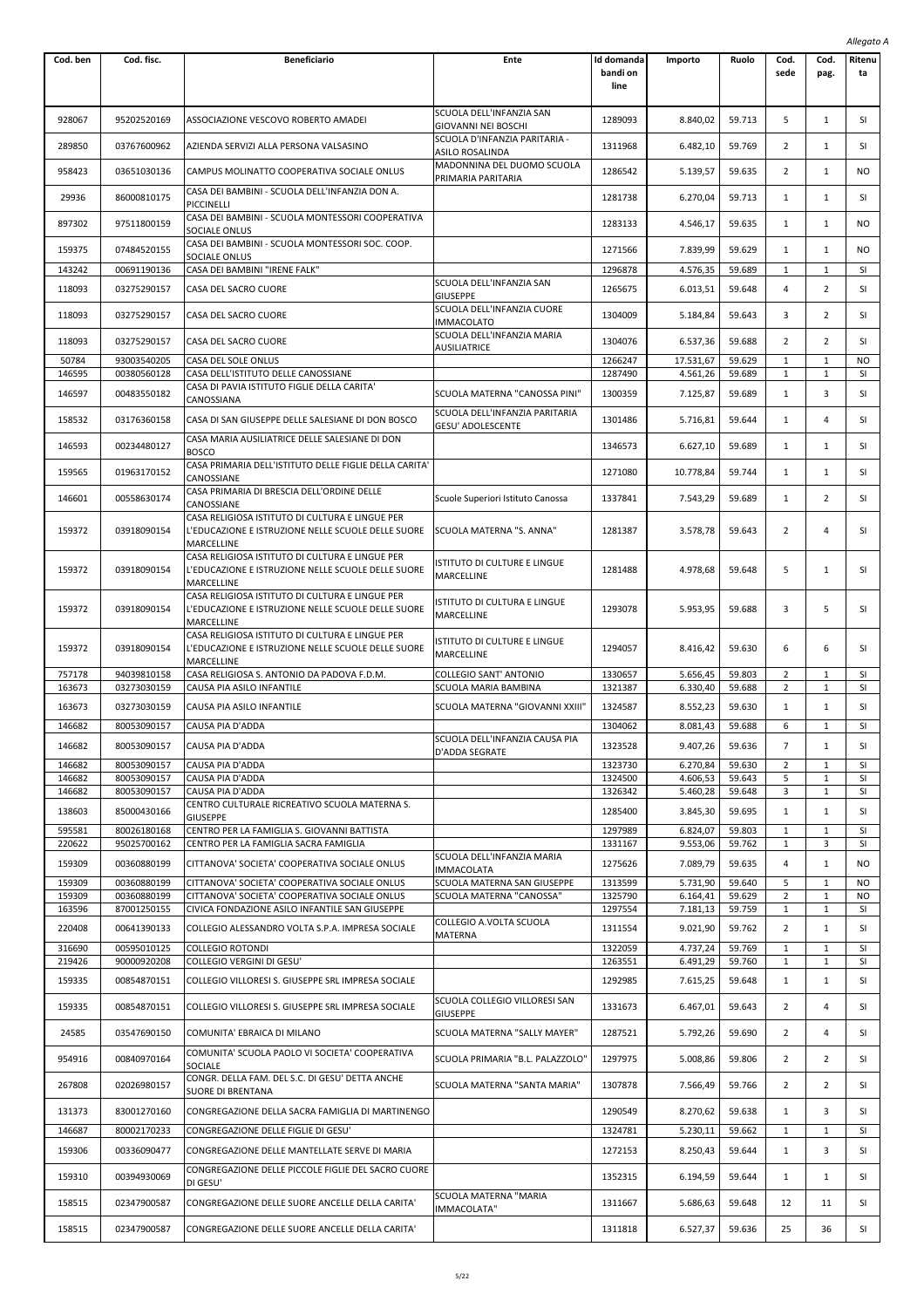|                  |                            |                                                                                                                     |                                                                     |                                |                      |                  |                              |                              | Allegato A       |
|------------------|----------------------------|---------------------------------------------------------------------------------------------------------------------|---------------------------------------------------------------------|--------------------------------|----------------------|------------------|------------------------------|------------------------------|------------------|
| Cod. ben         | Cod. fisc.                 | <b>Beneficiario</b>                                                                                                 | Ente                                                                | Id domanda<br>bandi on<br>line | Importo              | Ruolo            | Cod.<br>sede                 | Cod.<br>pag.                 | Ritenu<br>ta     |
| 928067           | 95202520169                | ASSOCIAZIONE VESCOVO ROBERTO AMADEI                                                                                 | SCUOLA DELL'INFANZIA SAN                                            | 1289093                        | 8.840,02             | 59.713           | 5                            | $\mathbf{1}$                 | SI               |
| 289850           | 03767600962                | AZIENDA SERVIZI ALLA PERSONA VALSASINO                                                                              | GIOVANNI NEI BOSCHI<br>SCUOLA D'INFANZIA PARITARIA -                | 1311968                        | 6.482,10             | 59.769           | 2                            | 1                            | SI               |
| 958423           | 03651030136                | CAMPUS MOLINATTO COOPERATIVA SOCIALE ONLUS                                                                          | ASILO ROSALINDA<br>MADONNINA DEL DUOMO SCUOLA<br>PRIMARIA PARITARIA | 1286542                        | 5.139,57             | 59.635           | 2                            | 1                            | NO               |
| 29936            | 86000810175                | CASA DEI BAMBINI - SCUOLA DELL'INFANZIA DON A.<br>PICCINELLI                                                        |                                                                     | 1281738                        | 6.270,04             | 59.713           | $\mathbf{1}$                 | $\mathbf{1}$                 | <b>SI</b>        |
| 897302           | 97511800159                | CASA DEI BAMBINI - SCUOLA MONTESSORI COOPERATIVA<br>SOCIALE ONLUS                                                   |                                                                     | 1283133                        | 4.546,17             | 59.635           | $\mathbf{1}$                 | $\mathbf{1}$                 | NO               |
| 159375           | 07484520155                | CASA DEI BAMBINI - SCUOLA MONTESSORI SOC. COOP.<br>SOCIALE ONLUS                                                    |                                                                     | 1271566                        | 7.839,99             | 59.629           | $\mathbf{1}$                 | $\mathbf{1}$                 | NO               |
| 143242           | 00691190136                | CASA DEI BAMBINI "IRENE FALK"                                                                                       |                                                                     | 1296878                        | 4.576,35             | 59.689           | 1                            | $\mathbf{1}$                 | SI               |
| 118093           | 03275290157                | CASA DEL SACRO CUORE                                                                                                | SCUOLA DELL'INFANZIA SAN<br><b>GIUSEPPE</b>                         | 1265675                        | 6.013,51             | 59.648           | 4                            | $\overline{2}$               | SI               |
| 118093           | 03275290157                | CASA DEL SACRO CUORE                                                                                                | SCUOLA DELL'INFANZIA CUORE<br>IMMACOLATO                            | 1304009                        | 5.184,84             | 59.643           | 3                            | 2                            | SI               |
| 118093           | 03275290157                | CASA DEL SACRO CUORE                                                                                                | SCUOLA DELL'INFANZIA MARIA                                          | 1304076                        | 6.537,36             | 59.688           | 2                            | $\overline{2}$               | SI               |
| 50784            | 93003540205                | CASA DEL SOLE ONLUS                                                                                                 | AUSILIATRICE                                                        | 1266247                        | 17.531,67            | 59.629           | 1                            | 1                            | NO               |
| 146595           | 00380560128                | CASA DELL'ISTITUTO DELLE CANOSSIANE                                                                                 |                                                                     | 1287490                        | 4.561,26             | 59.689           | 1                            | $\mathbf{1}$                 | SI               |
| 146597           | 00483550182                | CASA DI PAVIA ISTITUTO FIGLIE DELLA CARITA'<br>CANOSSIANA                                                           | SCUOLA MATERNA "CANOSSA PINI"                                       | 1300359                        | 7.125,87             | 59.689           | $\mathbf{1}$                 | 3                            | SI               |
| 158532           | 03176360158                | CASA DI SAN GIUSEPPE DELLE SALESIANE DI DON BOSCO                                                                   | SCUOLA DELL'INFANZIA PARITARIA<br>GESU' ADOLESCENTE                 | 1301486                        | 5.716,81             | 59.644           | $\mathbf{1}$                 | 4                            | SI               |
| 146593           | 00234480127                | CASA MARIA AUSILIATRICE DELLE SALESIANE DI DON<br><b>BOSCO</b>                                                      |                                                                     | 1346573                        | 6.627,10             | 59.689           | $\mathbf{1}$                 | $\mathbf{1}$                 | SI               |
| 159565           | 01963170152                | CASA PRIMARIA DELL'ISTITUTO DELLE FIGLIE DELLA CARITA'<br>CANOSSIANE                                                |                                                                     | 1271080                        | 10.778,84            | 59.744           | 1                            | 1                            | SI               |
| 146601           | 00558630174                | CASA PRIMARIA DI BRESCIA DELL'ORDINE DELLE<br>CANOSSIANE                                                            | Scuole Superiori Istituto Canossa                                   | 1337841                        | 7.543,29             | 59.689           | $\mathbf{1}$                 | $\overline{2}$               | SI               |
| 159372           | 03918090154                | CASA RELIGIOSA ISTITUTO DI CULTURA E LINGUE PER<br>L'EDUCAZIONE E ISTRUZIONE NELLE SCUOLE DELLE SUORE<br>MARCELLINE | SCUOLA MATERNA "S. ANNA"                                            | 1281387                        | 3.578,78             | 59.643           | $\overline{2}$               | 4                            | SI               |
| 159372           | 03918090154                | CASA RELIGIOSA ISTITUTO DI CULTURA E LINGUE PER<br>L'EDUCAZIONE E ISTRUZIONE NELLE SCUOLE DELLE SUORE<br>MARCELLINE | ISTITUTO DI CULTURE E LINGUE<br>MARCELLINE                          | 1281488                        | 4.978,68             | 59.648           | 5                            | $\mathbf{1}$                 | SI               |
| 159372           | 03918090154                | CASA RELIGIOSA ISTITUTO DI CULTURA E LINGUE PER<br>L'EDUCAZIONE E ISTRUZIONE NELLE SCUOLE DELLE SUORE<br>MARCELLINE | ISTITUTO DI CULTURA E LINGUE<br>MARCELLINE                          | 1293078                        | 5.953,95             | 59.688           | 3                            | 5                            | SI               |
| 159372           | 03918090154                | CASA RELIGIOSA ISTITUTO DI CULTURA E LINGUE PER<br>L'EDUCAZIONE E ISTRUZIONE NELLE SCUOLE DELLE SUORE<br>MARCELLINE | ISTITUTO DI CULTURE E LINGUE<br>MARCELLINE                          | 1294057                        | 8.416,42             | 59.630           | 6                            | 6                            | SI               |
| 757178<br>163673 | 94039810158<br>03273030159 | CASA RELIGIOSA S. ANTONIO DA PADOVA F.D.M.<br>CAUSA PIA ASILO INFANTILE                                             | <b>COLLEGIO SANT' ANTONIO</b><br>SCUOLA MARIA BAMBINA               | 1330657<br>1321387             | 5.656,45<br>6.330,40 | 59.803<br>59.688 | $\overline{2}$<br>2          | $\mathbf{1}$<br>1            | SI<br>SI         |
| 163673           | 03273030159                | CAUSA PIA ASILO INFANTILE                                                                                           | SCUOLA MATERNA "GIOVANNI XXIII"                                     | 1324587                        | 8.552,23             | 59.630           | 1                            | $\mathbf{1}$                 | SI               |
| 146682           | 80053090157                | CAUSA PIA D'ADDA                                                                                                    |                                                                     | 1304062                        | 8.081,43             | 59.688           | 6                            | $\mathbf{1}$                 | SI               |
| 146682           | 80053090157                | CAUSA PIA D'ADDA                                                                                                    | SCUOLA DELL'INFANZIA CAUSA PIA                                      | 1323528                        | 9.407,26             | 59.636           | $\overline{7}$               | $\mathbf{1}$                 | SI               |
| 146682           | 80053090157                | CAUSA PIA D'ADDA                                                                                                    | D'ADDA SEGRATE                                                      | 1323730                        | 6.270,84             | 59.630           | $\overline{2}$               | $\mathbf{1}$                 | <b>SI</b>        |
| 146682           | 80053090157                | CAUSA PIA D'ADDA                                                                                                    |                                                                     | 1324500                        | 4.606,53             | 59.643           | 5                            | $\mathbf{1}$                 | SI               |
| 146682           | 80053090157                | CAUSA PIA D'ADDA                                                                                                    |                                                                     | 1326342                        | 5.460,28             | 59.648           | 3                            | $\mathbf{1}$                 | SI               |
| 138603           | 85000430166                | CENTRO CULTURALE RICREATIVO SCUOLA MATERNA S.<br><b>GIUSEPPE</b>                                                    |                                                                     | 1285400                        | 3.845,30             | 59.695           | $\mathbf{1}$                 | $\mathbf{1}$                 | SI               |
| 595581           | 80026180168                | CENTRO PER LA FAMIGLIA S. GIOVANNI BATTISTA<br>CENTRO PER LA FAMIGLIA SACRA FAMIGLIA                                |                                                                     | 1297989                        | 6.824,07             | 59.803           | $\mathbf{1}$                 | $\mathbf{1}$                 | <b>SI</b>        |
| 220622           | 95025700162                |                                                                                                                     | SCUOLA DELL'INFANZIA MARIA                                          | 1331167                        | 9.553,06             | 59.762           | $\mathbf{1}$                 | 3                            | SI               |
| 159309           | 00360880199                | CITTANOVA' SOCIETA' COOPERATIVA SOCIALE ONLUS                                                                       | IMMACOLATA                                                          | 1275626                        | 7.089,79             | 59.635           | 4                            | 1                            | NO               |
| 159309<br>159309 | 00360880199<br>00360880199 | CITTANOVA' SOCIETA' COOPERATIVA SOCIALE ONLUS<br>CITTANOVA' SOCIETA' COOPERATIVA SOCIALE ONLUS                      | SCUOLA MATERNA SAN GIUSEPPE<br>SCUOLA MATERNA "CANOSSA"             | 1313599<br>1325790             | 5.731,90<br>6.164,41 | 59.640<br>59.629 | 5<br>$\overline{2}$          | 1<br>$\mathbf{1}$            | <b>NO</b><br>NO. |
| 163596           | 87001250155                | CIVICA FONDAZIONE ASILO INFANTILE SAN GIUSEPPE                                                                      |                                                                     | 1297554                        | 7.181,13             | 59.759           | 1                            | 1                            | <b>SI</b>        |
| 220408           | 00641390133                | COLLEGIO ALESSANDRO VOLTA S.P.A. IMPRESA SOCIALE                                                                    | COLLEGIO A.VOLTA SCUOLA<br>MATERNA                                  | 1311554                        | 9.021,90             | 59.762           | 2                            | 1                            | SI               |
| 316690           | 00595010125                | <b>COLLEGIO ROTONDI</b>                                                                                             |                                                                     | 1322059                        | 4.737,24             | 59.769           | 1                            | $\mathbf{1}$                 | SI               |
| 219426<br>159335 | 90000920208<br>00854870151 | COLLEGIO VERGINI DI GESU'<br>COLLEGIO VILLORESI S. GIUSEPPE SRL IMPRESA SOCIALE                                     |                                                                     | 1263551<br>1292985             | 6.491,29<br>7.615,25 | 59.760<br>59.648 | $\mathbf{1}$<br>$\mathbf{1}$ | $\mathbf{1}$<br>$\mathbf{1}$ | SI<br>SI         |
| 159335           | 00854870151                | COLLEGIO VILLORESI S. GIUSEPPE SRL IMPRESA SOCIALE                                                                  | SCUOLA COLLEGIO VILLORESI SAN                                       | 1331673                        | 6.467,01             | 59.643           | $\overline{2}$               | 4                            | SI               |
| 24585            | 03547690150                | COMUNITA' EBRAICA DI MILANO                                                                                         | <b>GIUSEPPE</b><br>SCUOLA MATERNA "SALLY MAYER"                     | 1287521                        | 5.792,26             | 59.690           | 2                            | 4                            | SI               |
| 954916           | 00840970164                | COMUNITA' SCUOLA PAOLO VI SOCIETA' COOPERATIVA                                                                      | SCUOLA PRIMARIA "B.L. PALAZZOLO"                                    | 1297975                        | 5.008,86             | 59.806           | 2                            | 2                            | SI               |
| 267808           | 02026980157                | SOCIALE<br>CONGR. DELLA FAM. DEL S.C. DI GESU' DETTA ANCHE<br>SUORE DI BRENTANA                                     | SCUOLA MATERNA "SANTA MARIA"                                        | 1307878                        | 7.566,49             | 59.766           | 2                            | $\overline{2}$               | SI               |
| 131373           | 83001270160                | CONGREGAZIONE DELLA SACRA FAMIGLIA DI MARTINENGO                                                                    |                                                                     | 1290549                        | 8.270,62             | 59.638           | $\mathbf{1}$                 | 3                            | SI               |
| 146687           | 80002170233                | CONGREGAZIONE DELLE FIGLIE DI GESU'                                                                                 |                                                                     | 1324781                        | 5.230,11             | 59.662           | 1                            | $\mathbf{1}$                 | <b>SI</b>        |
| 159306           | 00336090477                | CONGREGAZIONE DELLE MANTELLATE SERVE DI MARIA                                                                       |                                                                     | 1272153                        | 8.250,43             | 59.644           | $\mathbf{1}$                 | 3                            | SI               |
| 159310           | 00394930069                | CONGREGAZIONE DELLE PICCOLE FIGLIE DEL SACRO CUORE<br>DI GESU'                                                      |                                                                     | 1352315                        | 6.194,59             | 59.644           | $\mathbf{1}$                 | $\mathbf{1}$                 | SI               |
| 158515           | 02347900587                | CONGREGAZIONE DELLE SUORE ANCELLE DELLA CARITA'                                                                     | SCUOLA MATERNA "MARIA<br>IMMACOLATA"                                | 1311667                        | 5.686,63             | 59.648           | 12                           | 11                           | SI               |
| 158515           | 02347900587                | CONGREGAZIONE DELLE SUORE ANCELLE DELLA CARITA'                                                                     |                                                                     | 1311818                        | 6.527,37             | 59.636           | 25                           | 36                           | SI               |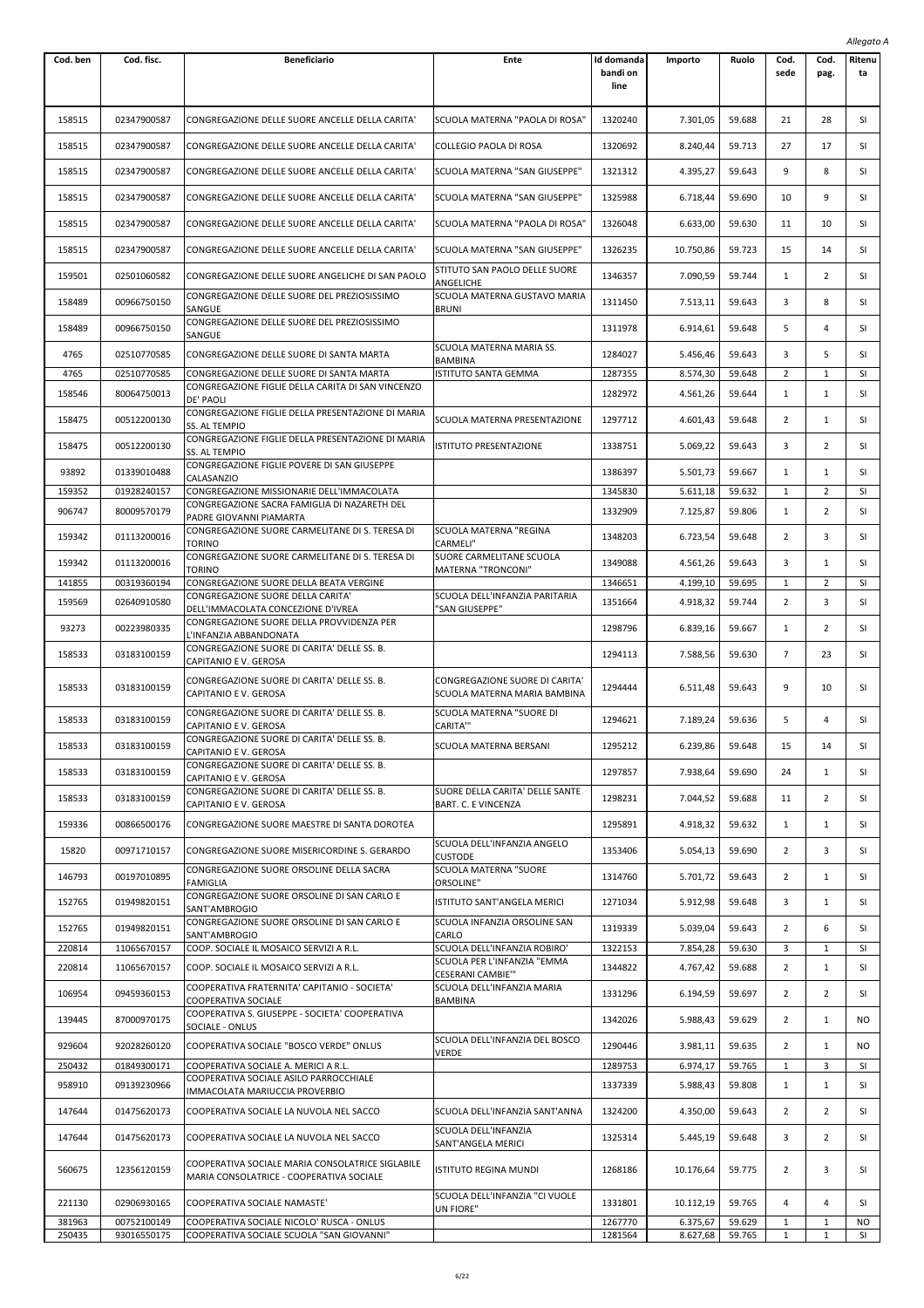|                  |                            |                                                                                        |                                                                |                                |                      |                  |                   |                              | Allegato A      |
|------------------|----------------------------|----------------------------------------------------------------------------------------|----------------------------------------------------------------|--------------------------------|----------------------|------------------|-------------------|------------------------------|-----------------|
| Cod. ben         | Cod. fisc.                 | <b>Beneficiario</b>                                                                    | Ente                                                           | Id domanda<br>bandi on<br>line | Importo              | Ruolo            | Cod.<br>sede      | Cod.<br>pag.                 | Ritenu<br>ta    |
| 158515           | 02347900587                | CONGREGAZIONE DELLE SUORE ANCELLE DELLA CARITA'                                        | SCUOLA MATERNA "PAOLA DI ROSA"                                 | 1320240                        | 7.301,05             | 59.688           | 21                | 28                           | SI              |
| 158515           | 02347900587                | CONGREGAZIONE DELLE SUORE ANCELLE DELLA CARITA'                                        | COLLEGIO PAOLA DI ROSA                                         | 1320692                        | 8.240,44             | 59.713           | 27                | 17                           | SI              |
| 158515           | 02347900587                | CONGREGAZIONE DELLE SUORE ANCELLE DELLA CARITA'                                        | SCUOLA MATERNA "SAN GIUSEPPE"                                  | 1321312                        | 4.395,27             | 59.643           | 9                 | 8                            | SI              |
| 158515           | 02347900587                | CONGREGAZIONE DELLE SUORE ANCELLE DELLA CARITA'                                        | SCUOLA MATERNA "SAN GIUSEPPE"                                  | 1325988                        | 6.718,44             | 59.690           | 10                | 9                            | SI              |
| 158515           | 02347900587                | CONGREGAZIONE DELLE SUORE ANCELLE DELLA CARITA'                                        | SCUOLA MATERNA "PAOLA DI ROSA"                                 | 1326048                        | 6.633,00             | 59.630           | 11                | 10                           | SI              |
| 158515           | 02347900587                | CONGREGAZIONE DELLE SUORE ANCELLE DELLA CARITA'                                        | SCUOLA MATERNA "SAN GIUSEPPE"                                  | 1326235                        | 10.750,86            | 59.723           | 15                | 14                           | SI              |
| 159501           | 02501060582                | CONGREGAZIONE DELLE SUORE ANGELICHE DI SAN PAOLO                                       | STITUTO SAN PAOLO DELLE SUORE<br>ANGELICHE                     | 1346357                        | 7.090,59             | 59.744           | 1                 | 2                            | SI              |
| 158489           | 00966750150                | CONGREGAZIONE DELLE SUORE DEL PREZIOSISSIMO<br>SANGUE                                  | SCUOLA MATERNA GUSTAVO MARIA<br><b>BRUNI</b>                   | 1311450                        | 7.513,11             | 59.643           | 3                 | 8                            | SI              |
| 158489           | 00966750150                | CONGREGAZIONE DELLE SUORE DEL PREZIOSISSIMO<br>SANGUE                                  |                                                                | 1311978                        | 6.914,61             | 59.648           | 5                 | 4                            | SI              |
| 4765             | 02510770585                | CONGREGAZIONE DELLE SUORE DI SANTA MARTA                                               | SCUOLA MATERNA MARIA SS.<br><b>BAMBINA</b>                     | 1284027                        | 5.456,46             | 59.643           | 3                 | 5                            | SI              |
| 4765             | 02510770585                | CONGREGAZIONE DELLE SUORE DI SANTA MARTA                                               | ISTITUTO SANTA GEMMA                                           | 1287355                        | 8.574,30             | 59.648           | 2                 | $\mathbf{1}$                 | SI              |
| 158546           | 80064750013                | CONGREGAZIONE FIGLIE DELLA CARITA DI SAN VINCENZO<br>DE' PAOLI                         |                                                                | 1282972                        | 4.561,26             | 59.644           | $\mathbf{1}$      | $\mathbf{1}$                 | SI              |
| 158475           | 00512200130                | CONGREGAZIONE FIGLIE DELLA PRESENTAZIONE DI MARIA<br>SS. AL TEMPIO                     | SCUOLA MATERNA PRESENTAZIONE                                   | 1297712                        | 4.601,43             | 59.648           | 2                 | 1                            | SI              |
| 158475           | 00512200130                | CONGREGAZIONE FIGLIE DELLA PRESENTAZIONE DI MARIA<br>SS. AL TEMPIO                     | ISTITUTO PRESENTAZIONE                                         | 1338751                        | 5.069,22             | 59.643           | 3                 | 2                            | SI              |
| 93892            | 01339010488                | CONGREGAZIONE FIGLIE POVERE DI SAN GIUSEPPE<br>CALASANZIO                              |                                                                | 1386397                        | 5.501,73             | 59.667           | 1                 | 1                            | SI              |
| 159352           | 01928240157                | CONGREGAZIONE MISSIONARIE DELL'IMMACOLATA                                              |                                                                | 1345830                        | 5.611,18             | 59.632           | 1                 | 2                            | SI              |
| 906747           | 80009570179                | CONGREGAZIONE SACRA FAMIGLIA DI NAZARETH DEL<br>PADRE GIOVANNI PIAMARTA                |                                                                | 1332909                        | 7.125,87             | 59.806           | 1                 | 2                            | SI              |
| 159342           | 01113200016                | CONGREGAZIONE SUORE CARMELITANE DI S. TERESA DI<br>TORINO                              | SCUOLA MATERNA "REGINA<br>CARMELI"                             | 1348203                        | 6.723,54             | 59.648           | 2                 | 3                            | SI              |
| 159342           | 01113200016                | CONGREGAZIONE SUORE CARMELITANE DI S. TERESA DI<br>TORINO                              | SUORE CARMELITANE SCUOLA<br>MATERNA "TRONCONI"                 | 1349088                        | 4.561,26             | 59.643           | 3                 | 1                            | SI              |
| 141855           | 00319360194                | CONGREGAZIONE SUORE DELLA BEATA VERGINE<br>CONGREGAZIONE SUORE DELLA CARITA'           | SCUOLA DELL'INFANZIA PARITARIA                                 | 1346651                        | 4.199,10             | 59.695           | 1                 | 2                            | SI              |
| 159569           | 02640910580                | DELL'IMMACOLATA CONCEZIONE D'IVREA<br>CONGREGAZIONE SUORE DELLA PROVVIDENZA PER        | "SAN GIUSEPPE"                                                 | 1351664                        | 4.918,32             | 59.744           | 2                 | 3                            | SI              |
| 93273            | 00223980335                | L'INFANZIA ABBANDONATA<br>CONGREGAZIONE SUORE DI CARITA' DELLE SS. B.                  |                                                                | 1298796                        | 6.839,16             | 59.667           | $\mathbf{1}$      | 2                            | SI              |
| 158533           | 03183100159                | CAPITANIO E V. GEROSA                                                                  |                                                                | 1294113                        | 7.588,56             | 59.630           | $\overline{7}$    | 23                           | SI              |
| 158533           | 03183100159                | CONGREGAZIONE SUORE DI CARITA' DELLE SS. B.<br>CAPITANIO E V. GEROSA                   | CONGREGAZIONE SUORE DI CARITA'<br>SCUOLA MATERNA MARIA BAMBINA | 1294444                        | 6.511,48             | 59.643           | 9                 | 10                           | SI              |
| 158533           | 03183100159                | CONGREGAZIONE SUORE DI CARITA' DELLE SS. B.<br>CAPITANIO E V. GEROSA                   | SCUOLA MATERNA "SUORE DI<br>CARITA"                            | 1294621                        | 7.189,24             | 59.636           | 5                 | 4                            | SI              |
| 158533           | 03183100159                | CONGREGAZIONE SUORE DI CARITA' DELLE SS. B.<br>CAPITANIO E V. GEROSA                   | SCUOLA MATERNA BERSANI                                         | 1295212                        | 6.239,86             | 59.648           | 15                | 14                           | SI              |
| 158533           | 03183100159                | CONGREGAZIONE SUORE DI CARITA' DELLE SS. B.<br>CAPITANIO E V. GEROSA                   |                                                                | 1297857                        | 7.938,64             | 59.690           | 24                | 1                            | SI              |
| 158533           | 03183100159                | CONGREGAZIONE SUORE DI CARITA' DELLE SS. B.<br>CAPITANIO E V. GEROSA                   | SUORE DELLA CARITA' DELLE SANTE<br>BART. C. E VINCENZA         | 1298231                        | 7.044,52             | 59.688           | 11                | 2                            | SI              |
| 159336           | 00866500176                | CONGREGAZIONE SUORE MAESTRE DI SANTA DOROTEA                                           |                                                                | 1295891                        | 4.918,32             | 59.632           | $\mathbf{1}$      | 1                            | SI              |
| 15820            | 00971710157                | CONGREGAZIONE SUORE MISERICORDINE S. GERARDO                                           | SCUOLA DELL'INFANZIA ANGELO<br><b>CUSTODE</b>                  | 1353406                        | 5.054,13             | 59.690           | $\overline{2}$    | 3                            | SI              |
| 146793           | 00197010895                | CONGREGAZIONE SUORE ORSOLINE DELLA SACRA<br>FAMIGLIA                                   | SCUOLA MATERNA "SUORE<br>ORSOLINE"                             | 1314760                        | 5.701,72             | 59.643           | 2                 | 1                            | SI              |
| 152765           | 01949820151                | CONGREGAZIONE SUORE ORSOLINE DI SAN CARLO E<br>SANT'AMBROGIO                           | ISTITUTO SANT'ANGELA MERICI                                    | 1271034                        | 5.912,98             | 59.648           | 3                 | 1                            | SI              |
| 152765           | 01949820151                | CONGREGAZIONE SUORE ORSOLINE DI SAN CARLO E<br>SANT'AMBROGIO                           | SCUOLA INFANZIA ORSOLINE SAN<br>CARLO                          | 1319339                        | 5.039,04             | 59.643           | 2                 | 6                            | SI              |
| 220814           | 11065670157                | COOP. SOCIALE IL MOSAICO SERVIZI A R.L.                                                | SCUOLA DELL'INFANZIA ROBIRO'                                   | 1322153                        | 7.854,28             | 59.630           | 3                 | 1                            | SI              |
| 220814           | 11065670157                | COOP. SOCIALE IL MOSAICO SERVIZI A R.L.                                                | SCUOLA PER L'INFANZIA "EMMA<br>CESERANI CAMBIE""               | 1344822                        | 4.767,42             | 59.688           | 2                 | 1                            | SI              |
| 106954           | 09459360153                | COOPERATIVA FRATERNITA' CAPITANIO - SOCIETA'<br>COOPERATIVA SOCIALE                    | SCUOLA DELL'INFANZIA MARIA<br><b>BAMBINA</b>                   | 1331296                        | 6.194,59             | 59.697           | 2                 | 2                            | SI              |
| 139445           | 87000970175                | COOPERATIVA S. GIUSEPPE - SOCIETA' COOPERATIVA<br>SOCIALE - ONLUS                      |                                                                | 1342026                        | 5.988,43             | 59.629           | 2                 | 1                            | NO.             |
| 929604           | 92028260120                | COOPERATIVA SOCIALE "BOSCO VERDE" ONLUS                                                | SCUOLA DELL'INFANZIA DEL BOSCO<br>VERDE                        | 1290446                        | 3.981,11             | 59.635           | $\overline{2}$    | $\mathbf{1}$                 | NO.             |
| 250432<br>958910 | 01849300171<br>09139230966 | COOPERATIVA SOCIALE A. MERICI A R.L.<br>COOPERATIVA SOCIALE ASILO PARROCCHIALE         |                                                                | 1289753<br>1337339             | 6.974,17<br>5.988,43 | 59.765<br>59.808 | 1<br>$\mathbf{1}$ | 3<br>$\mathbf{1}$            | <b>SI</b><br>SI |
| 147644           | 01475620173                | IMMACOLATA MARIUCCIA PROVERBIO<br>COOPERATIVA SOCIALE LA NUVOLA NEL SACCO              | SCUOLA DELL'INFANZIA SANT'ANNA                                 | 1324200                        | 4.350,00             | 59.643           | $\overline{2}$    | $\overline{2}$               | SI              |
| 147644           | 01475620173                | COOPERATIVA SOCIALE LA NUVOLA NEL SACCO                                                | SCUOLA DELL'INFANZIA                                           | 1325314                        | 5.445,19             | 59.648           | 3                 | 2                            | SI              |
|                  |                            | COOPERATIVA SOCIALE MARIA CONSOLATRICE SIGLABILE                                       | SANT'ANGELA MERICI                                             |                                |                      |                  |                   |                              |                 |
| 560675           | 12356120159                | MARIA CONSOLATRICE - COOPERATIVA SOCIALE                                               | <b>ISTITUTO REGINA MUNDI</b>                                   | 1268186                        | 10.176,64            | 59.775           | 2                 | 3                            | SI              |
| 221130           | 02906930165                | COOPERATIVA SOCIALE NAMASTE'                                                           | SCUOLA DELL'INFANZIA "CI VUOLE<br>UN FIORE"                    | 1331801                        | 10.112,19            | 59.765           | 4                 | 4                            | SI              |
| 381963<br>250435 | 00752100149<br>93016550175 | COOPERATIVA SOCIALE NICOLO' RUSCA - ONLUS<br>COOPERATIVA SOCIALE SCUOLA "SAN GIOVANNI" |                                                                | 1267770<br>1281564             | 6.375,67<br>8.627,68 | 59.629<br>59.765 | $\mathbf{1}$<br>1 | $\mathbf{1}$<br>$\mathbf{1}$ | NO<br>SI        |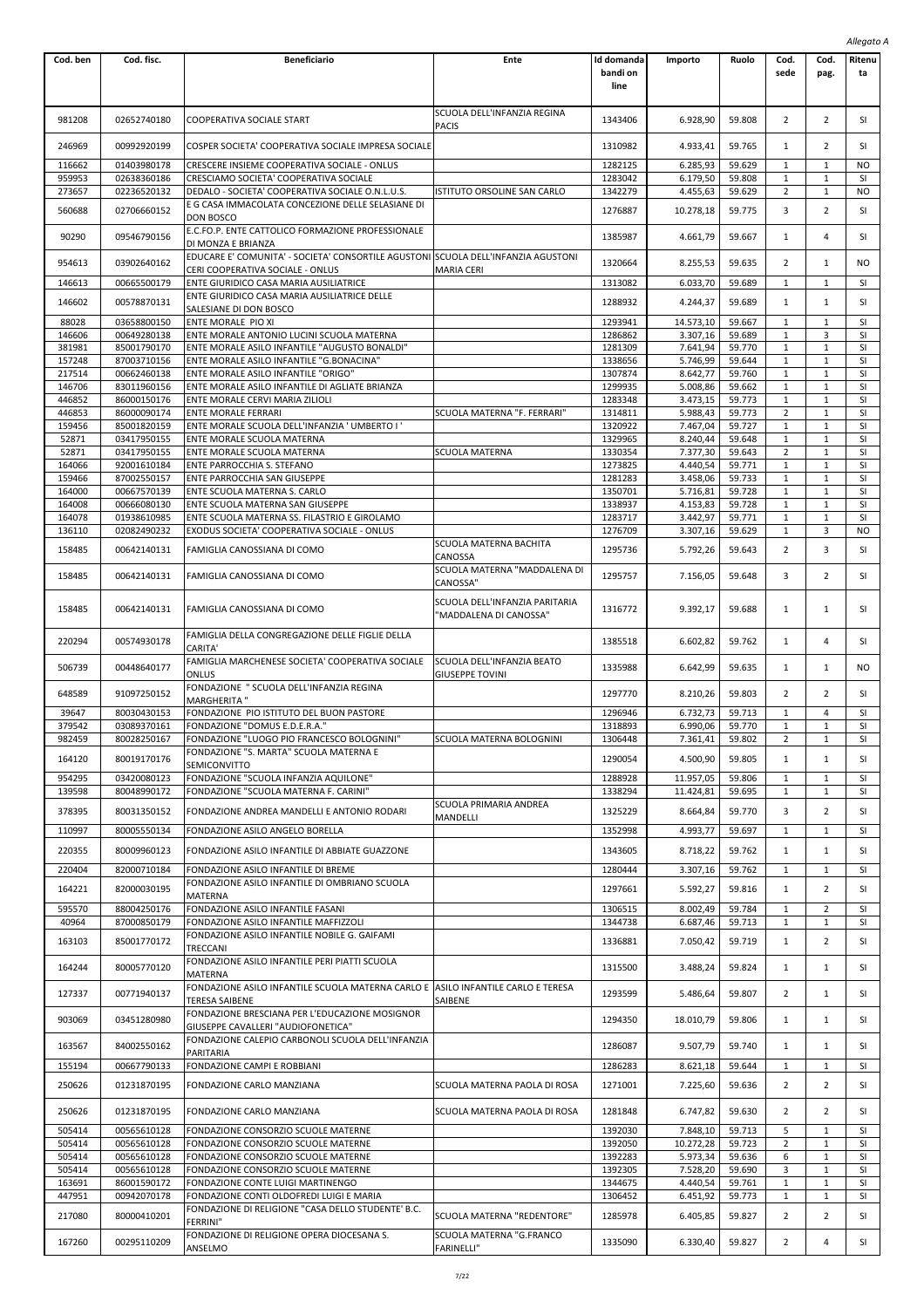|                  |                            |                                                                                                                                                              |                                                          |                                |                      |                  |                     |                   | Allegato A   |
|------------------|----------------------------|--------------------------------------------------------------------------------------------------------------------------------------------------------------|----------------------------------------------------------|--------------------------------|----------------------|------------------|---------------------|-------------------|--------------|
| Cod. ben         | Cod. fisc.                 | <b>Beneficiario</b>                                                                                                                                          | Ente                                                     | Id domanda<br>bandi on<br>line | Importo              | Ruolo            | Cod.<br>sede        | Cod.<br>pag.      | Ritenu<br>ta |
| 981208           | 02652740180                | COOPERATIVA SOCIALE START                                                                                                                                    | SCUOLA DELL'INFANZIA REGINA<br><b>PACIS</b>              | 1343406                        | 6.928,90             | 59.808           | 2                   | 2                 | SI           |
| 246969           | 00992920199                | COSPER SOCIETA' COOPERATIVA SOCIALE IMPRESA SOCIALE                                                                                                          |                                                          | 1310982                        | 4.933,41             | 59.765           | 1                   | $\overline{2}$    | SI           |
| 116662           | 01403980178                | CRESCERE INSIEME COOPERATIVA SOCIALE - ONLUS                                                                                                                 |                                                          | 1282125                        | 6.285,93             | 59.629           | 1                   | 1                 | NO.          |
| 959953           | 02638360186                | CRESCIAMO SOCIETA' COOPERATIVA SOCIALE                                                                                                                       |                                                          | 1283042                        | 6.179,50             | 59.808           | 1                   | $\mathbf{1}$      | <b>SI</b>    |
| 273657           | 02236520132                | DEDALO - SOCIETA' COOPERATIVA SOCIALE O.N.L.U.S.                                                                                                             | ISTITUTO ORSOLINE SAN CARLO                              | 1342279                        | 4.455,63             | 59.629           | $\overline{2}$      | $\mathbf{1}$      | <b>NO</b>    |
| 560688           | 02706660152                | E G CASA IMMACOLATA CONCEZIONE DELLE SELASIANE DI<br><b>DON BOSCO</b>                                                                                        |                                                          | 1276887                        | 10.278,18            | 59.775           | 3                   | $\overline{2}$    | SI           |
| 90290            | 09546790156                | E.C.FO.P. ENTE CATTOLICO FORMAZIONE PROFESSIONALE<br>DI MONZA E BRIANZA<br>EDUCARE E' COMUNITA' - SOCIETA' CONSORTILE AGUSTONI SCUOLA DELL'INFANZIA AGUSTONI |                                                          | 1385987                        | 4.661,79             | 59.667           | $\mathbf{1}$        | 4                 | <b>SI</b>    |
| 954613<br>146613 | 03902640162<br>00665500179 | CERI COOPERATIVA SOCIALE - ONLUS<br>ENTE GIURIDICO CASA MARIA AUSILIATRICE                                                                                   | <b>MARIA CERI</b>                                        | 1320664<br>1313082             | 8.255,53<br>6.033,70 | 59.635<br>59.689 | 2<br>1              | 1<br>$\mathbf{1}$ | NO<br>SI     |
| 146602           | 00578870131                | ENTE GIURIDICO CASA MARIA AUSILIATRICE DELLE<br>SALESIANE DI DON BOSCO                                                                                       |                                                          | 1288932                        | 4.244,37             | 59.689           | $\mathbf{1}$        | $\mathbf{1}$      | SI           |
| 88028            | 03658800150                | ENTE MORALE PIO XI                                                                                                                                           |                                                          | 1293941                        | 14.573,10            | 59.667           | $\mathbf{1}$        | 1                 | SI           |
| 146606           | 00649280138                | ENTE MORALE ANTONIO LUCINI SCUOLA MATERNA                                                                                                                    |                                                          | 1286862                        | 3.307,16             | 59.689           | $1\,$               | 3                 | SI           |
| 381981           | 85001790170                | ENTE MORALE ASILO INFANTILE "AUGUSTO BONALDI"                                                                                                                |                                                          | 1281309                        | 7.641,94             | 59.770           | 1                   | 1                 | SI           |
| 157248           | 87003710156                | ENTE MORALE ASILO INFANTILE "G.BONACINA"                                                                                                                     |                                                          | 1338656                        | 5.746,99             | 59.644           | 1                   | $\mathbf{1}$      | SI           |
| 217514           | 00662460138                | ENTE MORALE ASILO INFANTILE "ORIGO"                                                                                                                          |                                                          | 1307874                        | 8.642,77             | 59.760           | $1\,$               | $\mathbf{1}$      | SI           |
| 146706           | 83011960156<br>86000150176 | ENTE MORALE ASILO INFANTILE DI AGLIATE BRIANZA                                                                                                               |                                                          | 1299935                        | 5.008,86             | 59.662           | 1                   | $\mathbf 1$       | SI           |
| 446852<br>446853 | 86000090174                | ENTE MORALE CERVI MARIA ZILIOLI<br><b>ENTE MORALE FERRARI</b>                                                                                                | SCUOLA MATERNA "F. FERRARI"                              | 1283348<br>1314811             | 3.473,15<br>5.988,43 | 59.773<br>59.773 | $\mathbf 1$<br>2    | $\mathbf{1}$<br>1 | SI<br>SI     |
| 159456           | 85001820159                | ENTE MORALE SCUOLA DELL'INFANZIA ' UMBERTO I '                                                                                                               |                                                          | 1320922                        | 7.467,04             | 59.727           | 1                   | $\mathbf{1}$      | SI           |
| 52871            | 03417950155                | ENTE MORALE SCUOLA MATERNA                                                                                                                                   |                                                          | 1329965                        | 8.240,44             | 59.648           | $\mathbf{1}$        | $\mathbf{1}$      | SI           |
| 52871            | 03417950155                | ENTE MORALE SCUOLA MATERNA                                                                                                                                   | SCUOLA MATERNA                                           | 1330354                        | 7.377,30             | 59.643           | $\overline{2}$      | $\mathbf{1}$      | SI           |
| 164066           | 92001610184                | ENTE PARROCCHIA S. STEFANO                                                                                                                                   |                                                          | 1273825                        | 4.440,54             | 59.771           | $\mathbf 1$         | $\mathbf{1}$      | SI           |
| 159466           | 87002550157                | ENTE PARROCCHIA SAN GIUSEPPE                                                                                                                                 |                                                          | 1281283                        | 3.458,06             | 59.733           | 1                   | 1                 | <b>SI</b>    |
| 164000           | 00667570139                | ENTE SCUOLA MATERNA S. CARLO                                                                                                                                 |                                                          | 1350701                        | 5.716,81             | 59.728           | 1                   | $\mathbf{1}$      | SI           |
| 164008           | 00666080130                | ENTE SCUOLA MATERNA SAN GIUSEPPE                                                                                                                             |                                                          | 1338937                        | 4.153,83             | 59.728           | $\mathbf{1}$        | $\mathbf{1}$      | SI           |
| 164078           | 01938610985                | ENTE SCUOLA MATERNA SS. FILASTRIO E GIROLAMO                                                                                                                 |                                                          | 1283717                        | 3.442,97             | 59.771           | 1                   | $\mathbf{1}$      | SI           |
| 136110           | 02082490232                | EXODUS SOCIETA' COOPERATIVA SOCIALE - ONLUS                                                                                                                  | SCUOLA MATERNA BACHITA                                   | 1276709                        | 3.307,16             | 59.629           | $1\,$               | 3                 | <b>NO</b>    |
| 158485           | 00642140131                | FAMIGLIA CANOSSIANA DI COMO                                                                                                                                  | CANOSSA<br>SCUOLA MATERNA "MADDALENA DI                  | 1295736                        | 5.792,26             | 59.643           | $\overline{2}$      | 3                 | SI           |
| 158485           | 00642140131                | FAMIGLIA CANOSSIANA DI COMO                                                                                                                                  | CANOSSA"                                                 | 1295757                        | 7.156,05             | 59.648           | 3                   | 2                 | SI           |
| 158485           | 00642140131                | FAMIGLIA CANOSSIANA DI COMO                                                                                                                                  | SCUOLA DELL'INFANZIA PARITARIA<br>'MADDALENA DI CANOSSA" | 1316772                        | 9.392,17             | 59.688           | $\mathbf{1}$        | 1                 | SI           |
| 220294           | 00574930178                | FAMIGLIA DELLA CONGREGAZIONE DELLE FIGLIE DELLA<br>CARITA'                                                                                                   |                                                          | 1385518                        | 6.602,82             | 59.762           | 1                   | 4                 | SI           |
| 506739           | 00448640177                | FAMIGLIA MARCHENESE SOCIETA' COOPERATIVA SOCIALE<br>ONLUS                                                                                                    | SCUOLA DELL'INFANZIA BEATO<br><b>GIUSEPPE TOVINI</b>     | 1335988                        | 6.642,99             | 59.635           | 1                   | 1                 | NO           |
| 648589           | 91097250152                | FONDAZIONE " SCUOLA DELL'INFANZIA REGINA<br><b>MARGHERITA "</b>                                                                                              |                                                          | 1297770                        | 8.210,26             | 59.803           | 2                   | 2                 | SI           |
| 39647<br>379542  | 80030430153<br>03089370161 | FONDAZIONE PIO ISTITUTO DEL BUON PASTORE<br>FONDAZIONE "DOMUS E.D.E.R.A."                                                                                    |                                                          | 1296946<br>1318893             | 6.732,73<br>6.990,06 | 59.713<br>59.770 | 1<br>$\mathbf{1}$   | 4<br>$\mathbf{1}$ | SI<br>SI     |
| 982459           | 80028250167                | FONDAZIONE "LUOGO PIO FRANCESCO BOLOGNINI"                                                                                                                   | SCUOLA MATERNA BOLOGNINI                                 | 1306448                        | 7.361,41             | 59.802           | 2                   | $\mathbf{1}$      | SI           |
| 164120           | 80019170176                | FONDAZIONE "S. MARTA" SCUOLA MATERNA E<br><b>SEMICONVITTO</b>                                                                                                |                                                          | 1290054                        | 4.500,90             | 59.805           | $\mathbf{1}$        | $\mathbf{1}$      | SI           |
| 954295           | 03420080123                | FONDAZIONE "SCUOLA INFANZIA AQUILONE"                                                                                                                        |                                                          | 1288928                        | 11.957,05            | 59.806           | $\mathbf{1}$        | 1                 | SI           |
| 139598           | 80048990172                | FONDAZIONE "SCUOLA MATERNA F. CARINI"                                                                                                                        |                                                          | 1338294                        | 11.424,81            | 59.695           | $1\,$               | 1                 | SI           |
| 378395           | 80031350152                | FONDAZIONE ANDREA MANDELLI E ANTONIO RODARI                                                                                                                  | SCUOLA PRIMARIA ANDREA<br>MANDELLI                       | 1325229                        | 8.664,84             | 59.770           | 3                   | $\overline{2}$    | SI           |
| 110997           | 80005550134                | FONDAZIONE ASILO ANGELO BORELLA                                                                                                                              |                                                          | 1352998                        | 4.993,77             | 59.697           | $\mathbf{1}$        | $\mathbf{1}$      | SI           |
| 220355           | 80009960123                | FONDAZIONE ASILO INFANTILE DI ABBIATE GUAZZONE                                                                                                               |                                                          | 1343605                        | 8.718,22             | 59.762           | $\mathbf{1}$        | 1                 | SI           |
| 220404           | 82000710184                | FONDAZIONE ASILO INFANTILE DI BREME<br>FONDAZIONE ASILO INFANTILE DI OMBRIANO SCUOLA                                                                         |                                                          | 1280444                        | 3.307,16             | 59.762           | 1                   | $\mathbf{1}$      | SI           |
| 164221           | 82000030195                | <b>MATERNA</b>                                                                                                                                               |                                                          | 1297661                        | 5.592,27             | 59.816           | $\mathbf{1}$        | $\overline{2}$    | <b>SI</b>    |
| 595570           | 88004250176                | FONDAZIONE ASILO INFANTILE FASANI                                                                                                                            |                                                          | 1306515                        | 8.002.49             | 59.784           | $\mathbf{1}$        | $\overline{2}$    | SI           |
| 40964            | 87000850179                | FONDAZIONE ASILO INFANTILE MAFFIZZOLI                                                                                                                        |                                                          | 1344738                        | 6.687,46             | 59.713           | $1\,$               | 1                 | SI           |
| 163103           | 85001770172                | FONDAZIONE ASILO INFANTILE NOBILE G. GAIFAMI<br>TRECCANI                                                                                                     |                                                          | 1336881                        | 7.050,42             | 59.719           | $1\,$               | $\overline{2}$    | SI           |
| 164244           | 80005770120                | FONDAZIONE ASILO INFANTILE PERI PIATTI SCUOLA<br>MATERNA                                                                                                     |                                                          | 1315500                        | 3.488,24             | 59.824           | 1                   | 1                 | SI           |
| 127337           | 00771940137                | FONDAZIONE ASILO INFANTILE SCUOLA MATERNA CARLO E  ASILO INFANTILE CARLO E TERESA<br>TERESA SAIBENE                                                          | SAIBENE                                                  | 1293599                        | 5.486,64             | 59.807           | 2                   | 1                 | SI           |
| 903069           | 03451280980                | FONDAZIONE BRESCIANA PER L'EDUCAZIONE MOSIGNOR<br>GIUSEPPE CAVALLERI "AUDIOFONETICA"                                                                         |                                                          | 1294350                        | 18.010,79            | 59.806           | $\mathbf{1}$        | 1                 | SI           |
| 163567           | 84002550162                | FONDAZIONE CALEPIO CARBONOLI SCUOLA DELL'INFANZIA<br>PARITARIA                                                                                               |                                                          | 1286087                        | 9.507,79             | 59.740           | $\mathbf{1}$        | 1                 | SI           |
| 155194           | 00667790133                | FONDAZIONE CAMPI E ROBBIANI                                                                                                                                  |                                                          | 1286283                        | 8.621,18             | 59.644           | 1                   | $\mathbf{1}$      | <b>SI</b>    |
| 250626           | 01231870195                | FONDAZIONE CARLO MANZIANA                                                                                                                                    | SCUOLA MATERNA PAOLA DI ROSA                             | 1271001                        | 7.225,60             | 59.636           | 2                   | 2                 | SI           |
| 250626<br>505414 | 01231870195<br>00565610128 | FONDAZIONE CARLO MANZIANA<br>FONDAZIONE CONSORZIO SCUOLE MATERNE                                                                                             | SCUOLA MATERNA PAOLA DI ROSA                             | 1281848<br>1392030             | 6.747,82<br>7.848,10 | 59.630<br>59.713 | $\overline{2}$<br>5 | 2<br>$\mathbf{1}$ | SI<br>SI     |
| 505414           | 00565610128                | FONDAZIONE CONSORZIO SCUOLE MATERNE                                                                                                                          |                                                          | 1392050                        | 10.272,28            | 59.723           | $\overline{2}$      | 1                 | SI           |
| 505414           | 00565610128                | FONDAZIONE CONSORZIO SCUOLE MATERNE                                                                                                                          |                                                          | 1392283                        | 5.973,34             | 59.636           | 6                   | $\mathbf{1}$      | SI           |
| 505414           | 00565610128                | FONDAZIONE CONSORZIO SCUOLE MATERNE                                                                                                                          |                                                          | 1392305                        | 7.528,20             | 59.690           | 3                   | 1                 | SI           |
| 163691           | 86001590172                | FONDAZIONE CONTE LUIGI MARTINENGO                                                                                                                            |                                                          | 1344675                        | 4.440,54             | 59.761           | $1\,$               | 1                 | SI           |
| 447951           | 00942070178                | FONDAZIONE CONTI OLDOFREDI LUIGI E MARIA                                                                                                                     |                                                          | 1306452                        | 6.451,92             | 59.773           | 1                   | $\mathbf{1}$      | SI           |
| 217080           | 80000410201                | FONDAZIONE DI RELIGIONE "CASA DELLO STUDENTE' B.C.<br><b>FERRINI"</b>                                                                                        | SCUOLA MATERNA "REDENTORE"                               | 1285978                        | 6.405,85             | 59.827           | 2                   | 2                 | SI           |
| 167260           | 00295110209                | FONDAZIONE DI RELIGIONE OPERA DIOCESANA S.<br>ANSELMO                                                                                                        | SCUOLA MATERNA "G.FRANCO<br><b>FARINELLI"</b>            | 1335090                        | 6.330,40             | 59.827           | $\overline{2}$      | 4                 | SI           |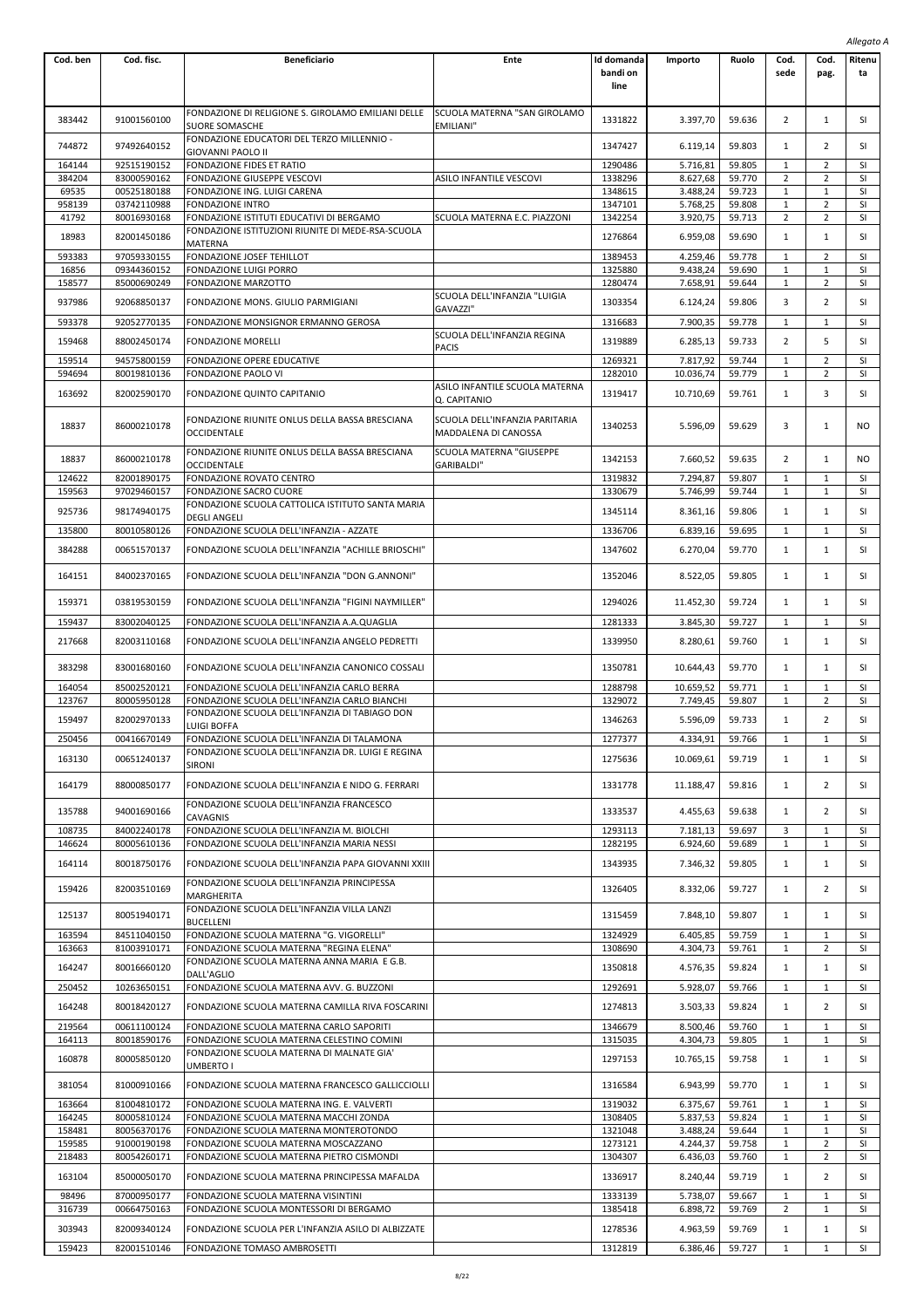|                  |                            |                                                                                              |                                                        |                                |                       |                  |                   |                              | Allegato A      |
|------------------|----------------------------|----------------------------------------------------------------------------------------------|--------------------------------------------------------|--------------------------------|-----------------------|------------------|-------------------|------------------------------|-----------------|
| Cod. ben         | Cod. fisc.                 | <b>Beneficiario</b>                                                                          | Ente                                                   | Id domanda<br>bandi on<br>line | Importo               | Ruolo            | Cod.<br>sede      | Cod.<br>pag.                 | Ritenu<br>ta    |
| 383442           | 91001560100                | FONDAZIONE DI RELIGIONE S. GIROLAMO EMILIANI DELLE<br><b>SUORE SOMASCHE</b>                  | SCUOLA MATERNA "SAN GIROLAMO<br>EMILIANI"              | 1331822                        | 3.397,70              | 59.636           | 2                 | 1                            | SI              |
| 744872           | 97492640152                | FONDAZIONE EDUCATORI DEL TERZO MILLENNIO -<br><b>GIOVANNI PAOLO II</b>                       |                                                        | 1347427                        | 6.119,14              | 59.803           | 1                 | $\overline{2}$               | SI              |
| 164144           | 92515190152                | FONDAZIONE FIDES ET RATIO                                                                    |                                                        | 1290486                        | 5.716,81              | 59.805           | 1                 | $\overline{2}$               | <b>SI</b>       |
| 384204           | 83000590162                | FONDAZIONE GIUSEPPE VESCOVI                                                                  | ASILO INFANTILE VESCOVI                                | 1338296                        | 8.627,68              | 59.770           | 2                 | 2                            | SI              |
| 69535            | 00525180188                | FONDAZIONE ING. LUIGI CARENA                                                                 |                                                        | 1348615                        | 3.488,24              | 59.723           | $\mathbf{1}$      | $1\,$                        | SI              |
| 958139<br>41792  | 03742110988<br>80016930168 | FONDAZIONE INTRO<br>FONDAZIONE ISTITUTI EDUCATIVI DI BERGAMO                                 | SCUOLA MATERNA E.C. PIAZZONI                           | 1347101<br>1342254             | 5.768,25<br>3.920,75  | 59.808<br>59.713 | $\mathbf{1}$<br>2 | $\overline{2}$<br>2          | SI<br>SI        |
| 18983            | 82001450186                | FONDAZIONE ISTITUZIONI RIUNITE DI MEDE-RSA-SCUOLA<br><b>MATERNA</b>                          |                                                        | 1276864                        | 6.959,08              | 59.690           | 1                 | $\mathbf{1}$                 | SI              |
| 593383           | 97059330155                | FONDAZIONE JOSEF TEHILLOT                                                                    |                                                        | 1389453                        | 4.259,46              | 59.778           | 1                 | 2                            | SI              |
| 16856            | 09344360152                | FONDAZIONE LUIGI PORRO                                                                       |                                                        | 1325880                        | 9.438,24              | 59.690           | 1                 | $\mathbf{1}$                 | SI              |
| 158577           | 85000690249                | FONDAZIONE MARZOTTO                                                                          | SCUOLA DELL'INFANZIA "LUIGIA                           | 1280474                        | 7.658,91              | 59.644           | 1                 | 2                            | SI              |
| 937986           | 92068850137                | FONDAZIONE MONS. GIULIO PARMIGIANI<br>FONDAZIONE MONSIGNOR ERMANNO GEROSA                    | GAVAZZI"                                               | 1303354                        | 6.124,24              | 59.806           | 3                 | $\overline{2}$<br>$1\,$      | SI<br>SI        |
| 593378           | 92052770135                |                                                                                              | SCUOLA DELL'INFANZIA REGINA                            | 1316683                        | 7.900,35              | 59.778           | 1                 |                              |                 |
| 159468           | 88002450174                | <b>FONDAZIONE MORELLI</b>                                                                    | <b>PACIS</b>                                           | 1319889                        | 6.285,13              | 59.733           | 2                 | 5                            | SI              |
| 159514           | 94575800159                | FONDAZIONE OPERE EDUCATIVE                                                                   |                                                        | 1269321                        | 7.817,92              | 59.744           | 1                 | $\overline{2}$               | SI              |
| 594694           | 80019810136                | FONDAZIONE PAOLO VI                                                                          | ASILO INFANTILE SCUOLA MATERNA                         | 1282010                        | 10.036,74             | 59.779           | $\mathbf{1}$      | $\overline{2}$               | <b>SI</b>       |
| 163692           | 82002590170                | FONDAZIONE QUINTO CAPITANIO                                                                  | Q. CAPITANIO                                           | 1319417                        | 10.710,69             | 59.761           | 1                 | 3                            | SI              |
| 18837            | 86000210178                | FONDAZIONE RIUNITE ONLUS DELLA BASSA BRESCIANA<br><b>OCCIDENTALE</b>                         | SCUOLA DELL'INFANZIA PARITARIA<br>MADDALENA DI CANOSSA | 1340253                        | 5.596,09              | 59.629           | 3                 | $\mathbf{1}$                 | NO              |
| 18837            | 86000210178                | FONDAZIONE RIUNITE ONLUS DELLA BASSA BRESCIANA<br><b>OCCIDENTALE</b>                         | SCUOLA MATERNA "GIUSEPPE<br><b>GARIBALDI"</b>          | 1342153                        | 7.660,52              | 59.635           | $\overline{2}$    | $\mathbf{1}$                 | NO              |
| 124622           | 82001890175                | FONDAZIONE ROVATO CENTRO                                                                     |                                                        | 1319832                        | 7.294,87              | 59.807           | 1                 | $\mathbf{1}$                 | SI              |
| 159563           | 97029460157                | FONDAZIONE SACRO CUORE<br>FONDAZIONE SCUOLA CATTOLICA ISTITUTO SANTA MARIA                   |                                                        | 1330679                        | 5.746,99              | 59.744           | 1                 | $\mathbf{1}$                 | SI              |
| 925736<br>135800 | 98174940175<br>80010580126 | <b>DEGLI ANGELI</b><br>FONDAZIONE SCUOLA DELL'INFANZIA - AZZATE                              |                                                        | 1345114<br>1336706             | 8.361,16<br>6.839,16  | 59.806<br>59.695 | 1<br>1            | $\mathbf{1}$<br>$\mathbf{1}$ | SI<br>SI        |
| 384288           | 00651570137                | FONDAZIONE SCUOLA DELL'INFANZIA "ACHILLE BRIOSCHI"                                           |                                                        | 1347602                        | 6.270,04              | 59.770           | 1                 | $\mathbf{1}$                 | SI              |
| 164151           | 84002370165                | FONDAZIONE SCUOLA DELL'INFANZIA "DON G.ANNONI"                                               |                                                        | 1352046                        | 8.522,05              | 59.805           | 1                 | $\mathbf{1}$                 | SI              |
| 159371           | 03819530159                | FONDAZIONE SCUOLA DELL'INFANZIA "FIGINI NAYMILLER"                                           |                                                        | 1294026                        | 11.452,30             | 59.724           | 1                 | 1                            | SI              |
| 159437           | 83002040125                | FONDAZIONE SCUOLA DELL'INFANZIA A.A.QUAGLIA                                                  |                                                        | 1281333                        | 3.845,30              | 59.727           | 1                 | $\mathbf{1}$                 | <b>SI</b>       |
| 217668           | 82003110168                | FONDAZIONE SCUOLA DELL'INFANZIA ANGELO PEDRETTI                                              |                                                        | 1339950                        | 8.280,61              | 59.760           | 1                 | $\mathbf{1}$                 | SI              |
| 383298           | 83001680160                | FONDAZIONE SCUOLA DELL'INFANZIA CANONICO COSSALI                                             |                                                        | 1350781                        | 10.644,43             | 59.770           | 1                 | 1                            | SI              |
| 164054<br>123767 | 85002520121<br>80005950128 | FONDAZIONE SCUOLA DELL'INFANZIA CARLO BERRA<br>FONDAZIONE SCUOLA DELL'INFANZIA CARLO BIANCHI |                                                        | 1288798<br>1329072             | 10.659,52<br>7.749,45 | 59.771<br>59.807 | 1<br>1            | 1<br>2                       | <b>SI</b><br>SI |
| 159497           | 82002970133                | FONDAZIONE SCUOLA DELL'INFANZIA DI TABIAGO DON<br><b>LUIGI BOFFA</b>                         |                                                        | 1346263                        | 5.596,09              | 59.733           | 1                 | $\overline{2}$               | SI              |
| 250456           | 00416670149                | FONDAZIONE SCUOLA DELL'INFANZIA DI TALAMONA                                                  |                                                        | 1277377                        | 4.334,91              | 59.766           | 1                 | 1                            | SI              |
| 163130           | 00651240137                | FONDAZIONE SCUOLA DELL'INFANZIA DR. LUIGI E REGINA<br>SIRONI                                 |                                                        | 1275636                        | 10.069,61             | 59.719           | 1                 | $\mathbf{1}$                 | SI              |
| 164179           | 88000850177                | FONDAZIONE SCUOLA DELL'INFANZIA E NIDO G. FERRARI                                            |                                                        | 1331778                        | 11.188,47             | 59.816           | 1                 | $\overline{2}$               | SI              |
| 135788           | 94001690166                | FONDAZIONE SCUOLA DELL'INFANZIA FRANCESCO<br>CAVAGNIS                                        |                                                        | 1333537                        | 4.455,63              | 59.638           | 1                 | 2                            | SI              |
| 108735           | 84002240178                | FONDAZIONE SCUOLA DELL'INFANZIA M. BIOLCHI                                                   |                                                        | 1293113                        | 7.181,13              | 59.697           | 3                 | 1                            | SI              |
| 146624           | 80005610136                | FONDAZIONE SCUOLA DELL'INFANZIA MARIA NESSI                                                  |                                                        | 1282195                        | 6.924,60              | 59.689           | 1                 | $\mathbf{1}$                 | SI              |
| 164114           | 80018750176                | FONDAZIONE SCUOLA DELL'INFANZIA PAPA GIOVANNI XXIII                                          |                                                        | 1343935                        | 7.346,32              | 59.805           | 1                 | 1                            | SI              |
| 159426           | 82003510169                | FONDAZIONE SCUOLA DELL'INFANZIA PRINCIPESSA<br><b>MARGHERITA</b>                             |                                                        | 1326405                        | 8.332,06              | 59.727           | 1                 | $\overline{2}$               | SI              |
| 125137           | 80051940171                | FONDAZIONE SCUOLA DELL'INFANZIA VILLA LANZI<br><b>BUCELLENI</b>                              |                                                        | 1315459                        | 7.848,10              | 59.807           | 1                 | $\mathbf{1}$                 | SI              |
| 163594           | 84511040150                | FONDAZIONE SCUOLA MATERNA "G. VIGORELLI"                                                     |                                                        | 1324929                        | 6.405,85              | 59.759           | 1                 | $\mathbf{1}$                 | SI              |
| 163663           | 81003910171                | FONDAZIONE SCUOLA MATERNA "REGINA ELENA"<br>FONDAZIONE SCUOLA MATERNA ANNA MARIA E G.B.      |                                                        | 1308690                        | 4.304,73              | 59.761           | 1                 | 2                            | SI              |
| 164247<br>250452 | 80016660120<br>10263650151 | DALL'AGLIO<br>FONDAZIONE SCUOLA MATERNA AVV. G. BUZZONI                                      |                                                        | 1350818<br>1292691             | 4.576,35<br>5.928,07  | 59.824<br>59.766 | 1<br>1            | 1<br>$\mathbf{1}$            | SI<br>SI        |
| 164248           | 80018420127                | FONDAZIONE SCUOLA MATERNA CAMILLA RIVA FOSCARINI                                             |                                                        | 1274813                        | 3.503,33              | 59.824           | 1                 | $\overline{2}$               | SI              |
| 219564           | 00611100124                | FONDAZIONE SCUOLA MATERNA CARLO SAPORITI                                                     |                                                        | 1346679                        | 8.500,46              | 59.760           | 1                 | $\mathbf{1}$                 | SI              |
| 164113           | 80018590176                | FONDAZIONE SCUOLA MATERNA CELESTINO COMINI                                                   |                                                        | 1315035                        | 4.304,73              | 59.805           | 1                 | 1                            | SI              |
| 160878           | 80005850120                | FONDAZIONE SCUOLA MATERNA DI MALNATE GIA'<br>UMBERTO I                                       |                                                        | 1297153                        | 10.765,15             | 59.758           | 1                 | $\mathbf{1}$                 | SI              |
| 381054           | 81000910166                | FONDAZIONE SCUOLA MATERNA FRANCESCO GALLICCIOLLI                                             |                                                        | 1316584                        | 6.943,99              | 59.770           | 1                 | $\mathbf{1}$                 | SI              |
| 163664           | 81004810172                | FONDAZIONE SCUOLA MATERNA ING. E. VALVERTI                                                   |                                                        | 1319032                        | 6.375,67              | 59.761           | 1                 | $1\,$                        | SI              |
| 164245           | 80005810124                | FONDAZIONE SCUOLA MATERNA MACCHI ZONDA                                                       |                                                        | 1308405                        | 5.837,53              | 59.824           | 1                 | $\mathbf{1}$                 | <b>SI</b>       |
| 158481<br>159585 | 80056370176<br>91000190198 | FONDAZIONE SCUOLA MATERNA MONTEROTONDO<br>FONDAZIONE SCUOLA MATERNA MOSCAZZANO               |                                                        | 1321048<br>1273121             | 3.488,24<br>4.244,37  | 59.644<br>59.758 | 1<br>1            | $\mathbf{1}$<br>2            | SI<br>SI        |
| 218483           | 80054260171                | FONDAZIONE SCUOLA MATERNA PIETRO CISMONDI                                                    |                                                        | 1304307                        | 6.436,03              | 59.760           | $\mathbf{1}$      | 2                            | SI              |
| 163104           | 85000050170                | FONDAZIONE SCUOLA MATERNA PRINCIPESSA MAFALDA                                                |                                                        | 1336917                        | 8.240,44              | 59.719           | 1                 | $\overline{2}$               | SI              |
| 98496<br>316739  | 87000950177<br>00664750163 | FONDAZIONE SCUOLA MATERNA VISINTINI<br>FONDAZIONE SCUOLA MONTESSORI DI BERGAMO               |                                                        | 1333139<br>1385418             | 5.738,07<br>6.898,72  | 59.667<br>59.769 | 1<br>2            | $\mathbf{1}$<br>$\mathbf{1}$ | <b>SI</b><br>SI |
| 303943           | 82009340124                | FONDAZIONE SCUOLA PER L'INFANZIA ASILO DI ALBIZZATE                                          |                                                        | 1278536                        | 4.963,59              | 59.769           | 1                 | $\mathbf{1}$                 | SI              |
| 159423           | 82001510146                | FONDAZIONE TOMASO AMBROSETTI                                                                 |                                                        | 1312819                        | 6.386,46              | 59.727           | 1                 | $\mathbf{1}$                 | SI              |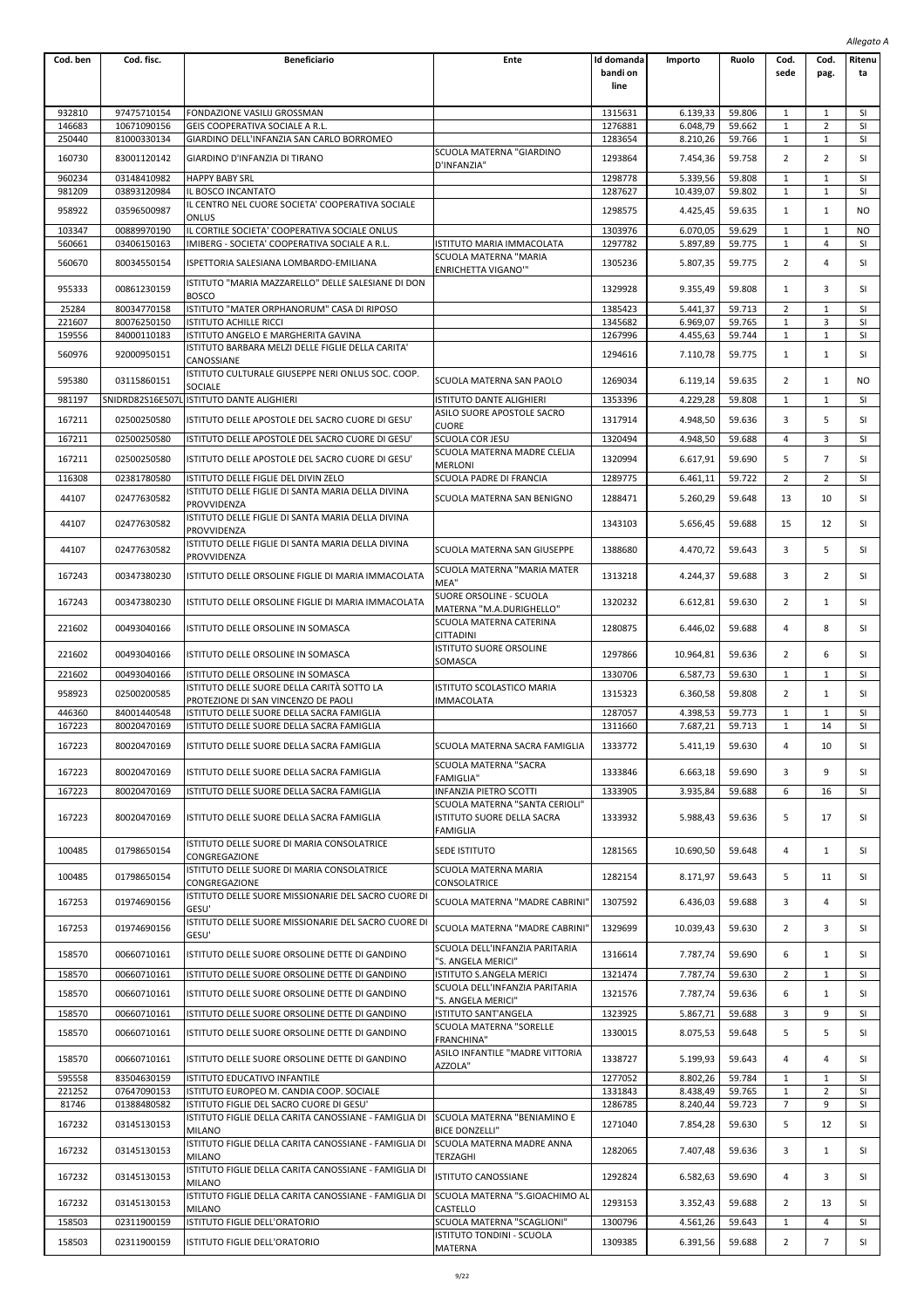|                  |                            |                                                                                                  |                                                                          |                                |                       |                  |                              |                              | Allegato A      |
|------------------|----------------------------|--------------------------------------------------------------------------------------------------|--------------------------------------------------------------------------|--------------------------------|-----------------------|------------------|------------------------------|------------------------------|-----------------|
| Cod. ben         | Cod. fisc.                 | <b>Beneficiario</b>                                                                              | Ente                                                                     | Id domanda<br>bandi on<br>line | Importo               | Ruolo            | Cod.<br>sede                 | Cod.<br>pag.                 | Ritenu<br>ta    |
| 932810           | 97475710154                | FONDAZIONE VASILIJ GROSSMAN                                                                      |                                                                          | 1315631                        | 6.139,33              | 59.806           | 1                            | 1                            | SI              |
| 146683           | 10671090156                | GEIS COOPERATIVA SOCIALE A R.L.                                                                  |                                                                          | 1276881                        | 6.048,79              | 59.662           | 1                            | $\overline{2}$               | SI              |
| 250440           | 81000330134                | GIARDINO DELL'INFANZIA SAN CARLO BORROMEO                                                        |                                                                          | 1283654                        | 8.210,26              | 59.766           | $\mathbf 1$                  | $\mathbf{1}$                 | SI              |
| 160730           | 83001120142                | GIARDINO D'INFANZIA DI TIRANO                                                                    | SCUOLA MATERNA "GIARDINO<br>D'INFANZIA"                                  | 1293864                        | 7.454,36              | 59.758           | 2                            | $\overline{2}$               | SI              |
| 960234<br>981209 | 03148410982<br>03893120984 | <b>HAPPY BABY SRL</b><br>IL BOSCO INCANTATO                                                      |                                                                          | 1298778<br>1287627             | 5.339,56<br>10.439,07 | 59.808<br>59.802 | $\mathbf{1}$<br>1            | $\mathbf{1}$<br>$\mathbf{1}$ | SI<br>SI        |
| 958922           | 03596500987                | IL CENTRO NEL CUORE SOCIETA' COOPERATIVA SOCIALE<br>ONLUS                                        |                                                                          | 1298575                        | 4.425,45              | 59.635           | 1                            | $\mathbf{1}$                 | NO              |
| 103347           | 00889970190                | IL CORTILE SOCIETA' COOPERATIVA SOCIALE ONLUS                                                    |                                                                          | 1303976                        | 6.070,05              | 59.629           | 1                            | $\mathbf{1}$                 | NO              |
| 560661           | 03406150163                | IMIBERG - SOCIETA' COOPERATIVA SOCIALE A R.L.                                                    | ISTITUTO MARIA IMMACOLATA                                                | 1297782                        | 5.897,89              | 59.775           | 1                            | 4                            | SI              |
| 560670           | 80034550154                | ISPETTORIA SALESIANA LOMBARDO-EMILIANA                                                           | SCUOLA MATERNA "MARIA<br><b>ENRICHETTA VIGANO"</b>                       | 1305236                        | 5.807,35              | 59.775           | $\overline{2}$               | 4                            | SI              |
| 955333           | 00861230159                | ISTITUTO "MARIA MAZZARELLO" DELLE SALESIANE DI DON<br>BOSCO                                      |                                                                          | 1329928                        | 9.355,49              | 59.808           | 1                            | 3                            | SI              |
| 25284            | 80034770158                | ISTITUTO "MATER ORPHANORUM" CASA DI RIPOSO                                                       |                                                                          | 1385423                        | 5.441,37              | 59.713           | $\overline{2}$               | $\mathbf{1}$                 | SI              |
| 221607           | 80076250150                | ISTITUTO ACHILLE RICCI                                                                           |                                                                          | 1345682                        | 6.969,07              | 59.765           | 1                            | 3                            | SI              |
| 159556           | 84000110183                | ISTITUTO ANGELO E MARGHERITA GAVINA<br>ISTITUTO BARBARA MELZI DELLE FIGLIE DELLA CARITA'         |                                                                          | 1267996                        | 4.455,63              | 59.744           | $\mathbf 1$                  | 1                            | SI              |
| 560976           | 92000950151                | CANOSSIANE<br>ISTITUTO CULTURALE GIUSEPPE NERI ONLUS SOC. COOP.                                  |                                                                          | 1294616                        | 7.110,78              | 59.775           | 1                            | 1                            | SI              |
| 595380           | 03115860151                | SOCIALE                                                                                          | SCUOLA MATERNA SAN PAOLO                                                 | 1269034                        | 6.119,14              | 59.635           | 2                            | 1                            | NO              |
| 981197           | SNIDRD82S16E507I           | ISTITUTO DANTE ALIGHIERI                                                                         | ISTITUTO DANTE ALIGHIERI                                                 | 1353396                        | 4.229,28              | 59.808           | 1                            | $\mathbf{1}$                 | SI              |
| 167211           | 02500250580                | ISTITUTO DELLE APOSTOLE DEL SACRO CUORE DI GESU'                                                 | ASILO SUORE APOSTOLE SACRO<br>CUORE                                      | 1317914                        | 4.948,50              | 59.636           | 3                            | 5                            | SI              |
| 167211           | 02500250580                | ISTITUTO DELLE APOSTOLE DEL SACRO CUORE DI GESU'                                                 | SCUOLA COR JESU                                                          | 1320494                        | 4.948,50              | 59.688           | 4                            | 3                            | SI              |
| 167211           | 02500250580                | ISTITUTO DELLE APOSTOLE DEL SACRO CUORE DI GESU'                                                 | SCUOLA MATERNA MADRE CLELIA                                              | 1320994                        | 6.617,91              | 59.690           | 5                            | $\overline{7}$               | SI              |
| 116308           | 02381780580                | ISTITUTO DELLE FIGLIE DEL DIVIN ZELO                                                             | <b>MERLONI</b><br>SCUOLA PADRE DI FRANCIA                                | 1289775                        | 6.461,11              | 59.722           | 2                            | 2                            | SI              |
| 44107            | 02477630582                | ISTITUTO DELLE FIGLIE DI SANTA MARIA DELLA DIVINA                                                | SCUOLA MATERNA SAN BENIGNO                                               | 1288471                        | 5.260,29              | 59.648           | 13                           | 10                           | SI              |
| 44107            | 02477630582                | PROVVIDENZA<br>ISTITUTO DELLE FIGLIE DI SANTA MARIA DELLA DIVINA                                 |                                                                          | 1343103                        | 5.656,45              | 59.688           | 15                           | 12                           | SI              |
| 44107            | 02477630582                | PROVVIDENZA<br>ISTITUTO DELLE FIGLIE DI SANTA MARIA DELLA DIVINA                                 | SCUOLA MATERNA SAN GIUSEPPE                                              | 1388680                        | 4.470,72              | 59.643           | 3                            | 5                            | SI              |
| 167243           | 00347380230                | PROVVIDENZA<br>ISTITUTO DELLE ORSOLINE FIGLIE DI MARIA IMMACOLATA                                | SCUOLA MATERNA "MARIA MATER<br>MEA"                                      | 1313218                        | 4.244,37              | 59.688           | 3                            | 2                            | SI              |
| 167243           | 00347380230                | ISTITUTO DELLE ORSOLINE FIGLIE DI MARIA IMMACOLATA                                               | SUORE ORSOLINE - SCUOLA<br>MATERNA "M.A.DURIGHELLO"                      | 1320232                        | 6.612,81              | 59.630           | $\overline{2}$               | 1                            | SI              |
| 221602           | 00493040166                | ISTITUTO DELLE ORSOLINE IN SOMASCA                                                               | SCUOLA MATERNA CATERINA<br><b>CITTADINI</b>                              | 1280875                        | 6.446,02              | 59.688           | 4                            | 8                            | SI              |
| 221602           | 00493040166                | ISTITUTO DELLE ORSOLINE IN SOMASCA                                                               | ISTITUTO SUORE ORSOLINE<br>SOMASCA                                       | 1297866                        | 10.964,81             | 59.636           | 2                            | 6                            | SI              |
| 221602           | 00493040166                | ISTITUTO DELLE ORSOLINE IN SOMASCA                                                               |                                                                          | 1330706                        | 6.587,73              | 59.630           | 1                            | $\mathbf{1}$                 | <b>SI</b>       |
| 958923           | 02500200585                | ISTITUTO DELLE SUORE DELLA CARITÀ SOTTO LA                                                       | ISTITUTO SCOLASTICO MARIA<br><b>IMMACOLATA</b>                           | 1315323                        | 6.360,58              | 59.808           | 2                            | $\mathbf{1}$                 | SI              |
| 446360           | 84001440548                | PROTEZIONE DI SAN VINCENZO DE PAOLI<br>ISTITUTO DELLE SUORE DELLA SACRA FAMIGLIA                 |                                                                          | 1287057                        | 4.398,53              | 59.773           | 1                            | 1                            | SI              |
| 167223           | 80020470169                | ISTITUTO DELLE SUORE DELLA SACRA FAMIGLIA                                                        |                                                                          | 1311660                        | 7.687,21              | 59.713           | 1                            | 14                           | SI              |
| 167223           | 80020470169                | ISTITUTO DELLE SUORE DELLA SACRA FAMIGLIA                                                        | SCUOLA MATERNA SACRA FAMIGLIA                                            | 1333772                        | 5.411,19              | 59.630           | 4                            | 10                           | SI              |
| 167223           | 80020470169                | ISTITUTO DELLE SUORE DELLA SACRA FAMIGLIA                                                        | SCUOLA MATERNA "SACRA<br><b>FAMIGLIA"</b>                                | 1333846                        | 6.663,18              | 59.690           | 3                            | 9                            | SI              |
| 167223           | 80020470169                | ISTITUTO DELLE SUORE DELLA SACRA FAMIGLIA                                                        | INFANZIA PIETRO SCOTTI                                                   | 1333905                        | 3.935,84              | 59.688           | 6                            | 16                           | SI              |
| 167223           | 80020470169                | ISTITUTO DELLE SUORE DELLA SACRA FAMIGLIA                                                        | SCUOLA MATERNA "SANTA CERIOLI"<br>ISTITUTO SUORE DELLA SACRA<br>FAMIGLIA | 1333932                        | 5.988,43              | 59.636           | 5                            | 17                           | SI              |
| 100485           | 01798650154                | ISTITUTO DELLE SUORE DI MARIA CONSOLATRICE<br>CONGREGAZIONE                                      | SEDE ISTITUTO                                                            | 1281565                        | 10.690,50             | 59.648           | 4                            | 1                            | SI              |
| 100485           | 01798650154                | ISTITUTO DELLE SUORE DI MARIA CONSOLATRICE<br>CONGREGAZIONE                                      | SCUOLA MATERNA MARIA<br>CONSOLATRICE                                     | 1282154                        | 8.171,97              | 59.643           | 5                            | 11                           | SI              |
| 167253           | 01974690156                | ISTITUTO DELLE SUORE MISSIONARIE DEL SACRO CUORE DI<br>GESU'                                     | SCUOLA MATERNA "MADRE CABRINI'                                           | 1307592                        | 6.436,03              | 59.688           | 3                            | 4                            | SI              |
| 167253           | 01974690156                | ISTITUTO DELLE SUORE MISSIONARIE DEL SACRO CUORE DI<br>GESU'                                     | SCUOLA MATERNA "MADRE CABRINI'                                           | 1329699                        | 10.039,43             | 59.630           | 2                            | 3                            | SI              |
| 158570           | 00660710161                | ISTITUTO DELLE SUORE ORSOLINE DETTE DI GANDINO                                                   | SCUOLA DELL'INFANZIA PARITARIA<br>"S. ANGELA MERICI"                     | 1316614                        | 7.787,74              | 59.690           | 6                            | $\mathbf{1}$                 | SI              |
| 158570<br>158570 | 00660710161<br>00660710161 | ISTITUTO DELLE SUORE ORSOLINE DETTE DI GANDINO<br>ISTITUTO DELLE SUORE ORSOLINE DETTE DI GANDINO | ISTITUTO S.ANGELA MERICI<br>SCUOLA DELL'INFANZIA PARITARIA               | 1321474<br>1321576             | 7.787,74<br>7.787,74  | 59.630<br>59.636 | $\overline{2}$<br>6          | 1<br>$\mathbf{1}$            | SI<br>SI        |
| 158570           | 00660710161                | ISTITUTO DELLE SUORE ORSOLINE DETTE DI GANDINO                                                   | "S. ANGELA MERICI"<br><b>ISTITUTO SANT'ANGELA</b>                        | 1323925                        | 5.867,71              | 59.688           | 3                            | 9                            | SI              |
| 158570           | 00660710161                | ISTITUTO DELLE SUORE ORSOLINE DETTE DI GANDINO                                                   | SCUOLA MATERNA "SORELLE                                                  | 1330015                        | 8.075,53              | 59.648           | 5                            | 5                            | SI              |
|                  |                            |                                                                                                  | <b>FRANCHINA"</b><br>ASILO INFANTILE "MADRE VITTORIA                     |                                |                       |                  |                              |                              |                 |
| 158570           | 00660710161                | ISTITUTO DELLE SUORE ORSOLINE DETTE DI GANDINO                                                   | AZZOLA"                                                                  | 1338727                        | 5.199,93              | 59.643           | 4                            | 4                            | SI              |
| 595558<br>221252 | 83504630159<br>07647090153 | ISTITUTO EDUCATIVO INFANTILE<br>ISTITUTO EUROPEO M. CANDIA COOP. SOCIALE                         |                                                                          | 1277052<br>1331843             | 8.802,26<br>8.438,49  | 59.784<br>59.765 | $\mathbf{1}$<br>$\mathbf{1}$ | 1<br>$\overline{2}$          | <b>SI</b><br>SI |
| 81746            | 01388480582                | ISTITUTO FIGLIE DEL SACRO CUORE DI GESU'                                                         |                                                                          | 1286785                        | 8.240,44              | 59.723           | 7                            | 9                            | SI              |
| 167232           | 03145130153                | ISTITUTO FIGLIE DELLA CARITA CANOSSIANE - FAMIGLIA DI<br>MILANO                                  | SCUOLA MATERNA "BENIAMINO E<br><b>BICE DONZELLI"</b>                     | 1271040                        | 7.854,28              | 59.630           | 5                            | 12                           | SI              |
| 167232           | 03145130153                | ISTITUTO FIGLIE DELLA CARITA CANOSSIANE - FAMIGLIA DI<br><b>MILANO</b>                           | SCUOLA MATERNA MADRE ANNA<br>TERZAGHI                                    | 1282065                        | 7.407,48              | 59.636           | 3                            | 1                            | SI              |
| 167232           | 03145130153                | ISTITUTO FIGLIE DELLA CARITA CANOSSIANE - FAMIGLIA DI<br><b>MILANO</b>                           | <b>ISTITUTO CANOSSIANE</b>                                               | 1292824                        | 6.582,63              | 59.690           | 4                            | 3                            | SI              |
| 167232           | 03145130153                | ISTITUTO FIGLIE DELLA CARITA CANOSSIANE - FAMIGLIA DI<br>MILANO                                  | SCUOLA MATERNA "S.GIOACHIMO AL<br>CASTELLO                               | 1293153                        | 3.352,43              | 59.688           | 2                            | 13                           | SI              |
| 158503           | 02311900159                | ISTITUTO FIGLIE DELL'ORATORIO                                                                    | SCUOLA MATERNA "SCAGLIONI"                                               | 1300796                        | 4.561,26              | 59.643           | $\mathbf{1}$                 | 4                            | SI              |
| 158503           | 02311900159                | ISTITUTO FIGLIE DELL'ORATORIO                                                                    | ISTITUTO TONDINI - SCUOLA<br>MATERNA                                     | 1309385                        | 6.391,56              | 59.688           | $\overline{2}$               | $\overline{7}$               | SI              |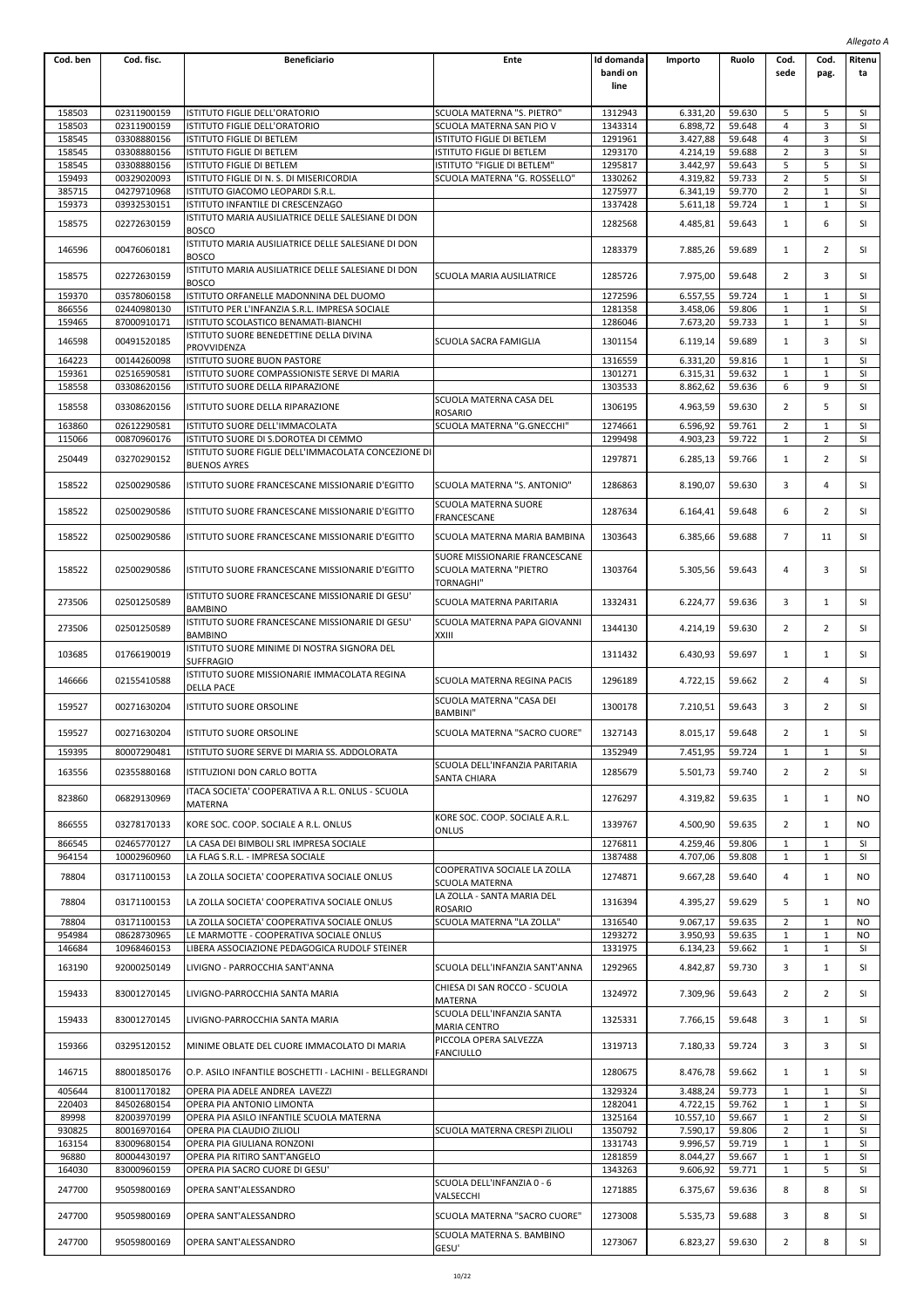|                  |                            |                                                                                          |                                                                |                                |                      |                  |                |                     | Allegato A      |
|------------------|----------------------------|------------------------------------------------------------------------------------------|----------------------------------------------------------------|--------------------------------|----------------------|------------------|----------------|---------------------|-----------------|
| Cod. ben         | Cod. fisc.                 | <b>Beneficiario</b>                                                                      | Ente                                                           | Id domanda<br>bandi on<br>line | Importo              | Ruolo            | Cod.<br>sede   | Cod.<br>pag.        | Ritenu<br>ta    |
|                  |                            | ISTITUTO FIGLIE DELL'ORATORIO                                                            | SCUOLA MATERNA "S. PIETRO"                                     |                                |                      |                  |                |                     |                 |
| 158503<br>158503 | 02311900159<br>02311900159 | ISTITUTO FIGLIE DELL'ORATORIO                                                            | SCUOLA MATERNA SAN PIO V                                       | 1312943<br>1343314             | 6.331,20<br>6.898,72 | 59.630<br>59.648 | 5<br>4         | 5<br>3              | SI<br>SI        |
| 158545           | 03308880156                | ISTITUTO FIGLIE DI BETLEM                                                                | ISTITUTO FIGLIE DI BETLEM                                      | 1291961                        | 3.427,88             | 59.648           | 4              | 3                   | SI              |
| 158545           | 03308880156                | ISTITUTO FIGLIE DI BETLEM                                                                | ISTITUTO FIGLIE DI BETLEM                                      | 1293170                        | 4.214,19             | 59.688           | 2              | 3                   | SI              |
| 158545           | 03308880156                | ISTITUTO FIGLIE DI BETLEM                                                                | ISTITUTO "FIGLIE DI BETLEM"                                    | 1295817                        | 3.442,97             | 59.643           | 5              | 5                   | <b>SI</b>       |
| 159493           | 00329020093                | ISTITUTO FIGLIE DI N. S. DI MISERICORDIA                                                 | SCUOLA MATERNA "G. ROSSELLO"                                   | 1330262                        | 4.319,82             | 59.733           | $\overline{2}$ | 5                   | SI              |
| 385715           | 04279710968                | ISTITUTO GIACOMO LEOPARDI S.R.L.                                                         |                                                                | 1275977                        | 6.341,19             | 59.770           | 2              | $\mathbf 1$         | SI              |
| 159373           | 03932530151                | ISTITUTO INFANTILE DI CRESCENZAGO                                                        |                                                                | 1337428                        | 5.611,18             | 59.724           | 1              | $\mathbf{1}$        | SI              |
| 158575           | 02272630159                | ISTITUTO MARIA AUSILIATRICE DELLE SALESIANE DI DON<br><b>BOSCO</b>                       |                                                                | 1282568                        | 4.485,81             | 59.643           | 1              | 6                   | SI              |
| 146596           | 00476060181                | ISTITUTO MARIA AUSILIATRICE DELLE SALESIANE DI DON<br>BOSCO                              |                                                                | 1283379                        | 7.885,26             | 59.689           | 1              | $\overline{2}$      | SI              |
| 158575           | 02272630159                | ISTITUTO MARIA AUSILIATRICE DELLE SALESIANE DI DON<br><b>BOSCO</b>                       | SCUOLA MARIA AUSILIATRICE                                      | 1285726                        | 7.975,00             | 59.648           | 2              | 3                   | SI              |
| 159370           | 03578060158                | ISTITUTO ORFANELLE MADONNINA DEL DUOMO                                                   |                                                                | 1272596                        | 6.557,55             | 59.724           | 1              | $\mathbf{1}$        | SI              |
| 866556           | 02440980130                | ISTITUTO PER L'INFANZIA S.R.L. IMPRESA SOCIALE                                           |                                                                | 1281358                        | 3.458,06             | 59.806           | 1              | $\mathbf{1}$        | SI              |
| 159465           | 87000910171                | ISTITUTO SCOLASTICO BENAMATI-BIANCHI                                                     |                                                                | 1286046                        | 7.673,20             | 59.733           | 1              | $\mathbf{1}$        | SI              |
| 146598           | 00491520185                | ISTITUTO SUORE BENEDETTINE DELLA DIVINA<br>PROVVIDENZA                                   | SCUOLA SACRA FAMIGLIA                                          | 1301154                        | 6.119,14             | 59.689           | 1              | 3                   | SI              |
| 164223           | 00144260098                | ISTITUTO SUORE BUON PASTORE                                                              |                                                                | 1316559                        | 6.331,20             | 59.816           | 1              | $\mathbf{1}$        | SI              |
| 159361           | 02516590581                | ISTITUTO SUORE COMPASSIONISTE SERVE DI MARIA                                             |                                                                | 1301271                        | 6.315,31             | 59.632           | 1              | $\mathbf{1}$        | SI              |
| 158558           | 03308620156                | ISTITUTO SUORE DELLA RIPARAZIONE                                                         |                                                                | 1303533                        | 8.862,62             | 59.636           | 6              | 9                   | SI              |
| 158558           | 03308620156                | ISTITUTO SUORE DELLA RIPARAZIONE                                                         | SCUOLA MATERNA CASA DEL<br><b>ROSARIO</b>                      | 1306195                        | 4.963,59             | 59.630           | 2              | 5                   | SI              |
| 163860<br>115066 | 02612290581<br>00870960176 | ISTITUTO SUORE DELL'IMMACOLATA<br>ISTITUTO SUORE DI S.DOROTEA DI CEMMO                   | SCUOLA MATERNA "G.GNECCHI"                                     | 1274661<br>1299498             | 6.596,92<br>4.903,23 | 59.761<br>59.722 | 2<br>1         | 1<br>$\overline{2}$ | SI<br>SI        |
| 250449           | 03270290152                | ISTITUTO SUORE FIGLIE DELL'IMMACOLATA CONCEZIONE DI                                      |                                                                | 1297871                        | 6.285,13             | 59.766           | 1              | $\overline{2}$      | SI              |
| 158522           | 02500290586                | <b>BUENOS AYRES</b><br>ISTITUTO SUORE FRANCESCANE MISSIONARIE D'EGITTO                   | SCUOLA MATERNA "S. ANTONIO"                                    | 1286863                        | 8.190,07             | 59.630           | 3              | 4                   | SI              |
| 158522           | 02500290586                | ISTITUTO SUORE FRANCESCANE MISSIONARIE D'EGITTO                                          | SCUOLA MATERNA SUORE                                           | 1287634                        | 6.164,41             | 59.648           | 6              | 2                   | SI              |
| 158522           | 02500290586                | ISTITUTO SUORE FRANCESCANE MISSIONARIE D'EGITTO                                          | FRANCESCANE<br>SCUOLA MATERNA MARIA BAMBINA                    | 1303643                        | 6.385,66             | 59.688           | $\overline{7}$ | 11                  | SI              |
| 158522           | 02500290586                | ISTITUTO SUORE FRANCESCANE MISSIONARIE D'EGITTO                                          | SUORE MISSIONARIE FRANCESCANE<br>SCUOLA MATERNA "PIETRO        | 1303764                        | 5.305,56             | 59.643           | 4              | 3                   | SI              |
|                  |                            | ISTITUTO SUORE FRANCESCANE MISSIONARIE DI GESU'                                          | TORNAGHI"                                                      |                                |                      |                  |                |                     |                 |
| 273506           | 02501250589                | <b>BAMBINO</b><br>ISTITUTO SUORE FRANCESCANE MISSIONARIE DI GESU'                        | SCUOLA MATERNA PARITARIA<br>SCUOLA MATERNA PAPA GIOVANNI       | 1332431                        | 6.224,77             | 59.636           | 3              | 1                   | SI              |
| 273506           | 02501250589                | <b>BAMBINO</b><br>ISTITUTO SUORE MINIME DI NOSTRA SIGNORA DEL                            | XXIII                                                          | 1344130                        | 4.214,19             | 59.630           | 2              | $\overline{2}$      | <b>SI</b>       |
| 103685           | 01766190019                | SUFFRAGIO<br>ISTITUTO SUORE MISSIONARIE IMMACOLATA REGINA                                |                                                                | 1311432                        | 6.430,93             | 59.697           | 1              | 1                   | SI              |
| 146666           | 02155410588                | <b>DELLA PACE</b>                                                                        | SCUOLA MATERNA REGINA PACIS<br>SCUOLA MATERNA "CASA DEI        | 1296189                        | 4.722,15             | 59.662           | 2              | 4                   | SI              |
| 159527           | 00271630204                | <b>ISTITUTO SUORE ORSOLINE</b>                                                           | <b>BAMBINI"</b>                                                | 1300178                        | 7.210,51             | 59.643           | 3              | 2                   | SI              |
| 159527           | 00271630204                | ISTITUTO SUORE ORSOLINE                                                                  | SCUOLA MATERNA "SACRO CUORE"                                   | 1327143                        | 8.015,17             | 59.648           |                | 1                   | SI              |
| 159395<br>163556 | 80007290481<br>02355880168 | ISTITUTO SUORE SERVE DI MARIA SS. ADDOLORATA<br>ISTITUZIONI DON CARLO BOTTA              | SCUOLA DELL'INFANZIA PARITARIA                                 | 1352949<br>1285679             | 7.451,95<br>5.501,73 | 59.724<br>59.740 | 1<br>2         | 1<br>2              | <b>SI</b><br>SI |
| 823860           | 06829130969                | ITACA SOCIETA' COOPERATIVA A R.L. ONLUS - SCUOLA                                         | <b>SANTA CHIARA</b>                                            | 1276297                        | 4.319,82             | 59.635           | 1              | 1                   | NO              |
| 866555           | 03278170133                | MATERNA<br>KORE SOC. COOP. SOCIALE A R.L. ONLUS                                          | KORE SOC. COOP. SOCIALE A.R.L.                                 | 1339767                        | 4.500,90             | 59.635           | 2              | $\mathbf{1}$        | NO              |
| 866545           | 02465770127                | LA CASA DEI BIMBOLI SRL IMPRESA SOCIALE                                                  | ONLUS                                                          | 1276811                        | 4.259.46             | 59.806           | 1              | $\mathbf{1}$        | SI              |
| 964154           | 10002960960                | LA FLAG S.R.L. - IMPRESA SOCIALE                                                         |                                                                | 1387488                        | 4.707,06             | 59.808           | 1              | $\mathbf{1}$        | <b>SI</b>       |
| 78804            | 03171100153                | LA ZOLLA SOCIETA' COOPERATIVA SOCIALE ONLUS                                              | COOPERATIVA SOCIALE LA ZOLLA<br>SCUOLA MATERNA                 | 1274871                        | 9.667,28             | 59.640           | 4              | $\mathbf{1}$        | NO              |
| 78804            | 03171100153                | LA ZOLLA SOCIETA' COOPERATIVA SOCIALE ONLUS                                              | LA ZOLLA - SANTA MARIA DEL<br><b>ROSARIO</b>                   | 1316394                        | 4.395,27             | 59.629           | 5              | 1                   | NO.             |
| 78804            | 03171100153                | LA ZOLLA SOCIETA' COOPERATIVA SOCIALE ONLUS                                              | SCUOLA MATERNA "LA ZOLLA"                                      | 1316540                        | 9.067,17             | 59.635           | 2              | 1                   | NO              |
| 954984           | 08628730965                | LE MARMOTTE - COOPERATIVA SOCIALE ONLUS                                                  |                                                                | 1293272                        | 3.950,93             | 59.635           | $\mathbf{1}$   | 1                   | NO.             |
| 146684           | 10968460153                | LIBERA ASSOCIAZIONE PEDAGOGICA RUDOLF STEINER                                            |                                                                | 1331975                        | 6.134,23             | 59.662           | 1              | $\mathbf{1}$        | <b>SI</b>       |
| 163190           | 92000250149                | LIVIGNO - PARROCCHIA SANT'ANNA                                                           | SCUOLA DELL'INFANZIA SANT'ANNA<br>CHIESA DI SAN ROCCO - SCUOLA | 1292965                        | 4.842,87             | 59.730           | 3              | $\mathbf{1}$        | SI              |
| 159433           | 83001270145                | LIVIGNO-PARROCCHIA SANTA MARIA                                                           | <b>MATERNA</b><br>SCUOLA DELL'INFANZIA SANTA                   | 1324972                        | 7.309,96             | 59.643           | 2              | $\overline{2}$      | SI              |
| 159433           | 83001270145                | LIVIGNO-PARROCCHIA SANTA MARIA                                                           | <b>MARIA CENTRO</b><br>PICCOLA OPERA SALVEZZA                  | 1325331                        | 7.766,15             | 59.648           | 3              | $\mathbf{1}$        | SI              |
| 159366           | 03295120152                | MINIME OBLATE DEL CUORE IMMACOLATO DI MARIA                                              | <b>FANCIULLO</b>                                               | 1319713                        | 7.180,33             | 59.724           | 3              | 3                   | SI              |
| 146715<br>405644 | 88001850176<br>81001170182 | O.P. ASILO INFANTILE BOSCHETTI - LACHINI - BELLEGRANDI<br>OPERA PIA ADELE ANDREA LAVEZZI |                                                                | 1280675<br>1329324             | 8.476,78<br>3.488,24 | 59.662<br>59.773 | 1<br>1         | 1<br>$\mathbf{1}$   | SI<br>SI        |
| 220403           | 84502680154                | OPERA PIA ANTONIO LIMONTA                                                                |                                                                | 1282041                        | 4.722,15             | 59.762           | 1              | $\mathbf{1}$        | SI              |
| 89998            | 82003970199                | OPERA PIA ASILO INFANTILE SCUOLA MATERNA                                                 |                                                                | 1325164                        | 10.557,10            | 59.667           | 1              | $\overline{2}$      | <b>SI</b>       |
| 930825           | 80016970164                | OPERA PIA CLAUDIO ZILIOLI                                                                | SCUOLA MATERNA CRESPI ZILIOLI                                  | 1350792                        | 7.590,17             | 59.806           | $\overline{2}$ | 1                   | SI              |
| 163154           | 83009680154                | OPERA PIA GIULIANA RONZONI                                                               |                                                                | 1331743                        | 9.996,57             | 59.719           | 1              | $\mathbf{1}$        | <b>SI</b>       |
| 96880            | 80004430197                | OPERA PIA RITIRO SANT'ANGELO                                                             |                                                                | 1281859                        | 8.044,27             | 59.667           | 1              | $\mathbf{1}$        | SI              |
| 164030           | 83000960159                | OPERA PIA SACRO CUORE DI GESU'                                                           |                                                                | 1343263                        | 9.606,92             | 59.771           | 1              | 5                   | SI              |
| 247700           | 95059800169                | OPERA SANT'ALESSANDRO                                                                    | SCUOLA DELL'INFANZIA 0 - 6<br>VALSECCHI                        | 1271885                        | 6.375,67             | 59.636           | 8              | 8                   | SI              |
| 247700           | 95059800169                | OPERA SANT'ALESSANDRO                                                                    | SCUOLA MATERNA "SACRO CUORE"                                   | 1273008                        | 5.535,73             | 59.688           | 3              | 8                   | <b>SI</b>       |
| 247700           | 95059800169                | OPERA SANT'ALESSANDRO                                                                    | SCUOLA MATERNA S. BAMBINO<br>GESU'                             | 1273067                        | 6.823,27             | 59.630           | 2              | 8                   | SI              |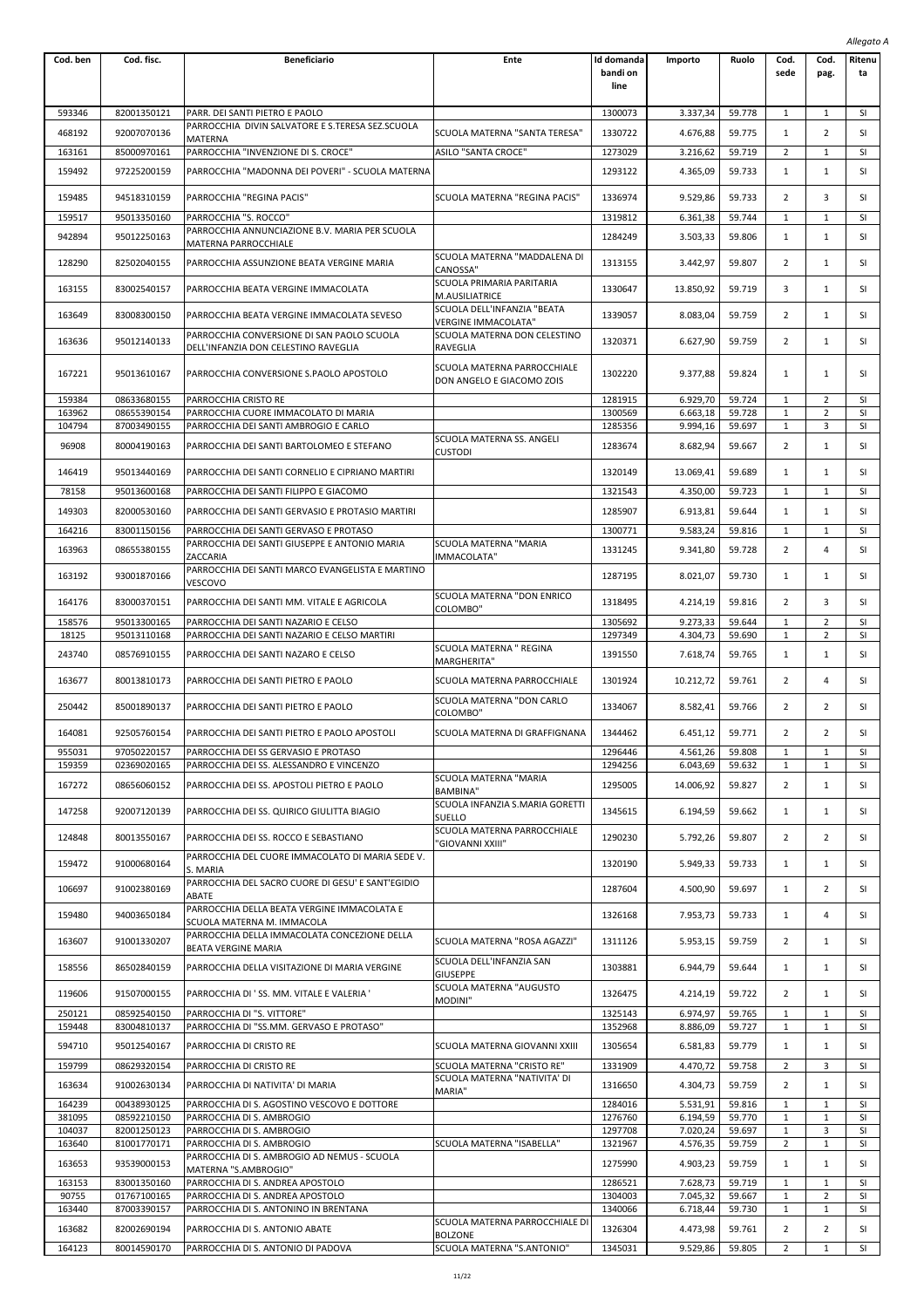|                  |                            |                                                                                         |                                                          |                                       |                       |                  |                              |                                  | Allegato A             |
|------------------|----------------------------|-----------------------------------------------------------------------------------------|----------------------------------------------------------|---------------------------------------|-----------------------|------------------|------------------------------|----------------------------------|------------------------|
| Cod. ben         | Cod. fisc.                 | <b>Beneficiario</b>                                                                     | Ente                                                     | <b>Id domanda</b><br>bandi on<br>line | Importo               | Ruolo            | Cod.<br>sede                 | Cod.<br>pag.                     | Ritenu<br>ta           |
| 593346           | 82001350121                | PARR. DEI SANTI PIETRO E PAOLO                                                          |                                                          | 1300073                               | 3.337,34              | 59.778           | $\mathbf{1}$                 | $\mathbf{1}$                     | SI                     |
| 468192           | 92007070136                | PARROCCHIA DIVIN SALVATORE E S.TERESA SEZ.SCUOLA                                        | SCUOLA MATERNA "SANTA TERESA"                            | 1330722                               | 4.676,88              | 59.775           | $\mathbf{1}$                 | $\overline{2}$                   | SI                     |
| 163161           | 85000970161                | MATERNA<br>PARROCCHIA "INVENZIONE DI S. CROCE"                                          | ASILO "SANTA CROCE"                                      | 1273029                               | 3.216,62              | 59.719           | 2                            | 1                                | <b>SI</b>              |
| 159492           | 97225200159                | PARROCCHIA "MADONNA DEI POVERI" - SCUOLA MATERNA                                        |                                                          | 1293122                               | 4.365,09              | 59.733           | $\mathbf{1}$                 | $\mathbf{1}$                     | <b>SI</b>              |
| 159485           | 94518310159                | PARROCCHIA "REGINA PACIS"                                                               | SCUOLA MATERNA "REGINA PACIS"                            | 1336974                               | 9.529,86              | 59.733           | $\overline{2}$               | 3                                | SI                     |
| 159517           | 95013350160                | PARROCCHIA "S. ROCCO"                                                                   |                                                          | 1319812                               | 6.361,38              | 59.744           | 1                            | 1                                | SI                     |
| 942894           | 95012250163                | PARROCCHIA ANNUNCIAZIONE B.V. MARIA PER SCUOLA<br>MATERNA PARROCCHIALE                  |                                                          | 1284249                               | 3.503,33              | 59.806           | $\mathbf{1}$                 | $\mathbf{1}$                     | <b>SI</b>              |
| 128290           | 82502040155                | PARROCCHIA ASSUNZIONE BEATA VERGINE MARIA                                               | SCUOLA MATERNA "MADDALENA DI<br>CANOSSA"                 | 1313155                               | 3.442,97              | 59.807           | $\overline{2}$               | 1                                | <b>SI</b>              |
| 163155           | 83002540157                | PARROCCHIA BEATA VERGINE IMMACOLATA                                                     | SCUOLA PRIMARIA PARITARIA<br>M.AUSILIATRICE              | 1330647                               | 13.850,92             | 59.719           | 3                            | 1                                | SI                     |
| 163649           | 83008300150                | PARROCCHIA BEATA VERGINE IMMACOLATA SEVESO                                              | SCUOLA DELL'INFANZIA "BEATA                              | 1339057                               | 8.083,04              | 59.759           | 2                            | 1                                | SI                     |
| 163636           | 95012140133                | PARROCCHIA CONVERSIONE DI SAN PAOLO SCUOLA                                              | VERGINE IMMACOLATA"<br>SCUOLA MATERNA DON CELESTINO      | 1320371                               |                       | 59.759           | 2                            | $\mathbf{1}$                     | SI                     |
|                  |                            | DELL'INFANZIA DON CELESTINO RAVEGLIA                                                    | RAVEGLIA                                                 |                                       | 6.627,90              |                  |                              |                                  |                        |
| 167221           | 95013610167                | PARROCCHIA CONVERSIONE S.PAOLO APOSTOLO                                                 | SCUOLA MATERNA PARROCCHIALE<br>DON ANGELO E GIACOMO ZOIS | 1302220                               | 9.377,88              | 59.824           | $\mathbf{1}$                 | $\mathbf{1}$                     | SI                     |
| 159384           | 08633680155                | PARROCCHIA CRISTO RE                                                                    |                                                          | 1281915                               | 6.929,70              | 59.724           | $\mathbf{1}$                 | 2                                | SI                     |
| 163962           | 08655390154                | PARROCCHIA CUORE IMMACOLATO DI MARIA                                                    |                                                          | 1300569                               | 6.663,18              | 59.728           | 1                            | 2                                | SI                     |
| 104794           | 87003490155                | PARROCCHIA DEI SANTI AMBROGIO E CARLO                                                   | SCUOLA MATERNA SS. ANGELI                                | 1285356                               | 9.994,16              | 59.697           | 1                            | 3                                | SI                     |
| 96908            | 80004190163                | PARROCCHIA DEI SANTI BARTOLOMEO E STEFANO                                               | <b>CUSTODI</b>                                           | 1283674                               | 8.682,94              | 59.667           | 2                            | $\mathbf{1}$                     | SI                     |
| 146419           | 95013440169                | PARROCCHIA DEI SANTI CORNELIO E CIPRIANO MARTIRI                                        |                                                          | 1320149                               | 13.069,41             | 59.689           | $\mathbf{1}$                 | $\mathbf{1}$                     | SI                     |
| 78158            | 95013600168                | PARROCCHIA DEI SANTI FILIPPO E GIACOMO                                                  |                                                          | 1321543                               | 4.350,00              | 59.723           | $\mathbf{1}$                 | 1                                | SI                     |
| 149303           | 82000530160                | PARROCCHIA DEI SANTI GERVASIO E PROTASIO MARTIRI                                        |                                                          | 1285907                               | 6.913,81              | 59.644           | $\mathbf{1}$                 | $\mathbf{1}$                     | SI                     |
| 164216           | 83001150156                | PARROCCHIA DEI SANTI GERVASO E PROTASO<br>PARROCCHIA DEI SANTI GIUSEPPE E ANTONIO MARIA | SCUOLA MATERNA "MARIA                                    | 1300771                               | 9.583,24              | 59.816           | $\mathbf{1}$                 | 1                                | SI                     |
| 163963           | 08655380155                | ZACCARIA<br>PARROCCHIA DEI SANTI MARCO EVANGELISTA E MARTINO                            | IMMACOLATA"                                              | 1331245                               | 9.341,80              | 59.728           | $\overline{2}$               | 4                                | SI                     |
| 163192           | 93001870166                | VESCOVO                                                                                 | SCUOLA MATERNA "DON ENRICO                               | 1287195                               | 8.021,07              | 59.730           | 1                            | 1                                | SI                     |
| 164176           | 83000370151                | PARROCCHIA DEI SANTI MM. VITALE E AGRICOLA                                              | COLOMBO"                                                 | 1318495                               | 4.214,19              | 59.816           | 2                            | 3                                | SI                     |
| 158576<br>18125  | 95013300165<br>95013110168 | PARROCCHIA DEI SANTI NAZARIO E CELSO<br>PARROCCHIA DEI SANTI NAZARIO E CELSO MARTIRI    |                                                          | 1305692<br>1297349                    | 9.273,33              | 59.644           | $\mathbf{1}$<br>$\mathbf{1}$ | $\overline{2}$<br>$\overline{2}$ | SI<br><b>SI</b>        |
|                  |                            |                                                                                         | SCUOLA MATERNA " REGINA                                  |                                       | 4.304,73              | 59.690           |                              |                                  |                        |
| 243740<br>163677 | 08576910155<br>80013810173 | PARROCCHIA DEI SANTI NAZARO E CELSO<br>PARROCCHIA DEI SANTI PIETRO E PAOLO              | MARGHERITA"<br>SCUOLA MATERNA PARROCCHIALE               | 1391550<br>1301924                    | 7.618,74<br>10.212,72 | 59.765<br>59.761 | $\mathbf{1}$<br>2            | 1<br>4                           | SI<br>SI               |
|                  |                            |                                                                                         | SCUOLA MATERNA "DON CARLO                                |                                       |                       |                  |                              |                                  |                        |
| 250442           | 85001890137                | PARROCCHIA DEI SANTI PIETRO E PAOLO                                                     | COLOMBO"                                                 | 1334067                               | 8.582,41              | 59.766           | 2                            | $\overline{2}$                   | SI                     |
| 164081           | 92505760154                | PARROCCHIA DEI SANTI PIETRO E PAOLO APOSTOLI                                            | SCUOLA MATERNA DI GRAFFIGNANA                            | 1344462                               | 6.451,12              | 59.771           |                              | 2                                | SI                     |
| 955031<br>159359 | 97050220157<br>02369020165 | PARROCCHIA DEI SS GERVASIO E PROTASO<br>PARROCCHIA DEI SS. ALESSANDRO E VINCENZO        |                                                          | 1296446<br>1294256                    | 4.561,26<br>6.043,69  | 59.808<br>59.632 | 1<br>$\mathbf{1}$            | 1<br>$\mathbf{1}$                | SI<br>SI               |
| 167272           | 08656060152                | PARROCCHIA DEI SS. APOSTOLI PIETRO E PAOLO                                              | SCUOLA MATERNA "MARIA                                    | 1295005                               | 14.006,92             | 59.827           | $\overline{2}$               | 1                                | SI                     |
| 147258           | 92007120139                | PARROCCHIA DEI SS. QUIRICO GIULITTA BIAGIO                                              | BAMBINA"<br>SCUOLA INFANZIA S.MARIA GORETTI              | 1345615                               | 6.194,59              | 59.662           | $\mathbf{1}$                 | 1                                | SI                     |
| 124848           | 80013550167                | PARROCCHIA DEI SS. ROCCO E SEBASTIANO                                                   | SUELLO<br>SCUOLA MATERNA PARROCCHIALE                    | 1290230                               | 5.792,26              | 59.807           | 2                            | 2                                | SI                     |
| 159472           | 91000680164                | PARROCCHIA DEL CUORE IMMACOLATO DI MARIA SEDE V.                                        | 'GIOVANNI XXIII"                                         | 1320190                               | 5.949,33              | 59.733           | 1                            | 1                                | SI                     |
|                  |                            | S. MARIA<br>PARROCCHIA DEL SACRO CUORE DI GESU' E SANT'EGIDIO                           |                                                          |                                       |                       |                  |                              |                                  |                        |
| 106697           | 91002380169                | ABATE<br>PARROCCHIA DELLA BEATA VERGINE IMMACOLATA E                                    |                                                          | 1287604                               | 4.500,90              | 59.697           | $\mathbf{1}$                 | $\overline{2}$                   | SI                     |
| 159480<br>163607 | 94003650184<br>91001330207 | SCUOLA MATERNA M. IMMACOLA<br>PARROCCHIA DELLA IMMACOLATA CONCEZIONE DELLA              | SCUOLA MATERNA "ROSA AGAZZI"                             | 1326168<br>1311126                    | 7.953,73<br>5.953,15  | 59.733<br>59.759 | $\mathbf{1}$<br>2            | 4<br>1                           | SI<br>SI               |
| 158556           | 86502840159                | BEATA VERGINE MARIA<br>PARROCCHIA DELLA VISITAZIONE DI MARIA VERGINE                    | SCUOLA DELL'INFANZIA SAN                                 | 1303881                               | 6.944,79              | 59.644           | 1                            | 1                                | SI                     |
| 119606           | 91507000155                | PARROCCHIA DI 'SS. MM. VITALE E VALERIA '                                               | <b>GIUSEPPE</b><br>SCUOLA MATERNA "AUGUSTO               | 1326475                               | 4.214,19              | 59.722           | 2                            | 1                                | SI                     |
| 250121           | 08592540150                | PARROCCHIA DI "S. VITTORE"                                                              | MODINI"                                                  | 1325143                               | 6.974,97              | 59.765           | 1                            | 1                                | SI                     |
| 159448           | 83004810137                | PARROCCHIA DI "SS.MM. GERVASO E PROTASO"                                                |                                                          | 1352968                               | 8.886,09              | 59.727           | $\mathbf{1}$                 | $\mathbf{1}$                     | SI                     |
| 594710           | 95012540167                | PARROCCHIA DI CRISTO RE                                                                 | SCUOLA MATERNA GIOVANNI XXIII                            | 1305654                               | 6.581,83              | 59.779           | $\mathbf{1}$                 | 1                                | SI                     |
| 159799           | 08629320154                | PARROCCHIA DI CRISTO RE                                                                 | SCUOLA MATERNA "CRISTO RE"                               | 1331909                               | 4.470,72              | 59.758           | $\overline{2}$               | 3                                | <b>SI</b>              |
| 163634           | 91002630134                | PARROCCHIA DI NATIVITA' DI MARIA                                                        | SCUOLA MATERNA "NATIVITA' DI<br>MARIA"                   | 1316650                               | 4.304,73              | 59.759           | 2                            | $\mathbf{1}$                     | SI                     |
| 164239           | 00438930125                | PARROCCHIA DI S. AGOSTINO VESCOVO E DOTTORE                                             |                                                          | 1284016                               | 5.531,91              | 59.816           | 1                            | 1                                | SI                     |
| 381095<br>104037 | 08592210150<br>82001250123 | PARROCCHIA DI S. AMBROGIO<br>PARROCCHIA DI S. AMBROGIO                                  |                                                          | 1276760<br>1297708                    | 6.194,59<br>7.020,24  | 59.770<br>59.697 | $\mathbf{1}$<br>1            | $\mathbf{1}$<br>3                | SI<br>SI               |
| 163640           | 81001770171                | PARROCCHIA DI S. AMBROGIO                                                               | SCUOLA MATERNA "ISABELLA"                                | 1321967                               | 4.576,35              | 59.759           | 2                            | $\mathbf{1}$                     | SI                     |
| 163653           | 93539000153                | PARROCCHIA DI S. AMBROGIO AD NEMUS - SCUOLA<br>MATERNA "S.AMBROGIO"                     |                                                          | 1275990                               | 4.903,23              | 59.759           | 1                            | $\mathbf{1}$                     | SI                     |
| 163153<br>90755  | 83001350160<br>01767100165 | PARROCCHIA DI S. ANDREA APOSTOLO<br>PARROCCHIA DI S. ANDREA APOSTOLO                    |                                                          | 1286521<br>1304003                    | 7.628,73<br>7.045,32  | 59.719<br>59.667 | $\mathbf{1}$<br>1            | $\mathbf{1}$<br>$\overline{2}$   | <b>SI</b><br><b>SI</b> |
| 163440           | 87003390157                | PARROCCHIA DI S. ANTONINO IN BRENTANA                                                   |                                                          | 1340066                               | 6.718,44              | 59.730           | 1                            | 1                                | SI                     |
| 163682           | 82002690194                | PARROCCHIA DI S. ANTONIO ABATE                                                          | SCUOLA MATERNA PARROCCHIALE DI<br><b>BOLZONE</b>         | 1326304                               | 4.473,98              | 59.761           | 2                            | 2                                | SI                     |
| 164123           | 80014590170                | PARROCCHIA DI S. ANTONIO DI PADOVA                                                      | SCUOLA MATERNA "S.ANTONIO"                               | 1345031                               | 9.529,86              | 59.805           | $\overline{2}$               | $\mathbf{1}$                     | SI                     |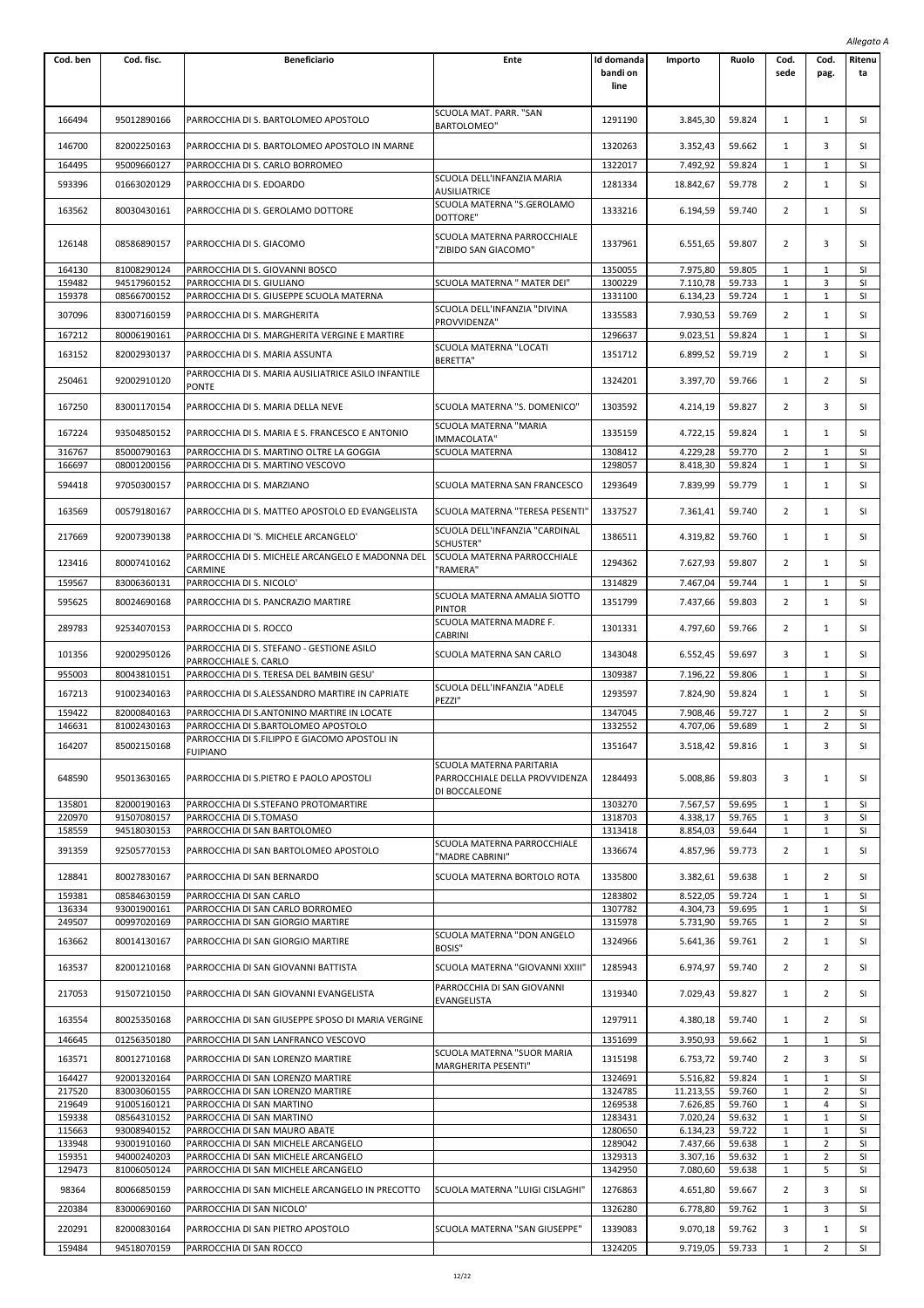|                  |                            |                                                                                       |                                                                             |                                |                       |                  |                              |                                  | Allegato A      |  |
|------------------|----------------------------|---------------------------------------------------------------------------------------|-----------------------------------------------------------------------------|--------------------------------|-----------------------|------------------|------------------------------|----------------------------------|-----------------|--|
| Cod. ben         | Cod. fisc.                 | <b>Beneficiario</b>                                                                   | Ente                                                                        | Id domanda<br>bandi on<br>line | Importo               | Ruolo            | Cod.<br>sede                 | Cod.<br>pag.                     | Ritenu<br>ta    |  |
| 166494           | 95012890166                | PARROCCHIA DI S. BARTOLOMEO APOSTOLO                                                  | SCUOLA MAT. PARR. "SAN<br><b>BARTOLOMEO"</b>                                | 1291190                        | 3.845,30              | 59.824           | 1                            | 1                                | SI              |  |
| 146700           | 82002250163                | PARROCCHIA DI S. BARTOLOMEO APOSTOLO IN MARNE                                         |                                                                             | 1320263                        | 3.352,43              | 59.662           | 1                            | 3                                | SI              |  |
| 164495           | 95009660127                | PARROCCHIA DI S. CARLO BORROMEO                                                       |                                                                             | 1322017                        | 7.492,92              | 59.824           | 1                            | 1                                | <b>SI</b>       |  |
| 593396           | 01663020129                | PARROCCHIA DI S. EDOARDO                                                              | SCUOLA DELL'INFANZIA MARIA<br><b>AUSILIATRICE</b>                           | 1281334                        | 18.842,67             | 59.778           | 2                            | $\mathbf{1}$                     | SI              |  |
| 163562           | 80030430161                | PARROCCHIA DI S. GEROLAMO DOTTORE                                                     | SCUOLA MATERNA "S.GEROLAMO<br>DOTTORE"                                      | 1333216                        | 6.194,59              | 59.740           | 2                            | 1                                | SI              |  |
| 126148           | 08586890157                | PARROCCHIA DI S. GIACOMO                                                              | SCUOLA MATERNA PARROCCHIALE<br>'ZIBIDO SAN GIACOMO"                         | 1337961                        | 6.551,65              | 59.807           | 2                            | 3                                | SI              |  |
| 164130           | 81008290124                | PARROCCHIA DI S. GIOVANNI BOSCO                                                       |                                                                             | 1350055                        | 7.975,80              | 59.805           | 1                            | 1                                | SI              |  |
| 159482<br>159378 | 94517960152<br>08566700152 | PARROCCHIA DI S. GIULIANO<br>PARROCCHIA DI S. GIUSEPPE SCUOLA MATERNA                 | SCUOLA MATERNA " MATER DEI"                                                 | 1300229<br>1331100             | 7.110,78<br>6.134,23  | 59.733<br>59.724 | 1<br>1                       | 3<br>$\mathbf{1}$                | <b>SI</b><br>SI |  |
| 307096           | 83007160159                |                                                                                       | SCUOLA DELL'INFANZIA "DIVINA                                                | 1335583                        |                       | 59.769           | 2                            | $\mathbf{1}$                     | SI              |  |
|                  |                            | PARROCCHIA DI S. MARGHERITA                                                           | PROVVIDENZA"                                                                |                                | 7.930,53              |                  |                              |                                  |                 |  |
| 167212           | 80006190161                | PARROCCHIA DI S. MARGHERITA VERGINE E MARTIRE                                         | SCUOLA MATERNA "LOCATI                                                      | 1296637                        | 9.023,51              | 59.824           | $\mathbf{1}$                 | 1                                | SI              |  |
| 163152           | 82002930137                | PARROCCHIA DI S. MARIA ASSUNTA<br>PARROCCHIA DI S. MARIA AUSILIATRICE ASILO INFANTILE | BERETTA"                                                                    | 1351712                        | 6.899,52              | 59.719           | 2                            | 1                                | SI              |  |
| 250461           | 92002910120                | PONTE                                                                                 |                                                                             | 1324201                        | 3.397,70              | 59.766           | 1                            | 2                                | SI              |  |
| 167250           | 83001170154                | PARROCCHIA DI S. MARIA DELLA NEVE                                                     | SCUOLA MATERNA "S. DOMENICO"<br>SCUOLA MATERNA "MARIA                       | 1303592                        | 4.214,19              | 59.827           | 2                            | 3                                | SI              |  |
| 167224           | 93504850152                | PARROCCHIA DI S. MARIA E S. FRANCESCO E ANTONIO                                       | IMMACOLATA"                                                                 | 1335159                        | 4.722,15              | 59.824           | 1                            | $\mathbf{1}$                     | SI              |  |
| 316767           | 85000790163                | PARROCCHIA DI S. MARTINO OLTRE LA GOGGIA                                              | SCUOLA MATERNA                                                              | 1308412                        | 4.229,28              | 59.770           | 2                            | $\mathbf{1}$                     | SI              |  |
| 166697           | 08001200156                | PARROCCHIA DI S. MARTINO VESCOVO                                                      |                                                                             | 1298057                        | 8.418,30              | 59.824           | 1                            | $\mathbf{1}$                     | SI              |  |
| 594418           | 97050300157                | PARROCCHIA DI S. MARZIANO                                                             | SCUOLA MATERNA SAN FRANCESCO                                                | 1293649                        | 7.839,99              | 59.779           | 1                            | 1                                | SI              |  |
| 163569           | 00579180167                | PARROCCHIA DI S. MATTEO APOSTOLO ED EVANGELISTA                                       | SCUOLA MATERNA "TERESA PESENTI'                                             | 1337527                        | 7.361,41              | 59.740           | 2                            | 1                                | SI              |  |
| 217669           | 92007390138                | PARROCCHIA DI 'S. MICHELE ARCANGELO'                                                  | SCUOLA DELL'INFANZIA "CARDINAL<br>SCHUSTER"                                 | 1386511                        | 4.319,82              | 59.760           | 1                            | 1                                | SI              |  |
| 123416           | 80007410162                | PARROCCHIA DI S. MICHELE ARCANGELO E MADONNA DEL<br>CARMINE                           | SCUOLA MATERNA PARROCCHIALE<br>'RAMERA"                                     | 1294362                        | 7.627,93              | 59.807           | 2                            | $\mathbf{1}$                     | SI              |  |
| 159567           | 83006360131                | PARROCCHIA DI S. NICOLO'                                                              |                                                                             | 1314829                        | 7.467,04              | 59.744           | 1                            | 1                                | SI              |  |
| 595625           | 80024690168                | PARROCCHIA DI S. PANCRAZIO MARTIRE                                                    | SCUOLA MATERNA AMALIA SIOTTO<br><b>PINTOR</b>                               | 1351799                        | 7.437,66              | 59.803           | 2                            | 1                                | SI              |  |
| 289783           | 92534070153                | PARROCCHIA DI S. ROCCO                                                                | SCUOLA MATERNA MADRE F.<br><b>CABRINI</b>                                   | 1301331                        | 4.797,60              | 59.766           | 2                            | $\mathbf{1}$                     | SI              |  |
| 101356           | 92002950126                | PARROCCHIA DI S. STEFANO - GESTIONE ASILO<br>PARROCCHIALE S. CARLO                    | SCUOLA MATERNA SAN CARLO                                                    | 1343048                        | 6.552,45              | 59.697           | 3                            | $\mathbf{1}$                     | SI              |  |
| 955003           | 80043810151                | PARROCCHIA DI S. TERESA DEL BAMBIN GESU'                                              | SCUOLA DELL'INFANZIA "ADELE                                                 | 1309387                        | 7.196,22              | 59.806           | 1                            | $\mathbf{1}$                     | SI              |  |
| 167213           | 91002340163                | PARROCCHIA DI S.ALESSANDRO MARTIRE IN CAPRIATE                                        | PEZZI"                                                                      | 1293597                        | 7.824,90              | 59.824           | 1                            | $\mathbf{1}$                     | SI              |  |
| 159422<br>146631 | 82000840163<br>81002430163 | PARROCCHIA DI S.ANTONINO MARTIRE IN LOCATE<br>PARROCCHIA DI S.BARTOLOMEO APOSTOLO     |                                                                             | 1347045<br>1332552             | 7.908,46<br>4.707,06  | 59.727<br>59.689 | $\mathbf{1}$<br>$\mathbf{1}$ | $\overline{2}$<br>$\overline{2}$ | SI<br>SI        |  |
|                  | 85002150168                | PARROCCHIA DI S.FILIPPO E GIACOMO APOSTOLI IN                                         |                                                                             |                                |                       |                  |                              |                                  |                 |  |
| 164207           |                            | <b>FUIPIANO</b>                                                                       |                                                                             | 1351647                        | 3.518,42              | 59.816           | 1                            | 3                                | SI              |  |
| 648590           | 95013630165                | PARROCCHIA DI S.PIETRO E PAOLO APOSTOLI                                               | SCUOLA MATERNA PARITARIA<br>PARROCCHIALE DELLA PROVVIDENZA<br>DI BOCCALEONE | 1284493                        | 5.008,86              | 59.803           | 3                            | 1                                | SI              |  |
| 135801           | 82000190163                | PARROCCHIA DI S.STEFANO PROTOMARTIRE                                                  |                                                                             | 1303270                        | 7.567,57              | 59.695           | 1                            | 1                                | SI              |  |
| 220970<br>158559 | 91507080157<br>94518030153 | PARROCCHIA DI S.TOMASO<br>PARROCCHIA DI SAN BARTOLOMEO                                |                                                                             | 1318703<br>1313418             | 4.338,17<br>8.854,03  | 59.765<br>59.644 | 1<br>$\mathbf{1}$            | 3<br>$\mathbf{1}$                | SI<br>SI        |  |
| 391359           | 92505770153                | PARROCCHIA DI SAN BARTOLOMEO APOSTOLO                                                 | SCUOLA MATERNA PARROCCHIALE                                                 | 1336674                        | 4.857,96              | 59.773           | $\overline{2}$               | $\mathbf{1}$                     | SI              |  |
| 128841           | 80027830167                | PARROCCHIA DI SAN BERNARDO                                                            | 'MADRE CABRINI"<br>SCUOLA MATERNA BORTOLO ROTA                              | 1335800                        | 3.382,61              | 59.638           | 1                            | $\overline{2}$                   | SI              |  |
| 159381           | 08584630159                | PARROCCHIA DI SAN CARLO                                                               |                                                                             | 1283802                        | 8.522,05              | 59.724           | 1                            | 1                                | SI              |  |
| 136334           | 93001900161                | PARROCCHIA DI SAN CARLO BORROMEO                                                      |                                                                             | 1307782                        | 4.304,73              | 59.695           | 1                            | $1\,$                            | SI              |  |
| 249507           | 00997020169                | PARROCCHIA DI SAN GIORGIO MARTIRE                                                     |                                                                             | 1315978                        | 5.731,90              | 59.765           | 1                            | $\overline{2}$                   | SI              |  |
| 163662           | 80014130167                | PARROCCHIA DI SAN GIORGIO MARTIRE                                                     | SCUOLA MATERNA "DON ANGELO<br><b>BOSIS"</b>                                 | 1324966                        | 5.641,36              | 59.761           | 2                            | $\mathbf{1}$                     | SI              |  |
| 163537           | 82001210168                | PARROCCHIA DI SAN GIOVANNI BATTISTA                                                   | SCUOLA MATERNA "GIOVANNI XXIII"<br>PARROCCHIA DI SAN GIOVANNI               | 1285943                        | 6.974,97              | 59.740           | 2                            | 2                                | SI              |  |
| 217053           | 91507210150                | PARROCCHIA DI SAN GIOVANNI EVANGELISTA                                                | EVANGELISTA                                                                 | 1319340                        | 7.029,43              | 59.827           | 1                            | 2                                | SI              |  |
| 163554           | 80025350168                | PARROCCHIA DI SAN GIUSEPPE SPOSO DI MARIA VERGINE                                     |                                                                             | 1297911                        | 4.380,18              | 59.740           | 1                            | $\overline{2}$                   | SI              |  |
| 146645           | 01256350180                | PARROCCHIA DI SAN LANFRANCO VESCOVO                                                   | SCUOLA MATERNA "SUOR MARIA                                                  | 1351699                        | 3.950,93              | 59.662           | 1                            | 1                                | SI              |  |
| 163571           | 80012710168                | PARROCCHIA DI SAN LORENZO MARTIRE                                                     | MARGHERITA PESENTI"                                                         | 1315198                        | 6.753,72              | 59.740           | 2                            | 3                                | SI              |  |
| 164427           | 92001320164                | PARROCCHIA DI SAN LORENZO MARTIRE                                                     |                                                                             | 1324691                        | 5.516,82              | 59.824           | 1                            | $\mathbf{1}$                     | <b>SI</b>       |  |
| 217520<br>219649 | 83003060155<br>91005160121 | PARROCCHIA DI SAN LORENZO MARTIRE<br>PARROCCHIA DI SAN MARTINO                        |                                                                             | 1324785<br>1269538             | 11.213,55<br>7.626,85 | 59.760<br>59.760 | $\mathbf{1}$<br>$\mathbf{1}$ | $\overline{2}$<br>4              | SI<br>SI        |  |
| 159338           | 08564310152                | PARROCCHIA DI SAN MARTINO                                                             |                                                                             | 1283431                        | 7.020,24              | 59.632           | 1                            | $\mathbf{1}$                     | SI              |  |
| 115663           | 93008940152                | PARROCCHIA DI SAN MAURO ABATE                                                         |                                                                             | 1280650                        | 6.134,23              | 59.722           | 1                            | $\mathbf{1}$                     | SI              |  |
| 133948<br>159351 | 93001910160<br>94000240203 | PARROCCHIA DI SAN MICHELE ARCANGELO<br>PARROCCHIA DI SAN MICHELE ARCANGELO            |                                                                             | 1289042<br>1329313             | 7.437,66<br>3.307,16  | 59.638<br>59.632 | 1<br>1                       | $\overline{2}$<br>2              | SI<br>SI        |  |
| 129473           | 81006050124                | PARROCCHIA DI SAN MICHELE ARCANGELO                                                   |                                                                             | 1342950                        | 7.080,60              | 59.638           | 1                            | 5                                | SI              |  |
| 98364            | 80066850159                | PARROCCHIA DI SAN MICHELE ARCANGELO IN PRECOTTO                                       | SCUOLA MATERNA "LUIGI CISLAGHI"                                             | 1276863                        | 4.651,80              | 59.667           | 2                            | 3                                | SI              |  |
| 220384           | 83000690160                | PARROCCHIA DI SAN NICOLO'                                                             |                                                                             | 1326280                        | 6.778,80              | 59.762           | 1                            | 3                                | SI              |  |
| 220291           | 82000830164                | PARROCCHIA DI SAN PIETRO APOSTOLO                                                     | SCUOLA MATERNA "SAN GIUSEPPE"                                               | 1339083                        | 9.070,18              | 59.762           | 3                            | 1                                | SI              |  |
| 159484           | 94518070159                | PARROCCHIA DI SAN ROCCO                                                               |                                                                             | 1324205                        | 9.719,05              | 59.733           | 1                            | 2                                | SI              |  |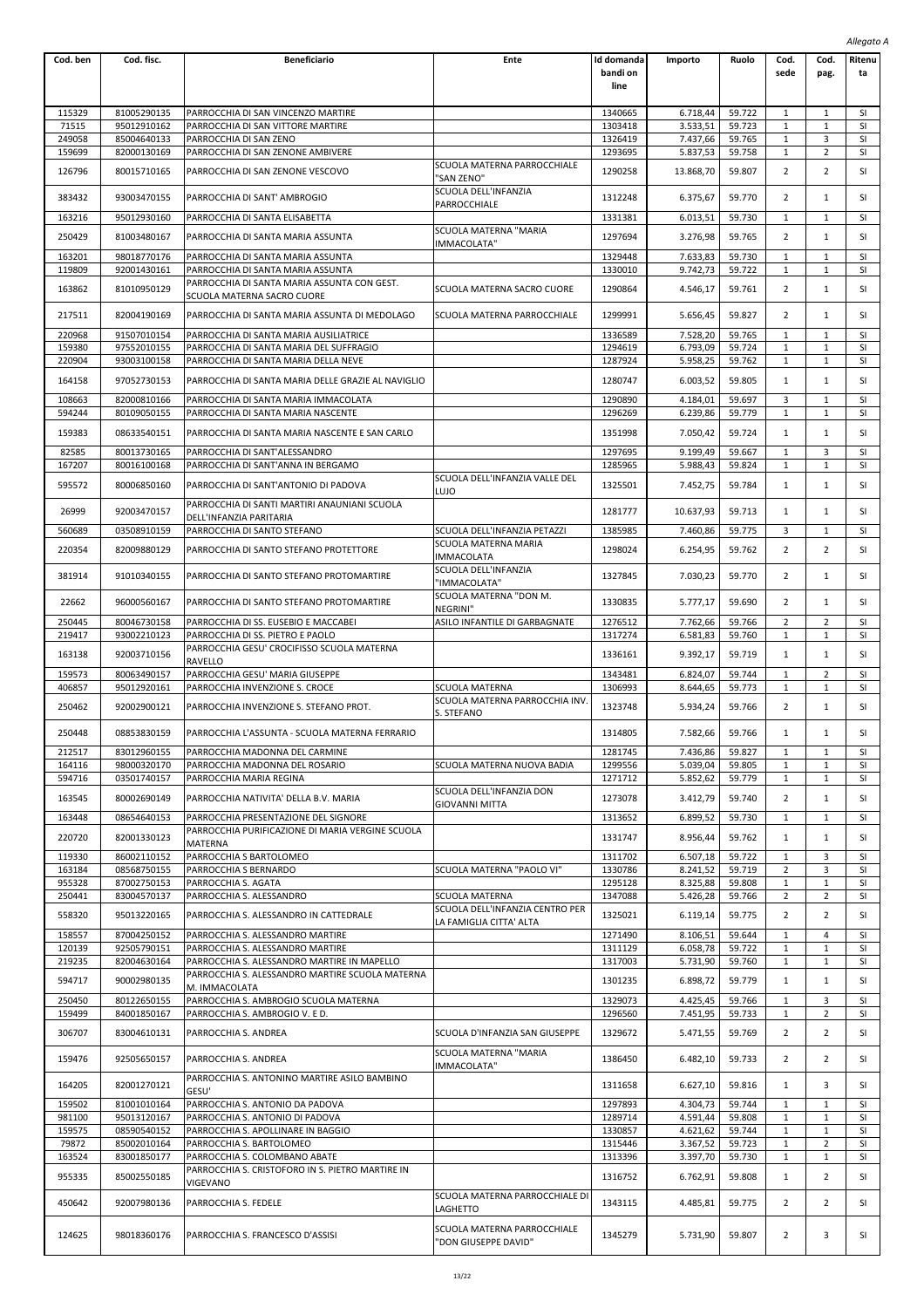|                  |                            |                                                                            |                                                      |                                |                      |                  |                                |                                | Allegato A      |
|------------------|----------------------------|----------------------------------------------------------------------------|------------------------------------------------------|--------------------------------|----------------------|------------------|--------------------------------|--------------------------------|-----------------|
| Cod. ben         | Cod. fisc.                 | <b>Beneficiario</b>                                                        | Ente                                                 | Id domanda<br>bandi on<br>line | Importo              | Ruolo            | Cod.<br>sede                   | Cod.<br>pag.                   | Ritenu<br>ta    |
|                  |                            |                                                                            |                                                      |                                |                      |                  |                                |                                |                 |
| 115329           | 81005290135                | PARROCCHIA DI SAN VINCENZO MARTIRE                                         |                                                      | 1340665                        | 6.718.44             | 59.722           | 1                              | $\mathbf{1}$                   | SI              |
| 71515            | 95012910162                | PARROCCHIA DI SAN VITTORE MARTIRE                                          |                                                      | 1303418                        | 3.533,51             | 59.723           | 1                              | $\mathbf{1}$                   | SI              |
| 249058<br>159699 | 85004640133<br>82000130169 | PARROCCHIA DI SAN ZENO<br>PARROCCHIA DI SAN ZENONE AMBIVERE                |                                                      | 1326419<br>1293695             | 7.437,66<br>5.837,53 | 59.765<br>59.758 | 1<br>1                         | 3<br>2                         | SI<br>SI        |
| 126796           | 80015710165                | PARROCCHIA DI SAN ZENONE VESCOVO                                           | SCUOLA MATERNA PARROCCHIALE<br>"SAN ZENO"            | 1290258                        | 13.868,70            | 59.807           | 2                              | $\overline{2}$                 | SI              |
| 383432           | 93003470155                | PARROCCHIA DI SANT' AMBROGIO                                               | SCUOLA DELL'INFANZIA<br>PARROCCHIALE                 | 1312248                        | 6.375,67             | 59.770           | $\overline{2}$                 | $\mathbf{1}$                   | SI              |
| 163216           | 95012930160                | PARROCCHIA DI SANTA ELISABETTA                                             |                                                      | 1331381                        | 6.013,51             | 59.730           | 1                              | $\mathbf{1}$                   | <b>SI</b>       |
| 250429           | 81003480167                | PARROCCHIA DI SANTA MARIA ASSUNTA                                          | SCUOLA MATERNA "MARIA<br>IMMACOLATA"                 | 1297694                        | 3.276,98             | 59.765           | $\overline{2}$                 | $\mathbf{1}$                   | SI              |
| 163201<br>119809 | 98018770176<br>92001430161 | PARROCCHIA DI SANTA MARIA ASSUNTA<br>PARROCCHIA DI SANTA MARIA ASSUNTA     |                                                      | 1329448<br>1330010             | 7.633,83<br>9.742,73 | 59.730<br>59.722 | $\mathbf{1}$<br>1              | 1<br>1                         | SI<br>SI        |
| 163862           | 81010950129                | PARROCCHIA DI SANTA MARIA ASSUNTA CON GEST.<br>SCUOLA MATERNA SACRO CUORE  | SCUOLA MATERNA SACRO CUORE                           | 1290864                        | 4.546,17             | 59.761           | 2                              | $\mathbf{1}$                   | SI              |
| 217511           | 82004190169                | PARROCCHIA DI SANTA MARIA ASSUNTA DI MEDOLAGO                              | SCUOLA MATERNA PARROCCHIALE                          | 1299991                        | 5.656,45             | 59.827           | 2                              | $\mathbf{1}$                   | SI              |
| 220968           | 91507010154                | PARROCCHIA DI SANTA MARIA AUSILIATRICE                                     |                                                      | 1336589                        | 7.528,20             | 59.765           | 1                              | 1                              | SI              |
| 159380           | 97552010155                | PARROCCHIA DI SANTA MARIA DEL SUFFRAGIO                                    |                                                      | 1294619                        | 6.793,09             | 59.724           | 1                              | 1                              | SI              |
| 220904           | 93003100158                | PARROCCHIA DI SANTA MARIA DELLA NEVE                                       |                                                      | 1287924                        | 5.958,25             | 59.762           | 1                              | 1                              | SI              |
| 164158           | 97052730153                | PARROCCHIA DI SANTA MARIA DELLE GRAZIE AL NAVIGLIO                         |                                                      | 1280747                        | 6.003,52             | 59.805           | 1                              | $\mathbf{1}$                   | SI              |
| 108663<br>594244 | 82000810166<br>80109050155 | PARROCCHIA DI SANTA MARIA IMMACOLATA<br>PARROCCHIA DI SANTA MARIA NASCENTE |                                                      | 1290890<br>1296269             | 4.184,01<br>6.239,86 | 59.697<br>59.779 | 3<br>1                         | 1<br>1                         | SI<br>SI        |
| 159383           | 08633540151                | PARROCCHIA DI SANTA MARIA NASCENTE E SAN CARLO                             |                                                      | 1351998                        | 7.050,42             | 59.724           | 1                              | $\mathbf{1}$                   | SI              |
| 82585            | 80013730165                | PARROCCHIA DI SANT'ALESSANDRO                                              |                                                      | 1297695                        | 9.199,49             | 59.667           | 1                              | 3                              | SI              |
| 167207           | 80016100168                | PARROCCHIA DI SANT'ANNA IN BERGAMO                                         | SCUOLA DELL'INFANZIA VALLE DEL                       | 1285965                        | 5.988,43             | 59.824           | 1                              | 1                              | SI              |
| 595572           | 80006850160                | PARROCCHIA DI SANT'ANTONIO DI PADOVA                                       | LUJO                                                 | 1325501                        | 7.452,75             | 59.784           | 1                              | $\mathbf{1}$                   | SI              |
| 26999            | 92003470157                | PARROCCHIA DI SANTI MARTIRI ANAUNIANI SCUOLA<br>DELL'INFANZIA PARITARIA    |                                                      | 1281777                        | 10.637,93            | 59.713           | 1                              | 1                              | SI              |
| 560689           | 03508910159                | PARROCCHIA DI SANTO STEFANO                                                | SCUOLA DELL'INFANZIA PETAZZI<br>SCUOLA MATERNA MARIA | 1385985                        | 7.460,86             | 59.775           | 3                              | 1                              | SI              |
| 220354           | 82009880129                | PARROCCHIA DI SANTO STEFANO PROTETTORE                                     | IMMACOLATA                                           | 1298024                        | 6.254,95             | 59.762           | $\overline{2}$                 | $\overline{2}$                 | SI              |
| 381914           | 91010340155                | PARROCCHIA DI SANTO STEFANO PROTOMARTIRE                                   | SCUOLA DELL'INFANZIA<br>"IMMACOLATA"                 | 1327845                        | 7.030,23             | 59.770           | 2                              | $\mathbf{1}$                   | SI              |
| 22662            | 96000560167                | PARROCCHIA DI SANTO STEFANO PROTOMARTIRE                                   | SCUOLA MATERNA "DON M.<br>NEGRINI"                   | 1330835                        | 5.777,17             | 59.690           | 2                              | 1                              | SI              |
| 250445<br>219417 | 80046730158<br>93002210123 | PARROCCHIA DI SS. EUSEBIO E MACCABEI<br>PARROCCHIA DI SS. PIETRO E PAOLO   | ASILO INFANTILE DI GARBAGNATE                        | 1276512<br>1317274             | 7.762,66<br>6.581,83 | 59.766<br>59.760 | $\overline{2}$<br>$\mathbf{1}$ | $\overline{2}$<br>$\mathbf{1}$ | SI<br>SI        |
| 163138           | 92003710156                | PARROCCHIA GESU' CROCIFISSO SCUOLA MATERNA<br><b>RAVELLO</b>               |                                                      | 1336161                        | 9.392,17             | 59.719           | 1                              | $\mathbf{1}$                   | SI              |
| 159573           | 80063490157                | PARROCCHIA GESU' MARIA GIUSEPPE                                            |                                                      | 1343481                        | 6.824,07             | 59.744           | 1                              | $\overline{2}$                 | <b>SI</b>       |
| 406857<br>250462 | 95012920161<br>92002900121 | PARROCCHIA INVENZIONE S. CROCE<br>PARROCCHIA INVENZIONE S. STEFANO PROT.   | SCUOLA MATERNA<br>SCUOLA MATERNA PARROCCHIA INV.     | 1306993<br>1323748             | 8.644,65<br>5.934,24 | 59.773<br>59.766 | 1<br>2                         | 1<br>$\mathbf{1}$              | SI<br>SI        |
| 250448           | 08853830159                | PARROCCHIA L'ASSUNTA - SCUOLA MATERNA FERRARIO                             | S. STEFANO                                           | 1314805                        | 7.582,66             | 59.766           |                                | 1                              | SI              |
| 212517           | 83012960155                |                                                                            |                                                      | 1281745                        |                      | 59.827           |                                |                                | <b>SI</b>       |
| 164116           | 98000320170                | PARROCCHIA MADONNA DEL CARMINE<br>PARROCCHIA MADONNA DEL ROSARIO           | SCUOLA MATERNA NUOVA BADIA                           | 1299556                        | 7.436,86<br>5.039,04 | 59.805           | 1<br>1                         | 1<br>$\mathbf{1}$              | <b>SI</b>       |
| 594716           | 03501740157                | PARROCCHIA MARIA REGINA                                                    |                                                      | 1271712                        | 5.852,62             | 59.779           | 1                              | 1                              | SI              |
| 163545           | 80002690149                | PARROCCHIA NATIVITA' DELLA B.V. MARIA                                      | SCUOLA DELL'INFANZIA DON                             | 1273078                        | 3.412,79             | 59.740           | 2                              | $\mathbf{1}$                   | SI              |
| 163448           | 08654640153                | PARROCCHIA PRESENTAZIONE DEL SIGNORE                                       | GIOVANNI MITTA                                       | 1313652                        | 6.899,52             | 59.730           | 1                              | 1                              | SI              |
| 220720           | 82001330123                | PARROCCHIA PURIFICAZIONE DI MARIA VERGINE SCUOLA<br>MATERNA                |                                                      | 1331747                        | 8.956,44             | 59.762           | 1                              | 1                              | SI              |
| 119330           | 86002110152                | PARROCCHIA S BARTOLOMEO                                                    |                                                      | 1311702                        | 6.507,18             | 59.722           | $\mathbf{1}$                   | 3                              | SI              |
| 163184           | 08568750155                | PARROCCHIA S BERNARDO                                                      | SCUOLA MATERNA "PAOLO VI"                            | 1330786                        | 8.241,52             | 59.719           | $\overline{2}$                 | 3                              | SI              |
| 955328           | 87002750153                | PARROCCHIA S. AGATA                                                        |                                                      | 1295128                        | 8.325,88             | 59.808           | 1                              | 1                              | SI              |
| 250441           | 83004570137                | PARROCCHIA S. ALESSANDRO                                                   | SCUOLA MATERNA<br>SCUOLA DELL'INFANZIA CENTRO PER    | 1347088                        | 5.426,28             | 59.766           | $\overline{2}$                 | $\overline{2}$                 | SI              |
| 558320<br>158557 | 95013220165<br>87004250152 | PARROCCHIA S. ALESSANDRO IN CATTEDRALE<br>PARROCCHIA S. ALESSANDRO MARTIRE | LA FAMIGLIA CITTA' ALTA                              | 1325021<br>1271490             | 6.119,14<br>8.106,51 | 59.775<br>59.644 | $\overline{2}$<br>1            | $\overline{2}$<br>4            | SI<br><b>SI</b> |
| 120139           | 92505790151                | PARROCCHIA S. ALESSANDRO MARTIRE                                           |                                                      | 1311129                        | 6.058,78             | 59.722           | 1                              | $\mathbf{1}$                   | SI              |
| 219235           | 82004630164                | PARROCCHIA S. ALESSANDRO MARTIRE IN MAPELLO                                |                                                      | 1317003                        | 5.731,90             | 59.760           | 1                              | $\mathbf{1}$                   | SI              |
| 594717           | 90002980135                | PARROCCHIA S. ALESSANDRO MARTIRE SCUOLA MATERNA<br>M. IMMACOLATA           |                                                      | 1301235                        | 6.898,72             | 59.779           | 1                              | $\mathbf{1}$                   | SI              |
| 250450           | 80122650155                | PARROCCHIA S. AMBROGIO SCUOLA MATERNA                                      |                                                      | 1329073                        | 4.425,45             | 59.766           | 1                              | 3                              | <b>SI</b>       |
| 159499           | 84001850167                | PARROCCHIA S. AMBROGIO V. E D.                                             |                                                      | 1296560                        | 7.451,95             | 59.733           | 1                              | $\overline{2}$                 | SI              |
| 306707           | 83004610131                | PARROCCHIA S. ANDREA                                                       | SCUOLA D'INFANZIA SAN GIUSEPPE                       | 1329672                        | 5.471,55             | 59.769           | 2                              | 2                              | SI              |
| 159476           | 92505650157                | PARROCCHIA S. ANDREA                                                       | SCUOLA MATERNA "MARIA<br>IMMACOLATA"                 | 1386450                        | 6.482,10             | 59.733           | 2                              | 2                              | SI              |
| 164205           | 82001270121                | PARROCCHIA S. ANTONINO MARTIRE ASILO BAMBINO<br>GESU'                      |                                                      | 1311658                        | 6.627,10             | 59.816           | $\mathbf{1}$                   | 3                              | SI              |
| 159502           | 81001010164                | PARROCCHIA S. ANTONIO DA PADOVA                                            |                                                      | 1297893                        | 4.304,73             | 59.744           | 1                              | 1                              | SI              |
| 981100           | 95013120167                | PARROCCHIA S. ANTONIO DI PADOVA                                            |                                                      | 1289714                        | 4.591,44             | 59.808           | 1                              | 1                              | <b>SI</b>       |
| 159575<br>79872  | 08590540152<br>85002010164 | PARROCCHIA S. APOLLINARE IN BAGGIO<br>PARROCCHIA S. BARTOLOMEO             |                                                      | 1330857<br>1315446             | 4.621,62<br>3.367,52 | 59.744<br>59.723 | 1<br>1                         | 1<br>$\overline{2}$            | SI<br><b>SI</b> |
| 163524           | 83001850177                | PARROCCHIA S. COLOMBANO ABATE                                              |                                                      | 1313396                        | 3.397,70             | 59.730           | $\mathbf{1}$                   | $\mathbf{1}$                   | SI              |
| 955335           | 85002550185                | PARROCCHIA S. CRISTOFORO IN S. PIETRO MARTIRE IN                           |                                                      | 1316752                        | 6.762,91             | 59.808           | $\mathbf{1}$                   | $\overline{2}$                 | SI              |
| 450642           | 92007980136                | VIGEVANO<br>PARROCCHIA S. FEDELE                                           | SCUOLA MATERNA PARROCCHIALE DI                       | 1343115                        | 4.485,81             | 59.775           | 2                              | 2                              | SI              |
|                  |                            |                                                                            | LAGHETTO<br>SCUOLA MATERNA PARROCCHIALE              |                                |                      |                  |                                |                                |                 |
| 124625           | 98018360176                | PARROCCHIA S. FRANCESCO D'ASSISI                                           | 'DON GIUSEPPE DAVID"                                 | 1345279                        | 5.731,90             | 59.807           | 2                              | 3                              | SI              |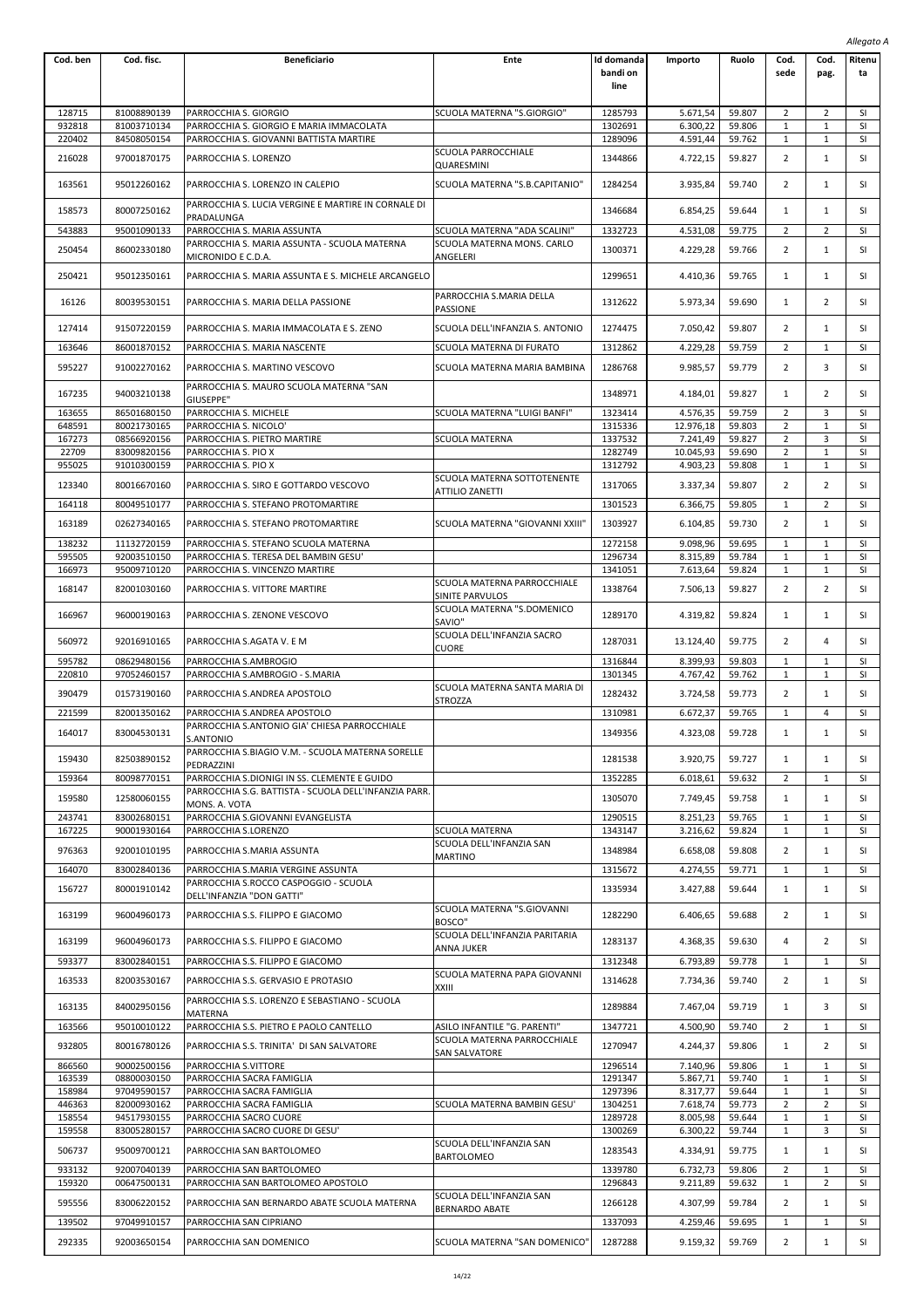|                  |                            |                                                                                                   |                                                                        |                                       |                       |                  |                                |                                | Allegato A      |
|------------------|----------------------------|---------------------------------------------------------------------------------------------------|------------------------------------------------------------------------|---------------------------------------|-----------------------|------------------|--------------------------------|--------------------------------|-----------------|
| Cod. ben         | Cod. fisc.                 | <b>Beneficiario</b>                                                                               | Ente                                                                   | <b>Id domanda</b><br>bandi on<br>line | Importo               | Ruolo            | Cod.<br>sede                   | Cod.<br>pag.                   | Ritenu<br>ta    |
| 128715           | 81008890139                | PARROCCHIA S. GIORGIO                                                                             | SCUOLA MATERNA "S.GIORGIO"                                             | 1285793                               | 5.671.54              | 59.807           | 2                              | 2                              | SI              |
| 932818           | 81003710134                | PARROCCHIA S. GIORGIO E MARIA IMMACOLATA                                                          |                                                                        | 1302691                               | 6.300,22              | 59.806           | $\mathbf{1}$                   | $\mathbf 1$                    | SI              |
| 220402           | 84508050154                | PARROCCHIA S. GIOVANNI BATTISTA MARTIRE                                                           |                                                                        | 1289096                               | 4.591,44              | 59.762           | $\mathbf{1}$                   | $\mathbf{1}$                   | SI              |
| 216028           | 97001870175                | PARROCCHIA S. LORENZO                                                                             | SCUOLA PARROCCHIALE<br>QUARESMINI                                      | 1344866                               | 4.722,15              | 59.827           | 2                              | $\mathbf{1}$                   | SI              |
| 163561           | 95012260162                | PARROCCHIA S. LORENZO IN CALEPIO                                                                  | SCUOLA MATERNA "S.B.CAPITANIO"                                         | 1284254                               | 3.935,84              | 59.740           | 2                              | 1                              | SI              |
| 158573           | 80007250162                | PARROCCHIA S. LUCIA VERGINE E MARTIRE IN CORNALE DI<br>PRADALUNGA                                 |                                                                        | 1346684                               | 6.854,25              | 59.644           | 1                              | $\mathbf{1}$                   | SI              |
| 543883<br>250454 | 95001090133<br>86002330180 | PARROCCHIA S. MARIA ASSUNTA<br>PARROCCHIA S. MARIA ASSUNTA - SCUOLA MATERNA<br>MICRONIDO E C.D.A. | SCUOLA MATERNA "ADA SCALINI"<br>SCUOLA MATERNA MONS. CARLO<br>ANGELERI | 1332723<br>1300371                    | 4.531,08<br>4.229,28  | 59.775<br>59.766 | 2<br>2                         | $\overline{2}$<br>$\mathbf{1}$ | SI<br>SI        |
| 250421           | 95012350161                | PARROCCHIA S. MARIA ASSUNTA E S. MICHELE ARCANGELO                                                |                                                                        | 1299651                               | 4.410,36              | 59.765           | 1                              | $\mathbf{1}$                   | SI              |
| 16126            | 80039530151                | PARROCCHIA S. MARIA DELLA PASSIONE                                                                | PARROCCHIA S.MARIA DELLA<br>PASSIONE                                   | 1312622                               | 5.973,34              | 59.690           | 1                              | 2                              | SI              |
| 127414           | 91507220159                | PARROCCHIA S. MARIA IMMACOLATA E S. ZENO                                                          | SCUOLA DELL'INFANZIA S. ANTONIO                                        | 1274475                               | 7.050,42              | 59.807           | $\overline{2}$                 | $\mathbf{1}$                   | SI              |
| 163646           | 86001870152                | PARROCCHIA S. MARIA NASCENTE                                                                      | SCUOLA MATERNA DI FURATO                                               | 1312862                               | 4.229,28              | 59.759           | $\overline{2}$                 | 1                              | <b>SI</b>       |
| 595227           | 91002270162                | PARROCCHIA S. MARTINO VESCOVO                                                                     | SCUOLA MATERNA MARIA BAMBINA                                           | 1286768                               | 9.985,57              | 59.779           | $\overline{2}$                 | 3                              | SI              |
| 167235           | 94003210138                | PARROCCHIA S. MAURO SCUOLA MATERNA "SAN<br>GIUSEPPE"                                              |                                                                        | 1348971                               | 4.184,01              | 59.827           | 1                              | $\overline{2}$                 | SI              |
| 163655           | 86501680150                | PARROCCHIA S. MICHELE                                                                             | SCUOLA MATERNA "LUIGI BANFI"                                           | 1323414                               | 4.576,35              | 59.759           | $\overline{2}$                 | 3                              | <b>SI</b>       |
| 648591<br>167273 | 80021730165<br>08566920156 | PARROCCHIA S. NICOLO'<br>PARROCCHIA S. PIETRO MARTIRE                                             | SCUOLA MATERNA                                                         | 1315336<br>1337532                    | 12.976,18<br>7.241,49 | 59.803<br>59.827 | 2<br>2                         | 1<br>3                         | SI<br>SI        |
| 22709            | 83009820156                | PARROCCHIA S. PIO X                                                                               |                                                                        | 1282749                               | 10.045,93             | 59.690           | $\overline{2}$                 | $\mathbf{1}$                   | SI              |
| 955025           | 91010300159                | PARROCCHIA S. PIO X                                                                               |                                                                        | 1312792                               | 4.903,23              | 59.808           | $\mathbf{1}$                   | 1                              | SI              |
| 123340           | 80016670160                | PARROCCHIA S. SIRO E GOTTARDO VESCOVO                                                             | SCUOLA MATERNA SOTTOTENENTE<br>ATTILIO ZANETTI                         | 1317065                               | 3.337,34              | 59.807           | 2                              | $\overline{2}$                 | SI              |
| 164118           | 80049510177                | PARROCCHIA S. STEFANO PROTOMARTIRE                                                                |                                                                        | 1301523                               | 6.366,75              | 59.805           | $\mathbf{1}$                   | $\overline{2}$                 | SI              |
| 163189           | 02627340165                | PARROCCHIA S. STEFANO PROTOMARTIRE                                                                | SCUOLA MATERNA "GIOVANNI XXIII"                                        | 1303927                               | 6.104,85              | 59.730           | $\overline{2}$                 | $\mathbf{1}$                   | SI              |
| 138232           | 11132720159                | PARROCCHIA S. STEFANO SCUOLA MATERNA                                                              |                                                                        | 1272158                               | 9.098,96              | 59.695           | 1                              | $\mathbf{1}$                   | <b>SI</b>       |
| 595505<br>166973 | 92003510150<br>95009710120 | PARROCCHIA S. TERESA DEL BAMBIN GESU'<br>PARROCCHIA S. VINCENZO MARTIRE                           |                                                                        | 1296734<br>1341051                    | 8.315,89<br>7.613,64  | 59.784<br>59.824 | 1<br>$\mathbf{1}$              | $\mathbf{1}$<br>$\mathbf{1}$   | SI<br>SI        |
| 168147           | 82001030160                | PARROCCHIA S. VITTORE MARTIRE                                                                     | SCUOLA MATERNA PARROCCHIALE<br>SINITE PARVULOS                         | 1338764                               | 7.506,13              | 59.827           | $\overline{2}$                 | $\overline{2}$                 | SI              |
| 166967           | 96000190163                | PARROCCHIA S. ZENONE VESCOVO                                                                      | SCUOLA MATERNA "S.DOMENICO<br>SAVIO"                                   | 1289170                               | 4.319,82              | 59.824           | 1                              | $\mathbf{1}$                   | SI              |
| 560972           | 92016910165                | PARROCCHIA S.AGATA V. E M                                                                         | SCUOLA DELL'INFANZIA SACRO<br><b>CUORE</b>                             | 1287031                               | 13.124,40             | 59.775           | 2                              | 4                              | SI              |
| 595782           | 08629480156                | PARROCCHIA S.AMBROGIO                                                                             |                                                                        | 1316844                               | 8.399,93              | 59.803           | $\mathbf{1}$                   | $\mathbf{1}$                   | SI              |
| 220810<br>390479 | 97052460157<br>01573190160 | PARROCCHIA S.AMBROGIO - S.MARIA<br>PARROCCHIA S.ANDREA APOSTOLO                                   | SCUOLA MATERNA SANTA MARIA DI                                          | 1301345<br>1282432                    | 4.767,42<br>3.724,58  | 59.762<br>59.773 | 1<br>2                         | $\mathbf{1}$<br>$\mathbf{1}$   | <b>SI</b><br>SI |
| 221599           | 82001350162                | PARROCCHIA S.ANDREA APOSTOLO                                                                      | <b>STROZZA</b>                                                         | 1310981                               | 6.672,37              | 59.765           | 1                              | 4                              | SI              |
| 164017           | 83004530131                | PARROCCHIA S.ANTONIO GIA' CHIESA PARROCCHIALE<br>S.ANTONIO                                        |                                                                        | 1349356                               | 4.323,08              | 59.728           | 1                              | 1                              | SI              |
| 159430           | 82503890152                | PARROCCHIA S.BIAGIO V.M. - SCUOLA MATERNA SORELLE<br>PEDRAZZINI                                   |                                                                        | 1281538                               | 3.920,75              | 59.727           | 1                              | $\mathbf{1}$                   | SI              |
| 159364           | 80098770151                | PARROCCHIA S.DIONIGI IN SS. CLEMENTE E GUIDO                                                      |                                                                        | 1352285                               | 6.018,61              | 59.632           | 2                              | $\mathbf{1}$                   | SI              |
| 159580           | 12580060155                | PARROCCHIA S.G. BATTISTA - SCUOLA DELL'INFANZIA PARR.<br>MONS. A. VOTA                            |                                                                        | 1305070                               | 7.749,45              | 59.758           | 1                              | $\mathbf{1}$                   | SI              |
| 243741<br>167225 | 83002680151<br>90001930164 | PARROCCHIA S.GIOVANNI EVANGELISTA<br>PARROCCHIA S.LORENZO                                         | <b>SCUOLA MATERNA</b>                                                  | 1290515<br>1343147                    | 8.251,23<br>3.216,62  | 59.765<br>59.824 | $\mathbf{1}$<br>$\mathbf 1$    | 1<br>$\mathbf{1}$              | SI<br>SI        |
| 976363           | 92001010195                | PARROCCHIA S.MARIA ASSUNTA                                                                        | SCUOLA DELL'INFANZIA SAN<br>MARTINO                                    | 1348984                               | 6.658,08              | 59.808           | $\overline{2}$                 | 1                              | SI              |
| 164070           | 83002840136                | PARROCCHIA S.MARIA VERGINE ASSUNTA<br>PARROCCHIA S.ROCCO CASPOGGIO - SCUOLA                       |                                                                        | 1315672                               | 4.274,55              | 59.771           | 1                              | $\mathbf{1}$                   | <b>SI</b>       |
| 156727           | 80001910142                | DELL'INFANZIA "DON GATTI"                                                                         | SCUOLA MATERNA "S.GIOVANNI                                             | 1335934                               | 3.427,88              | 59.644           | 1                              | $\mathbf{1}$                   | SI              |
| 163199           | 96004960173                | PARROCCHIA S.S. FILIPPO E GIACOMO                                                                 | BOSCO"<br>SCUOLA DELL'INFANZIA PARITARIA                               | 1282290                               | 6.406,65              | 59.688           | $\overline{2}$                 | 1                              | SI              |
| 163199           | 96004960173                | PARROCCHIA S.S. FILIPPO E GIACOMO                                                                 | ANNA JUKER                                                             | 1283137                               | 4.368,35              | 59.630           | 4                              | 2                              | SI              |
| 593377           | 83002840151                | PARROCCHIA S.S. FILIPPO E GIACOMO                                                                 |                                                                        | 1312348                               | 6.793,89              | 59.778           | 1                              | $\mathbf{1}$                   | SI              |
| 163533           | 82003530167                | PARROCCHIA S.S. GERVASIO E PROTASIO                                                               | SCUOLA MATERNA PAPA GIOVANNI<br>XXIII                                  | 1314628                               | 7.734,36              | 59.740           | $\overline{2}$                 | 1                              | SI              |
| 163135           | 84002950156                | PARROCCHIA S.S. LORENZO E SEBASTIANO - SCUOLA<br>MATERNA                                          |                                                                        | 1289884                               | 7.467,04              | 59.719           | 1                              | 3                              | SI              |
| 163566<br>932805 | 95010010122<br>80016780126 | PARROCCHIA S.S. PIETRO E PAOLO CANTELLO<br>PARROCCHIA S.S. TRINITA' DI SAN SALVATORE              | ASILO INFANTILE "G. PARENTI"<br>SCUOLA MATERNA PARROCCHIALE            | 1347721<br>1270947                    | 4.500,90<br>4.244,37  | 59.740<br>59.806 | 2<br>1                         | $\mathbf{1}$<br>$\overline{2}$ | SI<br>SI        |
| 866560           | 90002500156                | PARROCCHIA S.VITTORE                                                                              | SAN SALVATORE                                                          | 1296514                               | 7.140,96              | 59.806           | 1                              | $\mathbf{1}$                   | SI              |
| 163539<br>158984 | 08800030150<br>97049590157 | PARROCCHIA SACRA FAMIGLIA<br>PARROCCHIA SACRA FAMIGLIA                                            |                                                                        | 1291347<br>1297396                    | 5.867,71<br>8.317,77  | 59.740<br>59.644 | 1<br>1                         | 1<br>$\mathbf{1}$              | SI<br>SI        |
| 446363           | 82000930162                | PARROCCHIA SACRA FAMIGLIA                                                                         | SCUOLA MATERNA BAMBIN GESU'                                            | 1304251                               | 7.618,74              | 59.773           | $\overline{2}$                 | $\overline{2}$                 | SI              |
| 158554           | 94517930155                | PARROCCHIA SACRO CUORE                                                                            |                                                                        | 1289728                               | 8.005,98              | 59.644           | $1\,$                          | $\mathbf{1}$                   | SI              |
| 159558           | 83005280157                | PARROCCHIA SACRO CUORE DI GESU'                                                                   | SCUOLA DELL'INFANZIA SAN                                               | 1300269                               | 6.300,22              | 59.744           | 1                              | 3                              | SI              |
| 506737           | 95009700121                | PARROCCHIA SAN BARTOLOMEO                                                                         | BARTOLOMEO                                                             | 1283543                               | 4.334,91              | 59.775           | 1                              | $\mathbf{1}$                   | SI              |
| 933132           | 92007040139<br>00647500131 | PARROCCHIA SAN BARTOLOMEO<br>PARROCCHIA SAN BARTOLOMEO APOSTOLO                                   |                                                                        | 1339780<br>1296843                    | 6.732,73              | 59.806           | $\overline{2}$<br>$\mathbf{1}$ | $\mathbf{1}$<br>2              | SI<br>SI        |
| 159320<br>595556 | 83006220152                | PARROCCHIA SAN BERNARDO ABATE SCUOLA MATERNA                                                      | SCUOLA DELL'INFANZIA SAN<br>BERNARDO ABATE                             | 1266128                               | 9.211,89<br>4.307,99  | 59.632<br>59.784 | 2                              | 1                              | SI              |
| 139502           | 97049910157                | PARROCCHIA SAN CIPRIANO                                                                           |                                                                        | 1337093                               | 4.259,46              | 59.695           | 1                              | $\mathbf{1}$                   | SI              |
| 292335           | 92003650154                | PARROCCHIA SAN DOMENICO                                                                           | SCUOLA MATERNA "SAN DOMENICO"                                          | 1287288                               | 9.159,32              | 59.769           | $\overline{2}$                 | $\mathbf{1}$                   | SI              |
|                  |                            |                                                                                                   |                                                                        |                                       |                       |                  |                                |                                |                 |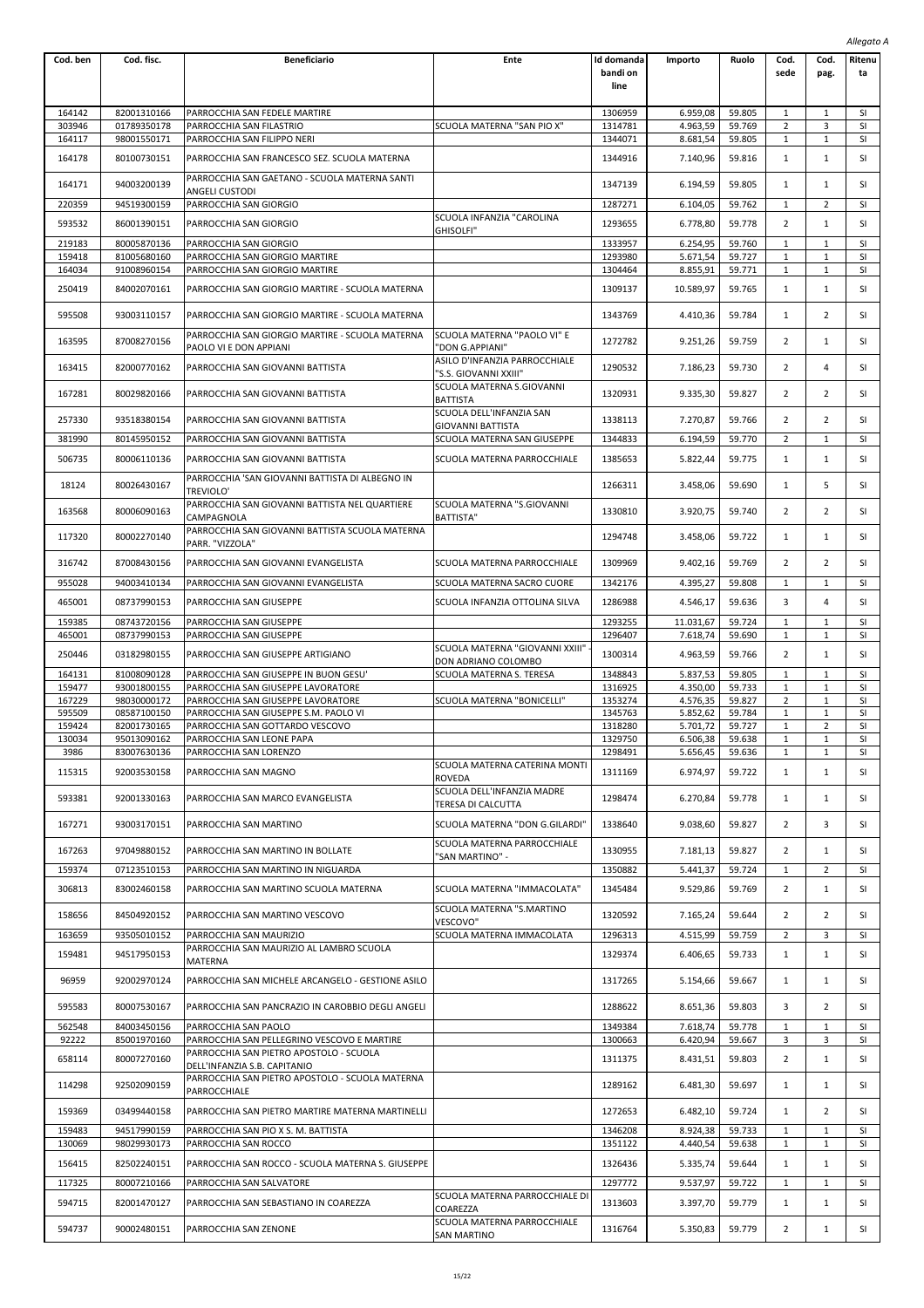|                  |                            |                                                                               |                                                            |                                |                       |                  |                                |                              | Allegato A             |
|------------------|----------------------------|-------------------------------------------------------------------------------|------------------------------------------------------------|--------------------------------|-----------------------|------------------|--------------------------------|------------------------------|------------------------|
| Cod. ben         | Cod. fisc.                 | <b>Beneficiario</b>                                                           | Ente                                                       | Id domanda<br>bandi on<br>line | Importo               | Ruolo            | Cod.<br>sede                   | Cod.<br>pag.                 | Ritenu<br>ta           |
| 164142           | 82001310166                | PARROCCHIA SAN FEDELE MARTIRE                                                 |                                                            | 1306959                        | 6.959,08              | 59.805           | 1                              | 1                            | SI                     |
| 303946           | 01789350178                | PARROCCHIA SAN FILASTRIO                                                      | SCUOLA MATERNA "SAN PIO X"                                 | 1314781                        | 4.963,59              | 59.769           | $\overline{2}$                 | 3                            | SI                     |
| 164117           | 98001550171                | PARROCCHIA SAN FILIPPO NERI                                                   |                                                            | 1344071                        | 8.681,54              | 59.805           | $1\,$                          | $\mathbf{1}$                 | SI                     |
| 164178           | 80100730151                | PARROCCHIA SAN FRANCESCO SEZ. SCUOLA MATERNA                                  |                                                            | 1344916                        | 7.140,96              | 59.816           | 1                              | $\mathbf{1}$                 | SI                     |
| 164171           | 94003200139                | PARROCCHIA SAN GAETANO - SCUOLA MATERNA SANTI<br><b>ANGELI CUSTODI</b>        |                                                            | 1347139                        | 6.194,59              | 59.805           | 1                              | 1                            | SI                     |
| 220359           | 94519300159                | PARROCCHIA SAN GIORGIO                                                        |                                                            | 1287271                        | 6.104,05              | 59.762           | $1\,$                          | $\overline{2}$               | SI                     |
| 593532           | 86001390151                | PARROCCHIA SAN GIORGIO                                                        | SCUOLA INFANZIA "CAROLINA                                  | 1293655                        | 6.778,80              | 59.778           | 2                              | 1                            | SI                     |
| 219183           | 80005870136                | PARROCCHIA SAN GIORGIO                                                        | GHISOLFI"                                                  | 1333957                        | 6.254,95              | 59.760           | $\mathbf{1}$                   | $\mathbf{1}$                 | SI                     |
| 159418           | 81005680160                | PARROCCHIA SAN GIORGIO MARTIRE                                                |                                                            | 1293980                        | 5.671,54              | 59.727           | $1\,$                          | $\mathbf{1}$                 | SI                     |
| 164034           | 91008960154                | PARROCCHIA SAN GIORGIO MARTIRE                                                |                                                            | 1304464                        | 8.855,91              | 59.771           | $1\,$                          | 1                            | SI                     |
| 250419           | 84002070161                | PARROCCHIA SAN GIORGIO MARTIRE - SCUOLA MATERNA                               |                                                            | 1309137                        | 10.589,97             | 59.765           | 1                              | 1                            | SI                     |
| 595508           | 93003110157                | PARROCCHIA SAN GIORGIO MARTIRE - SCUOLA MATERNA                               |                                                            | 1343769                        | 4.410,36              | 59.784           | 1                              | $\overline{2}$               | SI                     |
| 163595           | 87008270156                | PARROCCHIA SAN GIORGIO MARTIRE - SCUOLA MATERNA<br>PAOLO VI E DON APPIANI     | SCUOLA MATERNA "PAOLO VI" E<br>"DON G.APPIANI"             | 1272782                        | 9.251,26              | 59.759           | 2                              | 1                            | SI                     |
| 163415           | 82000770162                | PARROCCHIA SAN GIOVANNI BATTISTA                                              | ASILO D'INFANZIA PARROCCHIALE<br>"S.S. GIOVANNI XXIII"     | 1290532                        | 7.186,23              | 59.730           | 2                              | 4                            | SI                     |
| 167281           | 80029820166                | PARROCCHIA SAN GIOVANNI BATTISTA                                              | SCUOLA MATERNA S.GIOVANNI<br><b>BATTISTA</b>               | 1320931                        | 9.335,30              | 59.827           | $\overline{2}$                 | 2                            | <b>SI</b>              |
| 257330           | 93518380154                | PARROCCHIA SAN GIOVANNI BATTISTA                                              | SCUOLA DELL'INFANZIA SAN<br>GIOVANNI BATTISTA              | 1338113                        | 7.270,87              | 59.766           | $\overline{2}$                 | $\overline{2}$               | SI                     |
| 381990<br>506735 | 80145950152<br>80006110136 | PARROCCHIA SAN GIOVANNI BATTISTA<br>PARROCCHIA SAN GIOVANNI BATTISTA          | SCUOLA MATERNA SAN GIUSEPPE<br>SCUOLA MATERNA PARROCCHIALE | 1344833<br>1385653             | 6.194,59<br>5.822,44  | 59.770<br>59.775 | 2<br>$\mathbf{1}$              | $\mathbf{1}$<br>$\mathbf{1}$ | SI<br>SI               |
| 18124            | 80026430167                | PARROCCHIA 'SAN GIOVANNI BATTISTA DI ALBEGNO IN                               |                                                            | 1266311                        | 3.458,06              | 59.690           | 1                              | 5                            | SI                     |
| 163568           | 80006090163                | TREVIOLO'<br>PARROCCHIA SAN GIOVANNI BATTISTA NEL QUARTIERE                   | SCUOLA MATERNA "S.GIOVANNI                                 | 1330810                        | 3.920,75              | 59.740           | 2                              | $\overline{2}$               | SI                     |
| 117320           | 80002270140                | CAMPAGNOLA<br>PARROCCHIA SAN GIOVANNI BATTISTA SCUOLA MATERNA                 | <b>BATTISTA"</b>                                           | 1294748                        | 3.458,06              | 59.722           | $\mathbf{1}$                   | $\mathbf{1}$                 | SI                     |
| 316742           | 87008430156                | PARR. "VIZZOLA"<br>PARROCCHIA SAN GIOVANNI EVANGELISTA                        | SCUOLA MATERNA PARROCCHIALE                                | 1309969                        | 9.402,16              | 59.769           | 2                              | 2                            | <b>SI</b>              |
| 955028           | 94003410134                | PARROCCHIA SAN GIOVANNI EVANGELISTA                                           | SCUOLA MATERNA SACRO CUORE                                 | 1342176                        | 4.395,27              | 59.808           | 1                              | 1                            | SI                     |
| 465001           | 08737990153                | PARROCCHIA SAN GIUSEPPE                                                       | SCUOLA INFANZIA OTTOLINA SILVA                             | 1286988                        | 4.546,17              | 59.636           | 3                              | $\overline{4}$               | SI                     |
| 159385<br>465001 | 08743720156<br>08737990153 | PARROCCHIA SAN GIUSEPPE<br>PARROCCHIA SAN GIUSEPPE                            |                                                            | 1293255<br>1296407             | 11.031,67<br>7.618,74 | 59.724<br>59.690 | $1\,$<br>$1\,$                 | 1<br>$\mathbf{1}$            | SI<br><b>SI</b>        |
| 250446           | 03182980155                | PARROCCHIA SAN GIUSEPPE ARTIGIANO                                             | SCUOLA MATERNA "GIOVANNI XXIII"<br>DON ADRIANO COLOMBO     | 1300314                        | 4.963,59              | 59.766           | $\overline{2}$                 | $\mathbf{1}$                 | SI                     |
| 164131           | 81008090128                | PARROCCHIA SAN GIUSEPPE IN BUON GESU'                                         | SCUOLA MATERNA S. TERESA                                   | 1348843                        | 5.837,53              | 59.805           | 1                              | $\mathbf{1}$                 | <b>SI</b>              |
| 159477<br>167229 | 93001800155<br>98030000172 | PARROCCHIA SAN GIUSEPPE LAVORATORE                                            | SCUOLA MATERNA "BONICELLI"                                 | 1316925                        | 4.350,00              | 59.733           | 1<br>$\overline{2}$            | 1<br>$1\,$                   | <b>SI</b><br>SI        |
| 595509           | 08587100150                | PARROCCHIA SAN GIUSEPPE LAVORATORE<br>PARROCCHIA SAN GIUSEPPE S.M. PAOLO VI   |                                                            | 1353274<br>1345763             | 4.576,35<br>5.852,62  | 59.827<br>59.784 | $1\,$                          | $\mathbf{1}$                 | SI                     |
| 159424           | 82001730165                | PARROCCHIA SAN GOTTARDO VESCOVO                                               |                                                            | 1318280                        | 5.701,72              | 59.727           | $\mathbf{1}$                   | $\overline{2}$               | SI                     |
| 130034           | 95013090162                | PARROCCHIA SAN LEONE PAPA                                                     |                                                            | 1329750                        | 6.506,38              | 59.638           | 1                              | 1                            | <b>SI</b>              |
| 3986<br>115315   | 83007630136<br>92003530158 | PARROCCHIA SAN LORENZO<br>PARROCCHIA SAN MAGNO                                | SCUOLA MATERNA CATERINA MONTI<br><b>ROVEDA</b>             | 1298491<br>1311169             | 5.656,45<br>6.974,97  | 59.636<br>59.722 | 1<br>1                         | $\mathbf{1}$<br>$\mathbf{1}$ | SI<br>SI               |
| 593381           | 92001330163                | PARROCCHIA SAN MARCO EVANGELISTA                                              | SCUOLA DELL'INFANZIA MADRE                                 | 1298474                        | 6.270,84              | 59.778           | 1                              | 1                            | SI                     |
| 167271           | 93003170151                | PARROCCHIA SAN MARTINO                                                        | TERESA DI CALCUTTA<br>SCUOLA MATERNA "DON G.GILARDI"       | 1338640                        | 9.038,60              | 59.827           | 2                              | 3                            | SI                     |
| 167263           | 97049880152                | PARROCCHIA SAN MARTINO IN BOLLATE                                             | SCUOLA MATERNA PARROCCHIALE                                | 1330955                        | 7.181,13              | 59.827           | $\overline{2}$                 | 1                            | SI                     |
| 159374           | 07123510153                | PARROCCHIA SAN MARTINO IN NIGUARDA                                            | "SAN MARTINO" -                                            | 1350882                        | 5.441,37              | 59.724           | 1                              | $\overline{2}$               | <b>SI</b>              |
| 306813           | 83002460158                | PARROCCHIA SAN MARTINO SCUOLA MATERNA                                         | SCUOLA MATERNA "IMMACOLATA"                                | 1345484                        | 9.529,86              | 59.769           | 2                              | $\mathbf{1}$                 | <b>SI</b>              |
| 158656           | 84504920152                | PARROCCHIA SAN MARTINO VESCOVO                                                | SCUOLA MATERNA "S.MARTINO<br>VESCOVO"                      | 1320592                        | 7.165,24              | 59.644           | $\overline{2}$                 | $\overline{2}$               | SI                     |
| 163659<br>159481 | 93505010152<br>94517950153 | PARROCCHIA SAN MAURIZIO<br>PARROCCHIA SAN MAURIZIO AL LAMBRO SCUOLA           | SCUOLA MATERNA IMMACOLATA                                  | 1296313<br>1329374             | 4.515,99<br>6.406,65  | 59.759<br>59.733 | $\overline{2}$<br>$\mathbf{1}$ | 3<br>$\mathbf{1}$            | <b>SI</b><br><b>SI</b> |
| 96959            | 92002970124                | MATERNA<br>PARROCCHIA SAN MICHELE ARCANGELO - GESTIONE ASILO                  |                                                            | 1317265                        | 5.154,66              | 59.667           | $\mathbf{1}$                   | 1                            | SI                     |
| 595583           | 80007530167                | PARROCCHIA SAN PANCRAZIO IN CAROBBIO DEGLI ANGELI                             |                                                            | 1288622                        | 8.651,36              | 59.803           | 3                              | 2                            | SI                     |
| 562548           | 84003450156                | PARROCCHIA SAN PAOLO                                                          |                                                            | 1349384                        | 7.618,74              | 59.778           | $1\,$                          | $\mathbf{1}$                 | SI                     |
| 92222            | 85001970160                | PARROCCHIA SAN PELLEGRINO VESCOVO E MARTIRE                                   |                                                            | 1300663                        | 6.420,94              | 59.667           | 3                              | 3                            | SI                     |
| 658114           | 80007270160                | PARROCCHIA SAN PIETRO APOSTOLO - SCUOLA<br>DELL'INFANZIA S.B. CAPITANIO       |                                                            | 1311375                        | 8.431,51              | 59.803           | 2                              | 1                            | SI                     |
| 114298           | 92502090159                | PARROCCHIA SAN PIETRO APOSTOLO - SCUOLA MATERNA<br>PARROCCHIALE               |                                                            | 1289162                        | 6.481,30              | 59.697           | $\mathbf{1}$                   | $\mathbf{1}$                 | SI                     |
| 159369           | 03499440158                | PARROCCHIA SAN PIETRO MARTIRE MATERNA MARTINELLI                              |                                                            | 1272653                        | 6.482,10              | 59.724           | $\mathbf{1}$                   | 2                            | SI                     |
| 159483           | 94517990159                | PARROCCHIA SAN PIO X S. M. BATTISTA                                           |                                                            | 1346208                        | 8.924,38              | 59.733           | 1                              | $\mathbf{1}$                 | <b>SI</b>              |
| 130069           | 98029930173                | PARROCCHIA SAN ROCCO                                                          |                                                            | 1351122                        | 4.440,54              | 59.638           | 1                              | 1                            | SI                     |
| 156415<br>117325 | 82502240151<br>80007210166 | PARROCCHIA SAN ROCCO - SCUOLA MATERNA S. GIUSEPPE<br>PARROCCHIA SAN SALVATORE |                                                            | 1326436<br>1297772             | 5.335,74<br>9.537,97  | 59.644<br>59.722 | 1<br>$1\,$                     | 1<br>$\mathbf{1}$            | SI<br>SI               |
| 594715           | 82001470127                | PARROCCHIA SAN SEBASTIANO IN COAREZZA                                         | SCUOLA MATERNA PARROCCHIALE DI                             | 1313603                        | 3.397,70              | 59.779           | $1\,$                          | 1                            | SI                     |
| 594737           | 90002480151                | PARROCCHIA SAN ZENONE                                                         | COAREZZA<br>SCUOLA MATERNA PARROCCHIALE                    | 1316764                        | 5.350,83              | 59.779           | 2                              | 1                            | SI                     |
|                  |                            |                                                                               | SAN MARTINO                                                |                                |                       |                  |                                |                              |                        |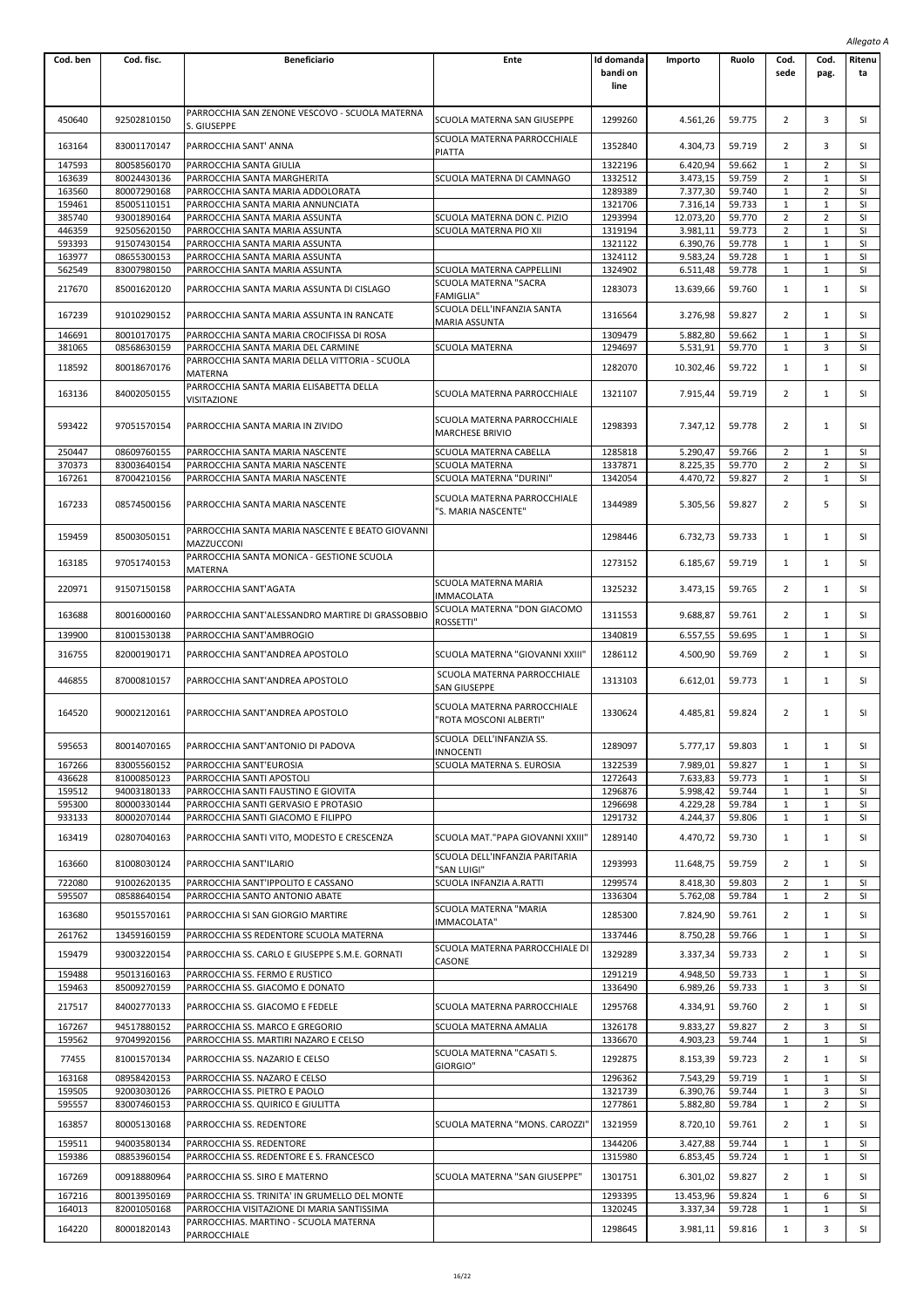|                  |                            |                                                                                 |                                                                |                                |                      |                  |                     |                              | Allegato A      |
|------------------|----------------------------|---------------------------------------------------------------------------------|----------------------------------------------------------------|--------------------------------|----------------------|------------------|---------------------|------------------------------|-----------------|
| Cod. ben         | Cod. fisc.                 | <b>Beneficiario</b>                                                             | Ente                                                           | Id domanda<br>bandi on<br>line | Importo              | Ruolo            | Cod.<br>sede        | Cod.<br>pag.                 | Ritenu<br>ta    |
| 450640           | 92502810150                | PARROCCHIA SAN ZENONE VESCOVO - SCUOLA MATERNA<br>S. GIUSEPPE                   | SCUOLA MATERNA SAN GIUSEPPE                                    | 1299260                        | 4.561,26             | 59.775           | 2                   | 3                            | SI              |
| 163164           | 83001170147                | PARROCCHIA SANT' ANNA                                                           | SCUOLA MATERNA PARROCCHIALE<br><b>PIATTA</b>                   | 1352840                        | 4.304,73             | 59.719           | 2                   | 3                            | SI              |
| 147593           | 80058560170                | PARROCCHIA SANTA GIULIA                                                         |                                                                | 1322196                        | 6.420,94             | 59.662           | 1<br>$\overline{2}$ | 2<br>$\mathbf{1}$            | SI              |
| 163639<br>163560 | 80024430136<br>80007290168 | PARROCCHIA SANTA MARGHERITA<br>PARROCCHIA SANTA MARIA ADDOLORATA                | SCUOLA MATERNA DI CAMNAGO                                      | 1332512<br>1289389             | 3.473,15<br>7.377,30 | 59.759<br>59.740 | 1                   | $\overline{2}$               | SI<br>SI        |
| 159461           | 85005110151                | PARROCCHIA SANTA MARIA ANNUNCIATA                                               |                                                                | 1321706                        | 7.316,14             | 59.733           | 1                   | $\mathbf{1}$                 | SI              |
| 385740           | 93001890164                | PARROCCHIA SANTA MARIA ASSUNTA                                                  | SCUOLA MATERNA DON C. PIZIO                                    | 1293994                        | 12.073,20            | 59.770           | 2                   | $\overline{2}$               | SI              |
| 446359           | 92505620150                | PARROCCHIA SANTA MARIA ASSUNTA                                                  | SCUOLA MATERNA PIO XII                                         | 1319194                        | 3.981,11             | 59.773           | 2                   | $\mathbf{1}$                 | SI              |
| 593393           | 91507430154                | PARROCCHIA SANTA MARIA ASSUNTA                                                  |                                                                | 1321122                        | 6.390,76             | 59.778           | $\mathbf{1}$        | $\mathbf{1}$                 | SI              |
| 163977           | 08655300153                | PARROCCHIA SANTA MARIA ASSUNTA                                                  |                                                                | 1324112                        | 9.583,24             | 59.728           | $\mathbf{1}$        | $1\,$                        | SI              |
| 562549           | 83007980150                | PARROCCHIA SANTA MARIA ASSUNTA                                                  | SCUOLA MATERNA CAPPELLINI                                      | 1324902                        | 6.511,48             | 59.778           | 1                   | $\mathbf{1}$                 | SI              |
| 217670           | 85001620120                | PARROCCHIA SANTA MARIA ASSUNTA DI CISLAGO                                       | SCUOLA MATERNA "SACRA<br><b>FAMIGLIA"</b>                      | 1283073                        | 13.639,66            | 59.760           | 1                   | $\mathbf{1}$                 | SI              |
| 167239           | 91010290152                | PARROCCHIA SANTA MARIA ASSUNTA IN RANCATE                                       | SCUOLA DELL'INFANZIA SANTA<br><b>MARIA ASSUNTA</b>             | 1316564                        | 3.276,98             | 59.827           | 2                   | $\mathbf{1}$                 | SI              |
| 146691<br>381065 | 80010170175<br>08568630159 | PARROCCHIA SANTA MARIA CROCIFISSA DI ROSA<br>PARROCCHIA SANTA MARIA DEL CARMINE | <b>SCUOLA MATERNA</b>                                          | 1309479<br>1294697             | 5.882,80<br>5.531,91 | 59.662<br>59.770 | 1<br>1              | 1<br>3                       | SI<br>SI        |
|                  |                            | PARROCCHIA SANTA MARIA DELLA VITTORIA - SCUOLA                                  |                                                                |                                |                      |                  |                     |                              |                 |
| 118592           | 80018670176                | MATERNA<br>PARROCCHIA SANTA MARIA ELISABETTA DELLA                              |                                                                | 1282070                        | 10.302,46            | 59.722           | 1                   | $\mathbf{1}$                 | SI              |
| 163136           | 84002050155                | VISITAZIONE                                                                     | SCUOLA MATERNA PARROCCHIALE                                    | 1321107                        | 7.915,44             | 59.719           | $\overline{2}$      | $\mathbf{1}$                 | SI              |
| 593422           | 97051570154                | PARROCCHIA SANTA MARIA IN ZIVIDO                                                | SCUOLA MATERNA PARROCCHIALE<br><b>MARCHESE BRIVIO</b>          | 1298393                        | 7.347,12             | 59.778           | 2                   | $\mathbf{1}$                 | SI              |
| 250447           | 08609760155                | PARROCCHIA SANTA MARIA NASCENTE                                                 | SCUOLA MATERNA CABELLA                                         | 1285818                        | 5.290.47             | 59.766           | 2                   | $1\,$                        | SI              |
| 370373           | 83003640154                | PARROCCHIA SANTA MARIA NASCENTE                                                 | SCUOLA MATERNA                                                 | 1337871                        | 8.225,35             | 59.770           | 2                   | 2                            | SI              |
| 167261           | 87004210156                | PARROCCHIA SANTA MARIA NASCENTE                                                 | SCUOLA MATERNA "DURINI"                                        | 1342054                        | 4.470.72             | 59.827           | 2                   | 1                            | SI              |
| 167233           | 08574500156                | PARROCCHIA SANTA MARIA NASCENTE                                                 | SCUOLA MATERNA PARROCCHIALE<br>'S. MARIA NASCENTE"             | 1344989                        | 5.305,56             | 59.827           | 2                   | 5                            | SI              |
| 159459           | 85003050151                | PARROCCHIA SANTA MARIA NASCENTE E BEATO GIOVANNI<br>MAZZUCCONI                  |                                                                | 1298446                        | 6.732,73             | 59.733           | 1                   | $\mathbf{1}$                 | SI              |
| 163185           | 97051740153                | PARROCCHIA SANTA MONICA - GESTIONE SCUOLA<br>MATERNA                            |                                                                | 1273152                        | 6.185,67             | 59.719           | $\mathbf{1}$        | $\mathbf{1}$                 | <b>SI</b>       |
| 220971           | 91507150158                | PARROCCHIA SANT'AGATA                                                           | SCUOLA MATERNA MARIA<br><b>IMMACOLATA</b>                      | 1325232                        | 3.473,15             | 59.765           | $\overline{2}$      | $\mathbf{1}$                 | SI              |
| 163688           | 80016000160                | PARROCCHIA SANT'ALESSANDRO MARTIRE DI GRASSOBBIO                                | SCUOLA MATERNA "DON GIACOMO<br>ROSSETTI"                       | 1311553                        | 9.688,87             | 59.761           | 2                   | $\mathbf{1}$                 | SI              |
| 139900           | 81001530138                | PARROCCHIA SANT'AMBROGIO                                                        |                                                                | 1340819                        | 6.557,55             | 59.695           | $\mathbf{1}$        | $\mathbf{1}$                 | <b>SI</b>       |
| 316755           | 82000190171                | PARROCCHIA SANT'ANDREA APOSTOLO                                                 | SCUOLA MATERNA "GIOVANNI XXIII"<br>SCUOLA MATERNA PARROCCHIALE | 1286112                        | 4.500,90             | 59.769           | $\overline{2}$      | $\mathbf{1}$                 | SI              |
| 446855           | 87000810157                | PARROCCHIA SANT'ANDREA APOSTOLO                                                 | SAN GIUSEPPE                                                   | 1313103                        | 6.612,01             | 59.773           | 1                   | $\mathbf{1}$                 | SI              |
| 164520           | 90002120161                | PARROCCHIA SANT'ANDREA APOSTOLO                                                 | SCUOLA MATERNA PARROCCHIALE<br>'ROTA MOSCONI ALBERTI"          | 1330624                        | 4.485,81             | 59.824           | 2                   | 1                            | SI              |
| 595653           | 80014070165                | PARROCCHIA SANT'ANTONIO DI PADOVA                                               | SCUOLA DELL'INFANZIA SS.<br><b>INNOCENTI</b>                   | 1289097                        | 5.777,17             | 59.803           | 1                   | 1                            | SI              |
| 167266           | 83005560152                | PARROCCHIA SANT'EUROSIA                                                         | SCUOLA MATERNA S. EUROSIA                                      | 1322539                        | 7.989,01             | 59.827           | 1                   | 1                            | SI              |
| 436628           | 81000850123                | PARROCCHIA SANTI APOSTOLI                                                       |                                                                | 1272643                        | 7.633,83             | 59.773           | 1                   | $1\,$                        | SI              |
| 159512           | 94003180133                | PARROCCHIA SANTI FAUSTINO E GIOVITA                                             |                                                                | 1296876                        | 5.998,42             | 59.744           | 1                   | $\mathbf{1}$                 | SI              |
| 595300           | 80000330144                | PARROCCHIA SANTI GERVASIO E PROTASIO                                            |                                                                | 1296698                        | 4.229,28             | 59.784           | $\mathbf{1}$        | $\mathbf{1}$                 | SI              |
| 933133           | 80002070144                | PARROCCHIA SANTI GIACOMO E FILIPPO                                              |                                                                | 1291732                        | 4.244,37             | 59.806           | 1                   | $\mathbf{1}$                 | SI              |
| 163419           | 02807040163                | PARROCCHIA SANTI VITO, MODESTO E CRESCENZA                                      | SCUOLA MAT."PAPA GIOVANNI XXIII'                               | 1289140                        | 4.470,72             | 59.730           | 1                   | $\mathbf{1}$                 | SI              |
| 163660           | 81008030124                | PARROCCHIA SANT'ILARIO                                                          | SCUOLA DELL'INFANZIA PARITARIA<br>'SAN LUIGI"                  | 1293993                        | 11.648,75            | 59.759           | 2                   | 1                            | SI              |
| 722080           | 91002620135                | PARROCCHIA SANT'IPPOLITO E CASSANO                                              | SCUOLA INFANZIA A.RATTI                                        | 1299574                        | 8.418,30             | 59.803           | 2                   | 1                            | SI              |
| 595507           | 08588640154                | PARROCCHIA SANTO ANTONIO ABATE                                                  |                                                                | 1336304                        | 5.762,08             | 59.784           | $\mathbf{1}$        | $\overline{2}$               | SI              |
| 163680<br>261762 | 95015570161<br>13459160159 | PARROCCHIA SI SAN GIORGIO MARTIRE<br>PARROCCHIA SS REDENTORE SCUOLA MATERNA     | SCUOLA MATERNA "MARIA<br>IMMACOLATA"                           | 1285300<br>1337446             | 7.824,90<br>8.750,28 | 59.761<br>59.766 | $\overline{2}$<br>1 | $\mathbf{1}$<br>$\mathbf{1}$ | SI<br><b>SI</b> |
| 159479           | 93003220154                | PARROCCHIA SS. CARLO E GIUSEPPE S.M.E. GORNATI                                  | SCUOLA MATERNA PARROCCHIALE DI<br>CASONE                       | 1329289                        | 3.337,34             | 59.733           | 2                   | $\mathbf{1}$                 | SI              |
| 159488           | 95013160163                | PARROCCHIA SS. FERMO E RUSTICO                                                  |                                                                | 1291219                        | 4.948,50             | 59.733           | 1                   | $\mathbf{1}$                 | SI              |
| 159463           | 85009270159                | PARROCCHIA SS. GIACOMO E DONATO                                                 |                                                                | 1336490                        | 6.989,26             | 59.733           | 1                   | 3                            | SI              |
| 217517           | 84002770133                | PARROCCHIA SS. GIACOMO E FEDELE                                                 | SCUOLA MATERNA PARROCCHIALE                                    | 1295768                        | 4.334,91             | 59.760           | 2                   | 1                            | SI              |
| 167267           | 94517880152                | PARROCCHIA SS. MARCO E GREGORIO                                                 | SCUOLA MATERNA AMALIA                                          | 1326178                        | 9.833,27             | 59.827           | 2                   | 3                            | SI              |
| 159562           | 97049920156                | PARROCCHIA SS. MARTIRI NAZARO E CELSO                                           |                                                                | 1336670                        | 4.903,23             | 59.744           | 1                   | 1                            | SI              |
| 77455<br>163168  | 81001570134<br>08958420153 | PARROCCHIA SS. NAZARIO E CELSO<br>PARROCCHIA SS. NAZARO E CELSO                 | SCUOLA MATERNA "CASATI S.<br>GIORGIO"                          | 1292875<br>1296362             | 8.153,39<br>7.543,29 | 59.723<br>59.719 | 2<br>1              | $\mathbf{1}$<br>$\mathbf{1}$ | SI<br><b>SI</b> |
| 159505           | 92003030126                | PARROCCHIA SS. PIETRO E PAOLO                                                   |                                                                | 1321739                        | 6.390,76             | 59.744           | $\mathbf{1}$        | 3                            | SI              |
| 595557           | 83007460153                | PARROCCHIA SS. QUIRICO E GIULITTA                                               |                                                                | 1277861                        | 5.882,80             | 59.784           | 1                   | 2                            | SI              |
| 163857           | 80005130168                | PARROCCHIA SS. REDENTORE                                                        | SCUOLA MATERNA "MONS. CAROZZI"                                 | 1321959                        | 8.720,10             | 59.761           | 2                   | $\mathbf{1}$                 | SI              |
| 159511           | 94003580134                | PARROCCHIA SS. REDENTORE                                                        |                                                                | 1344206                        | 3.427,88             | 59.744           | 1                   | $\mathbf{1}$                 | <b>SI</b>       |
| 159386           | 08853960154                | PARROCCHIA SS. REDENTORE E S. FRANCESCO                                         |                                                                | 1315980                        | 6.853,45             | 59.724           | $\mathbf{1}$        | $\mathbf{1}$                 | SI              |
| 167269           | 00918880964                | PARROCCHIA SS. SIRO E MATERNO                                                   | SCUOLA MATERNA "SAN GIUSEPPE"                                  | 1301751                        | 6.301,02             | 59.827           | $\overline{2}$      | $\mathbf{1}$                 | SI              |
| 167216           | 80013950169                | PARROCCHIA SS. TRINITA' IN GRUMELLO DEL MONTE                                   |                                                                | 1293395                        | 13.453,96            | 59.824           | 1                   | 6                            | <b>SI</b>       |
| 164013           | 82001050168                | PARROCCHIA VISITAZIONE DI MARIA SANTISSIMA                                      |                                                                | 1320245                        | 3.337,34             | 59.728           | 1                   | $\mathbf{1}$                 | SI              |
|                  |                            | PARROCCHIAS. MARTINO - SCUOLA MATERNA                                           |                                                                |                                |                      |                  |                     |                              |                 |
| 164220           | 80001820143                | PARROCCHIALE                                                                    |                                                                | 1298645                        | 3.981,11             | 59.816           | $\mathbf{1}$        | 3                            | SI              |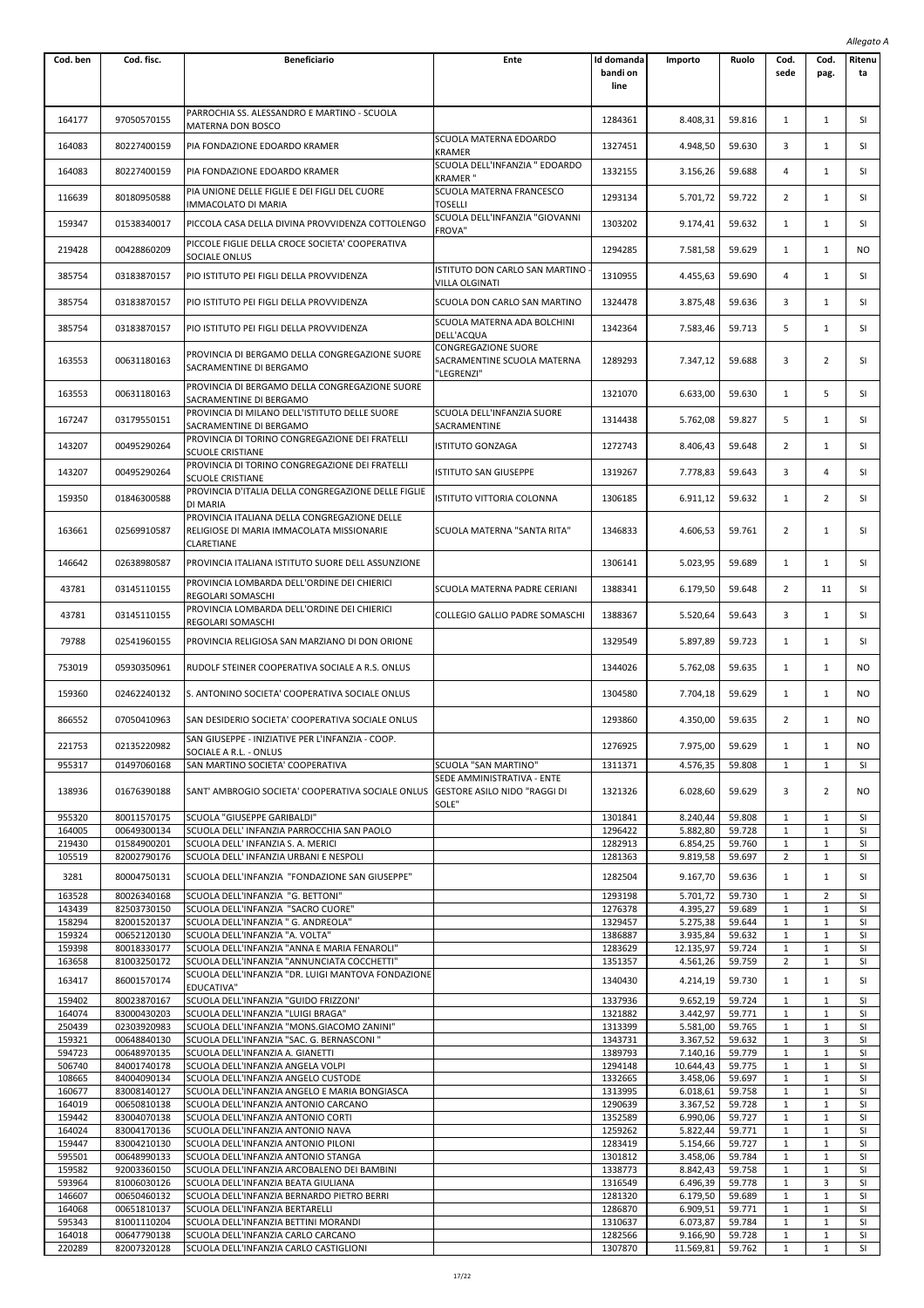|                  |                            |                                                                                |                                           |                    |                      |                  |                              |                              | Allegato A      |
|------------------|----------------------------|--------------------------------------------------------------------------------|-------------------------------------------|--------------------|----------------------|------------------|------------------------------|------------------------------|-----------------|
| Cod. ben         | Cod. fisc.                 | <b>Beneficiario</b>                                                            | Ente                                      | Id domanda         | Importo              | Ruolo            | Cod.                         | Cod.                         | Ritenu          |
|                  |                            |                                                                                |                                           | bandi on           |                      |                  | sede                         | pag.                         | ta              |
|                  |                            |                                                                                |                                           | line               |                      |                  |                              |                              |                 |
|                  |                            | PARROCHIA SS. ALESSANDRO E MARTINO - SCUOLA                                    |                                           |                    |                      |                  |                              |                              |                 |
| 164177           | 97050570155                | MATERNA DON BOSCO                                                              |                                           | 1284361            | 8.408,31             | 59.816           | $\mathbf{1}$                 | 1                            | SI              |
| 164083           | 80227400159                | PIA FONDAZIONE EDOARDO KRAMER                                                  | SCUOLA MATERNA EDOARDO<br><b>KRAMER</b>   | 1327451            | 4.948,50             | 59.630           | 3                            | 1                            | SI              |
|                  |                            |                                                                                | SCUOLA DELL'INFANZIA " EDOARDO            |                    |                      |                  |                              |                              |                 |
| 164083           | 80227400159                | PIA FONDAZIONE EDOARDO KRAMER                                                  | KRAMER "                                  | 1332155            | 3.156,26             | 59.688           | 4                            | 1                            | SI              |
| 116639           | 80180950588                | PIA UNIONE DELLE FIGLIE E DEI FIGLI DEL CUORE                                  | SCUOLA MATERNA FRANCESCO                  | 1293134            | 5.701,72             | 59.722           | 2                            | $\mathbf{1}$                 | SI              |
|                  |                            | IMMACOLATO DI MARIA                                                            | TOSELLI<br>SCUOLA DELL'INFANZIA "GIOVANNI |                    |                      |                  |                              |                              |                 |
| 159347           | 01538340017                | PICCOLA CASA DELLA DIVINA PROVVIDENZA COTTOLENGO                               | <b>FROVA"</b>                             | 1303202            | 9.174,41             | 59.632           | $\mathbf{1}$                 | $\mathbf{1}$                 | SI              |
| 219428           | 00428860209                | PICCOLE FIGLIE DELLA CROCE SOCIETA' COOPERATIVA                                |                                           | 1294285            | 7.581,58             | 59.629           | $\mathbf{1}$                 | $\mathbf{1}$                 | NO              |
|                  |                            | SOCIALE ONLUS                                                                  | ISTITUTO DON CARLO SAN MARTINO            |                    |                      |                  |                              |                              |                 |
| 385754           | 03183870157                | PIO ISTITUTO PEI FIGLI DELLA PROVVIDENZA                                       | VILLA OLGINATI                            | 1310955            | 4.455,63             | 59.690           | 4                            | 1                            | SI              |
| 385754           | 03183870157                | PIO ISTITUTO PEI FIGLI DELLA PROVVIDENZA                                       | SCUOLA DON CARLO SAN MARTINO              | 1324478            | 3.875,48             | 59.636           | 3                            | 1                            | SI              |
|                  |                            |                                                                                | SCUOLA MATERNA ADA BOLCHINI               |                    |                      |                  |                              |                              |                 |
| 385754           | 03183870157                | PIO ISTITUTO PEI FIGLI DELLA PROVVIDENZA                                       | DELL'ACQUA                                | 1342364            | 7.583,46             | 59.713           | 5                            | $\mathbf{1}$                 | SI              |
|                  |                            | PROVINCIA DI BERGAMO DELLA CONGREGAZIONE SUORE                                 | CONGREGAZIONE SUORE                       |                    |                      |                  |                              |                              |                 |
| 163553           | 00631180163                | SACRAMENTINE DI BERGAMO                                                        | SACRAMENTINE SCUOLA MATERNA<br>"LEGRENZI" | 1289293            | 7.347,12             | 59.688           | 3                            | 2                            | SI              |
|                  |                            | PROVINCIA DI BERGAMO DELLA CONGREGAZIONE SUORE                                 |                                           |                    |                      |                  |                              |                              |                 |
| 163553           | 00631180163                | SACRAMENTINE DI BERGAMO                                                        |                                           | 1321070            | 6.633,00             | 59.630           | $\mathbf{1}$                 | 5                            | SI              |
| 167247           | 03179550151                | PROVINCIA DI MILANO DELL'ISTITUTO DELLE SUORE                                  | SCUOLA DELL'INFANZIA SUORE                | 1314438            | 5.762,08             | 59.827           | 5                            | $\mathbf{1}$                 | SI              |
|                  |                            | SACRAMENTINE DI BERGAMO<br>PROVINCIA DI TORINO CONGREGAZIONE DEI FRATELLI      | SACRAMENTINE                              |                    |                      |                  |                              |                              |                 |
| 143207           | 00495290264                | <b>SCUOLE CRISTIANE</b>                                                        | <b>ISTITUTO GONZAGA</b>                   | 1272743            | 8.406,43             | 59.648           | 2                            | $\mathbf{1}$                 | SI              |
| 143207           | 00495290264                | PROVINCIA DI TORINO CONGREGAZIONE DEI FRATELLI                                 | <b>ISTITUTO SAN GIUSEPPE</b>              | 1319267            | 7.778,83             | 59.643           | 3                            | 4                            | SI              |
|                  |                            | <b>SCUOLE CRISTIANE</b><br>PROVINCIA D'ITALIA DELLA CONGREGAZIONE DELLE FIGLIE |                                           |                    |                      |                  |                              |                              |                 |
| 159350           | 01846300588                | DI MARIA                                                                       | ISTITUTO VITTORIA COLONNA                 | 1306185            | 6.911,12             | 59.632           | 1                            | $\overline{2}$               | SI              |
|                  |                            | PROVINCIA ITALIANA DELLA CONGREGAZIONE DELLE                                   |                                           |                    |                      |                  |                              |                              |                 |
| 163661           | 02569910587                | RELIGIOSE DI MARIA IMMACOLATA MISSIONARIE<br>CLARETIANE                        | SCUOLA MATERNA "SANTA RITA"               | 1346833            | 4.606,53             | 59.761           | $\overline{2}$               | 1                            | SI              |
|                  |                            |                                                                                |                                           |                    |                      |                  |                              |                              |                 |
| 146642           | 02638980587                | PROVINCIA ITALIANA ISTITUTO SUORE DELL ASSUNZIONE                              |                                           | 1306141            | 5.023,95             | 59.689           | $\mathbf{1}$                 | 1                            | SI              |
| 43781            | 03145110155                | PROVINCIA LOMBARDA DELL'ORDINE DEI CHIERICI<br>REGOLARI SOMASCHI               | SCUOLA MATERNA PADRE CERIANI              | 1388341            | 6.179,50             | 59.648           | 2                            | 11                           | SI              |
|                  |                            | PROVINCIA LOMBARDA DELL'ORDINE DEI CHIERICI                                    |                                           |                    |                      |                  |                              |                              |                 |
| 43781            | 03145110155                | REGOLARI SOMASCHI                                                              | COLLEGIO GALLIO PADRE SOMASCHI            | 1388367            | 5.520,64             | 59.643           | 3                            | $\mathbf{1}$                 | SI              |
| 79788            | 02541960155                | PROVINCIA RELIGIOSA SAN MARZIANO DI DON ORIONE                                 |                                           | 1329549            | 5.897,89             | 59.723           | $\mathbf{1}$                 | 1                            | SI              |
|                  |                            |                                                                                |                                           |                    |                      |                  |                              |                              |                 |
| 753019           | 05930350961                | RUDOLF STEINER COOPERATIVA SOCIALE A R.S. ONLUS                                |                                           | 1344026            | 5.762,08             | 59.635           | 1                            | 1                            | <b>NO</b>       |
| 159360           | 02462240132                | S. ANTONINO SOCIETA' COOPERATIVA SOCIALE ONLUS                                 |                                           | 1304580            | 7.704,18             | 59.629           | 1                            | 1                            | NO              |
|                  |                            |                                                                                |                                           |                    |                      |                  |                              |                              |                 |
| 866552           | 07050410963                | SAN DESIDERIO SOCIETA' COOPERATIVA SOCIALE ONLUS                               |                                           | 1293860            | 4.350,00             | 59.635           | 2                            | $\mathbf{1}$                 | NO.             |
| 221753           | 02135220982                | SAN GIUSEPPE - INIZIATIVE PER L'INFANZIA - COOP.<br>SOCIALE A R.L. - ONLUS     |                                           | 1276925            | 7.975,00             | 59.629           | $\mathbf{1}$                 | $\mathbf{1}$                 | NO.             |
| 955317           | 01497060168                | SAN MARTINO SOCIETA' COOPERATIVA                                               | SCUOLA "SAN MARTINO"                      | 1311371            | 4.576,35             | 59.808           | $\mathbf{1}$                 | $\mathbf{1}$                 | <b>SI</b>       |
|                  |                            |                                                                                | SEDE AMMINISTRATIVA - ENTE                |                    |                      |                  |                              |                              |                 |
| 138936           | 01676390188                | SANT' AMBROGIO SOCIETA' COOPERATIVA SOCIALE ONLUS                              | <b>GESTORE ASILO NIDO "RAGGI DI</b>       | 1321326            | 6.028,60             | 59.629           | 3                            | $\overline{2}$               | NO              |
| 955320           | 80011570175                | SCUOLA "GIUSEPPE GARIBALDI"                                                    | SOLE"                                     | 1301841            | 8.240.44             | 59.808           | 1                            | 1                            | SI              |
| 164005           | 00649300134                | SCUOLA DELL' INFANZIA PARROCCHIA SAN PAOLO                                     |                                           | 1296422            | 5.882,80             | 59.728           | $\mathbf{1}$                 | $\mathbf{1}$                 | SI              |
| 219430           | 01584900201                | SCUOLA DELL' INFANZIA S. A. MERICI                                             |                                           | 1282913            | 6.854,25             | 59.760           | 1                            | $\mathbf{1}$                 | SI              |
| 105519           | 82002790176                | SCUOLA DELL' INFANZIA URBANI E NESPOLI                                         |                                           | 1281363            | 9.819,58             | 59.697           | $\overline{2}$               | $\mathbf{1}$                 | SI              |
| 3281             | 80004750131                | SCUOLA DELL'INFANZIA "FONDAZIONE SAN GIUSEPPE"                                 |                                           | 1282504            | 9.167,70             | 59.636           | $\mathbf{1}$                 | $\mathbf{1}$                 | SI              |
| 163528           | 80026340168                | SCUOLA DELL'INFANZIA "G. BETTONI"                                              |                                           | 1293198            | 5.701,72             | 59.730           | 1                            | $\overline{2}$               | SI              |
| 143439<br>158294 | 82503730150<br>82001520137 | SCUOLA DELL'INFANZIA "SACRO CUORE"<br>SCUOLA DELL'INFANZIA " G. ANDREOLA"      |                                           | 1276378<br>1329457 | 4.395,27<br>5.275,38 | 59.689<br>59.644 | 1<br>$\mathbf{1}$            | $\mathbf{1}$<br>$\mathbf{1}$ | SI<br>SI        |
| 159324           | 00652120130                | SCUOLA DELL'INFANZIA "A. VOLTA"                                                |                                           | 1386887            | 3.935,84             | 59.632           | $\mathbf{1}$                 | $\mathbf{1}$                 | SI              |
| 159398           | 80018330177                | SCUOLA DELL'INFANZIA "ANNA E MARIA FENAROLI"                                   |                                           | 1283629            | 12.135,97            | 59.724           | 1                            | $\mathbf{1}$                 | <b>SI</b>       |
| 163658           | 81003250172                | SCUOLA DELL'INFANZIA "ANNUNCIATA COCCHETTI"                                    |                                           | 1351357            | 4.561,26             | 59.759           | $\overline{2}$               | $\mathbf{1}$                 | SI              |
| 163417           | 86001570174                | SCUOLA DELL'INFANZIA "DR. LUIGI MANTOVA FONDAZIONE<br>EDUCATIVA"               |                                           | 1340430            | 4.214,19             | 59.730           | $\mathbf{1}$                 | $\mathbf{1}$                 | SI              |
| 159402           | 80023870167                | SCUOLA DELL'INFANZIA "GUIDO FRIZZONI'                                          |                                           | 1337936            | 9.652,19             | 59.724           | 1                            | $\mathbf{1}$                 | SI              |
| 164074           | 83000430203                | SCUOLA DELL'INFANZIA "LUIGI BRAGA"                                             |                                           | 1321882            | 3.442,97             | 59.771           | 1                            | $\mathbf{1}$                 | SI              |
| 250439           | 02303920983                | SCUOLA DELL'INFANZIA "MONS.GIACOMO ZANINI"                                     |                                           | 1313399            | 5.581,00             | 59.765           | 1                            | $\mathbf{1}$                 | SI              |
| 159321<br>594723 | 00648840130<br>00648970135 | SCUOLA DELL'INFANZIA "SAC. G. BERNASCONI"<br>SCUOLA DELL'INFANZIA A. GIANETTI  |                                           | 1343731<br>1389793 | 3.367,52<br>7.140,16 | 59.632<br>59.779 | 1<br>$\mathbf{1}$            | 3<br>$\mathbf{1}$            | SI<br>SI        |
| 506740           | 84001740178                | SCUOLA DELL'INFANZIA ANGELA VOLPI                                              |                                           | 1294148            | 10.644,43            | 59.775           | $\mathbf{1}$                 | $\mathbf{1}$                 | SI              |
| 108665           | 84004090134                | SCUOLA DELL'INFANZIA ANGELO CUSTODE                                            |                                           | 1332665            | 3.458,06             | 59.697           | 1                            | $\mathbf{1}$                 | <b>SI</b>       |
| 160677           | 83008140127                | SCUOLA DELL'INFANZIA ANGELO E MARIA BONGIASCA                                  |                                           | 1313995            | 6.018,61             | 59.758           | 1                            | $\mathbf{1}$                 | SI              |
| 164019           | 00650810138                | SCUOLA DELL'INFANZIA ANTONIO CARCANO                                           |                                           | 1290639            | 3.367,52             | 59.728           | 1                            | $\mathbf{1}$                 | SI              |
| 159442<br>164024 | 83004070138<br>83004170136 | SCUOLA DELL'INFANZIA ANTONIO CORTI                                             |                                           | 1352589            | 6.990,06             | 59.727<br>59.771 | $\mathbf{1}$<br>$\mathbf{1}$ | $\mathbf{1}$<br>$\mathbf{1}$ | SI<br>SI        |
| 159447           | 83004210130                | SCUOLA DELL'INFANZIA ANTONIO NAVA<br>SCUOLA DELL'INFANZIA ANTONIO PILONI       |                                           | 1259262<br>1283419 | 5.822,44<br>5.154,66 | 59.727           | $\mathbf{1}$                 | $\mathbf{1}$                 | <b>SI</b>       |
| 595501           | 00648990133                | SCUOLA DELL'INFANZIA ANTONIO STANGA                                            |                                           | 1301812            | 3.458,06             | 59.784           | 1                            | $\mathbf{1}$                 | SI              |
| 159582           | 92003360150                | SCUOLA DELL'INFANZIA ARCOBALENO DEI BAMBINI                                    |                                           | 1338773            | 8.842,43             | 59.758           | 1                            | $\mathbf{1}$                 | SI              |
| 593964           | 81006030126                | SCUOLA DELL'INFANZIA BEATA GIULIANA                                            |                                           | 1316549            | 6.496,39             | 59.778           | $\mathbf{1}$                 | 3                            | SI              |
| 146607<br>164068 | 00650460132<br>00651810137 | SCUOLA DELL'INFANZIA BERNARDO PIETRO BERRI                                     |                                           | 1281320            | 6.179,50<br>6.909,51 | 59.689           | $\mathbf{1}$<br>1            | $\mathbf{1}$<br>$\mathbf{1}$ | SI<br><b>SI</b> |
| 595343           | 81001110204                | SCUOLA DELL'INFANZIA BERTARELLI<br>SCUOLA DELL'INFANZIA BETTINI MORANDI        |                                           | 1286870<br>1310637 | 6.073,87             | 59.771<br>59.784 | 1                            | $\mathbf{1}$                 | SI              |
| 164018           | 00647790138                | SCUOLA DELL'INFANZIA CARLO CARCANO                                             |                                           | 1282566            | 9.166,90             | 59.728           | 1                            | $\mathbf{1}$                 | <b>SI</b>       |
| 220289           | 82007320128                | SCUOLA DELL'INFANZIA CARLO CASTIGLIONI                                         |                                           | 1307870            | 11.569,81            | 59.762           | $\mathbf{1}$                 | $\mathbf{1}$                 | SI              |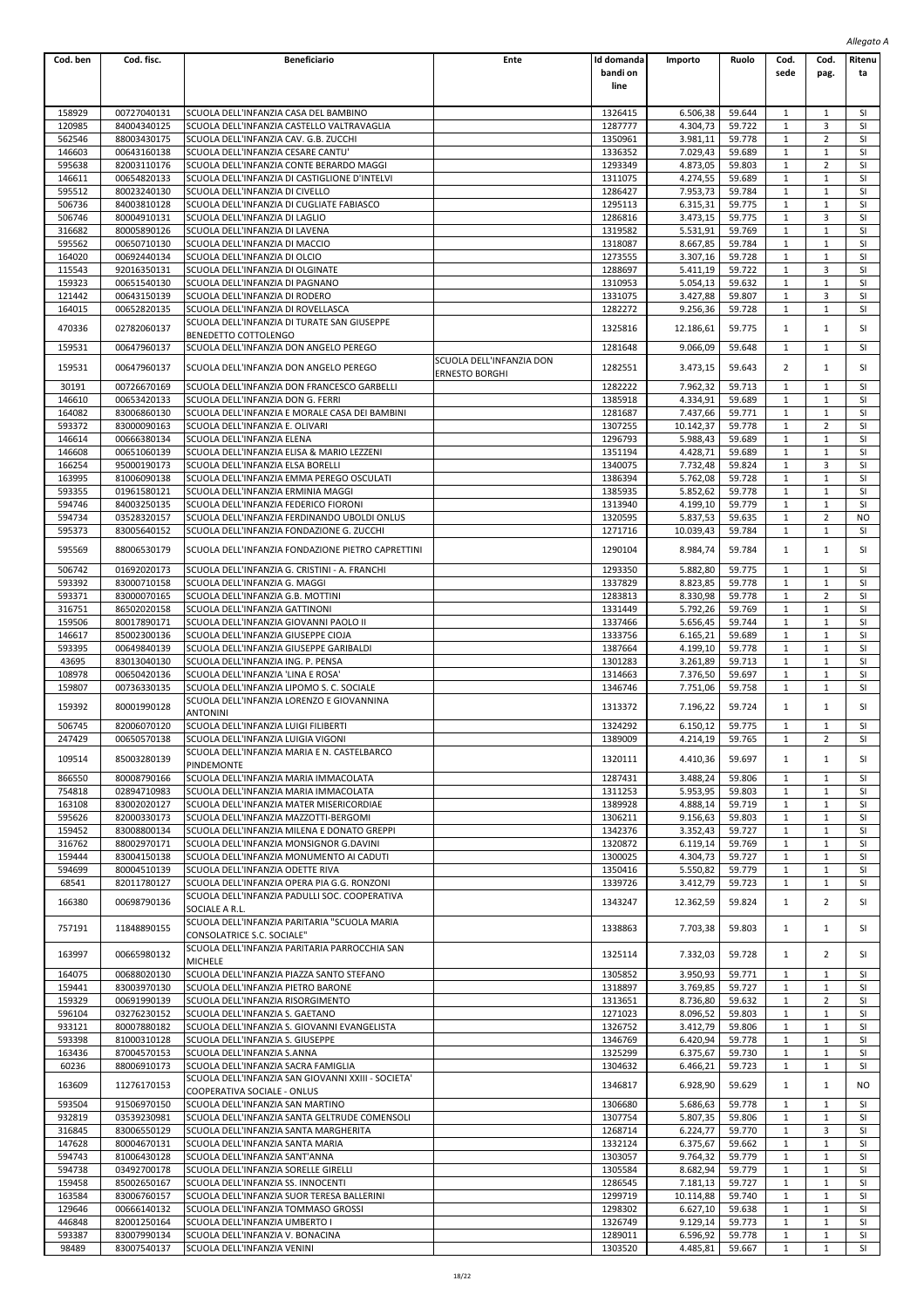|                  |                            |                                                                                       |                          |                    |                      |                  |                   |                              | Allegato A |  |
|------------------|----------------------------|---------------------------------------------------------------------------------------|--------------------------|--------------------|----------------------|------------------|-------------------|------------------------------|------------|--|
| Cod. ben         | Cod. fisc.                 | <b>Beneficiario</b>                                                                   | Ente                     | Id domanda         | Importo              | Ruolo            | Cod.              | Cod.                         | Ritenu     |  |
|                  |                            |                                                                                       |                          | bandi on           |                      |                  | sede              | pag.                         | ta         |  |
|                  |                            |                                                                                       |                          | line               |                      |                  |                   |                              |            |  |
|                  |                            |                                                                                       |                          |                    |                      |                  |                   |                              |            |  |
| 158929           | 00727040131                | SCUOLA DELL'INFANZIA CASA DEL BAMBINO                                                 |                          | 1326415            | 6.506,38             | 59.644           | 1                 | 1                            | SI         |  |
| 120985<br>562546 | 84004340125<br>88003430175 | SCUOLA DELL'INFANZIA CASTELLO VALTRAVAGLIA<br>SCUOLA DELL'INFANZIA CAV. G.B. ZUCCHI   |                          | 1287777<br>1350961 | 4.304,73<br>3.981,11 | 59.722<br>59.778 | 1<br>1            | 3<br>$\overline{2}$          | SI<br>SI   |  |
| 146603           | 00643160138                | SCUOLA DELL'INFANZIA CESARE CANTU'                                                    |                          | 1336352            | 7.029,43             | 59.689           | 1                 | 1                            | SI         |  |
| 595638           | 82003110176                | SCUOLA DELL'INFANZIA CONTE BERARDO MAGGI                                              |                          | 1293349            | 4.873,05             | 59.803           | 1                 | $\overline{2}$               | <b>SI</b>  |  |
| 146611           | 00654820133                | SCUOLA DELL'INFANZIA DI CASTIGLIONE D'INTELVI                                         |                          | 1311075            | 4.274,55             | 59.689           | $\mathbf{1}$      | $1\,$                        | SI         |  |
| 595512           | 80023240130                | SCUOLA DELL'INFANZIA DI CIVELLO                                                       |                          | 1286427            | 7.953,73             | 59.784           | 1                 | $1\,$                        | SI         |  |
| 506736           | 84003810128                | SCUOLA DELL'INFANZIA DI CUGLIATE FABIASCO                                             |                          | 1295113            | 6.315,31             | 59.775           | $\mathbf{1}$      | $\mathbf{1}$                 | SI         |  |
| 506746           | 80004910131                | SCUOLA DELL'INFANZIA DI LAGLIO                                                        |                          | 1286816            | 3.473,15             | 59.775           | 1                 | 3                            | SI         |  |
| 316682           | 80005890126                | SCUOLA DELL'INFANZIA DI LAVENA                                                        |                          | 1319582            | 5.531,91             | 59.769           | 1                 | $\mathbf{1}$                 | SI         |  |
| 595562           | 00650710130                | SCUOLA DELL'INFANZIA DI MACCIO                                                        |                          | 1318087            | 8.667,85             | 59.784           | $\mathbf{1}$      | $1\,$                        | SI         |  |
| 164020           | 00692440134                | SCUOLA DELL'INFANZIA DI OLCIO                                                         |                          | 1273555            | 3.307,16             | 59.728           | 1                 | $1\,$                        | SI         |  |
| 115543<br>159323 | 92016350131<br>00651540130 | SCUOLA DELL'INFANZIA DI OLGINATE<br>SCUOLA DELL'INFANZIA DI PAGNANO                   |                          | 1288697<br>1310953 | 5.411,19<br>5.054,13 | 59.722<br>59.632 | 1<br>1            | 3<br>1                       | SI<br>SI   |  |
| 121442           | 00643150139                | SCUOLA DELL'INFANZIA DI RODERO                                                        |                          | 1331075            | 3.427,88             | 59.807           | 1                 | 3                            | SI         |  |
| 164015           | 00652820135                | SCUOLA DELL'INFANZIA DI ROVELLASCA                                                    |                          | 1282272            | 9.256,36             | 59.728           | $\mathbf{1}$      | $\mathbf{1}$                 | SI         |  |
|                  |                            | SCUOLA DELL'INFANZIA DI TURATE SAN GIUSEPPE                                           |                          |                    |                      |                  |                   |                              |            |  |
| 470336           | 02782060137                | BENEDETTO COTTOLENGO                                                                  |                          | 1325816            | 12.186,61            | 59.775           | 1                 | $\mathbf{1}$                 | SI         |  |
| 159531           | 00647960137                | SCUOLA DELL'INFANZIA DON ANGELO PEREGO                                                |                          | 1281648            | 9.066,09             | 59.648           | 1                 | 1                            | <b>SI</b>  |  |
| 159531           | 00647960137                | SCUOLA DELL'INFANZIA DON ANGELO PEREGO                                                | SCUOLA DELL'INFANZIA DON | 1282551            | 3.473,15             | 59.643           | 2                 | $\mathbf{1}$                 | SI         |  |
|                  |                            |                                                                                       | ERNESTO BORGHI           |                    |                      |                  |                   |                              |            |  |
| 30191            | 00726670169                | SCUOLA DELL'INFANZIA DON FRANCESCO GARBELLI                                           |                          | 1282222            | 7.962,32             | 59.713           | 1                 | $1\,$                        | SI         |  |
| 146610           | 00653420133                | SCUOLA DELL'INFANZIA DON G. FERRI                                                     |                          | 1385918            | 4.334,91             | 59.689           | 1                 | $\mathbf{1}$                 | SI         |  |
| 164082           | 83006860130                | SCUOLA DELL'INFANZIA E MORALE CASA DEI BAMBINI                                        |                          | 1281687            | 7.437,66             | 59.771           | 1                 | 1                            | SI         |  |
| 593372           | 83000090163                | SCUOLA DELL'INFANZIA E. OLIVARI                                                       |                          | 1307255            | 10.142,37            | 59.778           | 1                 | 2                            | SI         |  |
| 146614           | 00666380134                | SCUOLA DELL'INFANZIA ELENA                                                            |                          | 1296793            | 5.988,43             | 59.689           | $\mathbf{1}$      | $\mathbf{1}$                 | SI         |  |
| 146608           | 00651060139                | SCUOLA DELL'INFANZIA ELISA & MARIO LEZZENI                                            |                          | 1351194            | 4.428,71             | 59.689           | 1                 | $1\,$                        | SI         |  |
| 166254           | 95000190173                | SCUOLA DELL'INFANZIA ELSA BORELLI                                                     |                          | 1340075            | 7.732,48             | 59.824           | 1                 | 3                            | SI         |  |
| 163995           | 81006090138                | SCUOLA DELL'INFANZIA EMMA PEREGO OSCULATI                                             |                          | 1386394            | 5.762,08             | 59.728           | 1                 | $\mathbf{1}$                 | <b>SI</b>  |  |
| 593355           | 01961580121<br>84003250135 | SCUOLA DELL'INFANZIA ERMINIA MAGGI                                                    |                          | 1385935            | 5.852,62<br>4.199,10 | 59.778<br>59.779 | 1<br>$\mathbf{1}$ | $\mathbf{1}$<br>$\mathbf{1}$ | SI<br>SI   |  |
| 594746<br>594734 | 03528320157                | SCUOLA DELL'INFANZIA FEDERICO FIORONI<br>SCUOLA DELL'INFANZIA FERDINANDO UBOLDI ONLUS |                          | 1313940<br>1320595 | 5.837,53             | 59.635           | 1                 | $\overline{2}$               | <b>NO</b>  |  |
| 595373           | 83005640152                | SCUOLA DELL'INFANZIA FONDAZIONE G. ZUCCHI                                             |                          | 1271716            | 10.039,43            | 59.784           | 1                 | $\mathbf{1}$                 | <b>SI</b>  |  |
|                  |                            |                                                                                       |                          |                    |                      |                  |                   |                              |            |  |
| 595569           | 88006530179                | SCUOLA DELL'INFANZIA FONDAZIONE PIETRO CAPRETTINI                                     |                          | 1290104            | 8.984,74             | 59.784           | 1                 | $\mathbf{1}$                 | SI         |  |
| 506742           | 01692020173                | SCUOLA DELL'INFANZIA G. CRISTINI - A. FRANCHI                                         |                          | 1293350            | 5.882,80             | 59.775           | 1                 | 1                            | SI         |  |
| 593392           | 83000710158                | SCUOLA DELL'INFANZIA G. MAGGI                                                         |                          | 1337829            | 8.823,85             | 59.778           | 1                 | $1\,$                        | SI         |  |
| 593371           | 83000070165                | SCUOLA DELL'INFANZIA G.B. MOTTINI                                                     |                          | 1283813            | 8.330,98             | 59.778           | 1                 | 2                            | SI         |  |
| 316751           | 86502020158                | SCUOLA DELL'INFANZIA GATTINONI                                                        |                          | 1331449            | 5.792,26             | 59.769           | 1                 | 1                            | <b>SI</b>  |  |
| 159506           | 80017890171                | SCUOLA DELL'INFANZIA GIOVANNI PAOLO II                                                |                          | 1337466            | 5.656,45             | 59.744           | 1                 | $\mathbf{1}$                 | SI         |  |
| 146617           | 85002300136                | SCUOLA DELL'INFANZIA GIUSEPPE CIOJA                                                   |                          | 1333756            | 6.165,21             | 59.689           | $\mathbf{1}$      | $\mathbf{1}$                 | SI         |  |
| 593395           | 00649840139                | SCUOLA DELL'INFANZIA GIUSEPPE GARIBALDI                                               |                          | 1387664            | 4.199,10             | 59.778           | $1\,$             | $1\,$                        | SI         |  |
| 43695            | 83013040130                | SCUOLA DELL'INFANZIA ING. P. PENSA                                                    |                          | 1301283            | 3.261,89             | 59.713           | 1                 | $\mathbf{1}$                 | SI         |  |
| 108978           | 00650420136                | SCUOLA DELL'INFANZIA 'LINA E ROSA'                                                    |                          | 1314663            | 7.376,50             | 59.697           | 1                 | $1\,$                        | <b>SI</b>  |  |
| 159807           | 00736330135                | SCUOLA DELL'INFANZIA LIPOMO S. C. SOCIALE                                             |                          | 1346746            | 7.751,06             | 59.758           | 1                 | $\mathbf{1}$                 | <b>SI</b>  |  |
| 159392           | 80001990128                | SCUOLA DELL'INFANZIA LORENZO E GIOVANNINA                                             |                          | 1313372            | 7.196,22             | 59.724           | 1                 | $\mathbf{1}$                 | SI         |  |
|                  |                            | ANTONINI                                                                              |                          |                    |                      |                  |                   |                              |            |  |
| 506745           | 82006070120                | SCUOLA DELL'INFANZIA LUIGI FILIBERTI                                                  |                          | 1324292            | 6.150,12             | 59.775           | $\mathbf{1}$      | $\mathbf{1}$                 | SI         |  |
| 247429           | 00650570138                | SCUOLA DELL'INFANZIA LUIGIA VIGONI<br>SCUOLA DELL'INFANZIA MARIA E N. CASTELBARCO     |                          | 1389009            | 4.214,19             | 59.765           | 1                 | $\overline{2}$               | SI         |  |
| 109514           | 85003280139                | <b>PINDEMONTE</b>                                                                     |                          | 1320111            | 4.410,36             | 59.697           | 1                 | $\mathbf{1}$                 | SI         |  |
| 866550           | 80008790166                | SCUOLA DELL'INFANZIA MARIA IMMACOLATA                                                 |                          | 1287431            | 3.488.24             | 59.806           | 1                 | $\mathbf{1}$                 | SI         |  |
| 754818           | 02894710983                | SCUOLA DELL'INFANZIA MARIA IMMACOLATA                                                 |                          | 1311253            | 5.953,95             | 59.803           | 1                 | $\mathbf{1}$                 | SI         |  |
| 163108           | 83002020127                | SCUOLA DELL'INFANZIA MATER MISERICORDIAE                                              |                          | 1389928            | 4.888,14             | 59.719           | 1                 | $\mathbf{1}$                 | <b>SI</b>  |  |
| 595626           | 82000330173                | SCUOLA DELL'INFANZIA MAZZOTTI-BERGOMI                                                 |                          | 1306211            | 9.156,63             | 59.803           | 1                 | $\mathbf{1}$                 | SI         |  |
| 159452           | 83008800134                | SCUOLA DELL'INFANZIA MILENA E DONATO GREPPI                                           |                          | 1342376            | 3.352,43             | 59.727           | $\mathbf{1}$      | $\mathbf{1}$                 | SI         |  |
| 316762           | 88002970171                | SCUOLA DELL'INFANZIA MONSIGNOR G.DAVINI                                               |                          | 1320872            | 6.119,14             | 59.769           | 1                 | $1\,$                        | SI         |  |
| 159444           | 83004150138                | SCUOLA DELL'INFANZIA MONUMENTO AI CADUTI                                              |                          | 1300025            | 4.304,73             | 59.727           | 1                 | $\mathbf{1}$                 | <b>SI</b>  |  |
| 594699           | 80004510139                | SCUOLA DELL'INFANZIA ODETTE RIVA                                                      |                          | 1350416            | 5.550,82             | 59.779           | 1                 | 1                            | <b>SI</b>  |  |
| 68541            | 82011780127                | SCUOLA DELL'INFANZIA OPERA PIA G.G. RONZONI                                           |                          | 1339726            | 3.412,79             | 59.723           | 1                 | 1                            | SI         |  |
| 166380           | 00698790136                | SCUOLA DELL'INFANZIA PADULLI SOC. COOPERATIVA                                         |                          | 1343247            | 12.362,59            | 59.824           | 1                 | 2                            | SI         |  |
|                  |                            | SOCIALE A R.L.                                                                        |                          |                    |                      |                  |                   |                              |            |  |
| 757191           | 11848890155                | SCUOLA DELL'INFANZIA PARITARIA "SCUOLA MARIA                                          |                          | 1338863            | 7.703.38             | 59.803           | 1                 | 1                            | SI.        |  |
|                  |                            | CONSOLATRICE S.C. SOCIALE"                                                            |                          |                    |                      |                  |                   |                              |            |  |
| 163997           | 00665980132                | SCUOLA DELL'INFANZIA PARITARIA PARROCCHIA SAN                                         |                          | 1325114            | 7.332,03             | 59.728           | 1                 | $\overline{2}$               | SI         |  |
| 164075           | 00688020130                | <b>MICHELE</b><br>SCUOLA DELL'INFANZIA PIAZZA SANTO STEFANO                           |                          | 1305852            | 3.950,93             | 59.771           |                   |                              | SI         |  |
| 159441           | 83003970130                | SCUOLA DELL'INFANZIA PIETRO BARONE                                                    |                          | 1318897            | 3.769,85             | 59.727           | 1<br>1            | $1\,$<br>$\mathbf{1}$        | SI         |  |
| 159329           | 00691990139                | SCUOLA DELL'INFANZIA RISORGIMENTO                                                     |                          | 1313651            | 8.736,80             | 59.632           | 1                 | $\overline{2}$               | SI         |  |
| 596104           | 03276230152                | SCUOLA DELL'INFANZIA S. GAETANO                                                       |                          | 1271023            | 8.096,52             | 59.803           | 1                 | $\mathbf{1}$                 | <b>SI</b>  |  |
| 933121           | 80007880182                | SCUOLA DELL'INFANZIA S. GIOVANNI EVANGELISTA                                          |                          | 1326752            | 3.412,79             | 59.806           | 1                 | $\mathbf{1}$                 | SI         |  |
| 593398           | 81000310128                | SCUOLA DELL'INFANZIA S. GIUSEPPE                                                      |                          | 1346769            | 6.420,94             | 59.778           | 1                 | $1\,$                        | SI         |  |
| 163436           | 87004570153                | SCUOLA DELL'INFANZIA S.ANNA                                                           |                          | 1325299            | 6.375,67             | 59.730           | 1                 | $\mathbf{1}$                 | <b>SI</b>  |  |
| 60236            | 88006910173                | SCUOLA DELL'INFANZIA SACRA FAMIGLIA                                                   |                          | 1304632            | 6.466,21             | 59.723           | 1                 | $\mathbf{1}$                 | <b>SI</b>  |  |
|                  |                            | SCUOLA DELL'INFANZIA SAN GIOVANNI XXIII - SOCIETA'                                    |                          |                    |                      |                  |                   |                              |            |  |
| 163609           | 11276170153                | COOPERATIVA SOCIALE - ONLUS                                                           |                          | 1346817            | 6.928,90             | 59.629           | 1                 | $\mathbf{1}$                 | NO.        |  |
| 593504           | 91506970150                | SCUOLA DELL'INFANZIA SAN MARTINO                                                      |                          | 1306680            | 5.686,63             | 59.778           | 1                 | $\mathbf{1}$                 | SI         |  |
| 932819           | 03539230981                | SCUOLA DELL'INFANZIA SANTA GELTRUDE COMENSOLI                                         |                          | 1307754            | 5.807,35             | 59.806           | 1                 | $\mathbf{1}$                 | SI         |  |
| 316845           | 83006550129                | SCUOLA DELL'INFANZIA SANTA MARGHERITA                                                 |                          | 1268714            | 6.224,77             | 59.770           | 1                 | 3                            | <b>SI</b>  |  |
| 147628           | 80004670131                | SCUOLA DELL'INFANZIA SANTA MARIA                                                      |                          | 1332124            | 6.375,67             | 59.662           | 1                 | $\mathbf{1}$                 | <b>SI</b>  |  |
| 594743           | 81006430128                | SCUOLA DELL'INFANZIA SANT'ANNA                                                        |                          | 1303057            | 9.764,32             | 59.779           | 1                 | $\mathbf{1}$                 | SI         |  |
| 594738           | 03492700178                | SCUOLA DELL'INFANZIA SORELLE GIRELLI                                                  |                          | 1305584            | 8.682,94             | 59.779           | 1                 | $1\,$                        | SI         |  |
| 159458           | 85002650167                | SCUOLA DELL'INFANZIA SS. INNOCENTI                                                    |                          | 1286545            | 7.181,13             | 59.727           | 1                 | $\mathbf{1}$                 | <b>SI</b>  |  |
| 163584           | 83006760157                | SCUOLA DELL'INFANZIA SUOR TERESA BALLERINI                                            |                          | 1299719            | 10.114,88            | 59.740           | 1                 | $\mathbf{1}$                 | <b>SI</b>  |  |
| 129646           | 00666140132                | SCUOLA DELL'INFANZIA TOMMASO GROSSI                                                   |                          | 1298302            | 6.627,10             | 59.638           | 1                 | $\mathbf{1}$                 | <b>SI</b>  |  |
| 446848<br>593387 | 82001250164<br>83007990134 | SCUOLA DELL'INFANZIA UMBERTO I<br>SCUOLA DELL'INFANZIA V. BONACINA                    |                          | 1326749<br>1289011 | 9.129,14<br>6.596,92 | 59.773<br>59.778 | 1<br>1            | $\mathbf{1}$<br>$\mathbf{1}$ | SI<br>SI   |  |
| 98489            | 83007540137                | SCUOLA DELL'INFANZIA VENINI                                                           |                          | 1303520            | 4.485,81             | 59.667           | $\mathbf{1}$      | 1                            | SI         |  |
|                  |                            |                                                                                       |                          |                    |                      |                  |                   |                              |            |  |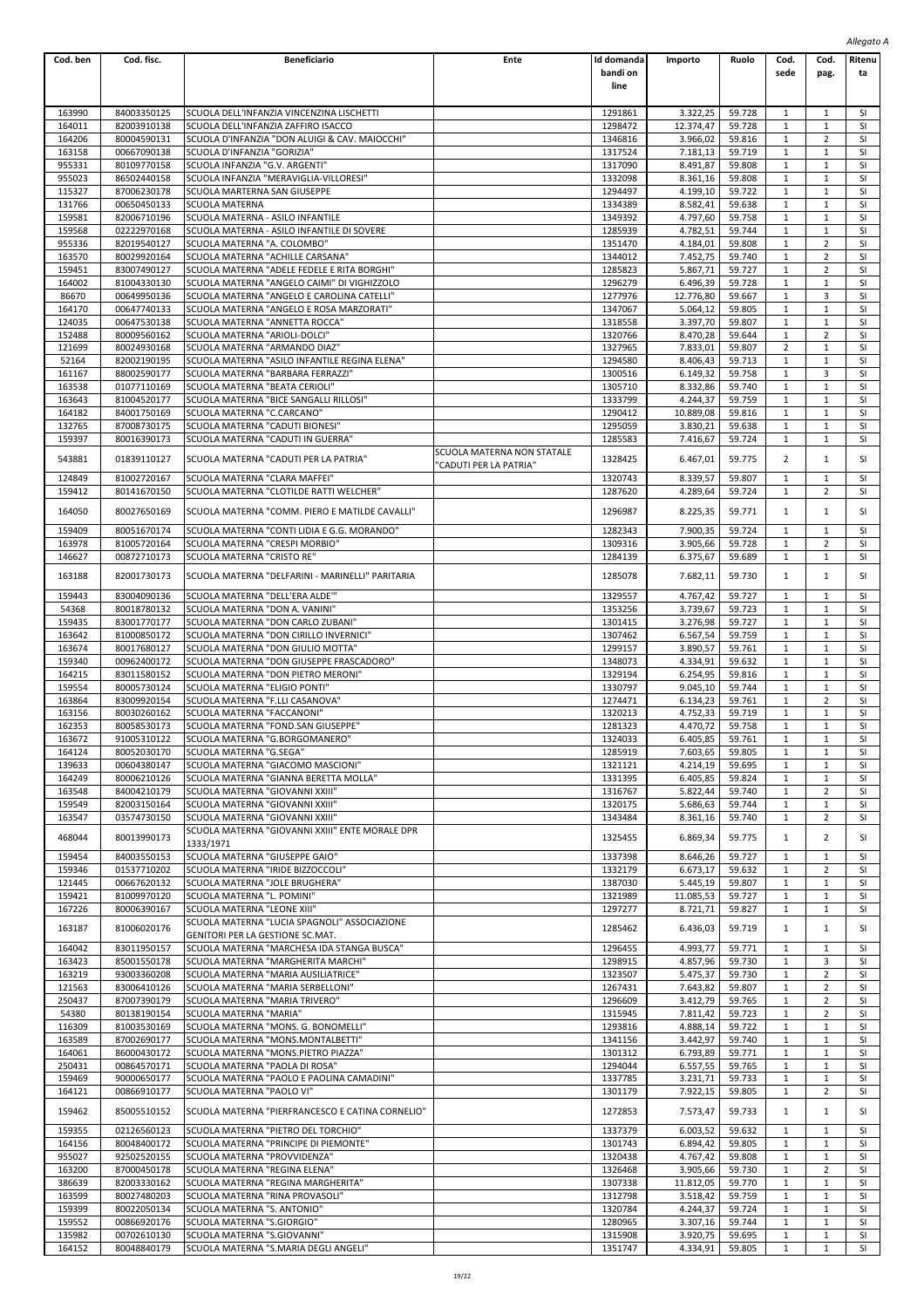| Cod. ben         | Cod. fisc.                 | <b>Beneficiario</b>                                                                        | Ente                                                 | Id domanda         | Importo              | Ruolo            | Cod.                         | Cod.                           | Ritenu    |
|------------------|----------------------------|--------------------------------------------------------------------------------------------|------------------------------------------------------|--------------------|----------------------|------------------|------------------------------|--------------------------------|-----------|
|                  |                            |                                                                                            |                                                      | bandi on           |                      |                  | sede                         | pag.                           | ta        |
|                  |                            |                                                                                            |                                                      | line               |                      |                  |                              |                                |           |
| 163990           | 84003350125                | SCUOLA DELL'INFANZIA VINCENZINA LISCHETTI                                                  |                                                      | 1291861            | 3.322,25             | 59.728           | 1                            | 1                              | SI        |
| 164011           | 82003910138                | SCUOLA DELL'INFANZIA ZAFFIRO ISACCO                                                        |                                                      | 1298472            | 12.374,47            | 59.728           | 1                            | $\mathbf{1}$                   | SI        |
| 164206           | 80004590131                | SCUOLA D'INFANZIA "DON ALUIGI & CAV. MAIOCCHI"                                             |                                                      | 1346816            | 3.966,02             | 59.816           | 1                            | 2                              | SI        |
| 163158           | 00667090138                | SCUOLA D'INFANZIA "GORIZIA"                                                                |                                                      | 1317524            | 7.181,13             | 59.719           | $\mathbf{1}$                 | $\mathbf 1$                    | SI        |
| 955331           | 80109770158                | SCUOLA INFANZIA "G.V. ARGENTI"                                                             |                                                      | 1317090            | 8.491,87             | 59.808           | $\mathbf{1}$                 | $\mathbf{1}$                   | SI        |
| 955023           | 86502440158                | SCUOLA INFANZIA "MERAVIGLIA-VILLORESI"                                                     |                                                      | 1332098            | 8.361,16             | 59.808           | $\mathbf{1}$<br>$\mathbf{1}$ | $\mathbf{1}$<br>$\mathbf{1}$   | SI        |
| 115327<br>131766 | 87006230178<br>00650450133 | SCUOLA MARTERNA SAN GIUSEPPE<br>SCUOLA MATERNA                                             |                                                      | 1294497<br>1334389 | 4.199,10<br>8.582,41 | 59.722<br>59.638 | 1                            | $\mathbf{1}$                   | SI<br>SI  |
| 159581           | 82006710196                | SCUOLA MATERNA - ASILO INFANTILE                                                           |                                                      | 1349392            | 4.797.60             | 59.758           | $\mathbf{1}$                 | $\mathbf 1$                    | SI        |
| 159568           | 02222970168                | SCUOLA MATERNA - ASILO INFANTILE DI SOVERE                                                 |                                                      | 1285939            | 4.782,51             | 59.744           | $\mathbf{1}$                 | $\mathbf{1}$                   | SI        |
| 955336           | 82019540127                | SCUOLA MATERNA "A. COLOMBO"                                                                |                                                      | 1351470            | 4.184,01             | 59.808           | $\mathbf{1}$                 | $\overline{2}$                 | SI        |
| 163570           | 80029920164                | SCUOLA MATERNA "ACHILLE CARSANA"                                                           |                                                      | 1344012            | 7.452,75             | 59.740           | 1                            | $\overline{2}$                 | SI        |
| 159451           | 83007490127<br>81004330130 | SCUOLA MATERNA "ADELE FEDELE E RITA BORGHI"<br>SCUOLA MATERNA "ANGELO CAIMI" DI VIGHIZZOLO |                                                      | 1285823<br>1296279 | 5.867,71<br>6.496,39 | 59.727<br>59.728 | 1<br>$\mathbf{1}$            | 2<br>$\mathbf{1}$              | SI<br>SI  |
| 164002<br>86670  | 00649950136                | SCUOLA MATERNA "ANGELO E CAROLINA CATELLI"                                                 |                                                      | 1277976            | 12.776,80            | 59.667           | $\mathbf{1}$                 | 3                              | SI        |
| 164170           | 00647740133                | SCUOLA MATERNA "ANGELO E ROSA MARZORATI"                                                   |                                                      | 1347067            | 5.064,12             | 59.805           | $\mathbf{1}$                 | $\mathbf{1}$                   | SI        |
| 124035           | 00647530138                | SCUOLA MATERNA "ANNETTA ROCCA"                                                             |                                                      | 1318558            | 3.397,70             | 59.807           | 1                            | $\mathbf{1}$                   | SI        |
| 152488           | 80009560162                | SCUOLA MATERNA "ARIOLI-DOLCI"                                                              |                                                      | 1320766            | 8.470,28             | 59.644           | 1                            | 2                              | SI        |
| 121699           | 80024930168                | SCUOLA MATERNA "ARMANDO DIAZ"                                                              |                                                      | 1327965            | 7.833,01             | 59.807           | $\overline{2}$               | $\mathbf 1$                    | SI        |
| 52164<br>161167  | 82002190195<br>88002590177 | SCUOLA MATERNA "ASILO INFANTILE REGINA ELENA"<br>SCUOLA MATERNA "BARBARA FERRAZZI"         |                                                      | 1294580<br>1300516 | 8.406,43<br>6.149,32 | 59.713<br>59.758 | $\mathbf{1}$<br>$\mathbf{1}$ | $\mathbf{1}$<br>3              | SI<br>SI  |
| 163538           | 01077110169                | SCUOLA MATERNA "BEATA CERIOLI"                                                             |                                                      | 1305710            | 8.332,86             | 59.740           | $\mathbf{1}$                 | $\mathbf 1$                    | SI        |
| 163643           | 81004520177                | SCUOLA MATERNA "BICE SANGALLI RILLOSI"                                                     |                                                      | 1333799            | 4.244,37             | 59.759           | 1                            | $\mathbf{1}$                   | SI        |
| 164182           | 84001750169                | SCUOLA MATERNA "C.CARCANO"                                                                 |                                                      | 1290412            | 10.889,08            | 59.816           | $\mathbf{1}$                 | $\mathbf 1$                    | SI        |
| 132765           | 87008730175                | SCUOLA MATERNA "CADUTI BIONESI"                                                            |                                                      | 1295059            | 3.830,21             | 59.638           | $\mathbf{1}$                 | $\mathbf{1}$                   | SI        |
| 159397           | 80016390173                | SCUOLA MATERNA "CADUTI IN GUERRA"                                                          |                                                      | 1285583            | 7.416,67             | 59.724           | 1                            | $\mathbf{1}$                   | SI        |
| 543881           | 01839110127                | SCUOLA MATERNA "CADUTI PER LA PATRIA"                                                      | SCUOLA MATERNA NON STATALE<br>'CADUTI PER LA PATRIA" | 1328425            | 6.467,01             | 59.775           | $\overline{2}$               | $\mathbf{1}$                   | SI        |
| 124849           | 81002720167                | SCUOLA MATERNA "CLARA MAFFEI"                                                              |                                                      | 1320743            | 8.339,57             | 59.807           | $\mathbf{1}$                 | $1\,$                          | SI        |
| 159412           | 80141670150                | SCUOLA MATERNA "CLOTILDE RATTI WELCHER"                                                    |                                                      | 1287620            | 4.289,64             | 59.724           | $\mathbf{1}$                 | $\overline{2}$                 | SI        |
| 164050           | 80027650169                | SCUOLA MATERNA "COMM. PIERO E MATILDE CAVALLI"                                             |                                                      | 1296987            | 8.225,35             | 59.771           | $\mathbf{1}$                 | $\mathbf{1}$                   | SI        |
|                  |                            |                                                                                            |                                                      |                    |                      |                  |                              |                                |           |
| 159409<br>163978 | 80051670174<br>81005720164 | SCUOLA MATERNA "CONTI LIDIA E G.G. MORANDO"<br>SCUOLA MATERNA "CRESPI MORBIO"              |                                                      | 1282343<br>1309316 | 7.900,35<br>3.905,66 | 59.724<br>59.728 | 1<br>$\mathbf{1}$            | $\mathbf{1}$<br>$\overline{2}$ | SI<br>SI  |
| 146627           | 00872710173                | SCUOLA MATERNA "CRISTO RE"                                                                 |                                                      | 1284139            | 6.375,67             | 59.689           | $\mathbf{1}$                 | $\mathbf{1}$                   | SI        |
|                  |                            |                                                                                            |                                                      |                    |                      |                  |                              |                                |           |
| 163188           | 82001730173                | SCUOLA MATERNA "DELFARINI - MARINELLI" PARITARIA                                           |                                                      | 1285078            | 7.682,11             | 59.730           | $\mathbf{1}$                 | $\mathbf{1}$                   | SI        |
| 159443           | 83004090136                | SCUOLA MATERNA "DELL'ERA ALDE'"                                                            |                                                      | 1329557            | 4.767,42             | 59.727           | $\mathbf{1}$                 | $\mathbf{1}$                   | SI        |
| 54368            | 80018780132                | SCUOLA MATERNA "DON A. VANINI"                                                             |                                                      | 1353256            | 3.739,67             | 59.723           | $\mathbf{1}$                 | $\mathbf{1}$                   | SI        |
| 159435           | 83001770177                | SCUOLA MATERNA "DON CARLO ZUBANI"                                                          |                                                      | 1301415            | 3.276,98             | 59.727           | $\mathbf{1}$                 | $\mathbf{1}$                   | SI        |
| 163642           | 81000850172                | SCUOLA MATERNA "DON CIRILLO INVERNICI"                                                     |                                                      | 1307462            | 6.567,54             | 59.759           | $\mathbf{1}$                 | $\mathbf{1}$                   | SI        |
| 163674           | 80017680127                | SCUOLA MATERNA "DON GIULIO MOTTA"                                                          |                                                      | 1299157            | 3.890,57             | 59.761           | $\mathbf{1}$                 | $\mathbf{1}$                   | SI        |
| 159340           | 00962400172                | SCUOLA MATERNA "DON GIUSEPPE FRASCADORO"                                                   |                                                      | 1348073            | 4.334,91             | 59.632           | 1<br>$\mathbf{1}$            | 1                              | SI        |
| 164215<br>159554 | 83011580152<br>80005730124 | SCUOLA MATERNA "DON PIETRO MERONI"<br>SCUOLA MATERNA "ELIGIO PONTI"                        |                                                      | 1329194<br>1330797 | 6.254,95<br>9.045,10 | 59.816<br>59.744 | $\mathbf{1}$                 | $\mathbf{1}$<br>$\mathbf{1}$   | SI<br>SI  |
| 163864           | 83009920154                | SCUOLA MATERNA "F.LLI CASANOVA"                                                            |                                                      | 1274471            | 6.134,23             | 59.761           | 1                            | 2                              | SI        |
| 163156           | 80030260162                | SCUOLA MATERNA "FACCANONI"                                                                 |                                                      | 1320213            | 4.752,33             | 59.719           | 1                            | $\mathbf{1}$                   | SI        |
| 162353           | 80058530173                | SCUOLA MATERNA "FOND.SAN GIUSEPPE"                                                         |                                                      | 1281323            | 4.470,72             | 59.758           | 1                            | $\mathbf{1}$                   | SI        |
| 163672           | 91005310122                | SCUOLA MATERNA "G.BORGOMANERO"                                                             |                                                      | 1324033            | 6.405,85             | 59.761           | $\mathbf{1}$                 | $\mathbf{1}$                   | SI        |
| 164124           | 80052030170                | SCUOLA MATERNA "G.SEGA"                                                                    |                                                      | 1285919            | 7.603,65             | 59.805           | 1                            | 1                              | SI        |
| 139633           | 00604380147                | SCUOLA MATERNA "GIACOMO MASCIONI"                                                          |                                                      | 1321121            | 4.214,19             | 59.695           | 1                            | 1                              | SI        |
| 164249           | 80006210126                | SCUOLA MATERNA "GIANNA BERETTA MOLLA"                                                      |                                                      | 1331395            | 6.405,85             | 59.824           | 1                            | $\mathbf{1}$                   | SI        |
| 163548           | 84004210179                | SCUOLA MATERNA "GIOVANNI XXIII"                                                            |                                                      | 1316767            | 5.822,44             | 59.740           | 1                            | 2                              | SI        |
| 159549           | 82003150164                | SCUOLA MATERNA "GIOVANNI XXIII"                                                            |                                                      | 1320175            | 5.686.63             | 59.744           | $\mathbf{1}$                 | $\mathbf{1}$                   | SI        |
| 163547           | 03574730150                | SCUOLA MATERNA "GIOVANNI XXIII"<br>SCUOLA MATERNA "GIOVANNI XXIII" ENTE MORALE DPR         |                                                      | 1343484            | 8.361,16             | 59.740           | 1                            | $\overline{2}$                 | SI        |
| 468044           | 80013990173                | 1333/1971                                                                                  |                                                      | 1325455            | 6.869,34             | 59.775           | $\mathbf{1}$                 | 2                              | SI        |
| 159454           | 84003550153                | SCUOLA MATERNA "GIUSEPPE GAIO"                                                             |                                                      | 1337398            | 8.646,26             | 59.727           | 1                            | 1                              | SI        |
| 159346           | 01537710202                | SCUOLA MATERNA "IRIDE BIZZOCCOLI"                                                          |                                                      | 1332179            | 6.673,17             | 59.632           | $\mathbf{1}$                 | $\overline{2}$                 | SI        |
| 121445           | 00667620132                | SCUOLA MATERNA "JOLE BRUGHERA"                                                             |                                                      | 1387030            | 5.445,19             | 59.807           | $\mathbf{1}$                 | $\mathbf{1}$                   | SI        |
| 159421           | 81009970120                | SCUOLA MATERNA "L. POMINI"                                                                 |                                                      | 1321989            | 11.085,53            | 59.727           | 1                            | $\mathbf{1}$                   | SI        |
| 167226           | 80006390167                | SCUOLA MATERNA "LEONE XIII"                                                                |                                                      | 1297277            | 8.721,71             | 59.827           | $\mathbf{1}$                 | $\mathbf{1}$                   | SI        |
| 163187           | 81006020176                | SCUOLA MATERNA "LUCIA SPAGNOLI" ASSOCIAZIONE                                               |                                                      | 1285462            | 6.436,03             | 59.719           | $\mathbf{1}$                 | $\mathbf{1}$                   | SI        |
| 164042           | 83011950157                | GENITORI PER LA GESTIONE SC.MAT.<br>SCUOLA MATERNA "MARCHESA IDA STANGA BUSCA"             |                                                      | 1296455            | 4.993,77             | 59.771           | 1                            | $\mathbf{1}$                   | SI        |
| 163423           | 85001550178                | SCUOLA MATERNA "MARGHERITA MARCHI"                                                         |                                                      | 1298915            | 4.857,96             | 59.730           | 1                            | 3                              | SI        |
| 163219           | 93003360208                | SCUOLA MATERNA "MARIA AUSILIATRICE"                                                        |                                                      | 1323507            | 5.475,37             | 59.730           | 1                            | 2                              | SI        |
| 121563           | 83006410126                | SCUOLA MATERNA "MARIA SERBELLONI"                                                          |                                                      | 1267431            | 7.643,82             | 59.807           | 1                            | 2                              | SI        |
| 250437           | 87007390179                | SCUOLA MATERNA "MARIA TRIVERO"                                                             |                                                      | 1296609            | 3.412,79             | 59.765           | $\mathbf{1}$                 | $\overline{2}$                 | SI        |
| 54380            | 80138190154                | SCUOLA MATERNA "MARIA"                                                                     |                                                      | 1315945            | 7.811,42             | 59.723           | $\mathbf{1}$                 | $\overline{2}$                 | SI        |
| 116309           | 81003530169                | SCUOLA MATERNA "MONS. G. BONOMELLI"                                                        |                                                      | 1293816            | 4.888,14             | 59.722           | $\mathbf{1}$                 | $\mathbf{1}$                   | SI        |
| 163589<br>164061 | 87002690177<br>86000430172 | SCUOLA MATERNA "MONS.MONTALBETTI"<br>SCUOLA MATERNA "MONS.PIETRO PIAZZA"                   |                                                      | 1341156<br>1301312 | 3.442,97<br>6.793,89 | 59.740<br>59.771 | 1<br>1                       | $\mathbf{1}$<br>1              | SI<br>SI  |
| 250431           | 00864570171                | SCUOLA MATERNA "PAOLA DI ROSA"                                                             |                                                      | 1294044            | 6.557,55             | 59.765           | $\mathbf{1}$                 | $\mathbf{1}$                   | SI        |
| 159469           | 90000650177                | SCUOLA MATERNA "PAOLO E PAOLINA CAMADINI"                                                  |                                                      | 1337785            | 3.231,71             | 59.733           | $\mathbf{1}$                 | $\mathbf{1}$                   | SI        |
| 164121           | 00866910177                | SCUOLA MATERNA "PAOLO VI"                                                                  |                                                      | 1301179            | 7.922,15             | 59.805           | 1                            | 2                              | SI        |
| 159462           | 85005510152                | SCUOLA MATERNA "PIERFRANCESCO E CATINA CORNELIO"                                           |                                                      | 1272853            | 7.573,47             | 59.733           | 1                            | 1                              | SI        |
|                  |                            |                                                                                            |                                                      |                    |                      |                  |                              |                                |           |
| 159355           | 02126560123                | SCUOLA MATERNA "PIETRO DEL TORCHIO"                                                        |                                                      | 1337379            | 6.003,52             | 59.632           | 1                            | 1                              | SI        |
| 164156           | 80048400172                | SCUOLA MATERNA "PRINCIPE DI PIEMONTE"                                                      |                                                      | 1301743            | 6.894,42             | 59.805           | 1                            | $\mathbf{1}$                   | SI<br>SI  |
| 955027<br>163200 | 92502520155<br>87000450178 | SCUOLA MATERNA "PROVVIDENZA"<br>SCUOLA MATERNA "REGINA ELENA"                              |                                                      | 1320438<br>1326468 | 4.767,42<br>3.905,66 | 59.808<br>59.730 | 1<br>1                       | $\mathbf{1}$<br>2              | SI        |
| 386639           | 82003330162                | SCUOLA MATERNA "REGINA MARGHERITA"                                                         |                                                      | 1307338            | 11.812,05            | 59.770           | 1                            | 1                              | SI        |
| 163599           | 80027480203                | SCUOLA MATERNA "RINA PROVASOLI"                                                            |                                                      | 1312798            | 3.518,42             | 59.759           | $\mathbf{1}$                 | $\mathbf{1}$                   | SI        |
| 159399           | 80022050134                | SCUOLA MATERNA "S. ANTONIO"                                                                |                                                      | 1320784            | 4.244,37             | 59.724           | $\mathbf{1}$                 | $\mathbf{1}$                   | SI        |
| 159552           | 00866920176                | SCUOLA MATERNA "S.GIORGIO"                                                                 |                                                      | 1280965            | 3.307,16             | 59.744           | 1                            | $\mathbf{1}$                   | <b>SI</b> |
| 135982           | 00702610130                | SCUOLA MATERNA "S.GIOVANNI"                                                                |                                                      | 1315908            | 3.920,75             | 59.695           | $\mathbf{1}$                 | $\mathbf{1}$                   | SI        |
| 164152           | 80048840179                | SCUOLA MATERNA "S.MARIA DEGLI ANGELI"                                                      |                                                      | 1351747            | 4.334,91             | 59.805           | $\mathbf{1}$                 | $\mathbf{1}$                   | <b>SI</b> |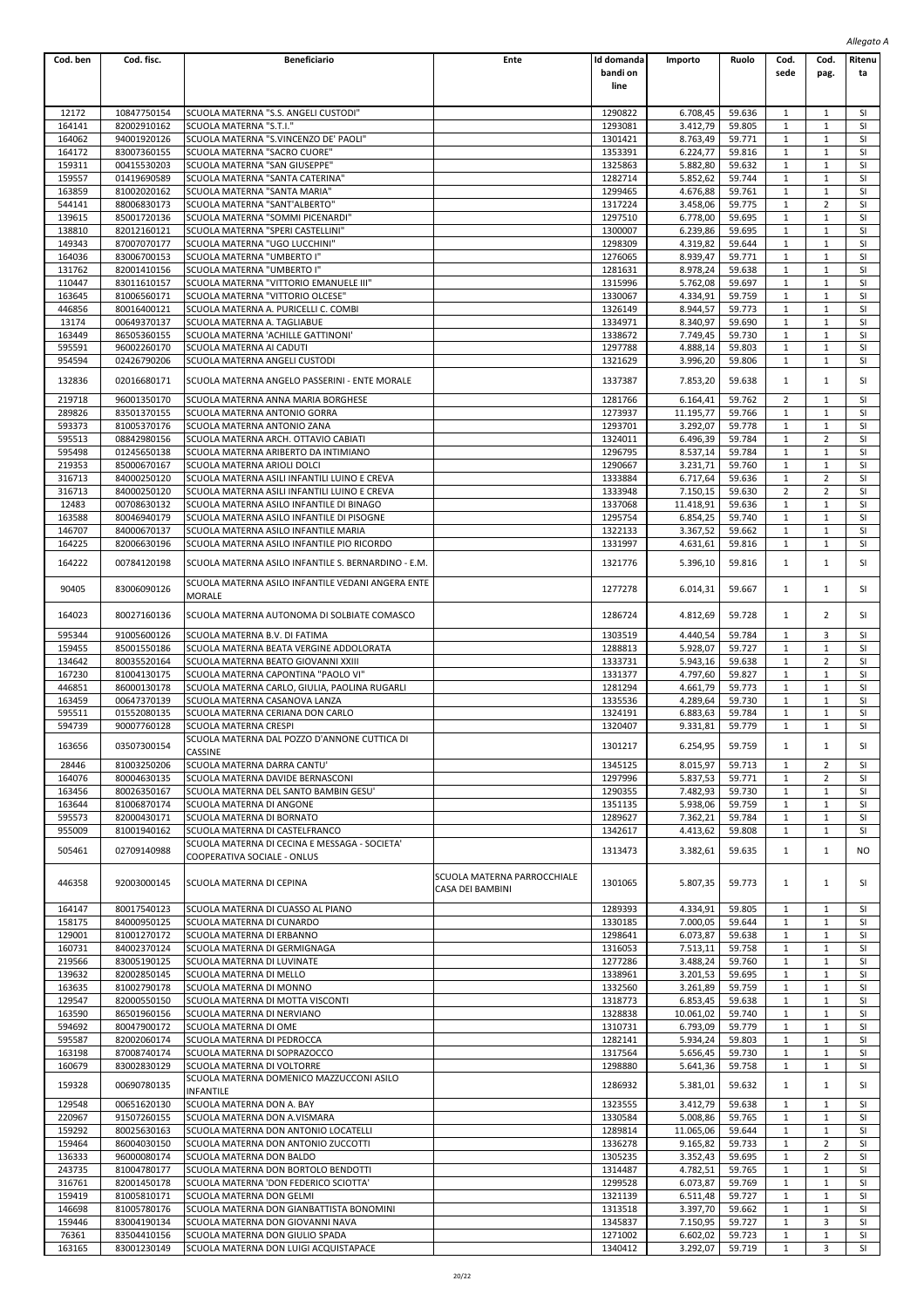| Cod. ben         | Cod. fisc.                 | <b>Beneficiario</b>                                                          | Ente                                            | Id domanda         | Importo              | Ruolo            | Cod.                         | Cod.                         | $$ cy $$<br><b>Ritenu</b> |
|------------------|----------------------------|------------------------------------------------------------------------------|-------------------------------------------------|--------------------|----------------------|------------------|------------------------------|------------------------------|---------------------------|
|                  |                            |                                                                              |                                                 | bandi on           |                      |                  | sede                         | pag.                         | ta                        |
|                  |                            |                                                                              |                                                 | line               |                      |                  |                              |                              |                           |
|                  |                            |                                                                              |                                                 |                    |                      |                  |                              |                              |                           |
| 12172<br>164141  | 10847750154<br>82002910162 | SCUOLA MATERNA "S.S. ANGELI CUSTODI"                                         |                                                 | 1290822            | 6.708,45             | 59.636           | 1<br>1                       | 1<br>$\mathbf{1}$            | <b>SI</b><br>SI           |
| 164062           | 94001920126                | SCUOLA MATERNA "S.T.I."<br>SCUOLA MATERNA "S.VINCENZO DE' PAOLI"             |                                                 | 1293081<br>1301421 | 3.412,79<br>8.763,49 | 59.805<br>59.771 | 1                            | 1                            | SI                        |
| 164172           | 83007360155                | SCUOLA MATERNA "SACRO CUORE"                                                 |                                                 | 1353391            | 6.224,77             | 59.816           | $\mathbf{1}$                 | 1                            | SI                        |
| 159311           | 00415530203                | SCUOLA MATERNA "SAN GIUSEPPE"                                                |                                                 | 1325863            | 5.882,80             | 59.632           | $\mathbf{1}$                 | $\mathbf{1}$                 | SI                        |
| 159557           | 01419690589                | SCUOLA MATERNA "SANTA CATERINA"                                              |                                                 | 1282714            | 5.852,62             | 59.744           | $\mathbf{1}$                 | $\mathbf{1}$                 | SI                        |
| 163859           | 81002020162                | SCUOLA MATERNA "SANTA MARIA"                                                 |                                                 | 1299465            | 4.676,88             | 59.761           | $\mathbf{1}$                 | $\mathbf{1}$                 | SI                        |
| 544141<br>139615 | 88006830173<br>85001720136 | SCUOLA MATERNA "SANT'ALBERTO"<br>SCUOLA MATERNA "SOMMI PICENARDI"            |                                                 | 1317224<br>1297510 | 3.458,06<br>6.778,00 | 59.775<br>59.695 | 1<br>$\mathbf{1}$            | 2<br>$\mathbf{1}$            | SI<br>SI                  |
| 138810           | 82012160121                | SCUOLA MATERNA "SPERI CASTELLINI"                                            |                                                 | 1300007            | 6.239,86             | 59.695           | $\mathbf{1}$                 | 1                            | SI                        |
| 149343           | 87007070177                | SCUOLA MATERNA "UGO LUCCHINI"                                                |                                                 | 1298309            | 4.319,82             | 59.644           | $\mathbf{1}$                 | $\mathbf{1}$                 | SI                        |
| 164036           | 83006700153                | SCUOLA MATERNA "UMBERTO I"                                                   |                                                 | 1276065            | 8.939,47             | 59.771           | $\mathbf{1}$                 | 1                            | SI                        |
| 131762           | 82001410156                | SCUOLA MATERNA "UMBERTO I"                                                   |                                                 | 1281631            | 8.978,24             | 59.638           | 1                            | 1                            | SI                        |
| 110447           | 83011610157                | SCUOLA MATERNA "VITTORIO EMANUELE III"                                       |                                                 | 1315996            | 5.762,08             | 59.697           | $\mathbf{1}$                 | $\mathbf{1}$                 | SI                        |
| 163645<br>446856 | 81006560171<br>80016400121 | SCUOLA MATERNA "VITTORIO OLCESE"<br>SCUOLA MATERNA A. PURICELLI C. COMBI     |                                                 | 1330067<br>1326149 | 4.334,91<br>8.944,57 | 59.759<br>59.773 | $\mathbf{1}$<br>$\mathbf{1}$ | $\mathbf{1}$<br>$\mathbf{1}$ | SI<br>SI                  |
| 13174            | 00649370137                | SCUOLA MATERNA A. TAGLIABUE                                                  |                                                 | 1334971            | 8.340,97             | 59.690           | $\mathbf{1}$                 | 1                            | SI                        |
| 163449           | 86505360155                | SCUOLA MATERNA 'ACHILLE GATTINONI'                                           |                                                 | 1338672            | 7.749,45             | 59.730           | 1                            | 1                            | SI                        |
| 595591           | 96002260170                | SCUOLA MATERNA AI CADUTI                                                     |                                                 | 1297788            | 4.888,14             | 59.803           | $\mathbf{1}$                 | 1                            | SI                        |
| 954594           | 02426790206                | SCUOLA MATERNA ANGELI CUSTODI                                                |                                                 | 1321629            | 3.996,20             | 59.806           | $\mathbf{1}$                 | $\mathbf{1}$                 | SI                        |
| 132836           | 02016680171                | SCUOLA MATERNA ANGELO PASSERINI - ENTE MORALE                                |                                                 | 1337387            | 7.853,20             | 59.638           | 1                            | $\mathbf{1}$                 | <b>SI</b>                 |
| 219718           | 96001350170                | SCUOLA MATERNA ANNA MARIA BORGHESE                                           |                                                 | 1281766            | 6.164,41             | 59.762           | $\overline{2}$               | 1                            | SI                        |
| 289826           | 83501370155                | SCUOLA MATERNA ANTONIO GORRA                                                 |                                                 | 1273937            | 11.195,77            | 59.766           | $\mathbf{1}$                 | 1                            | SI                        |
| 593373           | 81005370176                | SCUOLA MATERNA ANTONIO ZANA                                                  |                                                 | 1293701            | 3.292,07             | 59.778           | $\mathbf{1}$                 | $\mathbf{1}$                 | SI                        |
| 595513           | 08842980156                | SCUOLA MATERNA ARCH. OTTAVIO CABIATI                                         |                                                 | 1324011            | 6.496,39             | 59.784           | $\mathbf{1}$                 | $\overline{2}$               | SI                        |
| 595498           | 01245650138                | SCUOLA MATERNA ARIBERTO DA INTIMIANO                                         |                                                 | 1296795            | 8.537,14             | 59.784           | $\mathbf{1}$                 | 1                            | SI                        |
| 219353<br>316713 | 85000670167<br>84000250120 | SCUOLA MATERNA ARIOLI DOLCI<br>SCUOLA MATERNA ASILI INFANTILI LUINO E CREVA  |                                                 | 1290667<br>1333884 | 3.231,71<br>6.717,64 | 59.760<br>59.636 | 1<br>$\mathbf{1}$            | 1<br>2                       | SI<br>SI                  |
| 316713           | 84000250120                | SCUOLA MATERNA ASILI INFANTILI LUINO E CREVA                                 |                                                 | 1333948            | 7.150,15             | 59.630           | $\overline{2}$               | $\overline{2}$               | <b>SI</b>                 |
| 12483            | 00708630132                | SCUOLA MATERNA ASILO INFANTILE DI BINAGO                                     |                                                 | 1337068            | 11.418,91            | 59.636           | $\mathbf{1}$                 | $\mathbf{1}$                 | SI                        |
| 163588           | 80046940179                | SCUOLA MATERNA ASILO INFANTILE DI PISOGNE                                    |                                                 | 1295754            | 6.854,25             | 59.740           | $\mathbf{1}$                 | 1                            | SI                        |
| 146707           | 84000670137                | SCUOLA MATERNA ASILO INFANTILE MARIA                                         |                                                 | 1322133            | 3.367,52             | 59.662           | 1                            | 1                            | SI                        |
| 164225           | 82006630196                | SCUOLA MATERNA ASILO INFANTILE PIO RICORDO                                   |                                                 | 1331997            | 4.631,61             | 59.816           | $\mathbf{1}$                 | $\mathbf{1}$                 | SI                        |
| 164222           | 00784120198                | SCUOLA MATERNA ASILO INFANTILE S. BERNARDINO - E.M.                          |                                                 | 1321776            | 5.396,10             | 59.816           | $\mathbf{1}$                 | $\mathbf{1}$                 | SI                        |
| 90405            | 83006090126                | SCUOLA MATERNA ASILO INFANTILE VEDANI ANGERA ENTE<br>MORALE                  |                                                 | 1277278            | 6.014,31             | 59.667           | 1                            | $\mathbf{1}$                 | SI                        |
| 164023           | 80027160136                | SCUOLA MATERNA AUTONOMA DI SOLBIATE COMASCO<br>SCUOLA MATERNA B.V. DI FATIMA |                                                 | 1286724            | 4.812,69             | 59.728<br>59.784 | 1                            | 2<br>3                       | SI<br>SI                  |
| 595344<br>159455 | 91005600126<br>85001550186 | SCUOLA MATERNA BEATA VERGINE ADDOLORATA                                      |                                                 | 1303519<br>1288813 | 4.440,54<br>5.928,07 | 59.727           | 1<br>$\mathbf{1}$            | $\mathbf{1}$                 | SI                        |
| 134642           | 80035520164                | SCUOLA MATERNA BEATO GIOVANNI XXIII                                          |                                                 | 1333731            | 5.943,16             | 59.638           | 1                            | 2                            | SI                        |
| 167230           | 81004130175                | SCUOLA MATERNA CAPONTINA "PAOLO VI"                                          |                                                 | 1331377            | 4.797,60             | 59.827           | $\mathbf{1}$                 | $\mathbf{1}$                 | SI                        |
| 446851           | 86000130178                | SCUOLA MATERNA CARLO, GIULIA, PAOLINA RUGARLI                                |                                                 | 1281294            | 4.661,79             | 59.773           | 1                            | 1                            | SI                        |
| 163459           | 00647370139                | SCUOLA MATERNA CASANOVA LANZA                                                |                                                 | 1335536            | 4.289,64             | 59.730           | $\mathbf{1}$                 | $\mathbf{1}$                 | SI                        |
| 595511<br>594739 | 01552080135<br>90007760128 | SCUOLA MATERNA CERIANA DON CARLO<br>SCUOLA MATERNA CRESPI                    |                                                 | 1324191<br>1320407 | 6.883,63<br>9.331,81 | 59.784<br>59.779 | $\mathbf{1}$<br>1            | $\mathbf{1}$<br>$\mathbf{1}$ | SI<br>SI                  |
| 163656           | 03507300154                | SCUOLA MATERNA DAL POZZO D'ANNONE CUTTICA DI                                 |                                                 | 1301217            | 6.254,95             | 59.759           | 1                            | $\mathbf{1}$                 | SI                        |
|                  |                            | CASSINE                                                                      |                                                 |                    |                      |                  |                              |                              |                           |
| 28446<br>164076  | 81003250206<br>80004630135 | SCUOLA MATERNA DARRA CANTU'                                                  |                                                 | 1345125<br>1297996 | 8.015,97<br>5.837,53 | 59.713<br>59.771 | 1<br>1                       | $\overline{2}$<br>2          | SI<br>SI                  |
| 163456           | 80026350167                | SCUOLA MATERNA DAVIDE BERNASCONI<br>SCUOLA MATERNA DEL SANTO BAMBIN GESU'    |                                                 | 1290355            | 7.482,93             | 59.730           | 1                            | 1                            | SI                        |
| 163644           | 81006870174                | SCUOLA MATERNA DI ANGONE                                                     |                                                 | 1351135            | 5.938,06             | 59.759           | $\mathbf{1}$                 | $\mathbf{1}$                 | SI                        |
| 595573           | 82000430171                | SCUOLA MATERNA DI BORNATO                                                    |                                                 | 1289627            | 7.362,21             | 59.784           | 1                            | $\mathbf{1}$                 | SI                        |
| 955009           | 81001940162                | SCUOLA MATERNA DI CASTELFRANCO                                               |                                                 | 1342617            | 4.413,62             | 59.808           | $\mathbf{1}$                 | $\mathbf{1}$                 | SI                        |
| 505461           | 02709140988                | SCUOLA MATERNA DI CECINA E MESSAGA - SOCIETA'<br>COOPERATIVA SOCIALE - ONLUS |                                                 | 1313473            | 3.382,61             | 59.635           | 1                            | $\mathbf{1}$                 | NO.                       |
| 446358           | 92003000145                | SCUOLA MATERNA DI CEPINA                                                     | SCUOLA MATERNA PARROCCHIALE<br>CASA DEI BAMBINI | 1301065            | 5.807,35             | 59.773           | 1                            | 1                            | SI                        |
| 164147           | 80017540123                | SCUOLA MATERNA DI CUASSO AL PIANO                                            |                                                 | 1289393            | 4.334,91             | 59.805           | 1                            | 1                            | SI                        |
| 158175           | 84000950125                | SCUOLA MATERNA DI CUNARDO                                                    |                                                 | 1330185            | 7.000,05             | 59.644           | 1                            | 1                            | SI                        |
| 129001<br>160731 | 81001270172<br>84002370124 | SCUOLA MATERNA DI ERBANNO<br>SCUOLA MATERNA DI GERMIGNAGA                    |                                                 | 1298641<br>1316053 | 6.073,87<br>7.513,11 | 59.638<br>59.758 | 1<br>1                       | $\mathbf{1}$<br>$\mathbf{1}$ | SI<br><b>SI</b>           |
| 219566           | 83005190125                | SCUOLA MATERNA DI LUVINATE                                                   |                                                 | 1277286            | 3.488,24             | 59.760           | $\mathbf{1}$                 | $\mathbf 1$                  | SI                        |
| 139632           | 82002850145                | SCUOLA MATERNA DI MELLO                                                      |                                                 | 1338961            | 3.201,53             | 59.695           | 1                            | $\mathbf{1}$                 | SI                        |
| 163635           | 81002790178                | SCUOLA MATERNA DI MONNO                                                      |                                                 | 1332560            | 3.261,89             | 59.759           | 1                            | 1                            | SI                        |
| 129547           | 82000550150                | SCUOLA MATERNA DI MOTTA VISCONTI                                             |                                                 | 1318773            | 6.853,45             | 59.638           | 1                            | $\mathbf{1}$                 | SI                        |
| 163590           | 86501960156                | SCUOLA MATERNA DI NERVIANO                                                   |                                                 | 1328838            | 10.061,02            | 59.740           | 1                            | $\mathbf{1}$                 | <b>SI</b>                 |
| 594692<br>595587 | 80047900172<br>82002060174 | SCUOLA MATERNA DI OME<br>SCUOLA MATERNA DI PEDROCCA                          |                                                 | 1310731<br>1282141 | 6.793,09<br>5.934,24 | 59.779<br>59.803 | $\mathbf{1}$<br>1            | $\mathbf 1$<br>1             | SI<br>SI                  |
| 163198           | 87008740174                | SCUOLA MATERNA DI SOPRAZOCCO                                                 |                                                 | 1317564            | 5.656,45             | 59.730           | 1                            | 1                            | SI                        |
| 160679           | 83002830129                | SCUOLA MATERNA DI VOLTORRE                                                   |                                                 | 1298880            | 5.641,36             | 59.758           | $\mathbf{1}$                 | $\mathbf{1}$                 | SI                        |
| 159328           | 00690780135                | SCUOLA MATERNA DOMENICO MAZZUCCONI ASILO<br><b>INFANTILE</b>                 |                                                 | 1286932            | 5.381,01             | 59.632           | 1                            | $\mathbf{1}$                 | SI                        |
| 129548           | 00651620130                | SCUOLA MATERNA DON A. BAY                                                    |                                                 | 1323555            | 3.412,79             | 59.638           | 1                            | 1                            | <b>SI</b>                 |
| 220967           | 91507260155                | SCUOLA MATERNA DON A.VISMARA                                                 |                                                 | 1330584            | 5.008,86             | 59.765           | 1                            | 1                            | SI                        |
| 159292           | 80025630163                | SCUOLA MATERNA DON ANTONIO LOCATELLI                                         |                                                 | 1289814            | 11.065,06            | 59.644           | $\mathbf{1}$                 | $\mathbf{1}$                 | SI                        |
| 159464<br>136333 | 86004030150<br>96000080174 | SCUOLA MATERNA DON ANTONIO ZUCCOTTI<br>SCUOLA MATERNA DON BALDO              |                                                 | 1336278<br>1305235 | 9.165,82<br>3.352,43 | 59.733<br>59.695 | 1<br>$\mathbf{1}$            | 2<br>$\overline{2}$          | SI<br>SI                  |
| 243735           | 81004780177                | SCUOLA MATERNA DON BORTOLO BENDOTTI                                          |                                                 | 1314487            | 4.782,51             | 59.765           | 1                            | $\mathbf{1}$                 | SI                        |
| 316761           | 82001450178                | SCUOLA MATERNA 'DON FEDERICO SCIOTTA'                                        |                                                 | 1299528            | 6.073,87             | 59.769           | 1                            | 1                            | SI                        |
| 159419           | 81005810171                | SCUOLA MATERNA DON GELMI                                                     |                                                 | 1321139            | 6.511,48             | 59.727           | 1                            | $\mathbf{1}$                 | SI                        |
| 146698           | 81005780176                | SCUOLA MATERNA DON GIANBATTISTA BONOMINI                                     |                                                 | 1313518            | 3.397,70             | 59.662           | 1                            | $\mathbf{1}$                 | <b>SI</b>                 |
| 159446           | 83004190134                | SCUOLA MATERNA DON GIOVANNI NAVA                                             |                                                 | 1345837            | 7.150,95             | 59.727           | $\mathbf{1}$                 | 3                            | SI                        |
| 76361<br>163165  | 83504410156<br>83001230149 | SCUOLA MATERNA DON GIULIO SPADA<br>SCUOLA MATERNA DON LUIGI ACQUISTAPACE     |                                                 | 1271002<br>1340412 | 6.602,02<br>3.292,07 | 59.723<br>59.719 | 1<br>1                       | $\mathbf{1}$<br>3            | SI<br><b>SI</b>           |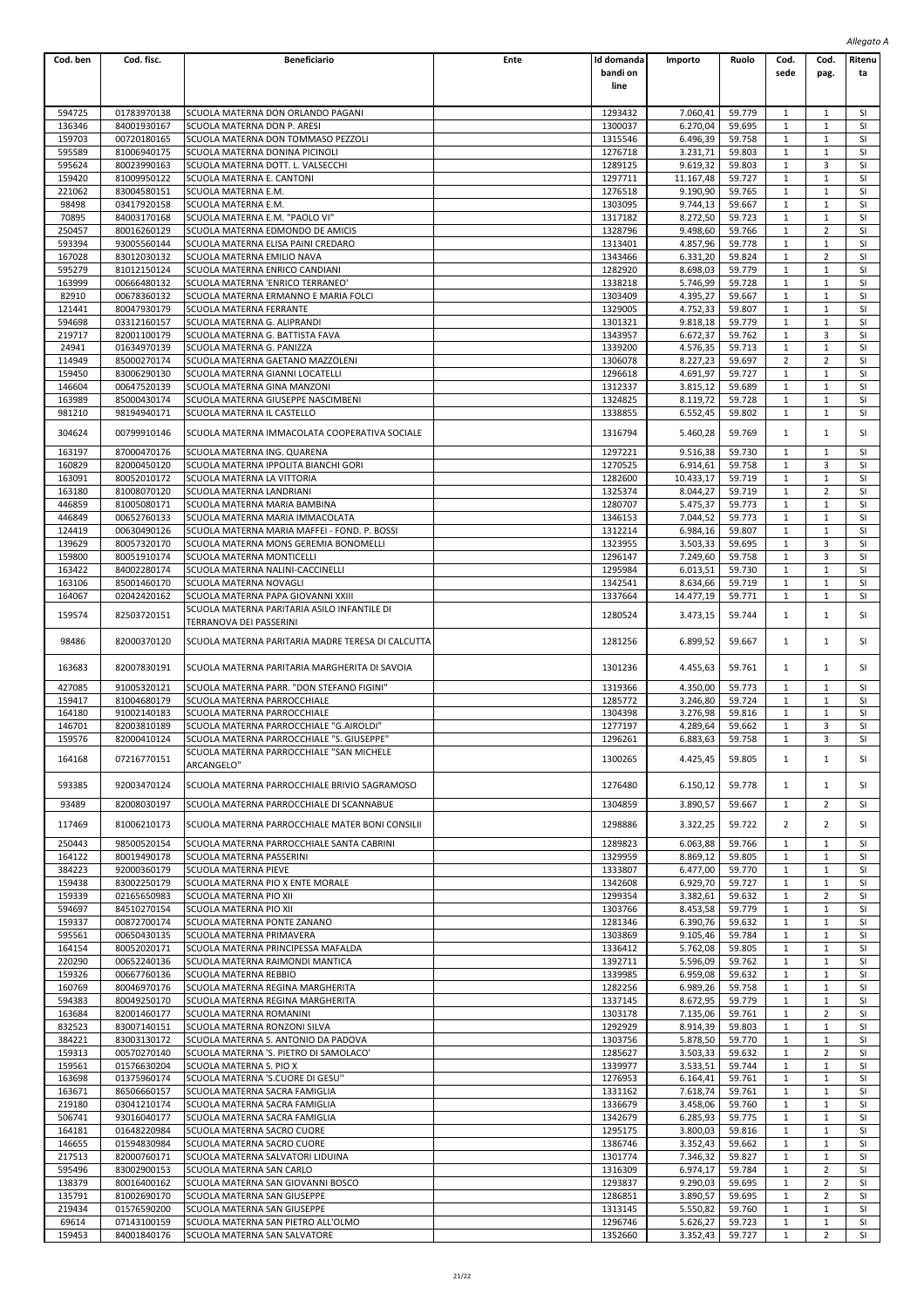|                  |                            |                                                                                            |      |                                |                      |                  |                   |                                | Allegato A             |  |
|------------------|----------------------------|--------------------------------------------------------------------------------------------|------|--------------------------------|----------------------|------------------|-------------------|--------------------------------|------------------------|--|
| Cod. ben         | Cod. fisc.                 | <b>Beneficiario</b>                                                                        | Ente | Id domanda<br>bandi on<br>line | Importo              | Ruolo            | Cod.<br>sede      | Cod.<br>pag.                   | Ritenu<br>ta           |  |
| 594725           | 01783970138                | SCUOLA MATERNA DON ORLANDO PAGANI                                                          |      | 1293432                        | 7.060,41             | 59.779           | 1                 | $\mathbf{1}$                   | SI                     |  |
| 136346           | 84001930167                | SCUOLA MATERNA DON P. ARESI                                                                |      | 1300037                        | 6.270,04             | 59.695           | 1                 | $1\,$                          | SI                     |  |
| 159703           | 00720180165                | SCUOLA MATERNA DON TOMMASO PEZZOLI                                                         |      | 1315546                        | 6.496,39             | 59.758           | 1                 | $\mathbf{1}$                   | SI                     |  |
| 595589           | 81006940175                | SCUOLA MATERNA DONINA PICINOLI                                                             |      | 1276718                        | 3.231,71             | 59.803           | 1                 | 1                              | <b>SI</b>              |  |
| 595624           | 80023990163                | SCUOLA MATERNA DOTT. L. VALSECCHI                                                          |      | 1289125                        | 9.619,32             | 59.803           | 1                 | 3                              | <b>SI</b>              |  |
| 159420           | 81009950122                | SCUOLA MATERNA E. CANTONI                                                                  |      | 1297711                        | 11.167,48            | 59.727           | $\mathbf{1}$      | $\mathbf{1}$                   | SI                     |  |
| 221062<br>98498  | 83004580151<br>03417920158 | SCUOLA MATERNA E.M.<br>SCUOLA MATERNA E.M.                                                 |      | 1276518<br>1303095             | 9.190,90<br>9.744,13 | 59.765<br>59.667 | 1<br>1            | $1\,$<br>$\mathbf{1}$          | SI<br>SI               |  |
| 70895            | 84003170168                | SCUOLA MATERNA E.M. "PAOLO VI"                                                             |      | 1317182                        | 8.272,50             | 59.723           | 1                 | 1                              | <b>SI</b>              |  |
| 250457           | 80016260129                | SCUOLA MATERNA EDMONDO DE AMICIS                                                           |      | 1328796                        | 9.498,60             | 59.766           | 1                 | $\overline{2}$                 | <b>SI</b>              |  |
| 593394           | 93005560144                | SCUOLA MATERNA ELISA PAINI CREDARO                                                         |      | 1313401                        | 4.857,96             | 59.778           | $\mathbf{1}$      | $\mathbf{1}$                   | SI                     |  |
| 167028           | 83012030132                | SCUOLA MATERNA EMILIO NAVA                                                                 |      | 1343466                        | 6.331,20             | 59.824           | $\mathbf{1}$      | $\overline{2}$                 | SI                     |  |
| 595279           | 81012150124                | SCUOLA MATERNA ENRICO CANDIANI                                                             |      | 1282920                        | 8.698,03             | 59.779           | 1                 | $\mathbf{1}$                   | SI<br><b>SI</b>        |  |
| 163999<br>82910  | 00666480132<br>00678360132 | SCUOLA MATERNA 'ENRICO TERRANEO'<br>SCUOLA MATERNA ERMANNO E MARIA FOLCI                   |      | 1338218<br>1303409             | 5.746,99<br>4.395,27 | 59.728<br>59.667 | 1<br>1            | 1<br>$\mathbf{1}$              | <b>SI</b>              |  |
| 121441           | 80047930179                | SCUOLA MATERNA FERRANTE                                                                    |      | 1329005                        | 4.752,33             | 59.807           | $\mathbf{1}$      | $\mathbf{1}$                   | SI                     |  |
| 594698           | 03312160157                | SCUOLA MATERNA G. ALIPRANDI                                                                |      | 1301321                        | 9.818,18             | 59.779           | 1                 | $1\,$                          | SI                     |  |
| 219717           | 82001100179                | SCUOLA MATERNA G. BATTISTA FAVA                                                            |      | 1343957                        | 6.672,37             | 59.762           | $\mathbf{1}$      | 3                              | SI                     |  |
| 24941            | 01634970139                | SCUOLA MATERNA G. PANIZZA                                                                  |      | 1339200                        | 4.576,35             | 59.713           | 1                 | 1                              | <b>SI</b>              |  |
| 114949           | 85000270174                | SCUOLA MATERNA GAETANO MAZZOLENI                                                           |      | 1306078                        | 8.227,23             | 59.697           | 2                 | $\overline{2}$                 | <b>SI</b>              |  |
| 159450<br>146604 | 83006290130<br>00647520139 | SCUOLA MATERNA GIANNI LOCATELLI<br>SCUOLA MATERNA GINA MANZONI                             |      | 1296618<br>1312337             | 4.691,97<br>3.815,12 | 59.727<br>59.689 | 1<br>1            | $\mathbf{1}$<br>$1\,$          | SI<br>SI               |  |
| 163989           | 85000430174                | SCUOLA MATERNA GIUSEPPE NASCIMBENI                                                         |      | 1324825                        | 8.119,72             | 59.728           | 1                 | $\mathbf{1}$                   | SI                     |  |
| 981210           | 98194940171                | SCUOLA MATERNA IL CASTELLO                                                                 |      | 1338855                        | 6.552,45             | 59.802           | 1                 | 1                              | SI                     |  |
| 304624           | 00799910146                | SCUOLA MATERNA IMMACOLATA COOPERATIVA SOCIALE                                              |      | 1316794                        | 5.460,28             | 59.769           | 1                 | $\mathbf{1}$                   | SI                     |  |
| 163197           | 87000470176                | SCUOLA MATERNA ING. QUARENA                                                                |      | 1297221                        | 9.516,38             | 59.730           | 1                 | $1\,$                          | SI                     |  |
| 160829           | 82000450120                | SCUOLA MATERNA IPPOLITA BIANCHI GORI                                                       |      | 1270525                        | 6.914,61             | 59.758           | 1                 | 3                              | <b>SI</b>              |  |
| 163091           | 80052010172                | SCUOLA MATERNA LA VITTORIA                                                                 |      | 1282600                        | 10.433,17            | 59.719           | 1                 | 1                              | <b>SI</b>              |  |
| 163180<br>446859 | 81008070120<br>81005080171 | SCUOLA MATERNA LANDRIANI<br>SCUOLA MATERNA MARIA BAMBINA                                   |      | 1325374<br>1280707             | 8.044,27<br>5.475,37 | 59.719<br>59.773 | 1<br>$\mathbf{1}$ | $\overline{2}$<br>$\mathbf{1}$ | <b>SI</b><br>SI        |  |
| 446849           | 00652760133                | SCUOLA MATERNA MARIA IMMACOLATA                                                            |      | 1346153                        | 7.044,52             | 59.773           | $\mathbf{1}$      | $1\,$                          | SI                     |  |
| 124419           | 00630490126                | SCUOLA MATERNA MARIA MAFFEI - FOND. P. BOSSI                                               |      | 1312214                        | 6.984,16             | 59.807           | 1                 | $\mathbf{1}$                   | SI                     |  |
| 139629           | 80057320170                | SCUOLA MATERNA MONS GEREMIA BONOMELLI                                                      |      | 1323955                        | 3.503,33             | 59.695           | 1                 | 3                              | <b>SI</b>              |  |
| 159800           | 80051910174                | SCUOLA MATERNA MONTICELLI                                                                  |      | 1296147                        | 7.249,60             | 59.758           | 1                 | 3                              | <b>SI</b>              |  |
| 163422           | 84002280174                | SCUOLA MATERNA NALINI-CACCINELLI                                                           |      | 1295984                        | 6.013,51             | 59.730           | $\mathbf{1}$      | $\mathbf{1}$                   | SI                     |  |
| 163106           | 85001460170                | SCUOLA MATERNA NOVAGLI                                                                     |      | 1342541                        | 8.634,66             | 59.719           | $\mathbf{1}$      | $1\,$                          | SI                     |  |
| 164067           | 02042420162                | SCUOLA MATERNA PAPA GIOVANNI XXIII                                                         |      | 1337664                        | 14.477,19            | 59.771           | 1                 | $\mathbf{1}$                   | SI                     |  |
| 159574           | 82503720151                | SCUOLA MATERNA PARITARIA ASILO INFANTILE DI<br>TERRANOVA DEI PASSERINI                     |      | 1280524                        | 3.473,15             | 59.744           | 1                 | $\mathbf{1}$                   | SI                     |  |
| 98486            | 82000370120                | SCUOLA MATERNA PARITARIA MADRE TERESA DI CALCUTTA                                          |      | 1281256                        | 6.899,52             | 59.667           | 1                 | 1                              | SI                     |  |
| 163683<br>427085 | 82007830191<br>91005320121 | SCUOLA MATERNA PARITARIA MARGHERITA DI SAVOIA<br>SCUOLA MATERNA PARR. "DON STEFANO FIGINI" |      | 1301236<br>1319366             | 4.455,63<br>4.350,00 | 59.761<br>59.773 | 1<br>1            | 1<br>1                         | SI<br><b>SI</b>        |  |
| 159417           | 81004680179                | SCUOLA MATERNA PARROCCHIALE                                                                |      | 1285772                        | 3.246,80             | 59.724           | 1                 | 1                              | SI                     |  |
| 164180           | 91002140183                | SCUOLA MATERNA PARROCCHIALE                                                                |      | 1304398                        | 3.276,98             | 59.816           | $\mathbf{1}$      | $\mathbf 1$                    | SI                     |  |
| 146701           | 82003810189                | SCUOLA MATERNA PARROCCHIALE "G.AIROLDI"                                                    |      | 1277197                        | 4.289,64             | 59.662           | $\mathbf{1}$      | 3                              | SI                     |  |
| 159576           | 82000410124                | SCUOLA MATERNA PARROCCHIALE "S. GIUSEPPE"<br>SCUOLA MATERNA PARROCCHIALE "SAN MICHELE      |      | 1296261                        | 6.883,63             | 59.758           | 1                 | 3                              | SI                     |  |
| 164168           | 07216770151                | ARCANGELO"                                                                                 |      | 1300265                        | 4.425,45             | 59.805           | $\mathbf{1}$      | $\mathbf{1}$                   | SI                     |  |
| 593385<br>93489  | 92003470124<br>82008030197 | SCUOLA MATERNA PARROCCHIALE BRIVIO SAGRAMOSO<br>SCUOLA MATERNA PARROCCHIALE DI SCANNABUE   |      | 1276480<br>1304859             | 6.150,12<br>3.890,57 | 59.778<br>59.667 | 1<br>1            | 1<br>$\overline{2}$            | SI<br><b>SI</b>        |  |
|                  |                            |                                                                                            |      |                                |                      |                  |                   |                                |                        |  |
| 117469           | 81006210173                | SCUOLA MATERNA PARROCCHIALE MATER BONI CONSILII                                            |      | 1298886                        | 3.322,25             | 59.722           | 2                 | $\overline{2}$                 | SI                     |  |
| 250443           | 98500520154                | SCUOLA MATERNA PARROCCHIALE SANTA CABRINI                                                  |      | 1289823                        | 6.063.88             | 59.766           | 1                 | $\mathbf{1}$                   | SI                     |  |
| 164122           | 80019490178                | SCUOLA MATERNA PASSERINI                                                                   |      | 1329959                        | 8.869,12             | 59.805           | 1                 | $\mathbf{1}$                   | <b>SI</b>              |  |
| 384223<br>159438 | 92000360179                | <b>SCUOLA MATERNA PIEVE</b>                                                                |      | 1333807                        | 6.477,00             | 59.770           | 1                 | 1                              | <b>SI</b>              |  |
| 159339           | 83002250179<br>02165650983 | SCUOLA MATERNA PIO X ENTE MORALE<br>SCUOLA MATERNA PIO XII                                 |      | 1342608<br>1299354             | 6.929,70<br>3.382,61 | 59.727<br>59.632 | 1<br>1            | 1<br>$\overline{2}$            | <b>SI</b><br>SI        |  |
| 594697           | 84510270154                | SCUOLA MATERNA PIO XII                                                                     |      | 1303766                        | 8.453,58             | 59.779           | $\mathbf{1}$      | $1\,$                          | SI                     |  |
| 159337           | 00872700174                | SCUOLA MATERNA PONTE ZANANO                                                                |      | 1281346                        | 6.390,76             | 59.632           | 1                 | $\mathbf{1}$                   | <b>SI</b>              |  |
| 595561           | 00650430135                | SCUOLA MATERNA PRIMAVERA                                                                   |      | 1303869                        | 9.105,46             | 59.784           | 1                 | $\mathbf{1}$                   | SI                     |  |
| 164154           | 80052020171                | SCUOLA MATERNA PRINCIPESSA MAFALDA                                                         |      | 1336412                        | 5.762,08             | 59.805           | 1                 | $\mathbf{1}$                   | <b>SI</b>              |  |
| 220290           | 00652240136                | SCUOLA MATERNA RAIMONDI MANTICA                                                            |      | 1392711                        | 5.596,09             | 59.762           | 1                 | $\mathbf{1}$                   | SI                     |  |
| 159326<br>160769 | 00667760136<br>80046970176 | SCUOLA MATERNA REBBIO<br>SCUOLA MATERNA REGINA MARGHERITA                                  |      | 1339985<br>1282256             | 6.959,08<br>6.989,26 | 59.632<br>59.758 | 1<br>1            | $\mathbf{1}$<br>$\mathbf{1}$   | SI<br><b>SI</b>        |  |
| 594383           | 80049250170                | SCUOLA MATERNA REGINA MARGHERITA                                                           |      | 1337145                        | 8.672,95             | 59.779           | 1                 | $\mathbf{1}$                   | SI                     |  |
| 163684           | 82001460177                | SCUOLA MATERNA ROMANINI                                                                    |      | 1303178                        | 7.135,06             | 59.761           | 1                 | 2                              | <b>SI</b>              |  |
| 832523           | 83007140151                | SCUOLA MATERNA RONZONI SILVA                                                               |      | 1292929                        | 8.914,39             | 59.803           | 1                 | $\mathbf{1}$                   | SI                     |  |
| 384221           | 83003130172                | SCUOLA MATERNA S. ANTONIO DA PADOVA                                                        |      | 1303756                        | 5.878,50             | 59.770           | 1                 | $\mathbf{1}$                   | SI                     |  |
| 159313           | 00570270140                | SCUOLA MATERNA 'S. PIETRO DI SAMOLACO'                                                     |      | 1285627                        | 3.503,33             | 59.632           | 1                 | 2                              | <b>SI</b>              |  |
| 159561<br>163698 | 01576630204<br>01375960174 | SCUOLA MATERNA S. PIO X<br>SCUOLA MATERNA 'S.CUORE DI GESU"                                |      | 1339977<br>1276953             | 3.533,51<br>6.164,41 | 59.744<br>59.761 | 1<br>1            | $\mathbf{1}$<br>$\mathbf{1}$   | <b>SI</b><br><b>SI</b> |  |
| 163671           | 86506660157                | SCUOLA MATERNA SACRA FAMIGLIA                                                              |      | 1331162                        | 7.618,74             | 59.761           | 1                 | $\mathbf{1}$                   | SI                     |  |
| 219180           | 03041210174                | SCUOLA MATERNA SACRA FAMIGLIA                                                              |      | 1336679                        | 3.458,06             | 59.760           | 1                 | $\mathbf{1}$                   | SI                     |  |
| 506741           | 93016040177                | SCUOLA MATERNA SACRA FAMIGLIA                                                              |      | 1342679                        | 6.285,93             | 59.775           | 1                 | $\mathbf{1}$                   | <b>SI</b>              |  |
| 164181           | 01648220984                | SCUOLA MATERNA SACRO CUORE                                                                 |      | 1295175                        | 3.800,03             | 59.816           | 1                 | 1                              | <b>SI</b>              |  |
| 146655           | 01594830984                | SCUOLA MATERNA SACRO CUORE                                                                 |      | 1386746                        | 3.352,43             | 59.662           | 1                 | $\mathbf{1}$                   | <b>SI</b>              |  |
| 217513           | 82000760171                | SCUOLA MATERNA SALVATORI LIDUINA                                                           |      | 1301774                        | 7.346,32             | 59.827           | 1                 | $\mathbf{1}$                   | SI                     |  |
| 595496<br>138379 | 83002900153<br>80016400162 | SCUOLA MATERNA SAN CARLO<br>SCUOLA MATERNA SAN GIOVANNI BOSCO                              |      | 1316309<br>1293837             | 6.974,17<br>9.290,03 | 59.784<br>59.695 | $\mathbf{1}$<br>1 | 2<br>2                         | SI<br>SI               |  |
| 135791           | 81002690170                | SCUOLA MATERNA SAN GIUSEPPE                                                                |      | 1286851                        | 3.890,57             | 59.695           | 1                 | $\overline{2}$                 | <b>SI</b>              |  |
| 219434           | 01576590200                | SCUOLA MATERNA SAN GIUSEPPE                                                                |      | 1313145                        | 5.550,82             | 59.760           | 1                 | $\mathbf{1}$                   | <b>SI</b>              |  |
| 69614            | 07143100159                | SCUOLA MATERNA SAN PIETRO ALL'OLMO                                                         |      | 1296746                        | 5.626,27             | 59.723           | 1                 | $\mathbf{1}$                   | SI                     |  |
| 159453           | 84001840176                | SCUOLA MATERNA SAN SALVATORE                                                               |      | 1352660                        | 3.352,43             | 59.727           | 1                 | $\overline{2}$                 | SI                     |  |